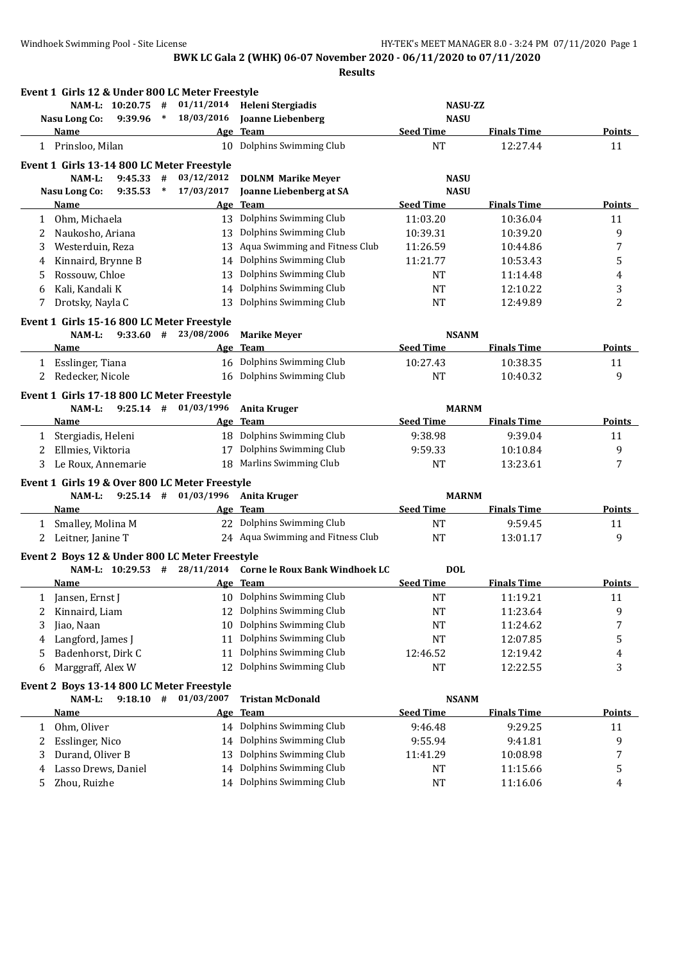**Results**

|              | Event 1 Girls 12 & Under 800 LC Meter Freestyle |        |                          |                                                             |                  |                    |               |
|--------------|-------------------------------------------------|--------|--------------------------|-------------------------------------------------------------|------------------|--------------------|---------------|
|              | NAM-L: 10:20.75 #                               |        | 01/11/2014               | Heleni Stergiadis                                           | <b>NASU-ZZ</b>   |                    |               |
|              | 9:39.96<br><b>Nasu Long Co:</b>                 | $\ast$ | 18/03/2016               | <b>Joanne Liebenberg</b>                                    | <b>NASU</b>      |                    |               |
|              | Name                                            |        |                          | Age Team                                                    | <b>Seed Time</b> | <b>Finals Time</b> | <b>Points</b> |
|              | 1 Prinsloo, Milan                               |        |                          | 10 Dolphins Swimming Club                                   | <b>NT</b>        | 12:27.44           | 11            |
|              | Event 1 Girls 13-14 800 LC Meter Freestyle      |        |                          |                                                             |                  |                    |               |
|              | NAM-L:<br>9:45.33                               | #      | 03/12/2012               | <b>DOLNM Marike Meyer</b>                                   | <b>NASU</b>      |                    |               |
|              | <b>Nasu Long Co:</b><br>9:35.53                 | $\ast$ | 17/03/2017               | Joanne Liebenberg at SA                                     | <b>NASU</b>      |                    |               |
|              | Name                                            |        | <u>Age</u>               | <b>Team</b>                                                 | <b>Seed Time</b> | <b>Finals Time</b> | <b>Points</b> |
| 1            | Ohm, Michaela                                   |        |                          | 13 Dolphins Swimming Club                                   | 11:03.20         | 10:36.04           | 11            |
| 2            | Naukosho, Ariana                                |        | 13                       | Dolphins Swimming Club                                      | 10:39.31         | 10:39.20           | 9             |
| 3            | Westerduin, Reza                                |        | 13                       | Aqua Swimming and Fitness Club                              | 11:26.59         | 10:44.86           | 7             |
| 4            | Kinnaird, Brynne B                              |        | 14                       | Dolphins Swimming Club                                      | 11:21.77         | 10:53.43           | 5             |
| 5            | Rossouw, Chloe                                  |        | 13                       | Dolphins Swimming Club                                      | NT               | 11:14.48           | 4             |
| 6            | Kali, Kandali K                                 |        | 14                       | Dolphins Swimming Club                                      | <b>NT</b>        | 12:10.22           | 3             |
| 7            | Drotsky, Nayla C                                |        | 13                       | Dolphins Swimming Club                                      | NT               | 12:49.89           | 2             |
|              | Event 1 Girls 15-16 800 LC Meter Freestyle      |        |                          |                                                             |                  |                    |               |
|              | $9:33.60$ #<br>NAM-L:                           |        | 23/08/2006               | <b>Marike Meyer</b>                                         | <b>NSANM</b>     |                    |               |
|              | Name                                            |        |                          | Age Team                                                    | <b>Seed Time</b> | <b>Finals Time</b> | <b>Points</b> |
|              | 1 Esslinger, Tiana                              |        |                          | 16 Dolphins Swimming Club                                   | 10:27.43         | 10:38.35           | 11            |
| 2            | Redecker, Nicole                                |        |                          | 16 Dolphins Swimming Club                                   | <b>NT</b>        | 10:40.32           | 9             |
|              | Event 1 Girls 17-18 800 LC Meter Freestyle      |        |                          |                                                             |                  |                    |               |
|              | NAM-L:<br>$9:25.14$ #                           |        | 01/03/1996               | <b>Anita Kruger</b>                                         | <b>MARNM</b>     |                    |               |
|              | <b>Name</b>                                     |        |                          | Age Team                                                    | <b>Seed Time</b> | <b>Finals Time</b> | <b>Points</b> |
| $\mathbf{1}$ | Stergiadis, Heleni                              |        |                          | 18 Dolphins Swimming Club                                   | 9:38.98          | 9:39.04            | 11            |
| 2            | Ellmies, Viktoria                               |        | 17                       | Dolphins Swimming Club                                      | 9:59.33          | 10:10.84           | 9             |
| 3            | Le Roux, Annemarie                              |        |                          | 18 Marlins Swimming Club                                    | <b>NT</b>        | 13:23.61           | 7             |
|              |                                                 |        |                          |                                                             |                  |                    |               |
|              | Event 1 Girls 19 & Over 800 LC Meter Freestyle  |        |                          |                                                             |                  |                    |               |
|              | NAM-L:                                          |        | $9:25.14$ # $01/03/1996$ | <b>Anita Kruger</b>                                         | <b>MARNM</b>     |                    |               |
|              | Name                                            |        |                          | Age Team                                                    | <b>Seed Time</b> | <b>Finals Time</b> | <b>Points</b> |
| $\mathbf{1}$ | Smalley, Molina M                               |        |                          | 22 Dolphins Swimming Club                                   | NT               | 9:59.45            | 11            |
|              | 2 Leitner, Janine T                             |        |                          | 24 Aqua Swimming and Fitness Club                           | $\rm{NT}$        | 13:01.17           | 9             |
|              | Event 2 Boys 12 & Under 800 LC Meter Freestyle  |        |                          |                                                             |                  |                    |               |
|              |                                                 |        |                          | NAM-L: 10:29.53 # 28/11/2014 Corne le Roux Bank Windhoek LC | <b>DOL</b>       |                    |               |
|              | Name                                            |        |                          | Age Team                                                    | <b>Seed Time</b> | <b>Finals Time</b> | <b>Points</b> |
|              | 1 Jansen, Ernst J                               |        |                          | 10 Dolphins Swimming Club                                   | <b>NT</b>        | 11:19.21           | 11            |
|              | Kinnaird, Liam                                  |        |                          | 12 Dolphins Swimming Club                                   | NT               | 11:23.64           | 9             |
| 3            | Jiao, Naan                                      |        | 10                       | Dolphins Swimming Club                                      | NT               | 11:24.62           | 7             |
| 4            | Langford, James J                               |        | 11                       | Dolphins Swimming Club                                      | NT               | 12:07.85           | 5             |
| 5            | Badenhorst, Dirk C                              |        | 11                       | Dolphins Swimming Club                                      | 12:46.52         | 12:19.42           | 4             |
| 6            | Marggraff, Alex W                               |        | 12                       | Dolphins Swimming Club                                      | NT               | 12:22.55           | 3             |
|              | Event 2 Boys 13-14 800 LC Meter Freestyle       |        |                          |                                                             |                  |                    |               |
|              | NAM-L:                                          |        | $9:18.10$ # $01/03/2007$ | <b>Tristan McDonald</b>                                     | <b>NSANM</b>     |                    |               |
|              | <u>Name</u>                                     |        | <u>Age</u>               | <b>Team</b>                                                 | <b>Seed Time</b> | <b>Finals Time</b> | <b>Points</b> |
| 1            | Ohm, Oliver                                     |        |                          | 14 Dolphins Swimming Club                                   | 9:46.48          | 9:29.25            | 11            |
| 2            | Esslinger, Nico                                 |        |                          | 14 Dolphins Swimming Club                                   | 9:55.94          | 9:41.81            | 9             |
| 3            | Durand, Oliver B                                |        | 13                       | Dolphins Swimming Club                                      | 11:41.29         | 10:08.98           | 7             |
| 4            | Lasso Drews, Daniel                             |        | 14                       | Dolphins Swimming Club                                      | NT               | 11:15.66           | 5             |
| 5            | Zhou, Ruizhe                                    |        |                          | 14 Dolphins Swimming Club                                   | NT               | 11:16.06           | 4             |
|              |                                                 |        |                          |                                                             |                  |                    |               |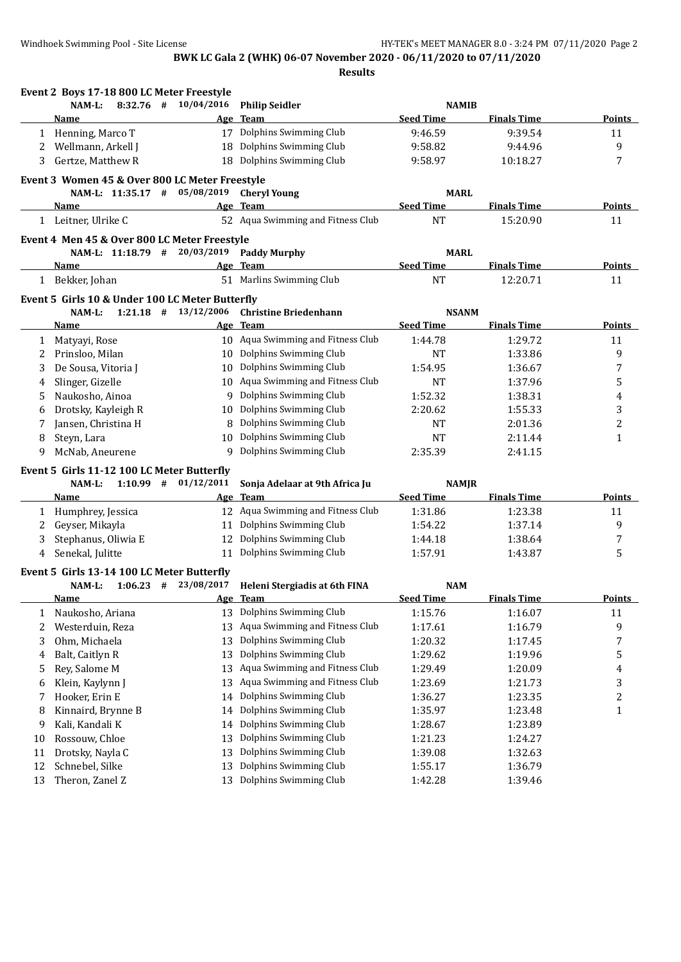|          | Event 2 Boys 17-18 800 LC Meter Freestyle       |                          |                                                                  |                                  |                    |                         |
|----------|-------------------------------------------------|--------------------------|------------------------------------------------------------------|----------------------------------|--------------------|-------------------------|
|          | $8:32.76$ #<br>$NAM-L$ :                        | 10/04/2016               | <b>Philip Seidler</b>                                            | <b>NAMIB</b>                     |                    |                         |
|          | Name                                            |                          | Age Team                                                         | <b>Seed Time</b>                 | <b>Finals Time</b> | Points                  |
|          | 1 Henning, Marco T                              |                          | 17 Dolphins Swimming Club                                        | 9:46.59                          | 9:39.54            | 11                      |
| 2        | Wellmann, Arkell J                              |                          | 18 Dolphins Swimming Club                                        | 9:58.82                          | 9:44.96            | 9                       |
| 3        | Gertze, Matthew R                               |                          | 18 Dolphins Swimming Club                                        | 9:58.97                          | 10:18.27           | 7                       |
|          | Event 3 Women 45 & Over 800 LC Meter Freestyle  |                          |                                                                  |                                  |                    |                         |
|          | NAM-L: 11:35.17 # 05/08/2019                    |                          | <b>Cheryl Young</b>                                              | <b>MARL</b>                      |                    |                         |
|          | Name                                            |                          | Age Team                                                         | <b>Seed Time</b>                 | <b>Finals Time</b> | Points                  |
|          | 1 Leitner, Ulrike C                             |                          | 52 Aqua Swimming and Fitness Club                                | <b>NT</b>                        | 15:20.90           | 11                      |
|          | Event 4 Men 45 & Over 800 LC Meter Freestyle    |                          |                                                                  |                                  |                    |                         |
|          | NAM-L: 11:18.79 # 20/03/2019                    |                          | <b>Paddy Murphy</b>                                              | <b>MARL</b>                      |                    |                         |
|          | <b>Name</b>                                     |                          | Age Team                                                         | <b>Seed Time</b>                 | <b>Finals Time</b> | <b>Points</b>           |
|          | 1 Bekker, Johan                                 |                          | 51 Marlins Swimming Club                                         | <b>NT</b>                        | 12:20.71           | 11                      |
|          |                                                 |                          |                                                                  |                                  |                    |                         |
|          | Event 5 Girls 10 & Under 100 LC Meter Butterfly |                          |                                                                  |                                  |                    |                         |
|          | NAM-L:<br><b>Name</b>                           | $1:21.18$ # $13/12/2006$ | <b>Christine Briedenhann</b>                                     | <b>NSANM</b><br><b>Seed Time</b> | <b>Finals Time</b> |                         |
|          |                                                 |                          | Age Team<br>10 Aqua Swimming and Fitness Club                    | 1:44.78                          |                    | Points                  |
| 1        | Matyayi, Rose                                   |                          | 10 Dolphins Swimming Club                                        |                                  | 1:29.72            | 11                      |
| 2        | Prinsloo, Milan                                 |                          | 10 Dolphins Swimming Club                                        | NT                               | 1:33.86            | 9                       |
| 3        | De Sousa, Vitoria J                             |                          | 10 Aqua Swimming and Fitness Club                                | 1:54.95<br>NT                    | 1:36.67<br>1:37.96 | 7                       |
| 4        | Slinger, Gizelle<br>Naukosho, Ainoa             |                          | 9 Dolphins Swimming Club                                         | 1:52.32                          | 1:38.31            | 5                       |
| 5        | Drotsky, Kayleigh R                             |                          | 10 Dolphins Swimming Club                                        | 2:20.62                          | 1:55.33            | 4                       |
| 6<br>7   | Jansen, Christina H                             |                          | 8 Dolphins Swimming Club                                         | NT                               | 2:01.36            | 3<br>2                  |
| 8        | Steyn, Lara                                     |                          | 10 Dolphins Swimming Club                                        | NT                               | 2:11.44            | 1                       |
| 9        | McNab, Aneurene                                 |                          | 9 Dolphins Swimming Club                                         | 2:35.39                          | 2:41.15            |                         |
|          |                                                 |                          |                                                                  |                                  |                    |                         |
|          | Event 5 Girls 11-12 100 LC Meter Butterfly      |                          |                                                                  |                                  |                    |                         |
|          | $1:10.99$ #<br>NAM-L:                           | 01/12/2011               | Sonja Adelaar at 9th Africa Ju                                   | <b>NAMJR</b>                     |                    |                         |
|          | Name                                            |                          | Age Team                                                         | <b>Seed Time</b>                 | <b>Finals Time</b> | <b>Points</b>           |
| 1        | Humphrey, Jessica                               |                          | 12 Aqua Swimming and Fitness Club<br>Dolphins Swimming Club      | 1:31.86                          | 1:23.38            | 11                      |
| 2<br>3   | Geyser, Mikayla<br>Stephanus, Oliwia E          | 11                       | 12 Dolphins Swimming Club                                        | 1:54.22<br>1:44.18               | 1:37.14<br>1:38.64 | 9                       |
|          | Senekal, Julitte                                | 11                       | Dolphins Swimming Club                                           | 1:57.91                          | 1:43.87            | 7<br>5                  |
| 4        |                                                 |                          |                                                                  |                                  |                    |                         |
|          | Event 5 Girls 13-14 100 LC Meter Butterfly      |                          |                                                                  |                                  |                    |                         |
|          | NAM-L:                                          |                          | 1:06.23 # 23/08/2017 Heleni Stergiadis at 6th FINA               | <b>NAM</b>                       |                    |                         |
|          | Name                                            |                          | Age Team 1999                                                    | <b>Seed Time</b>                 | <b>Finals Time</b> | <b>Points</b>           |
| 1        | Naukosho, Ariana                                | 13                       | Dolphins Swimming Club                                           | 1:15.76                          | 1:16.07            | 11                      |
| 2        | Westerduin, Reza                                | 13                       | Aqua Swimming and Fitness Club<br>Dolphins Swimming Club         | 1:17.61                          | 1:16.79            | 9                       |
| 3        | Ohm, Michaela                                   | 13                       |                                                                  | 1:20.32                          | 1:17.45            | 7                       |
| 4        | Balt, Caitlyn R                                 | 13                       | Dolphins Swimming Club                                           | 1:29.62                          | 1:19.96            | 5                       |
| 5        | Rey, Salome M                                   | 13                       | Aqua Swimming and Fitness Club<br>Aqua Swimming and Fitness Club | 1:29.49                          | 1:20.09            | 4                       |
| 6        | Klein, Kaylynn J                                | 13                       |                                                                  | 1:23.69                          | 1:21.73            | 3                       |
| 7        | Hooker, Erin E                                  | 14                       | Dolphins Swimming Club<br>Dolphins Swimming Club                 | 1:36.27                          | 1:23.35            | $\overline{\mathbf{c}}$ |
| 8        | Kinnaird, Brynne B                              | 14                       |                                                                  | 1:35.97                          | 1:23.48            | $\mathbf{1}$            |
| 9        | Kali, Kandali K                                 | 14                       | Dolphins Swimming Club<br>Dolphins Swimming Club                 | 1:28.67                          | 1:23.89            |                         |
| 10       | Rossouw, Chloe                                  | 13                       | Dolphins Swimming Club                                           | 1:21.23                          | 1:24.27            |                         |
| 11       | Drotsky, Nayla C                                | 13<br>13                 | Dolphins Swimming Club                                           | 1:39.08                          | 1:32.63            |                         |
| 12<br>13 | Schnebel, Silke<br>Theron, Zanel Z              | 13                       | Dolphins Swimming Club                                           | 1:55.17<br>1:42.28               | 1:36.79<br>1:39.46 |                         |
|          |                                                 |                          |                                                                  |                                  |                    |                         |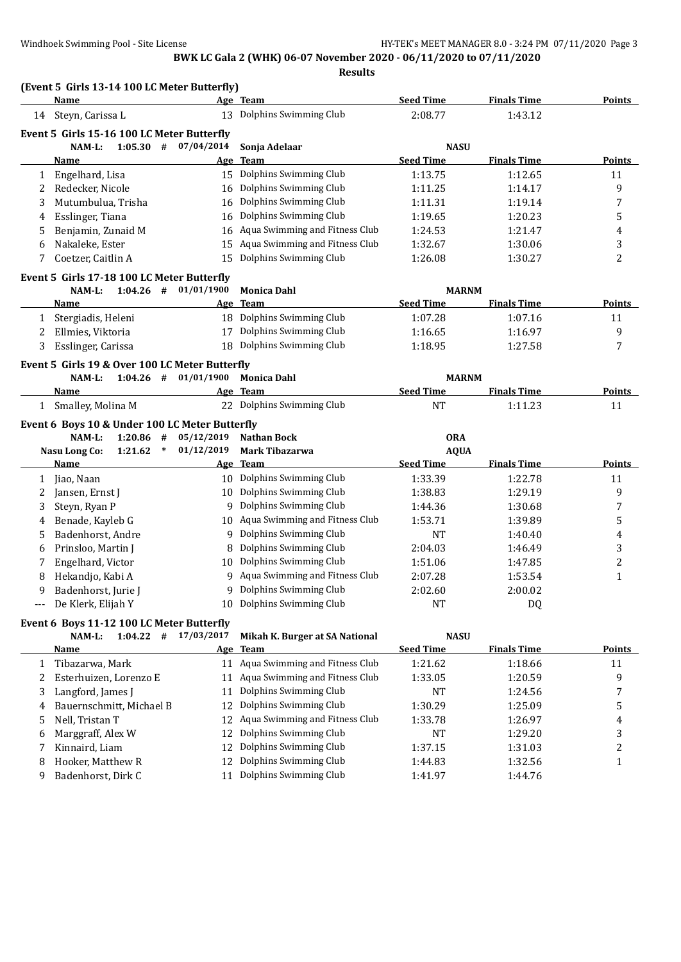**Results**

## **(Event 5 Girls 13-14 100 LC Meter Butterfly)**

|              | Name                                                               |            | Age Team                          | <b>Seed Time</b> | <b>Finals Time</b> | <b>Points</b>  |
|--------------|--------------------------------------------------------------------|------------|-----------------------------------|------------------|--------------------|----------------|
| 14           | Steyn, Carissa L                                                   | 13         | Dolphins Swimming Club            | 2:08.77          | 1:43.12            |                |
|              | Event 5 Girls 15-16 100 LC Meter Butterfly                         |            |                                   |                  |                    |                |
|              | $1:05.30$ #<br>NAM-L:                                              | 07/04/2014 | Sonja Adelaar                     | <b>NASU</b>      |                    |                |
|              | Name                                                               | <u>Age</u> | <b>Team</b>                       | <b>Seed Time</b> | <b>Finals Time</b> | <b>Points</b>  |
| 1            | Engelhard, Lisa                                                    | 15         | Dolphins Swimming Club            | 1:13.75          | 1:12.65            | 11             |
| 2            | Redecker, Nicole                                                   | 16         | Dolphins Swimming Club            | 1:11.25          | 1:14.17            | 9              |
| 3            | Mutumbulua, Trisha                                                 | 16         | Dolphins Swimming Club            | 1:11.31          | 1:19.14            | 7              |
| 4            | Esslinger, Tiana                                                   | 16         | Dolphins Swimming Club            | 1:19.65          | 1:20.23            | 5              |
| 5            | Benjamin, Zunaid M                                                 | 16         | Aqua Swimming and Fitness Club    | 1:24.53          | 1:21.47            | 4              |
| 6            | Nakaleke, Ester                                                    | 15         | Aqua Swimming and Fitness Club    | 1:32.67          | 1:30.06            | 3              |
| 7            | Coetzer, Caitlin A                                                 | 15         | Dolphins Swimming Club            | 1:26.08          | 1:30.27            | 2              |
|              | Event 5 Girls 17-18 100 LC Meter Butterfly                         |            |                                   |                  |                    |                |
|              | $1:04.26$ #<br>NAM-L:                                              | 01/01/1900 | <b>Monica Dahl</b>                | <b>MARNM</b>     |                    |                |
|              | Name                                                               |            | Age Team                          | <b>Seed Time</b> | <b>Finals Time</b> | <b>Points</b>  |
| $\mathbf{1}$ | Stergiadis, Heleni                                                 |            | 18 Dolphins Swimming Club         | 1:07.28          | 1:07.16            | 11             |
| 2            | Ellmies, Viktoria                                                  | 17         | Dolphins Swimming Club            | 1:16.65          | 1:16.97            | 9              |
| 3            | Esslinger, Carissa                                                 | 18         | Dolphins Swimming Club            | 1:18.95          | 1:27.58            | 7              |
|              |                                                                    |            |                                   |                  |                    |                |
|              | Event 5 Girls 19 & Over 100 LC Meter Butterfly                     |            |                                   |                  |                    |                |
|              | NAM-L:<br>$1:04.26$ #                                              | 01/01/1900 | <b>Monica Dahl</b>                | <b>MARNM</b>     |                    |                |
|              | Name                                                               | Age        | <b>Team</b>                       | <b>Seed Time</b> | <b>Finals Time</b> | <b>Points</b>  |
| $\mathbf{1}$ | Smalley, Molina M                                                  |            | 22 Dolphins Swimming Club         | <b>NT</b>        | 1:11.23            | 11             |
|              | Event 6 Boys 10 & Under 100 LC Meter Butterfly                     |            |                                   |                  |                    |                |
|              | NAM-L:<br>$1:20.86$ #                                              | 05/12/2019 | <b>Nathan Bock</b>                | <b>ORA</b>       |                    |                |
|              | <b>Nasu Long Co:</b><br>$\ast$<br>1:21.62                          | 01/12/2019 | <b>Mark Tibazarwa</b>             | <b>AQUA</b>      |                    |                |
|              | Name                                                               |            | <u>Age Team</u>                   | <b>Seed Time</b> | <b>Finals Time</b> | Points         |
| 1            | Jiao, Naan                                                         | 10         | Dolphins Swimming Club            | 1:33.39          | 1:22.78            | 11             |
| 2            | Jansen, Ernst J                                                    | 10         | Dolphins Swimming Club            | 1:38.83          | 1:29.19            | 9              |
| 3            | Steyn, Ryan P                                                      | 9          | Dolphins Swimming Club            | 1:44.36          | 1:30.68            |                |
| 4            | Benade, Kayleb G                                                   |            |                                   |                  |                    | 7              |
|              |                                                                    | 10         | Aqua Swimming and Fitness Club    | 1:53.71          | 1:39.89            | 5              |
| 5            | Badenhorst, Andre                                                  | 9          | Dolphins Swimming Club            | <b>NT</b>        | 1:40.40            | 4              |
| 6            | Prinsloo, Martin J                                                 | 8          | Dolphins Swimming Club            | 2:04.03          | 1:46.49            | 3              |
| 7            | Engelhard, Victor                                                  | 10         | Dolphins Swimming Club            | 1:51.06          | 1:47.85            | 2              |
| 8            | Hekandjo, Kabi A                                                   | 9          | Aqua Swimming and Fitness Club    | 2:07.28          | 1:53.54            | $\mathbf{1}$   |
| 9            | Badenhorst, Jurie J                                                | 9          | Dolphins Swimming Club            | 2:02.60          | 2:00.02            |                |
| $---$        | De Klerk, Elijah Y                                                 | 10         | Dolphins Swimming Club            | <b>NT</b>        | DQ                 |                |
|              |                                                                    |            |                                   |                  |                    |                |
|              | Event 6 Boys 11-12 100 LC Meter Butterfly<br>NAM-L:<br>$1:04.22$ # | 17/03/2017 | Mikah K. Burger at SA National    | <b>NASU</b>      |                    |                |
|              | Name                                                               |            | Age Team                          | <b>Seed Time</b> | <b>Finals Time</b> | <b>Points</b>  |
| 1            | Tibazarwa, Mark                                                    |            | 11 Aqua Swimming and Fitness Club | 1:21.62          | 1:18.66            | 11             |
| 2            | Esterhuizen, Lorenzo E                                             | 11         | Aqua Swimming and Fitness Club    | 1:33.05          | 1:20.59            | 9              |
| 3            | Langford, James J                                                  | 11         | Dolphins Swimming Club            | <b>NT</b>        | 1:24.56            | 7              |
| 4            | Bauernschmitt, Michael B                                           | 12         | Dolphins Swimming Club            | 1:30.29          | 1:25.09            | 5              |
| 5            | Nell, Tristan T                                                    | 12         | Aqua Swimming and Fitness Club    | 1:33.78          | 1:26.97            | 4              |
| 6            | Marggraff, Alex W                                                  | 12         | Dolphins Swimming Club            | NT               | 1:29.20            | 3              |
| 7            | Kinnaird, Liam                                                     | 12         | Dolphins Swimming Club            | 1:37.15          | 1:31.03            | $\overline{c}$ |

9 Badenhorst, Dirk C 11 Dolphins Swimming Club 1:41.97 1:44.76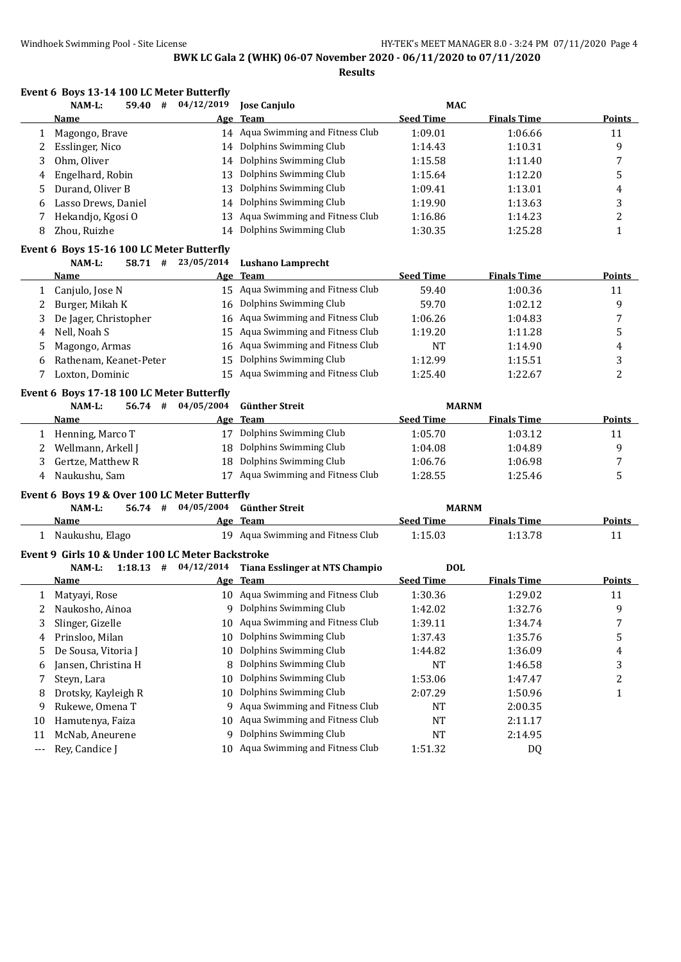**Results**

|       | Event 6 Boys 13-14 100 LC Meter Butterfly        |            |                                                     |                  |                    |               |
|-------|--------------------------------------------------|------------|-----------------------------------------------------|------------------|--------------------|---------------|
|       | NAM-L:<br>59.40 #                                | 04/12/2019 | <b>Jose Canjulo</b>                                 | MAC              |                    |               |
|       | Name                                             | Age        | <b>Team</b>                                         | <b>Seed Time</b> | <b>Finals Time</b> | Points        |
| 1     | Magongo, Brave                                   |            | 14 Aqua Swimming and Fitness Club                   | 1:09.01          | 1:06.66            | 11            |
| 2     | Esslinger, Nico                                  | 14         | Dolphins Swimming Club                              | 1:14.43          | 1:10.31            | 9             |
| 3     | Ohm, Oliver                                      | 14         | Dolphins Swimming Club                              | 1:15.58          | 1:11.40            | 7             |
| 4     | Engelhard, Robin                                 | 13         | Dolphins Swimming Club                              | 1:15.64          | 1:12.20            | 5             |
| 5     | Durand, Oliver B                                 | 13         | Dolphins Swimming Club                              | 1:09.41          | 1:13.01            | 4             |
| 6     | Lasso Drews, Daniel                              | 14         | Dolphins Swimming Club                              | 1:19.90          | 1:13.63            | 3             |
| 7     | Hekandjo, Kgosi O                                | 13         | Aqua Swimming and Fitness Club                      | 1:16.86          | 1:14.23            | 2             |
| 8     | Zhou, Ruizhe                                     | 14         | Dolphins Swimming Club                              | 1:30.35          | 1:25.28            | 1             |
|       | Event 6 Boys 15-16 100 LC Meter Butterfly        |            |                                                     |                  |                    |               |
|       | 58.71#<br>NAM-L:                                 | 23/05/2014 | <b>Lushano Lamprecht</b>                            |                  |                    |               |
|       | Name                                             |            | Age Team                                            | <b>Seed Time</b> | <b>Finals Time</b> | <b>Points</b> |
| 1     | Canjulo, Jose N                                  |            | 15 Aqua Swimming and Fitness Club                   | 59.40            | 1:00.36            | 11            |
| 2     | Burger, Mikah K                                  | 16         | Dolphins Swimming Club                              | 59.70            | 1:02.12            | 9             |
| 3     | De Jager, Christopher                            | 16         | Aqua Swimming and Fitness Club                      | 1:06.26          | 1:04.83            | 7             |
| 4     | Nell, Noah S                                     | 15         | Aqua Swimming and Fitness Club                      | 1:19.20          | 1:11.28            | 5             |
| 5     | Magongo, Armas                                   | 16         | Aqua Swimming and Fitness Club                      | NT               | 1:14.90            | 4             |
| 6     | Rathenam, Keanet-Peter                           | 15         | Dolphins Swimming Club                              | 1:12.99          | 1:15.51            | 3             |
| 7     | Loxton, Dominic                                  |            | 15 Aqua Swimming and Fitness Club                   | 1:25.40          | 1:22.67            | 2             |
|       | Event 6 Boys 17-18 100 LC Meter Butterfly        |            |                                                     |                  |                    |               |
|       | NAM-L:<br>$56.74$ #                              | 04/05/2004 | <b>Günther Streit</b>                               | <b>MARNM</b>     |                    |               |
|       | <b>Name</b>                                      |            | Age Team                                            | <b>Seed Time</b> | <b>Finals Time</b> | <b>Points</b> |
| 1     | Henning, Marco T                                 |            | 17 Dolphins Swimming Club                           | 1:05.70          | 1:03.12            | 11            |
| 2     | Wellmann, Arkell J                               | 18         | Dolphins Swimming Club                              | 1:04.08          | 1:04.89            | 9             |
| 3     | Gertze, Matthew R                                | 18         | Dolphins Swimming Club                              | 1:06.76          | 1:06.98            | 7             |
| 4     | Naukushu, Sam                                    |            | 17 Aqua Swimming and Fitness Club                   | 1:28.55          | 1:25.46            | 5             |
|       | Event 6 Boys 19 & Over 100 LC Meter Butterfly    |            |                                                     |                  |                    |               |
|       | NAM-L:<br>56.74 #                                | 04/05/2004 | <b>Günther Streit</b>                               | <b>MARNM</b>     |                    |               |
|       | Name                                             |            | Age Team                                            | <b>Seed Time</b> | <b>Finals Time</b> | <b>Points</b> |
|       | 1 Naukushu, Elago                                |            | 19 Aqua Swimming and Fitness Club                   | 1:15.03          | 1:13.78            | 11            |
|       | Event 9 Girls 10 & Under 100 LC Meter Backstroke |            |                                                     |                  |                    |               |
|       | NAM-L:                                           |            | 1:18.13 # 04/12/2014 Tiana Esslinger at NTS Champio | <b>DOL</b>       |                    |               |
|       | Name                                             |            | Age Team                                            | <b>Seed Time</b> | <b>Finals Time</b> | <b>Points</b> |
|       | 1 Matyayi, Rose                                  |            | 10 Aqua Swimming and Fitness Club                   | 1:30.36          | 1:29.02            | 11            |
| 2     | Naukosho, Ainoa                                  |            | 9 Dolphins Swimming Club                            | 1:42.02          | 1:32.76            | 9             |
| 3     | Slinger, Gizelle                                 | 10         | Aqua Swimming and Fitness Club                      | 1:39.11          | 1:34.74            | 7             |
| 4     | Prinsloo, Milan                                  | 10         | Dolphins Swimming Club                              | 1:37.43          | 1:35.76            | 5             |
| 5     | De Sousa, Vitoria J                              | 10         | Dolphins Swimming Club                              | 1:44.82          | 1:36.09            | 4             |
| 6     | Jansen, Christina H                              | 8          | Dolphins Swimming Club                              | NT               | 1:46.58            | 3             |
| 7     | Steyn, Lara                                      | 10         | Dolphins Swimming Club                              | 1:53.06          | 1:47.47            | 2             |
| 8     | Drotsky, Kayleigh R                              | 10         | Dolphins Swimming Club                              | 2:07.29          | 1:50.96            | $\mathbf{1}$  |
| 9     | Rukewe, Omena T                                  | 9          | Aqua Swimming and Fitness Club                      | NT               | 2:00.35            |               |
| 10    | Hamutenya, Faiza                                 | 10         | Aqua Swimming and Fitness Club                      | NT               | 2:11.17            |               |
| 11    | McNab, Aneurene                                  | 9          | Dolphins Swimming Club                              | NT               | 2:14.95            |               |
| $---$ | Rey, Candice J                                   |            | 10 Aqua Swimming and Fitness Club                   | 1:51.32          | DQ                 |               |
|       |                                                  |            |                                                     |                  |                    |               |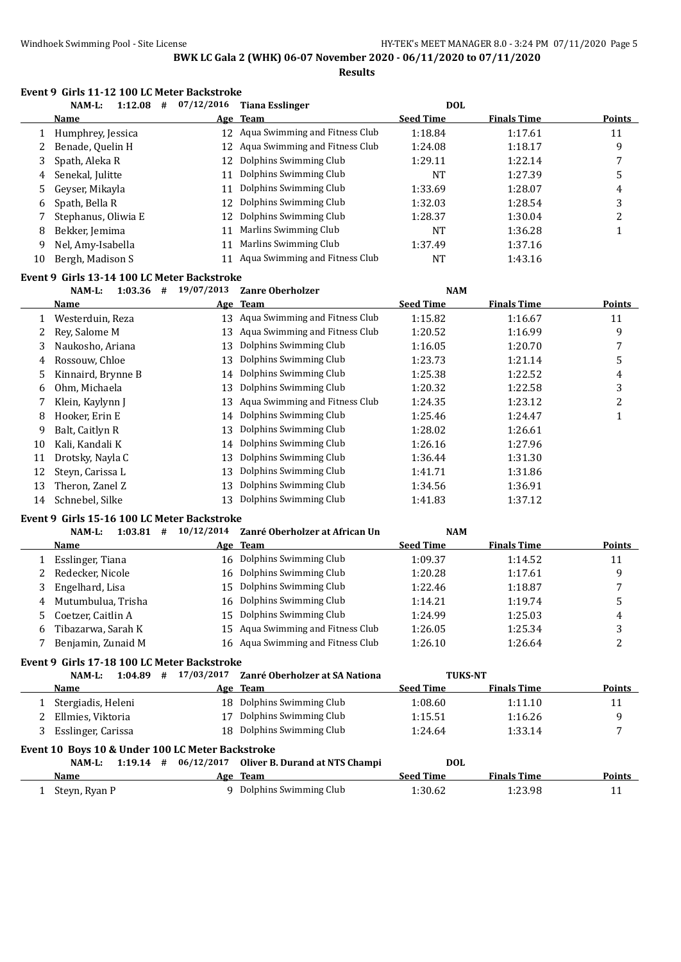**Results**

#### **Event 9 Girls 11-12 100 LC Meter Backstroke**

|    | 1:12.08<br>NAM-L:<br># | 07/12/2016 | <b>Tiana Esslinger</b>            | <b>DOL</b>       |                    |               |
|----|------------------------|------------|-----------------------------------|------------------|--------------------|---------------|
|    | <b>Name</b>            |            | Age Team                          | <b>Seed Time</b> | <b>Finals Time</b> | <b>Points</b> |
|    | Humphrey, Jessica      | 12         | Aqua Swimming and Fitness Club    | 1:18.84          | 1:17.61            | 11            |
|    | Benade, Quelin H       |            | 12 Aqua Swimming and Fitness Club | 1:24.08          | 1:18.17            | 9             |
| 3  | Spath, Aleka R         | 12         | Dolphins Swimming Club            | 1:29.11          | 1:22.14            |               |
| 4  | Senekal, Julitte       | 11         | Dolphins Swimming Club            | NT               | 1:27.39            | 5             |
| 5  | Geyser, Mikayla        | 11         | Dolphins Swimming Club            | 1:33.69          | 1:28.07            | 4             |
| 6  | Spath, Bella R         | 12         | Dolphins Swimming Club            | 1:32.03          | 1:28.54            | 3             |
|    | Stephanus, Oliwia E    |            | 12 Dolphins Swimming Club         | 1:28.37          | 1:30.04            |               |
| 8  | Bekker, Jemima         | 11         | Marlins Swimming Club             | NT               | 1:36.28            |               |
| 9  | Nel, Amy-Isabella      | 11         | Marlins Swimming Club             | 1:37.49          | 1:37.16            |               |
| 10 | Bergh, Madison S       |            | Aqua Swimming and Fitness Club    | NT               | 1:43.16            |               |

#### **Event 9 Girls 13-14 100 LC Meter Backstroke**

### **NAM-L: 1:03.36 # 19/07/2013 Zanre Oberholzer NAM**

|    | Name               |    | Age Team                       | <b>Seed Time</b> | <b>Finals Time</b> | <b>Points</b> |
|----|--------------------|----|--------------------------------|------------------|--------------------|---------------|
|    | Westerduin, Reza   | 13 | Aqua Swimming and Fitness Club | 1:15.82          | 1:16.67            | 11            |
| 2  | Rev. Salome M      | 13 | Aqua Swimming and Fitness Club | 1:20.52          | 1:16.99            | 9             |
| 3  | Naukosho, Ariana   | 13 | Dolphins Swimming Club         | 1:16.05          | 1:20.70            | 7             |
| 4  | Rossouw, Chloe     | 13 | Dolphins Swimming Club         | 1:23.73          | 1:21.14            | 5             |
| 5. | Kinnaird, Brynne B | 14 | Dolphins Swimming Club         | 1:25.38          | 1:22.52            | 4             |
| 6  | Ohm, Michaela      | 13 | Dolphins Swimming Club         | 1:20.32          | 1:22.58            | 3             |
|    | Klein, Kaylynn J   | 13 | Aqua Swimming and Fitness Club | 1:24.35          | 1:23.12            | 2             |
| 8  | Hooker, Erin E     | 14 | Dolphins Swimming Club         | 1:25.46          | 1:24.47            |               |
| 9  | Balt, Caitlyn R    | 13 | Dolphins Swimming Club         | 1:28.02          | 1:26.61            |               |
| 10 | Kali, Kandali K    | 14 | Dolphins Swimming Club         | 1:26.16          | 1:27.96            |               |
| 11 | Drotsky, Nayla C   | 13 | Dolphins Swimming Club         | 1:36.44          | 1:31.30            |               |
| 12 | Steyn, Carissa L   | 13 | Dolphins Swimming Club         | 1:41.71          | 1:31.86            |               |
| 13 | Theron, Zanel Z    | 13 | Dolphins Swimming Club         | 1:34.56          | 1:36.91            |               |
| 14 | Schnebel, Silke    | 13 | Dolphins Swimming Club         | 1:41.83          | 1:37.12            |               |

### **Event 9 Girls 15-16 100 LC Meter Backstroke**

**NAM-L: 1:03.81 # 10/12/2014 Zanré Oberholzer at African Un NAM**

|   | Name               | Age Team                          | <b>Seed Time</b> | <b>Finals Time</b> | <b>Points</b> |
|---|--------------------|-----------------------------------|------------------|--------------------|---------------|
|   | Esslinger, Tiana   | 16 Dolphins Swimming Club         | 1:09.37          | 1:14.52            | 11            |
|   | Redecker, Nicole   | 16 Dolphins Swimming Club         | 1:20.28          | 1:17.61            | q             |
|   | Engelhard, Lisa    | 15 Dolphins Swimming Club         | 1:22.46          | 1:18.87            |               |
| 4 | Mutumbulua, Trisha | 16 Dolphins Swimming Club         | 1:14.21          | 1:19.74            |               |
|   | Coetzer, Caitlin A | 15 Dolphins Swimming Club         | 1:24.99          | 1:25.03            | 4             |
| 6 | Tibazarwa, Sarah K | 15 Aqua Swimming and Fitness Club | 1:26.05          | 1:25.34            |               |
|   | Benjamin, Zunaid M | 16 Aqua Swimming and Fitness Club | 1:26.10          | 1:26.64            |               |

#### **Event 9 Girls 17-18 100 LC Meter Backstroke**

| 1:04.89<br>NAM-L:                                | 17/03/2017<br># | Zanré Oberholzer at SA Nationa | <b>TUKS-NT</b>   |                    |               |
|--------------------------------------------------|-----------------|--------------------------------|------------------|--------------------|---------------|
| Name                                             |                 | Age Team                       | <b>Seed Time</b> | <b>Finals Time</b> | <b>Points</b> |
| Stergiadis, Heleni                               |                 | 18 Dolphins Swimming Club      | 1:08.60          | 1:11.10            | 11            |
| Ellmies, Viktoria                                | 17              | Dolphins Swimming Club         | 1:15.51          | 1:16.26            | q             |
| Esslinger, Carissa                               |                 | 18 Dolphins Swimming Club      | 1:24.64          | 1:33.14            |               |
| Event 10 Boys 10 & Under 100 LC Meter Backstroke |                 |                                |                  |                    |               |
| 1:19.14<br>NAM-L:                                | 06/12/2017<br># | Oliver B. Durand at NTS Champi | <b>DOL</b>       |                    |               |
| Name                                             |                 | Age Team                       | <b>Seed Time</b> | <b>Finals Time</b> | <b>Points</b> |

1 Steyn, Ryan P 9 Dolphins Swimming Club 1:30.62 1:23.98 11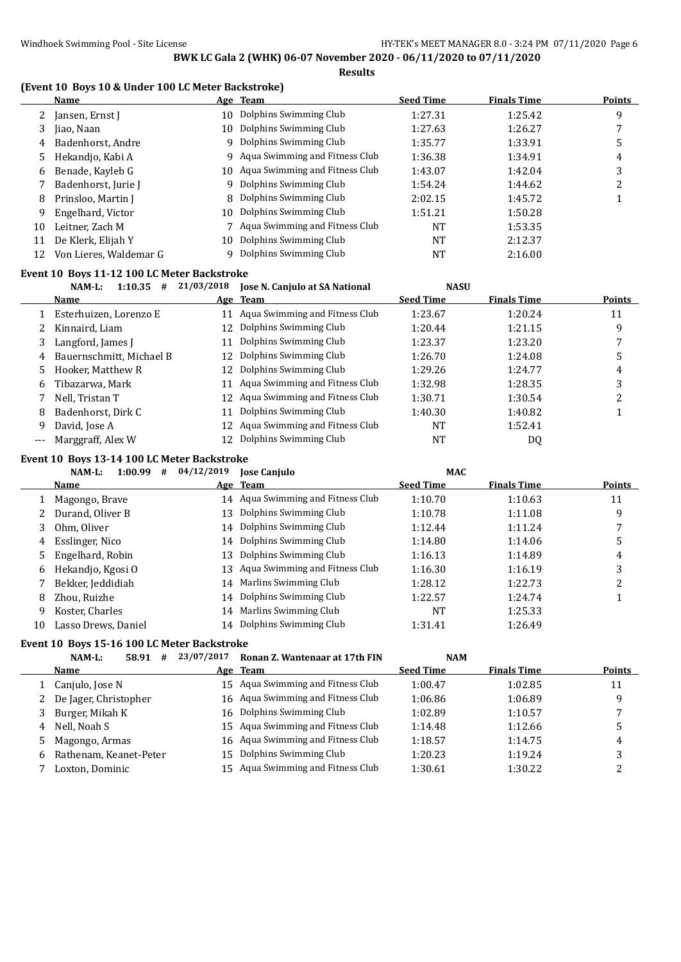#### **(Event 10 Boys 10 & Under 100 LC Meter Backstroke)**

|    | THRESH TO BOYS TO & OHUCH TOO BO PICION BUCKSHORE  <br><b>Name</b> |            | Age Team                       | <b>Seed Time</b> | <b>Finals Time</b> | <b>Points</b> |
|----|--------------------------------------------------------------------|------------|--------------------------------|------------------|--------------------|---------------|
|    | Jansen, Ernst J                                                    | 10         | Dolphins Swimming Club         | 1:27.31          | 1:25.42            | 9             |
| 3  | Jiao, Naan                                                         | 10         | Dolphins Swimming Club         | 1:27.63          | 1:26.27            | 7             |
| 4  | Badenhorst, Andre                                                  | 9          | Dolphins Swimming Club         | 1:35.77          | 1:33.91            | 5             |
| 5  | Hekandjo, Kabi A                                                   | 9          | Aqua Swimming and Fitness Club | 1:36.38          | 1:34.91            | 4             |
| 6  | Benade, Kayleb G                                                   | 10         | Aqua Swimming and Fitness Club | 1:43.07          | 1:42.04            | 3             |
|    | Badenhorst, Jurie J                                                | 9          | Dolphins Swimming Club         | 1:54.24          | 1:44.62            | 2             |
| 8  | Prinsloo, Martin J                                                 | 8          | Dolphins Swimming Club         | 2:02.15          | 1:45.72            | 1             |
| 9  | Engelhard, Victor                                                  | 10         | Dolphins Swimming Club         | 1:51.21          | 1:50.28            |               |
| 10 | Leitner, Zach M                                                    |            | Aqua Swimming and Fitness Club | NT               | 1:53.35            |               |
| 11 | De Klerk, Elijah Y                                                 | 10         | Dolphins Swimming Club         | <b>NT</b>        | 2:12.37            |               |
| 12 | Von Lieres, Waldemar G                                             | 9          | Dolphins Swimming Club         | <b>NT</b>        | 2:16.00            |               |
|    | Event 10 Boys 11-12 100 LC Meter Backstroke                        |            |                                |                  |                    |               |
|    | $1:10.35$ #<br>NAM-L:                                              | 21/03/2018 | Jose N. Canjulo at SA National | <b>NASU</b>      |                    |               |
|    | <b>Name</b>                                                        |            | Age Team                       | <b>Seed Time</b> | <b>Finals Time</b> | <b>Points</b> |
|    | Esterhuizen, Lorenzo E                                             | 11         | Aqua Swimming and Fitness Club | 1:23.67          | 1:20.24            | 11            |
|    | Kinnaird, Liam                                                     | 12         | Dolphins Swimming Club         | 1:20.44          | 1:21.15            | 9             |
| 3  | Langford, James J                                                  | 11         | Dolphins Swimming Club         | 1:23.37          | 1:23.20            | 7             |
| 4  | Bauernschmitt, Michael B                                           | 12         | Dolphins Swimming Club         | 1:26.70          | 1:24.08            | 5             |
| 5  | Hooker, Matthew R                                                  | 12         | Dolphins Swimming Club         | 1:29.26          | 1:24.77            | 4             |
| 6  | Tibazarwa, Mark                                                    | 11         | Aqua Swimming and Fitness Club | 1:32.98          | 1:28.35            | 3             |

| 6    Tibazarwa, Mark  |    | 11 Aqua Swimming and Fitness Club | 1:32.98   | 1:28.35 |  |
|-----------------------|----|-----------------------------------|-----------|---------|--|
| Nell, Tristan T       |    | 12 Aqua Swimming and Fitness Club | 1:30.71   | 1:30.54 |  |
| 8 Badenhorst, Dirk C  | 11 | Dolphins Swimming Club            | 1:40.30   | 1:40.82 |  |
| 9 David, Jose A       |    | 12 Aqua Swimming and Fitness Club | <b>NT</b> | 1:52.41 |  |
| --- Marggraff, Alex W |    | 12 Dolphins Swimming Club         | NT        | DQ      |  |

#### **Event 10 Boys 13-14 100 LC Meter Backstroke**

|    | 1:00.99<br>NAM-L:<br># | 04/12/2019 | <b>Jose Canjulo</b>               | <b>MAC</b>       |                    |               |
|----|------------------------|------------|-----------------------------------|------------------|--------------------|---------------|
|    | <b>Name</b>            | <u>Age</u> | <b>Team</b>                       | <b>Seed Time</b> | <b>Finals Time</b> | <b>Points</b> |
|    | Magongo, Brave         |            | 14 Agua Swimming and Fitness Club | 1:10.70          | 1:10.63            | 11            |
| 2  | Durand, Oliver B       | 13         | Dolphins Swimming Club            | 1:10.78          | 1:11.08            | 9             |
| 3  | Ohm, Oliver            |            | 14 Dolphins Swimming Club         | 1:12.44          | 1:11.24            |               |
| 4  | Esslinger, Nico        |            | 14 Dolphins Swimming Club         | 1:14.80          | 1:14.06            | 5             |
| 5. | Engelhard, Robin       | 13         | Dolphins Swimming Club            | 1:16.13          | 1:14.89            | 4             |
| 6  | Hekandjo, Kgosi O      |            | 13 Aqua Swimming and Fitness Club | 1:16.30          | 1:16.19            | 3             |
|    | Bekker, Jeddidiah      |            | 14 Marlins Swimming Club          | 1:28.12          | 1:22.73            | ົ<br>∠        |
| 8  | Zhou, Ruizhe           |            | 14 Dolphins Swimming Club         | 1:22.57          | 1:24.74            |               |
| 9  | Koster, Charles        |            | 14 Marlins Swimming Club          | <b>NT</b>        | 1:25.33            |               |
| 10 | Lasso Drews, Daniel    |            | 14 Dolphins Swimming Club         | 1:31.41          | 1:26.49            |               |

#### **Event 10 Boys 15-16 100 LC Meter Backstroke**

**NAM-L: 58.91 # 23/07/2017 Ronan Z. Wantenaar at 17th FIN NAM Name Age Team Seed Time Finals Time Points** 1 Canjulo, Jose N 15 Aqua Swimming and Fitness Club 1:00.47 1:02.85 11 2 De Jager, Christopher 16 Aqua Swimming and Fitness Club 1:06.86 1:06.89 9 3 Burger, Mikah K 16 Dolphins Swimming Club 1:02.89 1:10.57 7 4 Nell, Noah S 15 Aqua Swimming and Fitness Club 1:14.48 1:12.66 5 5 Magongo, Armas 16 Aqua Swimming and Fitness Club 1:18.57 1:14.75 4 Rathenam, Keanet-Peter 15 Dolphins Swimming Club 1:20.23 1:19.24 3 Loxton, Dominic 15 Aqua Swimming and Fitness Club 1:30.61 1:30.22 2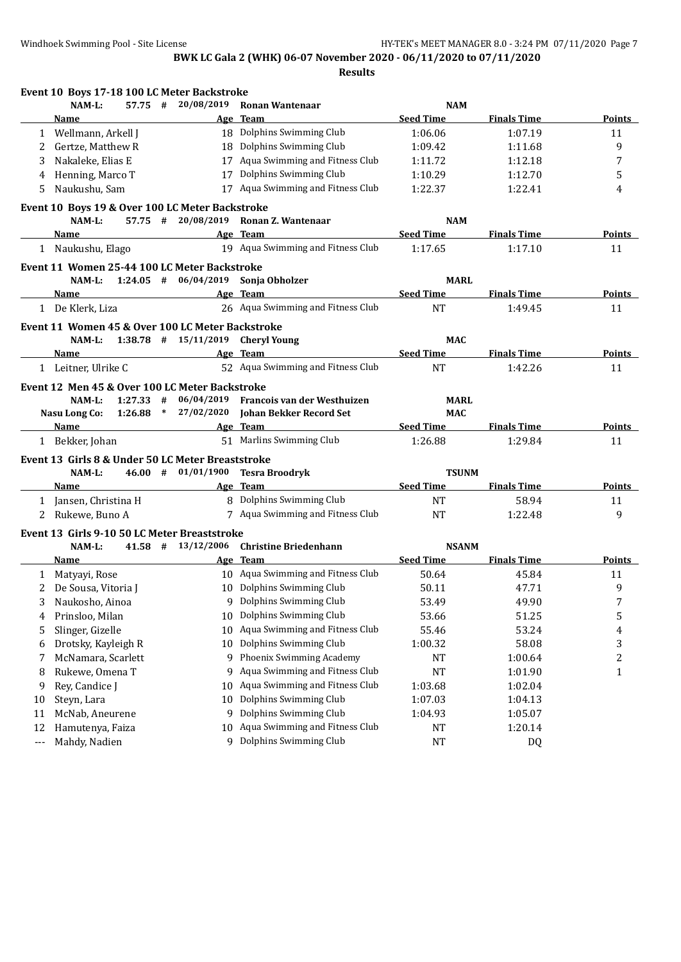**Results**

|          | Event 10 Boys 17-18 100 LC Meter Backstroke                   |                          |                                        |                  |                    |                |
|----------|---------------------------------------------------------------|--------------------------|----------------------------------------|------------------|--------------------|----------------|
|          | NAM-L:<br>$57.75 +$                                           | 20/08/2019               | <b>Ronan Wantenaar</b>                 | <b>NAM</b>       |                    |                |
|          | Name                                                          |                          | Age Team                               | <b>Seed Time</b> | <b>Finals Time</b> | Points         |
|          | 1 Wellmann, Arkell J                                          |                          | 18 Dolphins Swimming Club              | 1:06.06          | 1:07.19            | 11             |
| 2        | Gertze, Matthew R                                             | 18                       | Dolphins Swimming Club                 | 1:09.42          | 1:11.68            | 9              |
| 3        | Nakaleke, Elias E                                             | 17                       | Aqua Swimming and Fitness Club         | 1:11.72          | 1:12.18            | 7              |
| 4        | Henning, Marco T                                              | 17                       | Dolphins Swimming Club                 | 1:10.29          | 1:12.70            | 5              |
| 5        | Naukushu, Sam                                                 |                          | 17 Aqua Swimming and Fitness Club      | 1:22.37          | 1:22.41            | 4              |
|          | Event 10 Boys 19 & Over 100 LC Meter Backstroke               |                          |                                        |                  |                    |                |
|          | NAM-L:                                                        | $57.75$ # 20/08/2019     | Ronan Z. Wantenaar                     | <b>NAM</b>       |                    |                |
|          | Name                                                          |                          | Age Team                               | <b>Seed Time</b> | <b>Finals Time</b> | <b>Points</b>  |
|          | 1 Naukushu, Elago                                             |                          | 19 Aqua Swimming and Fitness Club      | 1:17.65          | 1:17.10            | 11             |
|          | Event 11 Women 25-44 100 LC Meter Backstroke                  |                          |                                        |                  |                    |                |
|          | NAM-L:                                                        |                          | 1:24.05 $\#$ 06/04/2019 Sonja Obholzer | <b>MARL</b>      |                    |                |
|          | <b>Name</b>                                                   |                          | Age Team                               | <b>Seed Time</b> | <b>Finals Time</b> | <b>Points</b>  |
|          | 1 De Klerk, Liza                                              |                          | 26 Aqua Swimming and Fitness Club      | <b>NT</b>        | 1:49.45            | 11             |
|          |                                                               |                          |                                        |                  |                    |                |
|          | Event 11 Women 45 & Over 100 LC Meter Backstroke<br>$NAM-L$ : | $1:38.78$ # $15/11/2019$ | <b>Cheryl Young</b>                    | <b>MAC</b>       |                    |                |
|          | Name                                                          |                          | Age Team                               | <b>Seed Time</b> | <b>Finals Time</b> | <b>Points</b>  |
|          |                                                               |                          | 52 Aqua Swimming and Fitness Club      |                  |                    |                |
|          | 1 Leitner, Ulrike C                                           |                          |                                        | <b>NT</b>        | 1:42.26            | 11             |
|          | Event 12 Men 45 & Over 100 LC Meter Backstroke                |                          |                                        |                  |                    |                |
|          | $1:27.33$ #<br>$NAM-L$ :                                      | 06/04/2019               | Francois van der Westhuizen            | <b>MARL</b>      |                    |                |
|          | Nasu Long Co:<br>$1:26.88$ *                                  | 27/02/2020               | Johan Bekker Record Set                | <b>MAC</b>       |                    |                |
|          | Name                                                          |                          | Age Team                               | <b>Seed Time</b> | <b>Finals Time</b> | Points         |
|          | 1 Bekker, Johan                                               |                          | 51 Marlins Swimming Club               | 1:26.88          | 1:29.84            | 11             |
|          | Event 13 Girls 8 & Under 50 LC Meter Breaststroke             |                          |                                        |                  |                    |                |
|          | NAM-L:                                                        | $46.00$ # $01/01/1900$   | <b>Tesra Broodryk</b>                  | <b>TSUNM</b>     |                    |                |
|          | <b>Name</b>                                                   |                          | Age Team                               | <b>Seed Time</b> | <b>Finals Time</b> | <b>Points</b>  |
|          | 1 Jansen, Christina H                                         |                          | 8 Dolphins Swimming Club               | <b>NT</b>        | 58.94              | 11             |
| 2        | Rukewe, Buno A                                                |                          | 7 Aqua Swimming and Fitness Club       | <b>NT</b>        | 1:22.48            | 9              |
|          | Event 13 Girls 9-10 50 LC Meter Breaststroke                  |                          |                                        |                  |                    |                |
|          | NAM-L:                                                        | $41.58$ # $13/12/2006$   | <b>Christine Briedenhann</b>           | <b>NSANM</b>     |                    |                |
|          | Name                                                          |                          | Age Team                               | <b>Seed Time</b> | <b>Finals Time</b> | <b>Points</b>  |
|          | 1 Matyayi, Rose                                               |                          | 10 Aqua Swimming and Fitness Club      | 50.64            | 45.84              | 11             |
|          | 2 De Sousa, Vitoria J                                         |                          | 10 Dolphins Swimming Club              | 50.11            | 47.71              | 9              |
|          | 3 Naukosho, Ainoa                                             |                          | 9 Dolphins Swimming Club               | 53.49            | 49.90              | 7              |
| 4        | Prinsloo, Milan                                               | 10                       | Dolphins Swimming Club                 | 53.66            | 51.25              | 5              |
| 5        | Slinger, Gizelle                                              | 10                       | Aqua Swimming and Fitness Club         | 55.46            | 53.24              | 4              |
| 6        | Drotsky, Kayleigh R                                           | 10                       | Dolphins Swimming Club                 | 1:00.32          | 58.08              | 3              |
| 7        | McNamara, Scarlett                                            | 9                        | Phoenix Swimming Academy               | NT               | 1:00.64            | $\overline{c}$ |
|          | Rukewe, Omena T                                               | 9                        | Aqua Swimming and Fitness Club         | <b>NT</b>        | 1:01.90            | $\mathbf{1}$   |
| 8        |                                                               | 10                       | Aqua Swimming and Fitness Club         |                  |                    |                |
| 9        | Rey, Candice J                                                |                          | Dolphins Swimming Club                 | 1:03.68          | 1:02.04            |                |
| 10       | Steyn, Lara                                                   | 10                       | Dolphins Swimming Club                 | 1:07.03          | 1:04.13            |                |
| 11       | McNab, Aneurene                                               | 9                        |                                        | 1:04.93          | 1:05.07            |                |
| 12       | Hamutenya, Faiza                                              | 10                       | Aqua Swimming and Fitness Club         | NT               | 1:20.14            |                |
| $\cdots$ | Mahdy, Nadien                                                 | 9                        | Dolphins Swimming Club                 | <b>NT</b>        | DQ                 |                |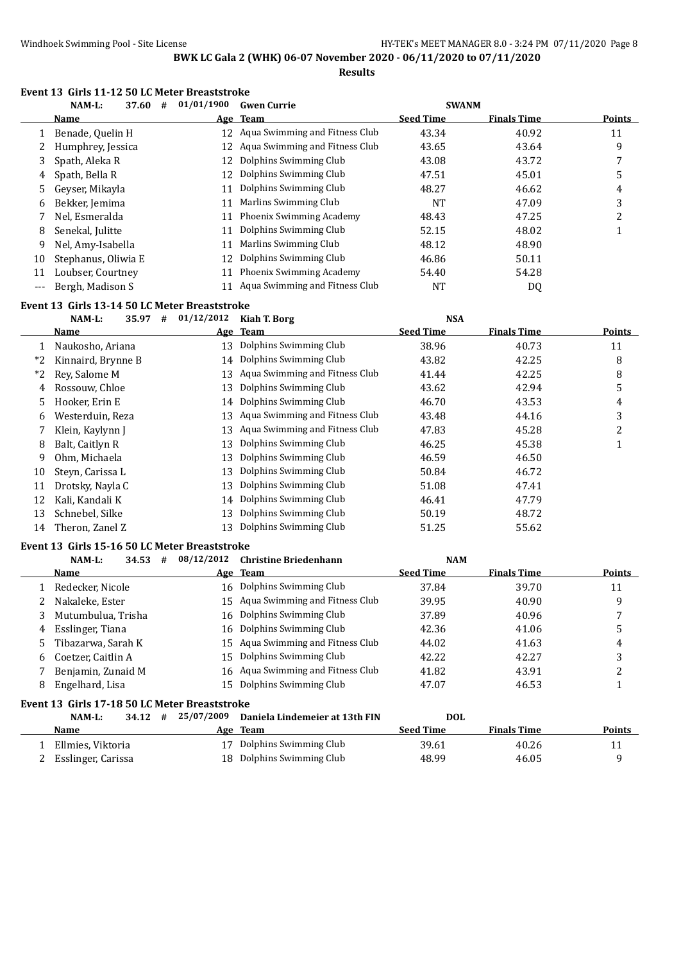## **Results**

#### **Event 13 Girls 11-12 50 LC Meter Breaststroke**

|       | NAM-L:<br>37.60<br># | 01/01/1900 | <b>Gwen Currie</b>                | <b>SWANM</b>     |                    |               |
|-------|----------------------|------------|-----------------------------------|------------------|--------------------|---------------|
|       | Name                 |            | Age Team                          | <b>Seed Time</b> | <b>Finals Time</b> | <b>Points</b> |
|       | Benade, Quelin H     |            | 12 Agua Swimming and Fitness Club | 43.34            | 40.92              | 11            |
|       | Humphrey, Jessica    |            | 12 Aqua Swimming and Fitness Club | 43.65            | 43.64              | 9             |
| 3     | Spath, Aleka R       | 12         | Dolphins Swimming Club            | 43.08            | 43.72              |               |
| 4     | Spath, Bella R       | 12.        | Dolphins Swimming Club            | 47.51            | 45.01              | 5             |
| 5.    | Geyser, Mikayla      | 11         | Dolphins Swimming Club            | 48.27            | 46.62              | 4             |
| 6     | Bekker, Jemima       | 11         | Marlins Swimming Club             | <b>NT</b>        | 47.09              | 3             |
|       | Nel, Esmeralda       | 11         | Phoenix Swimming Academy          | 48.43            | 47.25              | ∍             |
| 8     | Senekal, Julitte     | 11         | Dolphins Swimming Club            | 52.15            | 48.02              |               |
| 9     | Nel, Amy-Isabella    | 11         | Marlins Swimming Club             | 48.12            | 48.90              |               |
| 10    | Stephanus, Oliwia E  | 12         | Dolphins Swimming Club            | 46.86            | 50.11              |               |
| 11    | Loubser, Courtney    | 11         | Phoenix Swimming Academy          | 54.40            | 54.28              |               |
| $---$ | Bergh, Madison S     |            | Aqua Swimming and Fitness Club    | NT               | DQ                 |               |

#### **Event 13 Girls 13-14 50 LC Meter Breaststroke**

|      | 35.97<br>NAM-L:    | 01/12/2012<br># | Kiah T. Borg                   | <b>NSA</b>       |                    |               |
|------|--------------------|-----------------|--------------------------------|------------------|--------------------|---------------|
|      | Name               |                 | Age Team                       | <b>Seed Time</b> | <b>Finals Time</b> | <b>Points</b> |
|      | Naukosho, Ariana   | 13              | Dolphins Swimming Club         | 38.96            | 40.73              | 11            |
| *2   | Kinnaird, Brynne B |                 | 14 Dolphins Swimming Club      | 43.82            | 42.25              | 8             |
| $*2$ | Rev. Salome M      | 13              | Aqua Swimming and Fitness Club | 41.44            | 42.25              | 8             |
| 4    | Rossouw, Chloe     | 13              | Dolphins Swimming Club         | 43.62            | 42.94              | 5             |
| 5.   | Hooker, Erin E     | 14              | Dolphins Swimming Club         | 46.70            | 43.53              | 4             |
| 6    | Westerduin, Reza   | 13              | Aqua Swimming and Fitness Club | 43.48            | 44.16              | 3             |
|      | Klein, Kaylynn J   | 13              | Aqua Swimming and Fitness Club | 47.83            | 45.28              | 2             |
| 8    | Balt, Caitlyn R    | 13              | Dolphins Swimming Club         | 46.25            | 45.38              |               |
| 9    | Ohm, Michaela      | 13              | Dolphins Swimming Club         | 46.59            | 46.50              |               |
| 10   | Steyn, Carissa L   | 13              | Dolphins Swimming Club         | 50.84            | 46.72              |               |
| 11   | Drotsky, Nayla C   | 13              | Dolphins Swimming Club         | 51.08            | 47.41              |               |
| 12   | Kali, Kandali K    | 14              | Dolphins Swimming Club         | 46.41            | 47.79              |               |
| 13   | Schnebel, Silke    | 13              | Dolphins Swimming Club         | 50.19            | 48.72              |               |
| 14   | Theron, Zanel Z    | 13              | Dolphins Swimming Club         | 51.25            | 55.62              |               |

#### **Event 13 Girls 15-16 50 LC Meter Breaststroke**

| $NAM-L$ :          |                                                                                                                         | <b>Christine Briedenhann</b> |                                                                                                                                                                                                                                                                                        |                    |               |
|--------------------|-------------------------------------------------------------------------------------------------------------------------|------------------------------|----------------------------------------------------------------------------------------------------------------------------------------------------------------------------------------------------------------------------------------------------------------------------------------|--------------------|---------------|
| Name               |                                                                                                                         |                              | <b>Seed Time</b>                                                                                                                                                                                                                                                                       | <b>Finals Time</b> | <b>Points</b> |
|                    |                                                                                                                         |                              | 37.84                                                                                                                                                                                                                                                                                  | 39.70              | 11            |
| Nakaleke, Ester    |                                                                                                                         |                              | 39.95                                                                                                                                                                                                                                                                                  | 40.90              | 9             |
|                    |                                                                                                                         |                              | 37.89                                                                                                                                                                                                                                                                                  | 40.96              |               |
| 4 Esslinger, Tiana |                                                                                                                         |                              | 42.36                                                                                                                                                                                                                                                                                  | 41.06              |               |
|                    |                                                                                                                         |                              | 44.02                                                                                                                                                                                                                                                                                  | 41.63              | 4             |
|                    |                                                                                                                         |                              | 42.22                                                                                                                                                                                                                                                                                  | 42.27              |               |
|                    |                                                                                                                         |                              | 41.82                                                                                                                                                                                                                                                                                  | 43.91              | ∠             |
| Engelhard, Lisa    |                                                                                                                         |                              | 47.07                                                                                                                                                                                                                                                                                  | 46.53              |               |
|                    | 34.53<br>Redecker, Nicole<br>3 Mutumbulua, Trisha<br>5 Tibazarwa, Sarah K<br>6 Coetzer, Caitlin A<br>Benjamin, Zunaid M | #                            | 08/12/2012<br>Age Team<br>16 Dolphins Swimming Club<br>15 Aqua Swimming and Fitness Club<br>16 Dolphins Swimming Club<br>16 Dolphins Swimming Club<br>15 Aqua Swimming and Fitness Club<br>15 Dolphins Swimming Club<br>16 Aqua Swimming and Fitness Club<br>15 Dolphins Swimming Club |                    | <b>NAM</b>    |

### **Event 13 Girls 17-18 50 LC Meter Breaststroke**

| NAM-L:             | 34.12 | # | 25/07/2009 Daniela Lindemeier at 13th FIN | DOL              |                    |        |
|--------------------|-------|---|-------------------------------------------|------------------|--------------------|--------|
| Name               |       |   | Age Team                                  | <b>Seed Time</b> | <b>Finals Time</b> | Points |
| Ellmies, Viktoria  |       |   | 17 Dolphins Swimming Club                 | 39.61            | 40.26              |        |
| Esslinger, Carissa |       |   | 18 Dolphins Swimming Club                 | 48.99            | 46.05              |        |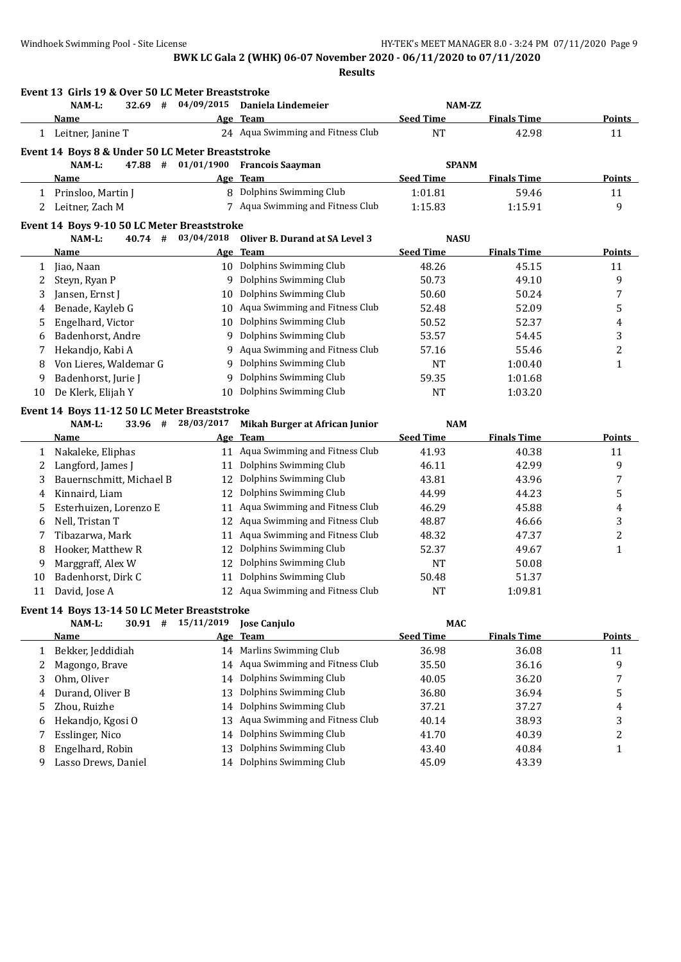**Event 13 Girls 19 & Over 50 LC Meter Breaststroke**

## **BWK LC Gala 2 (WHK) 06-07 November 2020 - 06/11/2020 to 07/11/2020**

**Results**

|    | NAM-L:<br>32.69 #                                | 04/09/2015 | Daniela Lindemeier                  | NAM-ZZ           |                    |               |
|----|--------------------------------------------------|------------|-------------------------------------|------------------|--------------------|---------------|
|    | Name                                             | Age        | <b>Team</b>                         | <b>Seed Time</b> | <b>Finals Time</b> | Points        |
|    | 1 Leitner, Janine T                              |            | 24 Aqua Swimming and Fitness Club   | <b>NT</b>        | 42.98              | 11            |
|    | Event 14 Boys 8 & Under 50 LC Meter Breaststroke |            |                                     |                  |                    |               |
|    | NAM-L:<br>47.88 #                                | 01/01/1900 | <b>Francois Saayman</b>             | <b>SPANM</b>     |                    |               |
|    | Name                                             |            | Age Team                            | <b>Seed Time</b> | <b>Finals Time</b> | <b>Points</b> |
|    | 1 Prinsloo, Martin J                             |            | 8 Dolphins Swimming Club            | 1:01.81          | 59.46              | 11            |
| 2  | Leitner, Zach M                                  |            | 7 Aqua Swimming and Fitness Club    | 1:15.83          | 1:15.91            | 9             |
|    | Event 14 Boys 9-10 50 LC Meter Breaststroke      |            |                                     |                  |                    |               |
|    | 40.74 #<br>NAM-L:                                | 03/04/2018 | Oliver B. Durand at SA Level 3      | <b>NASU</b>      |                    |               |
|    | <b>Name</b>                                      |            | Age Team                            | <b>Seed Time</b> | <b>Finals Time</b> | <b>Points</b> |
| 1  | Jiao, Naan                                       |            | 10 Dolphins Swimming Club           | 48.26            | 45.15              | 11            |
| 2  | Steyn, Ryan P                                    |            | 9 Dolphins Swimming Club            | 50.73            | 49.10              | 9             |
| 3  | Jansen, Ernst J                                  | 10         | Dolphins Swimming Club              | 50.60            | 50.24              | 7             |
| 4  | Benade, Kayleb G                                 |            | 10 Aqua Swimming and Fitness Club   | 52.48            | 52.09              | 5             |
| 5  | Engelhard, Victor                                | 10         | Dolphins Swimming Club              | 50.52            | 52.37              | 4             |
| 6  | Badenhorst, Andre                                |            | 9 Dolphins Swimming Club            | 53.57            | 54.45              | 3             |
| 7  | Hekandjo, Kabi A                                 | 9.         | Aqua Swimming and Fitness Club      | 57.16            | 55.46              | 2             |
| 8  | Von Lieres, Waldemar G                           | 9          | Dolphins Swimming Club              | NT               | 1:00.40            | 1             |
| 9  | Badenhorst, Jurie J                              | 9          | Dolphins Swimming Club              | 59.35            | 1:01.68            |               |
| 10 | De Klerk, Elijah Y                               | 10         | Dolphins Swimming Club              | <b>NT</b>        | 1:03.20            |               |
|    | Event 14 Boys 11-12 50 LC Meter Breaststroke     |            |                                     |                  |                    |               |
|    | NAM-L:<br>33.96 #                                | 28/03/2017 | Mikah Burger at African Junior      | <b>NAM</b>       |                    |               |
|    | Name                                             | Age        | <b>Team</b>                         | <b>Seed Time</b> | <b>Finals Time</b> | <b>Points</b> |
| 1  | Nakaleke, Eliphas                                |            | 11 Aqua Swimming and Fitness Club   | 41.93            | 40.38              | 11            |
| 2  | Langford, James J                                | 11         | Dolphins Swimming Club              | 46.11            | 42.99              | 9             |
| 3  | Bauernschmitt, Michael B                         | 12         | Dolphins Swimming Club              | 43.81            | 43.96              | 7             |
| 4  | Kinnaird, Liam                                   | 12         | Dolphins Swimming Club              | 44.99            | 44.23              | 5             |
| 5  | Esterhuizen, Lorenzo E                           | 11         | Aqua Swimming and Fitness Club      | 46.29            | 45.88              | 4             |
| 6  | Nell, Tristan T                                  | 12         | Aqua Swimming and Fitness Club      | 48.87            | 46.66              | 3             |
| 7  | Tibazarwa, Mark                                  | 11         | Aqua Swimming and Fitness Club      | 48.32            | 47.37              | 2             |
| 8  | Hooker, Matthew R                                | 12         | Dolphins Swimming Club              | 52.37            | 49.67              | $\mathbf{1}$  |
| 9  | Marggraff, Alex W                                | 12         | Dolphins Swimming Club              | NT               | 50.08              |               |
| 10 | Badenhorst, Dirk C                               | 11         | Dolphins Swimming Club              | 50.48            | 51.37              |               |
| 11 | David, Jose A                                    |            | 12 Aqua Swimming and Fitness Club   | <b>NT</b>        | 1:09.81            |               |
|    | Event 14 Boys 13-14 50 LC Meter Breaststroke     |            |                                     |                  |                    |               |
|    | NAM-L:                                           |            | $30.91$ # $15/11/2019$ Jose Canjulo | <b>MAC</b>       |                    |               |
|    | <b>Name</b>                                      | Age        | <b>Team</b>                         | <b>Seed Time</b> | <b>Finals Time</b> | <b>Points</b> |
| 1  | Bekker, Jeddidiah                                |            | 14 Marlins Swimming Club            | 36.98            | 36.08              | 11            |
| 2  | Magongo, Brave                                   | 14         | Aqua Swimming and Fitness Club      | 35.50            | 36.16              | 9             |
| 3  | Ohm, Oliver                                      | 14         | Dolphins Swimming Club              | 40.05            | 36.20              | 7             |
| 4  | Durand, Oliver B                                 | 13         | Dolphins Swimming Club              | 36.80            | 36.94              | 5             |
| 5  | Zhou, Ruizhe                                     | 14         | Dolphins Swimming Club              | 37.21            | 37.27              | 4             |
| 6  | Hekandjo, Kgosi O                                | 13         | Aqua Swimming and Fitness Club      | 40.14            | 38.93              | 3             |
| 7  | Esslinger, Nico                                  | 14         | Dolphins Swimming Club              | 41.70            | 40.39              | 2             |
| 8  | Engelhard, Robin                                 | 13         | Dolphins Swimming Club              | 43.40            | 40.84              | 1             |
| 9  | Lasso Drews, Daniel                              | 14         | Dolphins Swimming Club              | 45.09            | 43.39              |               |
|    |                                                  |            |                                     |                  |                    |               |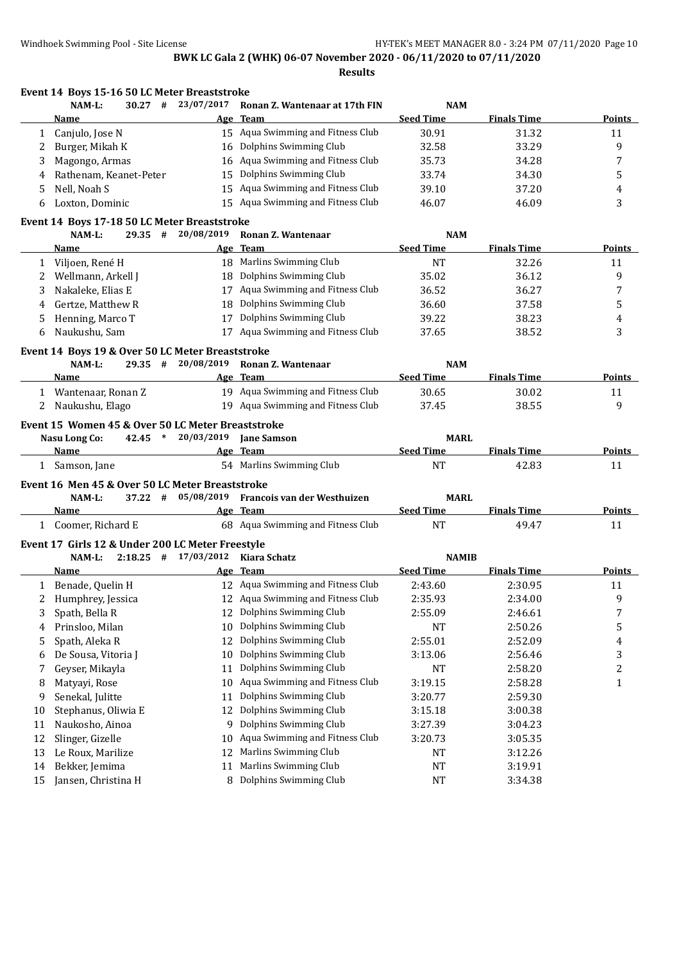**Results**

| 23/07/2017<br>NAM-L:<br>$30.27$ #<br>Ronan Z. Wantenaar at 17th FIN<br><b>NAM</b><br><b>Seed Time</b><br><b>Finals Time</b><br>Age Team<br><b>Points</b><br>Name<br>15 Aqua Swimming and Fitness Club<br>Canjulo, Jose N<br>30.91<br>31.32<br>11<br>1<br>16 Dolphins Swimming Club<br>9<br>32.58<br>33.29<br>Burger, Mikah K<br>2<br>16 Aqua Swimming and Fitness Club<br>Magongo, Armas<br>35.73<br>34.28<br>7<br>3<br>Dolphins Swimming Club<br>Rathenam, Keanet-Peter<br>34.30<br>5<br>33.74<br>15<br>4<br>15 Aqua Swimming and Fitness Club<br>Nell, Noah S<br>39.10<br>37.20<br>5<br>4<br>15 Aqua Swimming and Fitness Club<br>3<br>46.07<br>46.09<br>Loxton, Dominic<br>6<br>Event 14 Boys 17-18 50 LC Meter Breaststroke<br>$29.35$ #<br>20/08/2019<br>Ronan Z. Wantenaar<br>NAM-L:<br><b>NAM</b><br><b>Seed Time</b><br><b>Team</b><br><b>Finals Time</b><br><b>Points</b><br>Name<br>Age<br>18 Marlins Swimming Club<br><b>NT</b><br>32.26<br>11<br>1 Viljoen, René H<br>18 Dolphins Swimming Club<br>Wellmann, Arkell J<br>35.02<br>36.12<br>9<br>2<br>Aqua Swimming and Fitness Club<br>Nakaleke, Elias E<br>36.52<br>36.27<br>7<br>3<br>17<br>Dolphins Swimming Club<br>Gertze, Matthew R<br>36.60<br>37.58<br>5<br>18<br>4<br>Dolphins Swimming Club<br>Henning, Marco T<br>39.22<br>38.23<br>17<br>5<br>4<br>17 Aqua Swimming and Fitness Club<br>Naukushu, Sam<br>38.52<br>3<br>37.65<br>6<br>Event 14 Boys 19 & Over 50 LC Meter Breaststroke<br>20/08/2019<br>NAM-L:<br>$29.35$ #<br>Ronan Z. Wantenaar<br><b>NAM</b><br>Age Team<br><b>Seed Time</b><br><b>Finals Time</b><br>Name<br>Points<br>19 Aqua Swimming and Fitness Club<br>1 Wantenaar, Ronan Z<br>30.65<br>30.02<br>11<br>19 Aqua Swimming and Fitness Club<br>9<br>Naukushu, Elago<br>37.45<br>38.55<br>2<br>Event 15 Women 45 & Over 50 LC Meter Breaststroke<br>$42.45$ *<br>20/03/2019 Jane Samson<br><b>MARL</b><br>Nasu Long Co:<br>Age Team<br><b>Seed Time</b><br><b>Finals Time</b><br><b>Points</b><br><b>Name</b><br>54 Marlins Swimming Club<br><b>NT</b><br>42.83<br>1 Samson, Jane<br>11<br>Event 16 Men 45 & Over 50 LC Meter Breaststroke<br>05/08/2019 Francois van der Westhuizen<br><b>MARL</b><br>NAM-L:<br>$37.22 +$<br><b>Seed Time</b><br><b>Finals Time</b><br>Age Team<br>Points<br>Name<br>68 Aqua Swimming and Fitness Club<br>1 Coomer, Richard E<br><b>NT</b><br>49.47<br>11<br>Event 17 Girls 12 & Under 200 LC Meter Freestyle<br>$2:18.25$ # $17/03/2012$<br>NAM-L:<br>Kiara Schatz<br><b>NAMIB</b><br>Age Team<br><b>Seed Time</b><br><b>Finals Time</b><br><b>Points</b><br><b>Name</b><br>12 Aqua Swimming and Fitness Club<br>2:43.60<br>2:30.95<br>1 Benade, Quelin H<br>11<br>2<br>Humphrey, Jessica<br>12 Aqua Swimming and Fitness Club<br>2:35.93<br>2:34.00<br>9<br>Dolphins Swimming Club<br>7<br>Spath, Bella R<br>3<br>12<br>2:55.09<br>2:46.61<br>Dolphins Swimming Club<br>5<br>Prinsloo, Milan<br>10<br>NT<br>2:50.26<br>4<br>Dolphins Swimming Club<br>Spath, Aleka R<br>12<br>2:55.01<br>2:52.09<br>4<br>5<br>Dolphins Swimming Club<br>3<br>De Sousa, Vitoria J<br>10<br>3:13.06<br>2:56.46<br>6<br>Dolphins Swimming Club<br>2<br>Geyser, Mikayla<br>11<br>NT<br>2:58.20<br>7<br>Aqua Swimming and Fitness Club<br>Matyayi, Rose<br>2:58.28<br>$\mathbf{1}$<br>8<br>10<br>3:19.15<br>Dolphins Swimming Club<br>Senekal, Julitte<br>9<br>11<br>3:20.77<br>2:59.30<br>Dolphins Swimming Club<br>Stephanus, Oliwia E<br>12<br>10<br>3:15.18<br>3:00.38<br>Dolphins Swimming Club<br>Naukosho, Ainoa<br>11<br>9<br>3:27.39<br>3:04.23<br>Aqua Swimming and Fitness Club<br>12<br>Slinger, Gizelle<br>3:05.35<br>10<br>3:20.73<br>Marlins Swimming Club<br>Le Roux, Marilize<br>13<br>12<br>3:12.26<br>NT<br>Marlins Swimming Club<br>Bekker, Jemima<br>14<br>11<br>NT<br>3:19.91<br>8 Dolphins Swimming Club<br>Jansen, Christina H<br>15<br>NT<br>3:34.38 | Event 14 Boys 15-16 50 LC Meter Breaststroke |  |  |  |
|-----------------------------------------------------------------------------------------------------------------------------------------------------------------------------------------------------------------------------------------------------------------------------------------------------------------------------------------------------------------------------------------------------------------------------------------------------------------------------------------------------------------------------------------------------------------------------------------------------------------------------------------------------------------------------------------------------------------------------------------------------------------------------------------------------------------------------------------------------------------------------------------------------------------------------------------------------------------------------------------------------------------------------------------------------------------------------------------------------------------------------------------------------------------------------------------------------------------------------------------------------------------------------------------------------------------------------------------------------------------------------------------------------------------------------------------------------------------------------------------------------------------------------------------------------------------------------------------------------------------------------------------------------------------------------------------------------------------------------------------------------------------------------------------------------------------------------------------------------------------------------------------------------------------------------------------------------------------------------------------------------------------------------------------------------------------------------------------------------------------------------------------------------------------------------------------------------------------------------------------------------------------------------------------------------------------------------------------------------------------------------------------------------------------------------------------------------------------------------------------------------------------------------------------------------------------------------------------------------------------------------------------------------------------------------------------------------------------------------------------------------------------------------------------------------------------------------------------------------------------------------------------------------------------------------------------------------------------------------------------------------------------------------------------------------------------------------------------------------------------------------------------------------------------------------------------------------------------------------------------------------------------------------------------------------------------------------------------------------------------------------------------------------------------------------------------------------------------------------------------------------------------------------------------------------------------------------------------------------------------------------------------------------------------------------------------------------------------------------------------------------------------------------------------------------------------------------------------------------------------------------------------|----------------------------------------------|--|--|--|
|                                                                                                                                                                                                                                                                                                                                                                                                                                                                                                                                                                                                                                                                                                                                                                                                                                                                                                                                                                                                                                                                                                                                                                                                                                                                                                                                                                                                                                                                                                                                                                                                                                                                                                                                                                                                                                                                                                                                                                                                                                                                                                                                                                                                                                                                                                                                                                                                                                                                                                                                                                                                                                                                                                                                                                                                                                                                                                                                                                                                                                                                                                                                                                                                                                                                                                                                                                                                                                                                                                                                                                                                                                                                                                                                                                                                                                                                                         |                                              |  |  |  |
|                                                                                                                                                                                                                                                                                                                                                                                                                                                                                                                                                                                                                                                                                                                                                                                                                                                                                                                                                                                                                                                                                                                                                                                                                                                                                                                                                                                                                                                                                                                                                                                                                                                                                                                                                                                                                                                                                                                                                                                                                                                                                                                                                                                                                                                                                                                                                                                                                                                                                                                                                                                                                                                                                                                                                                                                                                                                                                                                                                                                                                                                                                                                                                                                                                                                                                                                                                                                                                                                                                                                                                                                                                                                                                                                                                                                                                                                                         |                                              |  |  |  |
|                                                                                                                                                                                                                                                                                                                                                                                                                                                                                                                                                                                                                                                                                                                                                                                                                                                                                                                                                                                                                                                                                                                                                                                                                                                                                                                                                                                                                                                                                                                                                                                                                                                                                                                                                                                                                                                                                                                                                                                                                                                                                                                                                                                                                                                                                                                                                                                                                                                                                                                                                                                                                                                                                                                                                                                                                                                                                                                                                                                                                                                                                                                                                                                                                                                                                                                                                                                                                                                                                                                                                                                                                                                                                                                                                                                                                                                                                         |                                              |  |  |  |
|                                                                                                                                                                                                                                                                                                                                                                                                                                                                                                                                                                                                                                                                                                                                                                                                                                                                                                                                                                                                                                                                                                                                                                                                                                                                                                                                                                                                                                                                                                                                                                                                                                                                                                                                                                                                                                                                                                                                                                                                                                                                                                                                                                                                                                                                                                                                                                                                                                                                                                                                                                                                                                                                                                                                                                                                                                                                                                                                                                                                                                                                                                                                                                                                                                                                                                                                                                                                                                                                                                                                                                                                                                                                                                                                                                                                                                                                                         |                                              |  |  |  |
|                                                                                                                                                                                                                                                                                                                                                                                                                                                                                                                                                                                                                                                                                                                                                                                                                                                                                                                                                                                                                                                                                                                                                                                                                                                                                                                                                                                                                                                                                                                                                                                                                                                                                                                                                                                                                                                                                                                                                                                                                                                                                                                                                                                                                                                                                                                                                                                                                                                                                                                                                                                                                                                                                                                                                                                                                                                                                                                                                                                                                                                                                                                                                                                                                                                                                                                                                                                                                                                                                                                                                                                                                                                                                                                                                                                                                                                                                         |                                              |  |  |  |
|                                                                                                                                                                                                                                                                                                                                                                                                                                                                                                                                                                                                                                                                                                                                                                                                                                                                                                                                                                                                                                                                                                                                                                                                                                                                                                                                                                                                                                                                                                                                                                                                                                                                                                                                                                                                                                                                                                                                                                                                                                                                                                                                                                                                                                                                                                                                                                                                                                                                                                                                                                                                                                                                                                                                                                                                                                                                                                                                                                                                                                                                                                                                                                                                                                                                                                                                                                                                                                                                                                                                                                                                                                                                                                                                                                                                                                                                                         |                                              |  |  |  |
|                                                                                                                                                                                                                                                                                                                                                                                                                                                                                                                                                                                                                                                                                                                                                                                                                                                                                                                                                                                                                                                                                                                                                                                                                                                                                                                                                                                                                                                                                                                                                                                                                                                                                                                                                                                                                                                                                                                                                                                                                                                                                                                                                                                                                                                                                                                                                                                                                                                                                                                                                                                                                                                                                                                                                                                                                                                                                                                                                                                                                                                                                                                                                                                                                                                                                                                                                                                                                                                                                                                                                                                                                                                                                                                                                                                                                                                                                         |                                              |  |  |  |
|                                                                                                                                                                                                                                                                                                                                                                                                                                                                                                                                                                                                                                                                                                                                                                                                                                                                                                                                                                                                                                                                                                                                                                                                                                                                                                                                                                                                                                                                                                                                                                                                                                                                                                                                                                                                                                                                                                                                                                                                                                                                                                                                                                                                                                                                                                                                                                                                                                                                                                                                                                                                                                                                                                                                                                                                                                                                                                                                                                                                                                                                                                                                                                                                                                                                                                                                                                                                                                                                                                                                                                                                                                                                                                                                                                                                                                                                                         |                                              |  |  |  |
|                                                                                                                                                                                                                                                                                                                                                                                                                                                                                                                                                                                                                                                                                                                                                                                                                                                                                                                                                                                                                                                                                                                                                                                                                                                                                                                                                                                                                                                                                                                                                                                                                                                                                                                                                                                                                                                                                                                                                                                                                                                                                                                                                                                                                                                                                                                                                                                                                                                                                                                                                                                                                                                                                                                                                                                                                                                                                                                                                                                                                                                                                                                                                                                                                                                                                                                                                                                                                                                                                                                                                                                                                                                                                                                                                                                                                                                                                         |                                              |  |  |  |
|                                                                                                                                                                                                                                                                                                                                                                                                                                                                                                                                                                                                                                                                                                                                                                                                                                                                                                                                                                                                                                                                                                                                                                                                                                                                                                                                                                                                                                                                                                                                                                                                                                                                                                                                                                                                                                                                                                                                                                                                                                                                                                                                                                                                                                                                                                                                                                                                                                                                                                                                                                                                                                                                                                                                                                                                                                                                                                                                                                                                                                                                                                                                                                                                                                                                                                                                                                                                                                                                                                                                                                                                                                                                                                                                                                                                                                                                                         |                                              |  |  |  |
|                                                                                                                                                                                                                                                                                                                                                                                                                                                                                                                                                                                                                                                                                                                                                                                                                                                                                                                                                                                                                                                                                                                                                                                                                                                                                                                                                                                                                                                                                                                                                                                                                                                                                                                                                                                                                                                                                                                                                                                                                                                                                                                                                                                                                                                                                                                                                                                                                                                                                                                                                                                                                                                                                                                                                                                                                                                                                                                                                                                                                                                                                                                                                                                                                                                                                                                                                                                                                                                                                                                                                                                                                                                                                                                                                                                                                                                                                         |                                              |  |  |  |
|                                                                                                                                                                                                                                                                                                                                                                                                                                                                                                                                                                                                                                                                                                                                                                                                                                                                                                                                                                                                                                                                                                                                                                                                                                                                                                                                                                                                                                                                                                                                                                                                                                                                                                                                                                                                                                                                                                                                                                                                                                                                                                                                                                                                                                                                                                                                                                                                                                                                                                                                                                                                                                                                                                                                                                                                                                                                                                                                                                                                                                                                                                                                                                                                                                                                                                                                                                                                                                                                                                                                                                                                                                                                                                                                                                                                                                                                                         |                                              |  |  |  |
|                                                                                                                                                                                                                                                                                                                                                                                                                                                                                                                                                                                                                                                                                                                                                                                                                                                                                                                                                                                                                                                                                                                                                                                                                                                                                                                                                                                                                                                                                                                                                                                                                                                                                                                                                                                                                                                                                                                                                                                                                                                                                                                                                                                                                                                                                                                                                                                                                                                                                                                                                                                                                                                                                                                                                                                                                                                                                                                                                                                                                                                                                                                                                                                                                                                                                                                                                                                                                                                                                                                                                                                                                                                                                                                                                                                                                                                                                         |                                              |  |  |  |
|                                                                                                                                                                                                                                                                                                                                                                                                                                                                                                                                                                                                                                                                                                                                                                                                                                                                                                                                                                                                                                                                                                                                                                                                                                                                                                                                                                                                                                                                                                                                                                                                                                                                                                                                                                                                                                                                                                                                                                                                                                                                                                                                                                                                                                                                                                                                                                                                                                                                                                                                                                                                                                                                                                                                                                                                                                                                                                                                                                                                                                                                                                                                                                                                                                                                                                                                                                                                                                                                                                                                                                                                                                                                                                                                                                                                                                                                                         |                                              |  |  |  |
|                                                                                                                                                                                                                                                                                                                                                                                                                                                                                                                                                                                                                                                                                                                                                                                                                                                                                                                                                                                                                                                                                                                                                                                                                                                                                                                                                                                                                                                                                                                                                                                                                                                                                                                                                                                                                                                                                                                                                                                                                                                                                                                                                                                                                                                                                                                                                                                                                                                                                                                                                                                                                                                                                                                                                                                                                                                                                                                                                                                                                                                                                                                                                                                                                                                                                                                                                                                                                                                                                                                                                                                                                                                                                                                                                                                                                                                                                         |                                              |  |  |  |
|                                                                                                                                                                                                                                                                                                                                                                                                                                                                                                                                                                                                                                                                                                                                                                                                                                                                                                                                                                                                                                                                                                                                                                                                                                                                                                                                                                                                                                                                                                                                                                                                                                                                                                                                                                                                                                                                                                                                                                                                                                                                                                                                                                                                                                                                                                                                                                                                                                                                                                                                                                                                                                                                                                                                                                                                                                                                                                                                                                                                                                                                                                                                                                                                                                                                                                                                                                                                                                                                                                                                                                                                                                                                                                                                                                                                                                                                                         |                                              |  |  |  |
|                                                                                                                                                                                                                                                                                                                                                                                                                                                                                                                                                                                                                                                                                                                                                                                                                                                                                                                                                                                                                                                                                                                                                                                                                                                                                                                                                                                                                                                                                                                                                                                                                                                                                                                                                                                                                                                                                                                                                                                                                                                                                                                                                                                                                                                                                                                                                                                                                                                                                                                                                                                                                                                                                                                                                                                                                                                                                                                                                                                                                                                                                                                                                                                                                                                                                                                                                                                                                                                                                                                                                                                                                                                                                                                                                                                                                                                                                         |                                              |  |  |  |
|                                                                                                                                                                                                                                                                                                                                                                                                                                                                                                                                                                                                                                                                                                                                                                                                                                                                                                                                                                                                                                                                                                                                                                                                                                                                                                                                                                                                                                                                                                                                                                                                                                                                                                                                                                                                                                                                                                                                                                                                                                                                                                                                                                                                                                                                                                                                                                                                                                                                                                                                                                                                                                                                                                                                                                                                                                                                                                                                                                                                                                                                                                                                                                                                                                                                                                                                                                                                                                                                                                                                                                                                                                                                                                                                                                                                                                                                                         |                                              |  |  |  |
|                                                                                                                                                                                                                                                                                                                                                                                                                                                                                                                                                                                                                                                                                                                                                                                                                                                                                                                                                                                                                                                                                                                                                                                                                                                                                                                                                                                                                                                                                                                                                                                                                                                                                                                                                                                                                                                                                                                                                                                                                                                                                                                                                                                                                                                                                                                                                                                                                                                                                                                                                                                                                                                                                                                                                                                                                                                                                                                                                                                                                                                                                                                                                                                                                                                                                                                                                                                                                                                                                                                                                                                                                                                                                                                                                                                                                                                                                         |                                              |  |  |  |
|                                                                                                                                                                                                                                                                                                                                                                                                                                                                                                                                                                                                                                                                                                                                                                                                                                                                                                                                                                                                                                                                                                                                                                                                                                                                                                                                                                                                                                                                                                                                                                                                                                                                                                                                                                                                                                                                                                                                                                                                                                                                                                                                                                                                                                                                                                                                                                                                                                                                                                                                                                                                                                                                                                                                                                                                                                                                                                                                                                                                                                                                                                                                                                                                                                                                                                                                                                                                                                                                                                                                                                                                                                                                                                                                                                                                                                                                                         |                                              |  |  |  |
|                                                                                                                                                                                                                                                                                                                                                                                                                                                                                                                                                                                                                                                                                                                                                                                                                                                                                                                                                                                                                                                                                                                                                                                                                                                                                                                                                                                                                                                                                                                                                                                                                                                                                                                                                                                                                                                                                                                                                                                                                                                                                                                                                                                                                                                                                                                                                                                                                                                                                                                                                                                                                                                                                                                                                                                                                                                                                                                                                                                                                                                                                                                                                                                                                                                                                                                                                                                                                                                                                                                                                                                                                                                                                                                                                                                                                                                                                         |                                              |  |  |  |
|                                                                                                                                                                                                                                                                                                                                                                                                                                                                                                                                                                                                                                                                                                                                                                                                                                                                                                                                                                                                                                                                                                                                                                                                                                                                                                                                                                                                                                                                                                                                                                                                                                                                                                                                                                                                                                                                                                                                                                                                                                                                                                                                                                                                                                                                                                                                                                                                                                                                                                                                                                                                                                                                                                                                                                                                                                                                                                                                                                                                                                                                                                                                                                                                                                                                                                                                                                                                                                                                                                                                                                                                                                                                                                                                                                                                                                                                                         |                                              |  |  |  |
|                                                                                                                                                                                                                                                                                                                                                                                                                                                                                                                                                                                                                                                                                                                                                                                                                                                                                                                                                                                                                                                                                                                                                                                                                                                                                                                                                                                                                                                                                                                                                                                                                                                                                                                                                                                                                                                                                                                                                                                                                                                                                                                                                                                                                                                                                                                                                                                                                                                                                                                                                                                                                                                                                                                                                                                                                                                                                                                                                                                                                                                                                                                                                                                                                                                                                                                                                                                                                                                                                                                                                                                                                                                                                                                                                                                                                                                                                         |                                              |  |  |  |
|                                                                                                                                                                                                                                                                                                                                                                                                                                                                                                                                                                                                                                                                                                                                                                                                                                                                                                                                                                                                                                                                                                                                                                                                                                                                                                                                                                                                                                                                                                                                                                                                                                                                                                                                                                                                                                                                                                                                                                                                                                                                                                                                                                                                                                                                                                                                                                                                                                                                                                                                                                                                                                                                                                                                                                                                                                                                                                                                                                                                                                                                                                                                                                                                                                                                                                                                                                                                                                                                                                                                                                                                                                                                                                                                                                                                                                                                                         |                                              |  |  |  |
|                                                                                                                                                                                                                                                                                                                                                                                                                                                                                                                                                                                                                                                                                                                                                                                                                                                                                                                                                                                                                                                                                                                                                                                                                                                                                                                                                                                                                                                                                                                                                                                                                                                                                                                                                                                                                                                                                                                                                                                                                                                                                                                                                                                                                                                                                                                                                                                                                                                                                                                                                                                                                                                                                                                                                                                                                                                                                                                                                                                                                                                                                                                                                                                                                                                                                                                                                                                                                                                                                                                                                                                                                                                                                                                                                                                                                                                                                         |                                              |  |  |  |
|                                                                                                                                                                                                                                                                                                                                                                                                                                                                                                                                                                                                                                                                                                                                                                                                                                                                                                                                                                                                                                                                                                                                                                                                                                                                                                                                                                                                                                                                                                                                                                                                                                                                                                                                                                                                                                                                                                                                                                                                                                                                                                                                                                                                                                                                                                                                                                                                                                                                                                                                                                                                                                                                                                                                                                                                                                                                                                                                                                                                                                                                                                                                                                                                                                                                                                                                                                                                                                                                                                                                                                                                                                                                                                                                                                                                                                                                                         |                                              |  |  |  |
|                                                                                                                                                                                                                                                                                                                                                                                                                                                                                                                                                                                                                                                                                                                                                                                                                                                                                                                                                                                                                                                                                                                                                                                                                                                                                                                                                                                                                                                                                                                                                                                                                                                                                                                                                                                                                                                                                                                                                                                                                                                                                                                                                                                                                                                                                                                                                                                                                                                                                                                                                                                                                                                                                                                                                                                                                                                                                                                                                                                                                                                                                                                                                                                                                                                                                                                                                                                                                                                                                                                                                                                                                                                                                                                                                                                                                                                                                         |                                              |  |  |  |
|                                                                                                                                                                                                                                                                                                                                                                                                                                                                                                                                                                                                                                                                                                                                                                                                                                                                                                                                                                                                                                                                                                                                                                                                                                                                                                                                                                                                                                                                                                                                                                                                                                                                                                                                                                                                                                                                                                                                                                                                                                                                                                                                                                                                                                                                                                                                                                                                                                                                                                                                                                                                                                                                                                                                                                                                                                                                                                                                                                                                                                                                                                                                                                                                                                                                                                                                                                                                                                                                                                                                                                                                                                                                                                                                                                                                                                                                                         |                                              |  |  |  |
|                                                                                                                                                                                                                                                                                                                                                                                                                                                                                                                                                                                                                                                                                                                                                                                                                                                                                                                                                                                                                                                                                                                                                                                                                                                                                                                                                                                                                                                                                                                                                                                                                                                                                                                                                                                                                                                                                                                                                                                                                                                                                                                                                                                                                                                                                                                                                                                                                                                                                                                                                                                                                                                                                                                                                                                                                                                                                                                                                                                                                                                                                                                                                                                                                                                                                                                                                                                                                                                                                                                                                                                                                                                                                                                                                                                                                                                                                         |                                              |  |  |  |
|                                                                                                                                                                                                                                                                                                                                                                                                                                                                                                                                                                                                                                                                                                                                                                                                                                                                                                                                                                                                                                                                                                                                                                                                                                                                                                                                                                                                                                                                                                                                                                                                                                                                                                                                                                                                                                                                                                                                                                                                                                                                                                                                                                                                                                                                                                                                                                                                                                                                                                                                                                                                                                                                                                                                                                                                                                                                                                                                                                                                                                                                                                                                                                                                                                                                                                                                                                                                                                                                                                                                                                                                                                                                                                                                                                                                                                                                                         |                                              |  |  |  |
|                                                                                                                                                                                                                                                                                                                                                                                                                                                                                                                                                                                                                                                                                                                                                                                                                                                                                                                                                                                                                                                                                                                                                                                                                                                                                                                                                                                                                                                                                                                                                                                                                                                                                                                                                                                                                                                                                                                                                                                                                                                                                                                                                                                                                                                                                                                                                                                                                                                                                                                                                                                                                                                                                                                                                                                                                                                                                                                                                                                                                                                                                                                                                                                                                                                                                                                                                                                                                                                                                                                                                                                                                                                                                                                                                                                                                                                                                         |                                              |  |  |  |
|                                                                                                                                                                                                                                                                                                                                                                                                                                                                                                                                                                                                                                                                                                                                                                                                                                                                                                                                                                                                                                                                                                                                                                                                                                                                                                                                                                                                                                                                                                                                                                                                                                                                                                                                                                                                                                                                                                                                                                                                                                                                                                                                                                                                                                                                                                                                                                                                                                                                                                                                                                                                                                                                                                                                                                                                                                                                                                                                                                                                                                                                                                                                                                                                                                                                                                                                                                                                                                                                                                                                                                                                                                                                                                                                                                                                                                                                                         |                                              |  |  |  |
|                                                                                                                                                                                                                                                                                                                                                                                                                                                                                                                                                                                                                                                                                                                                                                                                                                                                                                                                                                                                                                                                                                                                                                                                                                                                                                                                                                                                                                                                                                                                                                                                                                                                                                                                                                                                                                                                                                                                                                                                                                                                                                                                                                                                                                                                                                                                                                                                                                                                                                                                                                                                                                                                                                                                                                                                                                                                                                                                                                                                                                                                                                                                                                                                                                                                                                                                                                                                                                                                                                                                                                                                                                                                                                                                                                                                                                                                                         |                                              |  |  |  |
|                                                                                                                                                                                                                                                                                                                                                                                                                                                                                                                                                                                                                                                                                                                                                                                                                                                                                                                                                                                                                                                                                                                                                                                                                                                                                                                                                                                                                                                                                                                                                                                                                                                                                                                                                                                                                                                                                                                                                                                                                                                                                                                                                                                                                                                                                                                                                                                                                                                                                                                                                                                                                                                                                                                                                                                                                                                                                                                                                                                                                                                                                                                                                                                                                                                                                                                                                                                                                                                                                                                                                                                                                                                                                                                                                                                                                                                                                         |                                              |  |  |  |
|                                                                                                                                                                                                                                                                                                                                                                                                                                                                                                                                                                                                                                                                                                                                                                                                                                                                                                                                                                                                                                                                                                                                                                                                                                                                                                                                                                                                                                                                                                                                                                                                                                                                                                                                                                                                                                                                                                                                                                                                                                                                                                                                                                                                                                                                                                                                                                                                                                                                                                                                                                                                                                                                                                                                                                                                                                                                                                                                                                                                                                                                                                                                                                                                                                                                                                                                                                                                                                                                                                                                                                                                                                                                                                                                                                                                                                                                                         |                                              |  |  |  |
|                                                                                                                                                                                                                                                                                                                                                                                                                                                                                                                                                                                                                                                                                                                                                                                                                                                                                                                                                                                                                                                                                                                                                                                                                                                                                                                                                                                                                                                                                                                                                                                                                                                                                                                                                                                                                                                                                                                                                                                                                                                                                                                                                                                                                                                                                                                                                                                                                                                                                                                                                                                                                                                                                                                                                                                                                                                                                                                                                                                                                                                                                                                                                                                                                                                                                                                                                                                                                                                                                                                                                                                                                                                                                                                                                                                                                                                                                         |                                              |  |  |  |
|                                                                                                                                                                                                                                                                                                                                                                                                                                                                                                                                                                                                                                                                                                                                                                                                                                                                                                                                                                                                                                                                                                                                                                                                                                                                                                                                                                                                                                                                                                                                                                                                                                                                                                                                                                                                                                                                                                                                                                                                                                                                                                                                                                                                                                                                                                                                                                                                                                                                                                                                                                                                                                                                                                                                                                                                                                                                                                                                                                                                                                                                                                                                                                                                                                                                                                                                                                                                                                                                                                                                                                                                                                                                                                                                                                                                                                                                                         |                                              |  |  |  |
|                                                                                                                                                                                                                                                                                                                                                                                                                                                                                                                                                                                                                                                                                                                                                                                                                                                                                                                                                                                                                                                                                                                                                                                                                                                                                                                                                                                                                                                                                                                                                                                                                                                                                                                                                                                                                                                                                                                                                                                                                                                                                                                                                                                                                                                                                                                                                                                                                                                                                                                                                                                                                                                                                                                                                                                                                                                                                                                                                                                                                                                                                                                                                                                                                                                                                                                                                                                                                                                                                                                                                                                                                                                                                                                                                                                                                                                                                         |                                              |  |  |  |
|                                                                                                                                                                                                                                                                                                                                                                                                                                                                                                                                                                                                                                                                                                                                                                                                                                                                                                                                                                                                                                                                                                                                                                                                                                                                                                                                                                                                                                                                                                                                                                                                                                                                                                                                                                                                                                                                                                                                                                                                                                                                                                                                                                                                                                                                                                                                                                                                                                                                                                                                                                                                                                                                                                                                                                                                                                                                                                                                                                                                                                                                                                                                                                                                                                                                                                                                                                                                                                                                                                                                                                                                                                                                                                                                                                                                                                                                                         |                                              |  |  |  |
|                                                                                                                                                                                                                                                                                                                                                                                                                                                                                                                                                                                                                                                                                                                                                                                                                                                                                                                                                                                                                                                                                                                                                                                                                                                                                                                                                                                                                                                                                                                                                                                                                                                                                                                                                                                                                                                                                                                                                                                                                                                                                                                                                                                                                                                                                                                                                                                                                                                                                                                                                                                                                                                                                                                                                                                                                                                                                                                                                                                                                                                                                                                                                                                                                                                                                                                                                                                                                                                                                                                                                                                                                                                                                                                                                                                                                                                                                         |                                              |  |  |  |
|                                                                                                                                                                                                                                                                                                                                                                                                                                                                                                                                                                                                                                                                                                                                                                                                                                                                                                                                                                                                                                                                                                                                                                                                                                                                                                                                                                                                                                                                                                                                                                                                                                                                                                                                                                                                                                                                                                                                                                                                                                                                                                                                                                                                                                                                                                                                                                                                                                                                                                                                                                                                                                                                                                                                                                                                                                                                                                                                                                                                                                                                                                                                                                                                                                                                                                                                                                                                                                                                                                                                                                                                                                                                                                                                                                                                                                                                                         |                                              |  |  |  |
|                                                                                                                                                                                                                                                                                                                                                                                                                                                                                                                                                                                                                                                                                                                                                                                                                                                                                                                                                                                                                                                                                                                                                                                                                                                                                                                                                                                                                                                                                                                                                                                                                                                                                                                                                                                                                                                                                                                                                                                                                                                                                                                                                                                                                                                                                                                                                                                                                                                                                                                                                                                                                                                                                                                                                                                                                                                                                                                                                                                                                                                                                                                                                                                                                                                                                                                                                                                                                                                                                                                                                                                                                                                                                                                                                                                                                                                                                         |                                              |  |  |  |
|                                                                                                                                                                                                                                                                                                                                                                                                                                                                                                                                                                                                                                                                                                                                                                                                                                                                                                                                                                                                                                                                                                                                                                                                                                                                                                                                                                                                                                                                                                                                                                                                                                                                                                                                                                                                                                                                                                                                                                                                                                                                                                                                                                                                                                                                                                                                                                                                                                                                                                                                                                                                                                                                                                                                                                                                                                                                                                                                                                                                                                                                                                                                                                                                                                                                                                                                                                                                                                                                                                                                                                                                                                                                                                                                                                                                                                                                                         |                                              |  |  |  |
|                                                                                                                                                                                                                                                                                                                                                                                                                                                                                                                                                                                                                                                                                                                                                                                                                                                                                                                                                                                                                                                                                                                                                                                                                                                                                                                                                                                                                                                                                                                                                                                                                                                                                                                                                                                                                                                                                                                                                                                                                                                                                                                                                                                                                                                                                                                                                                                                                                                                                                                                                                                                                                                                                                                                                                                                                                                                                                                                                                                                                                                                                                                                                                                                                                                                                                                                                                                                                                                                                                                                                                                                                                                                                                                                                                                                                                                                                         |                                              |  |  |  |
|                                                                                                                                                                                                                                                                                                                                                                                                                                                                                                                                                                                                                                                                                                                                                                                                                                                                                                                                                                                                                                                                                                                                                                                                                                                                                                                                                                                                                                                                                                                                                                                                                                                                                                                                                                                                                                                                                                                                                                                                                                                                                                                                                                                                                                                                                                                                                                                                                                                                                                                                                                                                                                                                                                                                                                                                                                                                                                                                                                                                                                                                                                                                                                                                                                                                                                                                                                                                                                                                                                                                                                                                                                                                                                                                                                                                                                                                                         |                                              |  |  |  |
|                                                                                                                                                                                                                                                                                                                                                                                                                                                                                                                                                                                                                                                                                                                                                                                                                                                                                                                                                                                                                                                                                                                                                                                                                                                                                                                                                                                                                                                                                                                                                                                                                                                                                                                                                                                                                                                                                                                                                                                                                                                                                                                                                                                                                                                                                                                                                                                                                                                                                                                                                                                                                                                                                                                                                                                                                                                                                                                                                                                                                                                                                                                                                                                                                                                                                                                                                                                                                                                                                                                                                                                                                                                                                                                                                                                                                                                                                         |                                              |  |  |  |
|                                                                                                                                                                                                                                                                                                                                                                                                                                                                                                                                                                                                                                                                                                                                                                                                                                                                                                                                                                                                                                                                                                                                                                                                                                                                                                                                                                                                                                                                                                                                                                                                                                                                                                                                                                                                                                                                                                                                                                                                                                                                                                                                                                                                                                                                                                                                                                                                                                                                                                                                                                                                                                                                                                                                                                                                                                                                                                                                                                                                                                                                                                                                                                                                                                                                                                                                                                                                                                                                                                                                                                                                                                                                                                                                                                                                                                                                                         |                                              |  |  |  |
|                                                                                                                                                                                                                                                                                                                                                                                                                                                                                                                                                                                                                                                                                                                                                                                                                                                                                                                                                                                                                                                                                                                                                                                                                                                                                                                                                                                                                                                                                                                                                                                                                                                                                                                                                                                                                                                                                                                                                                                                                                                                                                                                                                                                                                                                                                                                                                                                                                                                                                                                                                                                                                                                                                                                                                                                                                                                                                                                                                                                                                                                                                                                                                                                                                                                                                                                                                                                                                                                                                                                                                                                                                                                                                                                                                                                                                                                                         |                                              |  |  |  |
|                                                                                                                                                                                                                                                                                                                                                                                                                                                                                                                                                                                                                                                                                                                                                                                                                                                                                                                                                                                                                                                                                                                                                                                                                                                                                                                                                                                                                                                                                                                                                                                                                                                                                                                                                                                                                                                                                                                                                                                                                                                                                                                                                                                                                                                                                                                                                                                                                                                                                                                                                                                                                                                                                                                                                                                                                                                                                                                                                                                                                                                                                                                                                                                                                                                                                                                                                                                                                                                                                                                                                                                                                                                                                                                                                                                                                                                                                         |                                              |  |  |  |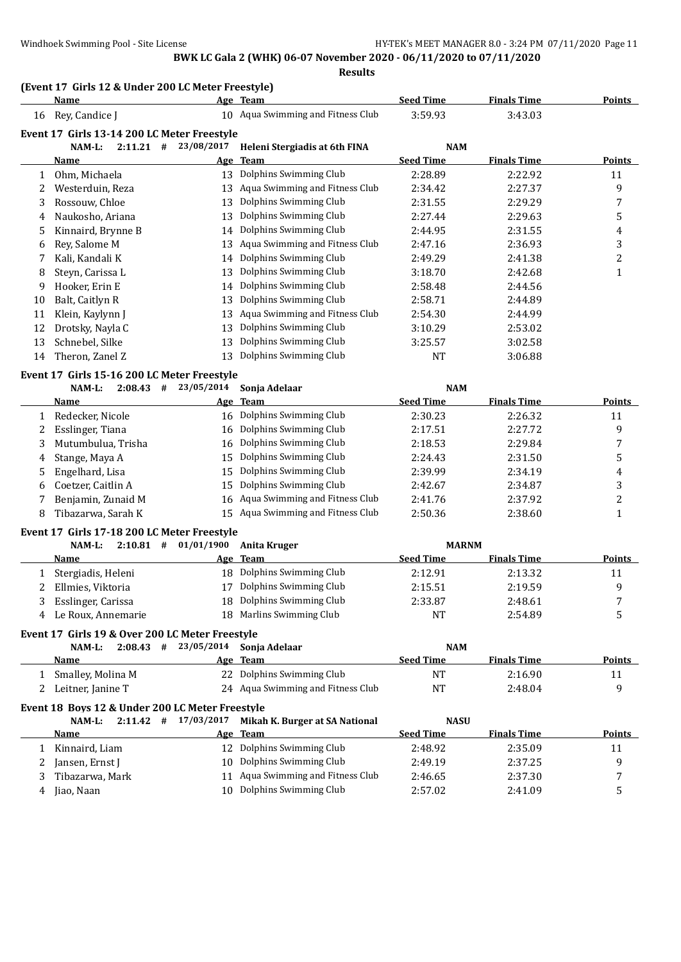**Results**

## **(Event 17 Girls 12 & Under 200 LC Meter Freestyle)**

|    | <b>Name</b>                                                          |                          | Age Team                          | <b>Seed Time</b> | <b>Finals Time</b> | <b>Points</b>  |
|----|----------------------------------------------------------------------|--------------------------|-----------------------------------|------------------|--------------------|----------------|
| 16 | Rey, Candice J                                                       |                          | 10 Aqua Swimming and Fitness Club | 3:59.93          | 3:43.03            |                |
|    | Event 17 Girls 13-14 200 LC Meter Freestyle                          |                          |                                   |                  |                    |                |
|    | $2:11.21$ #<br>NAM-L:                                                | 23/08/2017               | Heleni Stergiadis at 6th FINA     | NAM              |                    |                |
|    | Name                                                                 |                          | Age Team                          | <b>Seed Time</b> | <b>Finals Time</b> | <b>Points</b>  |
| 1  | Ohm, Michaela                                                        | 13                       | Dolphins Swimming Club            | 2:28.89          | 2:22.92            | 11             |
| 2  | Westerduin, Reza                                                     | 13                       | Aqua Swimming and Fitness Club    | 2:34.42          | 2:27.37            | 9              |
| 3  | Rossouw, Chloe                                                       | 13                       | Dolphins Swimming Club            | 2:31.55          | 2:29.29            | 7              |
| 4  | Naukosho, Ariana                                                     | 13                       | Dolphins Swimming Club            | 2:27.44          | 2:29.63            | 5              |
| 5  | Kinnaird, Brynne B                                                   | 14                       | Dolphins Swimming Club            | 2:44.95          | 2:31.55            | 4              |
| 6  | Rey, Salome M                                                        | 13                       | Aqua Swimming and Fitness Club    | 2:47.16          | 2:36.93            | 3              |
| 7  | Kali, Kandali K                                                      | 14                       | Dolphins Swimming Club            | 2:49.29          | 2:41.38            | $\overline{c}$ |
| 8  | Steyn, Carissa L                                                     | 13                       | Dolphins Swimming Club            | 3:18.70          | 2:42.68            | $\mathbf{1}$   |
| 9  | Hooker, Erin E                                                       | 14                       | Dolphins Swimming Club            | 2:58.48          | 2:44.56            |                |
| 10 | Balt, Caitlyn R                                                      | 13                       | Dolphins Swimming Club            | 2:58.71          | 2:44.89            |                |
| 11 | Klein, Kaylynn J                                                     | 13                       | Aqua Swimming and Fitness Club    | 2:54.30          | 2:44.99            |                |
| 12 | Drotsky, Nayla C                                                     | 13                       | Dolphins Swimming Club            | 3:10.29          | 2:53.02            |                |
| 13 | Schnebel, Silke                                                      | 13                       | Dolphins Swimming Club            | 3:25.57          | 3:02.58            |                |
| 14 | Theron, Zanel Z                                                      | 13                       | Dolphins Swimming Club            | <b>NT</b>        | 3:06.88            |                |
|    |                                                                      |                          |                                   |                  |                    |                |
|    | Event 17 Girls 15-16 200 LC Meter Freestyle<br>$2:08.43$ #<br>NAM-L: | 23/05/2014               | Sonja Adelaar                     | <b>NAM</b>       |                    |                |
|    | Name                                                                 |                          | Age Team                          | <b>Seed Time</b> | <b>Finals Time</b> | <b>Points</b>  |
| 1  | Redecker, Nicole                                                     |                          | 16 Dolphins Swimming Club         | 2:30.23          | 2:26.32            | 11             |
| 2  | Esslinger, Tiana                                                     | 16                       | Dolphins Swimming Club            | 2:17.51          | 2:27.72            | 9              |
| 3  | Mutumbulua, Trisha                                                   | 16                       | Dolphins Swimming Club            | 2:18.53          | 2:29.84            | 7              |
| 4  | Stange, Maya A                                                       | 15                       | Dolphins Swimming Club            | 2:24.43          | 2:31.50            | 5              |
| 5  | Engelhard, Lisa                                                      | 15                       | Dolphins Swimming Club            | 2:39.99          | 2:34.19            | 4              |
| 6  | Coetzer, Caitlin A                                                   | 15                       | Dolphins Swimming Club            | 2:42.67          | 2:34.87            | 3              |
| 7  | Benjamin, Zunaid M                                                   | 16                       | Aqua Swimming and Fitness Club    | 2:41.76          | 2:37.92            | 2              |
| 8  | Tibazarwa, Sarah K                                                   | 15                       | Aqua Swimming and Fitness Club    | 2:50.36          | 2:38.60            | $\mathbf{1}$   |
|    |                                                                      |                          |                                   |                  |                    |                |
|    | Event 17 Girls 17-18 200 LC Meter Freestyle                          |                          |                                   |                  |                    |                |
|    | $2:10.81$ #<br>NAM-L:                                                | 01/01/1900               | <b>Anita Kruger</b>               | <b>MARNM</b>     |                    |                |
|    | Name                                                                 |                          | Age Team                          | <b>Seed Time</b> | <b>Finals Time</b> | <b>Points</b>  |
| 1  | Stergiadis, Heleni                                                   |                          | 18 Dolphins Swimming Club         | 2:12.91          | 2:13.32            | 11             |
| 2  | Ellmies, Viktoria                                                    | 17                       | Dolphins Swimming Club            | 2:15.51          | 2:19.59            | 9              |
| 3  | Esslinger, Carissa                                                   |                          | 18 Dolphins Swimming Club         | 2:33.87          | 2:48.61            | 7              |
|    | 4 Le Roux, Annemarie                                                 |                          | 18 Marlins Swimming Club          | <b>NT</b>        | 2:54.89            | 5              |
|    | Event 17 Girls 19 & Over 200 LC Meter Freestyle                      |                          |                                   |                  |                    |                |
|    | NAM-L:                                                               | $2:08.43$ # 23/05/2014   | Sonja Adelaar                     | <b>NAM</b>       |                    |                |
|    | <b>Name</b>                                                          |                          | Age Team                          | <b>Seed Time</b> | <b>Finals Time</b> | <b>Points</b>  |
|    | 1 Smalley, Molina M                                                  |                          | 22 Dolphins Swimming Club         | <b>NT</b>        | 2:16.90            | 11             |
|    | 2 Leitner, Janine T                                                  |                          | 24 Aqua Swimming and Fitness Club | <b>NT</b>        | 2:48.04            | 9              |
|    | Event 18 Boys 12 & Under 200 LC Meter Freestyle                      |                          |                                   |                  |                    |                |
|    | NAM-L:                                                               | $2:11.42$ # $17/03/2017$ | Mikah K. Burger at SA National    | <b>NASU</b>      |                    |                |
|    | <b>Name</b>                                                          |                          | Age Team                          | <b>Seed Time</b> | <b>Finals Time</b> | <b>Points</b>  |
| 1  | Kinnaird, Liam                                                       |                          | 12 Dolphins Swimming Club         | 2:48.92          | 2:35.09            | 11             |
| 2  | Jansen, Ernst J                                                      |                          | 10 Dolphins Swimming Club         | 2:49.19          | 2:37.25            | 9              |
| 3  | Tibazarwa, Mark                                                      |                          | 11 Aqua Swimming and Fitness Club | 2:46.65          | 2:37.30            | 7              |
| 4  | Jiao, Naan                                                           |                          | 10 Dolphins Swimming Club         | 2:57.02          | 2:41.09            | 5              |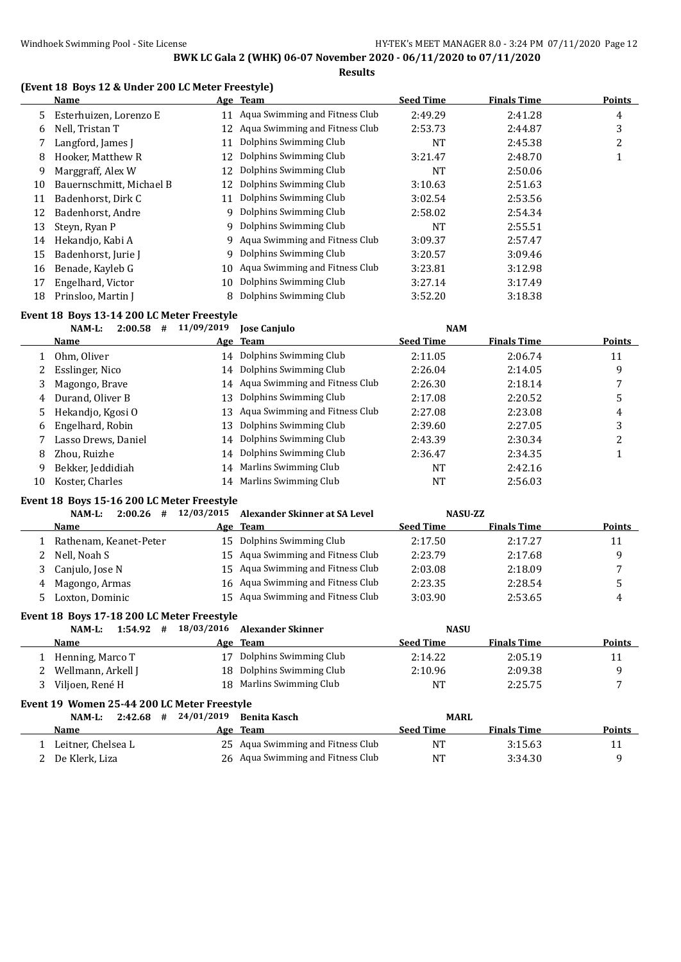## **(Event 18 Boys 12 & Under 200 LC Meter Freestyle)**

|    | Name                     |     | Age Team                         | <b>Seed Time</b> | <b>Finals Time</b> | <b>Points</b> |
|----|--------------------------|-----|----------------------------------|------------------|--------------------|---------------|
| 5. | Esterhuizen, Lorenzo E   | 11  | Aqua Swimming and Fitness Club   | 2:49.29          | 2:41.28            | 4             |
| 6  | Nell, Tristan T          | 12. | Aqua Swimming and Fitness Club   | 2:53.73          | 2:44.87            | 3             |
| 7  | Langford, James J        | 11  | Dolphins Swimming Club           | NT               | 2:45.38            | 2             |
| 8  | Hooker, Matthew R        | 12  | Dolphins Swimming Club           | 3:21.47          | 2:48.70            |               |
| 9  | Marggraff, Alex W        | 12  | Dolphins Swimming Club           | NT               | 2:50.06            |               |
| 10 | Bauernschmitt, Michael B | 12  | Dolphins Swimming Club           | 3:10.63          | 2:51.63            |               |
| 11 | Badenhorst, Dirk C       | 11  | Dolphins Swimming Club           | 3:02.54          | 2:53.56            |               |
| 12 | Badenhorst, Andre        | 9   | Dolphins Swimming Club           | 2:58.02          | 2:54.34            |               |
| 13 | Steyn, Ryan P            |     | 9 Dolphins Swimming Club         | NT               | 2:55.51            |               |
| 14 | Hekandjo, Kabi A         |     | 9 Aqua Swimming and Fitness Club | 3:09.37          | 2:57.47            |               |
| 15 | Badenhorst, Jurie J      | 9   | Dolphins Swimming Club           | 3:20.57          | 3:09.46            |               |
| 16 | Benade, Kayleb G         | 10  | Aqua Swimming and Fitness Club   | 3:23.81          | 3:12.98            |               |
| 17 | Engelhard, Victor        | 10  | Dolphins Swimming Club           | 3:27.14          | 3:17.49            |               |
| 18 | Prinsloo, Martin J       | 8   | Dolphins Swimming Club           | 3:52.20          | 3:18.38            |               |

## **Event 18 Boys 13-14 200 LC Meter Freestyle**

|    | 2:00.58<br>NAM-L:<br># | 11/09/2019 | <b>Jose Canjulo</b>               | <b>NAM</b>       |                    |               |
|----|------------------------|------------|-----------------------------------|------------------|--------------------|---------------|
|    | <b>Name</b>            |            | Age Team                          | <b>Seed Time</b> | <b>Finals Time</b> | <b>Points</b> |
|    | Ohm. Oliver            |            | 14 Dolphins Swimming Club         | 2:11.05          | 2:06.74            | 11            |
| 2  | Esslinger, Nico        |            | 14 Dolphins Swimming Club         | 2:26.04          | 2:14.05            | 9             |
| 3  | Magongo, Brave         |            | 14 Aqua Swimming and Fitness Club | 2:26.30          | 2:18.14            |               |
| 4  | Durand, Oliver B       | 13         | Dolphins Swimming Club            | 2:17.08          | 2:20.52            | 5             |
|    | 5 Hekandjo, Kgosi O    |            | 13 Aqua Swimming and Fitness Club | 2:27.08          | 2:23.08            | 4             |
| 6  | Engelhard, Robin       |            | 13 Dolphins Swimming Club         | 2:39.60          | 2:27.05            | 3             |
|    | Lasso Drews, Daniel    |            | 14 Dolphins Swimming Club         | 2:43.39          | 2:30.34            | ∠             |
| 8  | Zhou, Ruizhe           |            | 14 Dolphins Swimming Club         | 2:36.47          | 2:34.35            |               |
| 9  | Bekker, Jeddidiah      |            | 14 Marlins Swimming Club          | NT               | 2:42.16            |               |
| 10 | Koster, Charles        |            | 14 Marlins Swimming Club          | NΤ               | 2:56.03            |               |

#### **Event 18 Boys 15-16 200 LC Meter Freestyle**

 $\overline{a}$ 

| 2:00.26<br>NAM-L:<br># | 12/03/2015 | Alexander Skinner at SA Level |                                                                                                                                                                                           |                    |                |  |  |  |  |
|------------------------|------------|-------------------------------|-------------------------------------------------------------------------------------------------------------------------------------------------------------------------------------------|--------------------|----------------|--|--|--|--|
| <b>Name</b>            |            |                               | <b>Seed Time</b>                                                                                                                                                                          | <b>Finals Time</b> | <b>Points</b>  |  |  |  |  |
| Rathenam, Keanet-Peter |            |                               | 2:17.50                                                                                                                                                                                   | 2:17.27            | 11             |  |  |  |  |
| Nell, Noah S           |            |                               | 2:23.79                                                                                                                                                                                   | 2:17.68            | q              |  |  |  |  |
| 3 Canjulo, Jose N      |            |                               | 2:03.08                                                                                                                                                                                   | 2:18.09            |                |  |  |  |  |
| Magongo, Armas<br>4    |            |                               | 2:23.35                                                                                                                                                                                   | 2:28.54            |                |  |  |  |  |
| Loxton, Dominic        |            |                               | 3:03.90                                                                                                                                                                                   | 2:53.65            | 4              |  |  |  |  |
|                        |            |                               | Age Team<br>15 Dolphins Swimming Club<br>15 Agua Swimming and Fitness Club<br>15 Agua Swimming and Fitness Club<br>16 Aqua Swimming and Fitness Club<br>15 Agua Swimming and Fitness Club |                    | <b>NASU-ZZ</b> |  |  |  |  |

#### **Event 18 Boys 17-18 200 LC Meter Freestyle**

| #<br>NAM-L:<br>1:54.92 | 18/03/2016 Alexander Skinner | <b>NASU</b>      |                    |               |
|------------------------|------------------------------|------------------|--------------------|---------------|
| <b>Name</b>            | Age Team                     | <b>Seed Time</b> | <b>Finals Time</b> | <b>Points</b> |
| Henning, Marco T       | 17 Dolphins Swimming Club    | 2:14.22          | 2:05.19            | 11            |
| Wellmann, Arkell J     | 18 Dolphins Swimming Club    | 2:10.96          | 2:09.38            |               |
| Viljoen, René H        | 18 Marlins Swimming Club     | NT               | 2:25.75            |               |

#### **Event 19 Women 25-44 200 LC Meter Freestyle**

| NAM-L:<br>2:42.68<br># | 24/01/2019 Benita Kasch           | <b>MARL</b>      |                    |               |
|------------------------|-----------------------------------|------------------|--------------------|---------------|
| Name                   | Age Team                          | <b>Seed Time</b> | <b>Finals Time</b> | <b>Points</b> |
| Leitner, Chelsea L     | 25 Aqua Swimming and Fitness Club | NТ               | 3:15.63            |               |
| De Klerk, Liza         | 26 Agua Swimming and Fitness Club | NT               | 3:34.30            |               |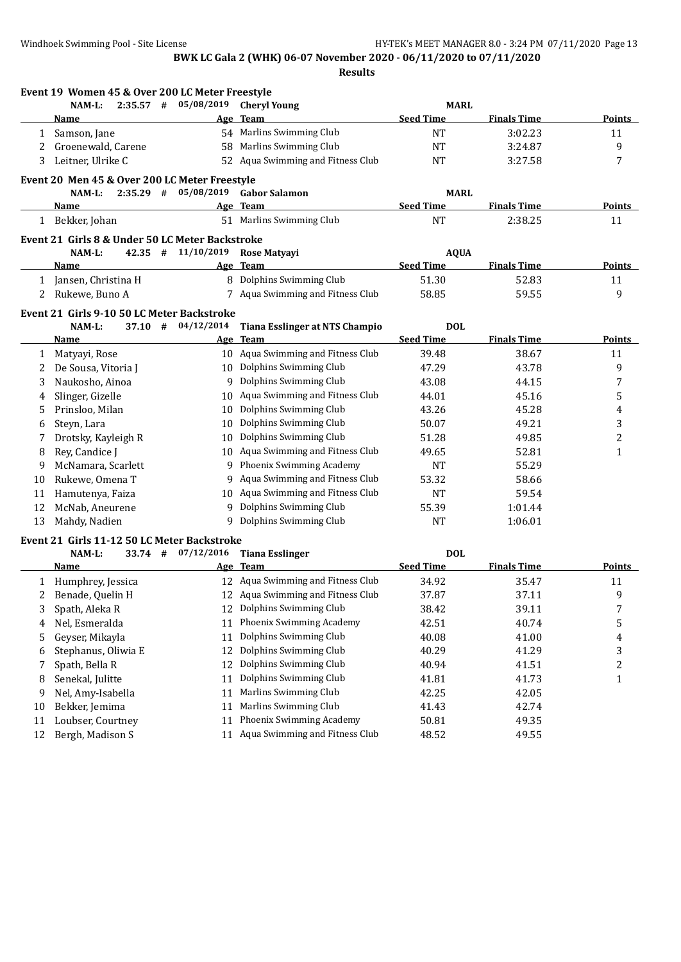**Event 19 Women 45 & Over 200 LC Meter Freestyle NAM-L: 2:35.57 # 05/08/2019 Cheryl Young MARL Name Age Team Seed Time Finals Time Points** 1 Samson, Jane 6 1 State 54 Marlins Swimming Club 1 NT 3:02.23 11 2 Groenewald, Carene 58 Marlins Swimming Club NT 3:24.87 9 3 Leitner, Ulrike C 52 Aqua Swimming and Fitness Club NT 3:27.58 7 **Event 20 Men 45 & Over 200 LC Meter Freestyle NAM-L: 2:35.29 # 05/08/2019 Gabor Salamon MARL Name Age Team Seed Time Finals Time Points** 1 Bekker, Johan 51 Marlins Swimming Club 11 NT 2:38.25 11 **Event 21 Girls 8 & Under 50 LC Meter Backstroke NAM-L: 42.35 # 11/10/2019 Rose Matyayi AQUA Name Age Team Seed Time Finals Time Points** 1 Jansen, Christina H 8 Dolphins Swimming Club 51.30 52.83 11 2 Rukewe, Buno A 7 Aqua Swimming and Fitness Club 58.85 59.55 59.55 9 **Event 21 Girls 9-10 50 LC Meter Backstroke NAM-L: 37.10 # 04/12/2014 Tiana Esslinger at NTS Champio DOL Name Age Team Seed Time Finals Time Points** 1 Matyayi, Rose 10 Aqua Swimming and Fitness Club 39.48 38.67 11 2 De Sousa, Vitoria J 10 Dolphins Swimming Club 47.29 43.78 43.78 9 3 Naukosho, Ainoa 9 Dolphins Swimming Club 43.08 44.15 7 4 Slinger, Gizelle 10 Aqua Swimming and Fitness Club 44.01 45.16 45.16 5 5 Prinsloo, Milan 10 Dolphins Swimming Club 43.26 45.28 4 6 Steyn, Lara 10 Dolphins Swimming Club 50.07 49.21 3 7 Drotsky, Kayleigh R 10 Dolphins Swimming Club 51.28 49.85 49.85 8 Rey, Candice J 10 Aqua Swimming and Fitness Club 49.65 52.81 52.81 1 9 McNamara, Scarlett 9 Phoenix Swimming Academy NT 55.29 10 Rukewe, Omena T 9 Aqua Swimming and Fitness Club 53.32 58.66 11 Hamutenya, Faiza 10 Aqua Swimming and Fitness Club NT 59.54 12 McNab, Aneurene 9 Dolphins Swimming Club 55.39 1:01.44 13 Mahdy, Nadien 9 Dolphins Swimming Club NT 1:06.01 **Event 21 Girls 11-12 50 LC Meter Backstroke NAM-L: 33.74 #**  $07/12/2016$  **Tiana Esslinger DOL Name Age Team Seed Time Finals Time Points** 1 Humphrey, Jessica 12 Aqua Swimming and Fitness Club 34.92 35.47 11 2 Benade, Quelin H 12 Aqua Swimming and Fitness Club 37.87 37.11 37.11 3 Spath, Aleka R 12 Dolphins Swimming Club 38.42 39.11 39.11 7 4 Nel, Esmeralda 11 Phoenix Swimming Academy 42.51 40.74 5 5 Geyser, Mikayla 11 Dolphins Swimming Club 40.08 41.00 4 6 Stephanus, Oliwia E 12 Dolphins Swimming Club 40.29 41.29 41.29 3 7 Spath, Bella R 12 Dolphins Swimming Club 40.94 41.51 41.51 2 8 Senekal, Julitte 11 Dolphins Swimming Club 41.81 41.73 41.73 1 9 Nel, Amy-Isabella 11 Marlins Swimming Club 42.25 42.05 10 Bekker, Jemima 11 Marlins Swimming Club 41.43 42.74 11 Loubser, Courtney 11 Phoenix Swimming Academy 50.81 49.35 12 Bergh, Madison S 11 Aqua Swimming and Fitness Club 48.52 49.55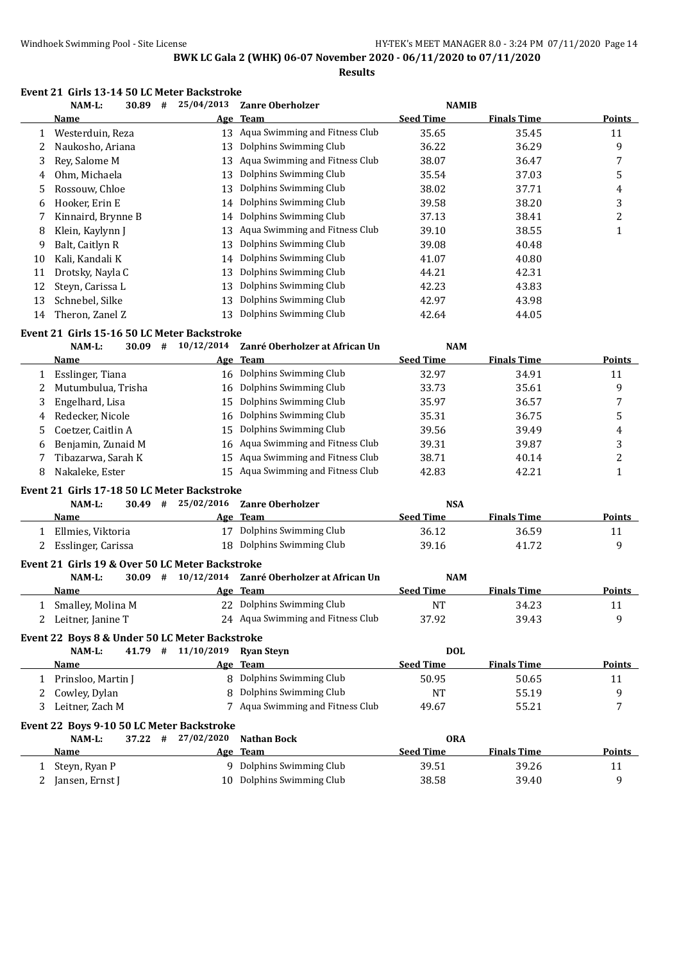**Results**

|  | Event 21 Girls 13-14 50 LC Meter Backstroke |
|--|---------------------------------------------|
|--|---------------------------------------------|

|    | NAM-L:                                                | 30.89     | # | 25/04/2013         | <b>Zanre Oberholzer</b>           | <b>NAMIB</b>     |                    |                |
|----|-------------------------------------------------------|-----------|---|--------------------|-----------------------------------|------------------|--------------------|----------------|
|    | Name                                                  |           |   | Age                | Team                              | <b>Seed Time</b> | <b>Finals Time</b> | Points         |
| 1  | Westerduin, Reza                                      |           |   | 13                 | Aqua Swimming and Fitness Club    | 35.65            | 35.45              | 11             |
| 2  | Naukosho, Ariana                                      |           |   | 13                 | Dolphins Swimming Club            | 36.22            | 36.29              | 9              |
| 3  | Rey, Salome M                                         |           |   | 13                 | Aqua Swimming and Fitness Club    | 38.07            | 36.47              | 7              |
| 4  | Ohm, Michaela                                         |           |   | 13                 | Dolphins Swimming Club            | 35.54            | 37.03              | 5              |
| 5  | Rossouw, Chloe                                        |           |   | 13                 | Dolphins Swimming Club            | 38.02            | 37.71              | 4              |
| 6  | Hooker, Erin E                                        |           |   | 14                 | Dolphins Swimming Club            | 39.58            | 38.20              | 3              |
| 7  | Kinnaird, Brynne B                                    |           |   | 14                 | Dolphins Swimming Club            | 37.13            | 38.41              | $\overline{c}$ |
| 8  | Klein, Kaylynn J                                      |           |   | 13                 | Aqua Swimming and Fitness Club    | 39.10            | 38.55              | $\mathbf{1}$   |
| 9  | Balt, Caitlyn R                                       |           |   | 13                 | Dolphins Swimming Club            | 39.08            | 40.48              |                |
| 10 | Kali, Kandali K                                       |           |   | 14                 | Dolphins Swimming Club            | 41.07            | 40.80              |                |
| 11 | Drotsky, Nayla C                                      |           |   | 13                 | Dolphins Swimming Club            | 44.21            | 42.31              |                |
| 12 | Steyn, Carissa L                                      |           |   | 13                 | Dolphins Swimming Club            | 42.23            | 43.83              |                |
| 13 | Schnebel, Silke                                       |           |   | 13                 | Dolphins Swimming Club            | 42.97            | 43.98              |                |
| 14 | Theron, Zanel Z                                       |           |   | 13                 | Dolphins Swimming Club            | 42.64            | 44.05              |                |
|    |                                                       |           |   |                    |                                   |                  |                    |                |
|    | Event 21 Girls 15-16 50 LC Meter Backstroke<br>NAM-L: | $30.09$ # |   | 10/12/2014         | Zanré Oberholzer at African Un    | <b>NAM</b>       |                    |                |
|    | <b>Name</b>                                           |           |   |                    | Age Team                          | <b>Seed Time</b> | <b>Finals Time</b> | <b>Points</b>  |
|    |                                                       |           |   |                    | 16 Dolphins Swimming Club         | 32.97            | 34.91              | 11             |
| 1  | Esslinger, Tiana                                      |           |   |                    | Dolphins Swimming Club            |                  |                    |                |
| 2  | Mutumbulua, Trisha                                    |           |   | 16                 | Dolphins Swimming Club            | 33.73            | 35.61              | 9              |
| 3  | Engelhard, Lisa                                       |           |   | 15                 |                                   | 35.97            | 36.57              | 7              |
| 4  | Redecker, Nicole                                      |           |   | 16                 | Dolphins Swimming Club            | 35.31            | 36.75              | 5              |
| 5. | Coetzer, Caitlin A                                    |           |   | 15                 | Dolphins Swimming Club            | 39.56            | 39.49              | 4              |
| 6  | Benjamin, Zunaid M                                    |           |   | 16                 | Aqua Swimming and Fitness Club    | 39.31            | 39.87              | 3              |
| 7  | Tibazarwa, Sarah K                                    |           |   | 15                 | Aqua Swimming and Fitness Club    | 38.71            | 40.14              | $\overline{c}$ |
| 8  | Nakaleke, Ester                                       |           |   | 15                 | Aqua Swimming and Fitness Club    | 42.83            | 42.21              | $\mathbf{1}$   |
|    | Event 21 Girls 17-18 50 LC Meter Backstroke           |           |   |                    |                                   |                  |                    |                |
|    | NAM-L:                                                | $30.49$ # |   | 25/02/2016         | <b>Zanre Oberholzer</b>           | <b>NSA</b>       |                    |                |
|    | <b>Name</b>                                           |           |   |                    | Age Team                          | <b>Seed Time</b> | <b>Finals Time</b> | <b>Points</b>  |
|    | 1 Ellmies, Viktoria                                   |           |   |                    | 17 Dolphins Swimming Club         | 36.12            | 36.59              | 11             |
|    | 2 Esslinger, Carissa                                  |           |   |                    | 18 Dolphins Swimming Club         | 39.16            | 41.72              | 9              |
|    | Event 21 Girls 19 & Over 50 LC Meter Backstroke       |           |   |                    |                                   |                  |                    |                |
|    | NAM-L:                                                | $30.09$ # |   | 10/12/2014         | Zanré Oberholzer at African Un    | <b>NAM</b>       |                    |                |
|    | Name                                                  |           |   |                    | Age Team                          | <b>Seed Time</b> | <b>Finals Time</b> | <b>Points</b>  |
|    | 1 Smalley, Molina M                                   |           |   |                    | 22 Dolphins Swimming Club         | <b>NT</b>        | 34.23              | 11             |
|    | 2 Leitner, Janine T                                   |           |   |                    | 24 Aqua Swimming and Fitness Club | 37.92            | 39.43              | 9              |
|    |                                                       |           |   |                    |                                   |                  |                    |                |
|    | Event 22 Boys 8 & Under 50 LC Meter Backstroke        |           |   |                    |                                   |                  |                    |                |
|    | NAM-L:                                                |           |   | 41.79 # 11/10/2019 | <b>Ryan Steyn</b>                 | <b>DOL</b>       |                    |                |
|    | Name                                                  |           |   |                    | Age Team                          | <b>Seed Time</b> | <b>Finals Time</b> | <b>Points</b>  |
| 1  | Prinsloo, Martin J                                    |           |   |                    | 8 Dolphins Swimming Club          | 50.95            | 50.65              | 11             |
| 2  | Cowley, Dylan                                         |           |   | 8                  | Dolphins Swimming Club            | NT               | 55.19              | 9              |
| 3  | Leitner, Zach M                                       |           |   |                    | 7 Aqua Swimming and Fitness Club  | 49.67            | 55.21              | 7              |
|    | Event 22 Boys 9-10 50 LC Meter Backstroke             |           |   |                    |                                   |                  |                    |                |
|    | NAM-L:                                                | $37.22 +$ |   | 27/02/2020         | <b>Nathan Bock</b>                | <b>ORA</b>       |                    |                |
|    | <u>Name</u>                                           |           |   |                    | Age Team                          | <b>Seed Time</b> | <b>Finals Time</b> | <b>Points</b>  |
| 1  | Steyn, Ryan P                                         |           |   |                    | 9 Dolphins Swimming Club          | 39.51            | 39.26              | 11             |
| 2  | Jansen, Ernst J                                       |           |   |                    | 10 Dolphins Swimming Club         | 38.58            | 39.40              | 9              |
|    |                                                       |           |   |                    |                                   |                  |                    |                |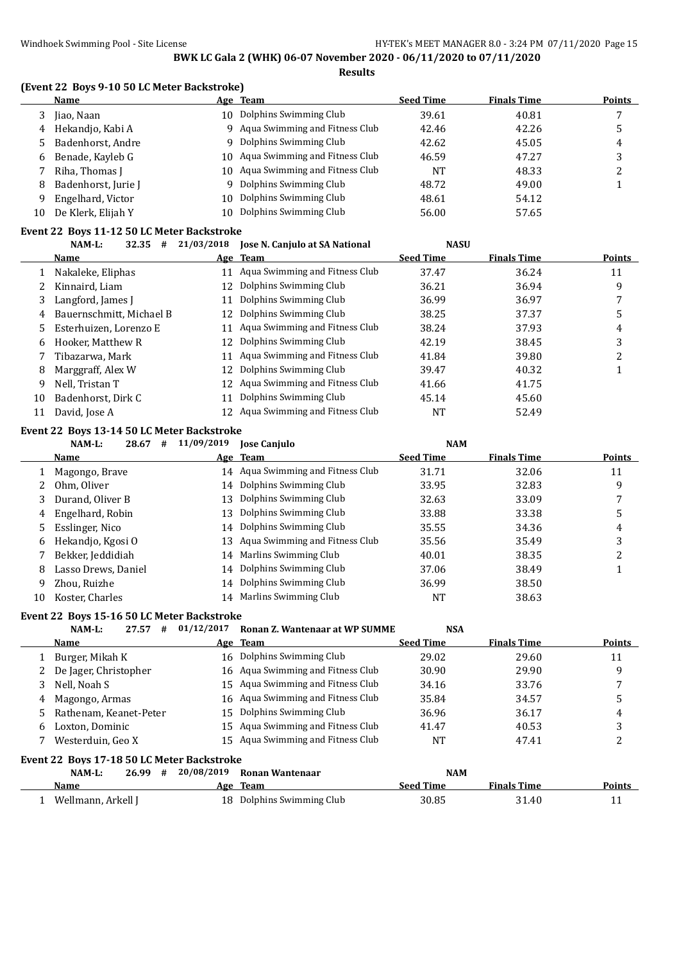#### **(Event 22 Boys 9-10 50 LC Meter Backstroke)**

|    | Name                |     | Age Team                          | <b>Seed Time</b> | <b>Finals Time</b> | Points |
|----|---------------------|-----|-----------------------------------|------------------|--------------------|--------|
|    | Jiao, Naan          | 10. | Dolphins Swimming Club            | 39.61            | 40.81              |        |
| 4  | Hekandjo, Kabi A    |     | 9 Aqua Swimming and Fitness Club  | 42.46            | 42.26              |        |
|    | Badenhorst, Andre   |     | 9 Dolphins Swimming Club          | 42.62            | 45.05              | 4      |
| 6  | Benade, Kayleb G    |     | 10 Aqua Swimming and Fitness Club | 46.59            | 47.27              |        |
|    | Riha, Thomas I      |     | 10 Aqua Swimming and Fitness Club | <b>NT</b>        | 48.33              | ▵      |
| 8  | Badenhorst, Jurie J |     | 9 Dolphins Swimming Club          | 48.72            | 49.00              |        |
| 9  | Engelhard, Victor   | 10. | Dolphins Swimming Club            | 48.61            | 54.12              |        |
| 10 | De Klerk, Elijah Y  | 10. | Dolphins Swimming Club            | 56.00            | 57.65              |        |

### **Event 22 Boys 11-12 50 LC Meter Backstroke**

|    | 32.35<br>$NAM-L$ :<br>#  | 21/03/2018 | Jose N. Canjulo at SA National    | <b>NASU</b>      |                    |               |
|----|--------------------------|------------|-----------------------------------|------------------|--------------------|---------------|
|    | <b>Name</b>              |            | Age Team                          | <b>Seed Time</b> | <b>Finals Time</b> | <b>Points</b> |
|    | Nakaleke, Eliphas        | 11         | Aqua Swimming and Fitness Club    | 37.47            | 36.24              | 11            |
|    | Kinnaird, Liam           | 12         | Dolphins Swimming Club            | 36.21            | 36.94              | 9             |
|    | Langford, James J        | 11         | Dolphins Swimming Club            | 36.99            | 36.97              |               |
| 4  | Bauernschmitt, Michael B | 12         | Dolphins Swimming Club            | 38.25            | 37.37              | 5             |
| 5. | Esterhuizen. Lorenzo E   | 11         | Aqua Swimming and Fitness Club    | 38.24            | 37.93              | 4             |
| 6  | Hooker, Matthew R        |            | 12 Dolphins Swimming Club         | 42.19            | 38.45              | 3             |
|    | Tibazarwa, Mark          | 11         | Aqua Swimming and Fitness Club    | 41.84            | 39.80              |               |
| 8  | Marggraff, Alex W        | 12         | Dolphins Swimming Club            | 39.47            | 40.32              |               |
| 9  | Nell. Tristan T          | 12         | Aqua Swimming and Fitness Club    | 41.66            | 41.75              |               |
| 10 | Badenhorst, Dirk C       | 11         | Dolphins Swimming Club            | 45.14            | 45.60              |               |
|    | David, Jose A            |            | 12 Aqua Swimming and Fitness Club | <b>NT</b>        | 52.49              |               |
|    |                          |            |                                   |                  |                    |               |

### **Event 22 Boys 13-14 50 LC Meter Backstroke**

|    | NAM-L:<br>28.67<br># | 11/09/2019 | <b>Jose Canjulo</b>               | <b>NAM</b>       |                    |        |
|----|----------------------|------------|-----------------------------------|------------------|--------------------|--------|
|    | <b>Name</b>          |            | Age Team                          | <b>Seed Time</b> | <b>Finals Time</b> | Points |
|    | Magongo, Brave       |            | 14 Aqua Swimming and Fitness Club | 31.71            | 32.06              | 11     |
|    | Ohm, Oliver          |            | 14 Dolphins Swimming Club         | 33.95            | 32.83              | 9      |
| 3  | Durand, Oliver B     | 13-        | Dolphins Swimming Club            | 32.63            | 33.09              |        |
| 4  | Engelhard, Robin     | 13         | Dolphins Swimming Club            | 33.88            | 33.38              | 5      |
| 5. | Esslinger, Nico      |            | 14 Dolphins Swimming Club         | 35.55            | 34.36              | 4      |
| 6  | Hekandjo, Kgosi O    |            | 13 Aqua Swimming and Fitness Club | 35.56            | 35.49              | 3      |
|    | Bekker, Jeddidiah    |            | 14 Marlins Swimming Club          | 40.01            | 38.35              |        |
| 8  | Lasso Drews, Daniel  |            | 14 Dolphins Swimming Club         | 37.06            | 38.49              |        |
| 9  | Zhou, Ruizhe         |            | 14 Dolphins Swimming Club         | 36.99            | 38.50              |        |
| 10 | Koster, Charles      |            | 14 Marlins Swimming Club          | <b>NT</b>        | 38.63              |        |

#### **Event 22 Boys 15-16 50 LC Meter Backstroke**

|   | NAM-L:                                     | 27.57 | # | 01/12/2017 | <b>Ronan Z. Wantenaar at WP SUMME</b> | <b>NSA</b>       |                    |        |
|---|--------------------------------------------|-------|---|------------|---------------------------------------|------------------|--------------------|--------|
|   | Name                                       |       |   |            | Age Team                              | <b>Seed Time</b> | <b>Finals Time</b> | Points |
|   | Burger, Mikah K                            |       |   |            | 16 Dolphins Swimming Club             | 29.02            | 29.60              | 11     |
|   | De Jager, Christopher                      |       |   |            | 16 Agua Swimming and Fitness Club     | 30.90            | 29.90              | 9      |
| 3 | Nell, Noah S                               |       |   |            | 15 Agua Swimming and Fitness Club     | 34.16            | 33.76              |        |
| 4 | Magongo, Armas                             |       |   |            | 16 Agua Swimming and Fitness Club     | 35.84            | 34.57              | 5      |
|   | Rathenam, Keanet-Peter                     |       |   |            | 15 Dolphins Swimming Club             | 36.96            | 36.17              | 4      |
| 6 | Loxton, Dominic                            |       |   |            | 15 Aqua Swimming and Fitness Club     | 41.47            | 40.53              | 3      |
|   | Westerduin, Geo X                          |       |   |            | 15 Agua Swimming and Fitness Club     | NT               | 47.41              | າ      |
|   | Event 22 Boys 17-18 50 LC Meter Backstroke |       |   |            |                                       |                  |                    |        |
|   | NAM-L:                                     | 26.99 | # | 20/08/2019 | Ronan Wantenaar                       | <b>NAM</b>       |                    |        |
|   | <b>Name</b>                                |       |   |            | Age Team                              | <b>Seed Time</b> | <b>Finals Time</b> | Points |
|   | Wellmann, Arkell J                         |       |   |            | 18 Dolphins Swimming Club             | 30.85            | 31.40              | 11     |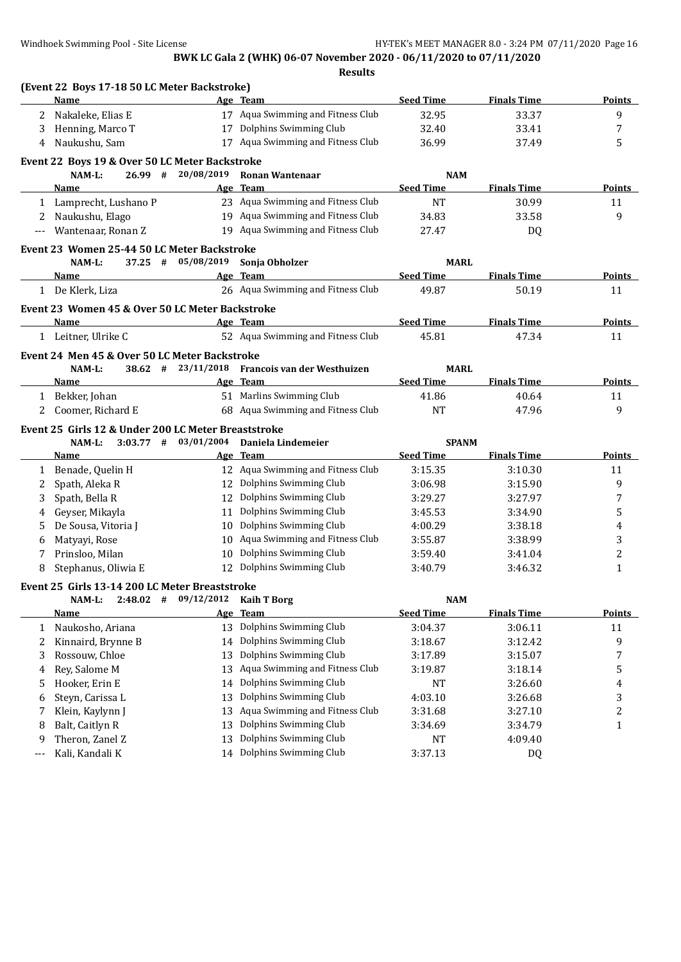|              | (Event 22 Boys 17-18 50 LC Meter Backstroke)<br>Name |            | Age Team                          | <b>Seed Time</b> | <b>Finals Time</b> | <b>Points</b>  |
|--------------|------------------------------------------------------|------------|-----------------------------------|------------------|--------------------|----------------|
|              |                                                      |            |                                   |                  |                    |                |
| 2            | Nakaleke, Elias E                                    |            | 17 Aqua Swimming and Fitness Club | 32.95            | 33.37              | 9              |
| 3            | Henning, Marco T                                     | 17         | Dolphins Swimming Club            | 32.40            | 33.41              | 7              |
| 4            | Naukushu, Sam                                        |            | 17 Aqua Swimming and Fitness Club | 36.99            | 37.49              | 5              |
|              | Event 22 Boys 19 & Over 50 LC Meter Backstroke       |            |                                   |                  |                    |                |
|              | $26.99$ #<br>NAM-L:                                  | 20/08/2019 | <b>Ronan Wantenaar</b>            | <b>NAM</b>       |                    |                |
|              | Name                                                 | Age        | <b>Team</b>                       | <b>Seed Time</b> | <b>Finals Time</b> | Points         |
|              | 1 Lamprecht, Lushano P                               |            | 23 Aqua Swimming and Fitness Club | <b>NT</b>        | 30.99              | 11             |
| 2            | Naukushu, Elago                                      |            | 19 Aqua Swimming and Fitness Club | 34.83            | 33.58              | 9              |
| ---          | Wantenaar, Ronan Z                                   |            | 19 Aqua Swimming and Fitness Club | 27.47            | <b>DQ</b>          |                |
|              | Event 23 Women 25-44 50 LC Meter Backstroke          |            |                                   |                  |                    |                |
|              | NAM-L:<br>$37.25$ #                                  | 05/08/2019 | Sonja Obholzer                    | <b>MARL</b>      |                    |                |
|              | Name                                                 |            | Age Team                          | <b>Seed Time</b> | <b>Finals Time</b> | <b>Points</b>  |
|              | 1 De Klerk, Liza                                     |            | 26 Aqua Swimming and Fitness Club | 49.87            | 50.19              | 11             |
|              | Event 23 Women 45 & Over 50 LC Meter Backstroke      |            |                                   |                  |                    |                |
|              | Name                                                 |            | Age Team                          | <b>Seed Time</b> | <b>Finals Time</b> | <b>Points</b>  |
|              | 1 Leitner, Ulrike C                                  |            | 52 Aqua Swimming and Fitness Club | 45.81            | 47.34              | 11             |
|              | Event 24 Men 45 & Over 50 LC Meter Backstroke        |            |                                   |                  |                    |                |
|              | NAM-L:<br>$38.62$ #                                  | 23/11/2018 | Francois van der Westhuizen       | <b>MARL</b>      |                    |                |
|              | <b>Name</b>                                          |            | Age Team                          | <b>Seed Time</b> | <b>Finals Time</b> | <b>Points</b>  |
|              | 1 Bekker, Johan                                      |            | 51 Marlins Swimming Club          | 41.86            | 40.64              | 11             |
| 2            | Coomer, Richard E                                    |            | 68 Aqua Swimming and Fitness Club | <b>NT</b>        | 47.96              | 9              |
|              | Event 25 Girls 12 & Under 200 LC Meter Breaststroke  |            |                                   |                  |                    |                |
|              | NAM-L:<br>$3:03.77$ #                                | 03/01/2004 | Daniela Lindemeier                | <b>SPANM</b>     |                    |                |
|              | Name                                                 |            | Age Team                          | <b>Seed Time</b> | <b>Finals Time</b> | Points         |
| 1            | Benade, Quelin H                                     |            | 12 Aqua Swimming and Fitness Club | 3:15.35          | 3:10.30            | 11             |
| 2            | Spath, Aleka R                                       |            | 12 Dolphins Swimming Club         | 3:06.98          | 3:15.90            | 9              |
| 3            | Spath, Bella R                                       | 12         | Dolphins Swimming Club            | 3:29.27          | 3:27.97            | 7              |
| 4            | Geyser, Mikayla                                      | 11         | Dolphins Swimming Club            | 3:45.53          | 3:34.90            | 5              |
| 5            | De Sousa, Vitoria J                                  | 10         | Dolphins Swimming Club            | 4:00.29          | 3:38.18            | 4              |
| 6            | Matyayi, Rose                                        | 10         | Aqua Swimming and Fitness Club    | 3:55.87          | 3:38.99            | 3              |
| 7            | Prinsloo, Milan                                      | 10         | Dolphins Swimming Club            | 3:59.40          | 3:41.04            | $\overline{c}$ |
| 8            | Stephanus, Oliwia E                                  | 12         | Dolphins Swimming Club            | 3:40.79          | 3:46.32            | $\mathbf{1}$   |
|              | Event 25 Girls 13-14 200 LC Meter Breaststroke       |            |                                   |                  |                    |                |
|              | NAM-L:<br>$2:48.02$ #                                | 09/12/2012 | <b>Kaih T Borg</b>                | <b>NAM</b>       |                    |                |
|              | <u>Name</u>                                          | Age        | <b>Team</b>                       | <b>Seed Time</b> | <b>Finals Time</b> | <b>Points</b>  |
| $\mathbf{1}$ | Naukosho, Ariana                                     | 13         | Dolphins Swimming Club            | 3:04.37          | 3:06.11            | 11             |
| 2            | Kinnaird, Brynne B                                   | 14         | Dolphins Swimming Club            | 3:18.67          | 3:12.42            | 9              |
|              | Rossouw, Chloe                                       | 13         | Dolphins Swimming Club            | 3:17.89          | 3:15.07            |                |
| 3            | Rey, Salome M                                        | 13         | Aqua Swimming and Fitness Club    | 3:19.87          | 3:18.14            | 7<br>5         |
| 4            | Hooker, Erin E                                       |            | Dolphins Swimming Club            |                  | 3:26.60            |                |
| 5            |                                                      | 14         | Dolphins Swimming Club            | NT               |                    | 4              |
| 6            | Steyn, Carissa L                                     | 13         |                                   | 4:03.10          | 3:26.68            | 3              |
| 7            | Klein, Kaylynn J                                     | 13         | Aqua Swimming and Fitness Club    | 3:31.68          | 3:27.10            | 2              |
| 8            | Balt, Caitlyn R                                      | 13         | Dolphins Swimming Club            | 3:34.69          | 3:34.79            | $\mathbf{1}$   |
| 9            | Theron, Zanel Z                                      | 13         | Dolphins Swimming Club            | NT               | 4:09.40            |                |
| ---          | Kali, Kandali K                                      |            | 14 Dolphins Swimming Club         | 3:37.13          | DQ                 |                |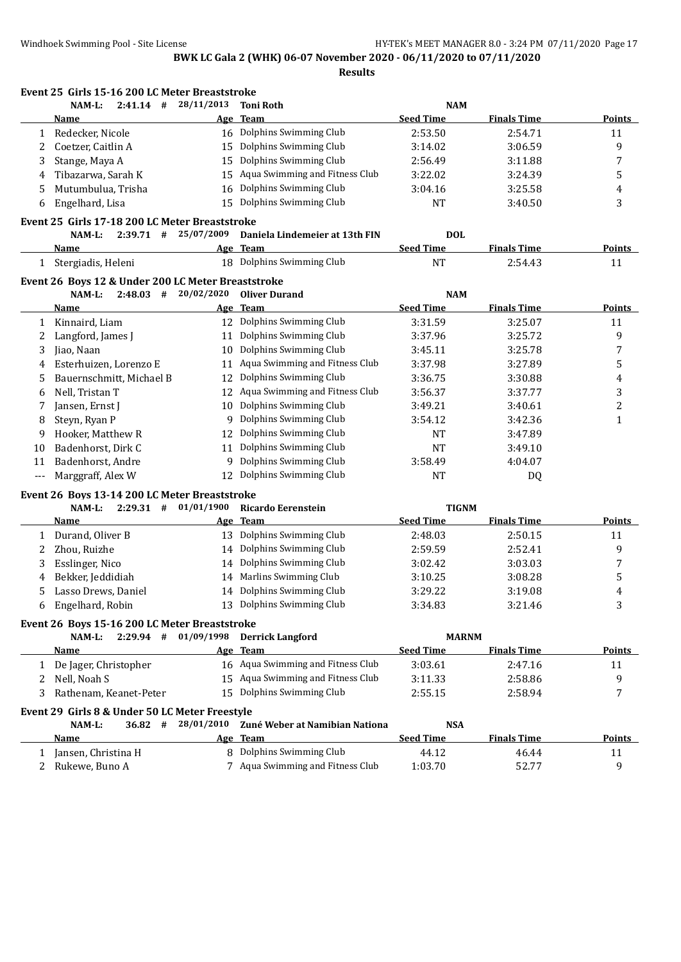**Event 25 Girls 15-16 200 LC Meter Breaststroke**

**BWK LC Gala 2 (WHK) 06-07 November 2020 - 06/11/2020 to 07/11/2020 Results**

**NAM-L: 2:41.14 # 28/11/2013 Toni Roth NAM Name Age Team Seed Time Finals Time Points** 1 Redecker, Nicole 16 Dolphins Swimming Club 2:53.50 2:54.71 11 2 Coetzer, Caitlin A 15 Dolphins Swimming Club 3:14.02 3:06.59 9 3 Stange, Maya A 15 Dolphins Swimming Club 2:56.49 3:11.88 7 4 Tibazarwa, Sarah K 15 Aqua Swimming and Fitness Club 3:22.02 3:24.39 5 5 Mutumbulua, Trisha 16 Dolphins Swimming Club 3:04.16 3:25.58 4 6 Engelhard, Lisa 15 Dolphins Swimming Club NT 3:40.50 3 **Event 25 Girls 17-18 200 LC Meter Breaststroke NAM-L: 2:39.71 # 25/07/2009 Daniela Lindemeier at 13th FIN DOL Name Age Team Seed Time Finals Time Points** 1 Stergiadis, Heleni 18 Dolphins Swimming Club NT 2:54.43 11 **Event 26 Boys 12 & Under 200 LC Meter Breaststroke NAM-L: 2:48.03 # 20/02/2020 Oliver Durand NAM Name Age Team Seed Time Finals Time Points** 1 Kinnaird, Liam 12 Dolphins Swimming Club 3:31.59 3:25.07 11 2 Langford, James J 11 Dolphins Swimming Club 3:37.96 3:25.72 9 3 Jiao, Naan 10 Dolphins Swimming Club 3:45.11 3:25.78 7 4 Esterhuizen, Lorenzo E 11 Aqua Swimming and Fitness Club 3:37.98 3:27.89 5 5 Bauernschmitt, Michael B 12 Dolphins Swimming Club 3:36.75 3:30.88 4 6 Nell, Tristan T 12 Aqua Swimming and Fitness Club 3:56.37 3:37.77 3 7 Jansen, Ernst J 10 Dolphins Swimming Club 3:49.21 3:40.61 2 8 Steyn, Ryan P 9 Dolphins Swimming Club 3:54.12 3:42.36 1 9 Hooker, Matthew R 12 Dolphins Swimming Club NT 3:47.89 10 Badenhorst, Dirk C 11 Dolphins Swimming Club NT 3:49.10 11 Badenhorst, Andre 9 Dolphins Swimming Club 3:58.49 4:04.07 --- Marggraff, Alex W 12 Dolphins Swimming Club NT DQ **Event 26 Boys 13-14 200 LC Meter Breaststroke NAM-L: 2:29.31 # 01/01/1900 Ricardo Eerenstein TIGNM Name Age Team Seed Time Finals Time Points** 1 Durand, Oliver B 13 Dolphins Swimming Club 2:48.03 2:50.15 11 2 Zhou, Ruizhe 14 Dolphins Swimming Club 2:59.59 2:52.41 9 3 Esslinger, Nico 14 Dolphins Swimming Club 3:02.42 3:03.03 7 4 Bekker, Jeddidiah 14 Marlins Swimming Club 3:10.25 3:08.28 5 5 Lasso Drews, Daniel 14 Dolphins Swimming Club 3:29.22 3:19.08 4 6 Engelhard, Robin 13 Dolphins Swimming Club 3:34.83 3:21.46 3 **Event 26 Boys 15-16 200 LC Meter Breaststroke NAM-L: 2:29.94 # 01/09/1998 Derrick Langford MARNM Name Age Team Seed Time Finals Time Points** 1 De Jager, Christopher 16 Aqua Swimming and Fitness Club 3:03.61 2:47.16 11 2 Nell, Noah S 15 Aqua Swimming and Fitness Club 3:11.33 2:58.86 9 9 3 Rathenam, Keanet-Peter 15 Dolphins Swimming Club 2:55.15 2:58.94 7 **Event 29 Girls 8 & Under 50 LC Meter Freestyle NAM-L: 36.82 # 28/01/2010 Zuné Weber at Namibian Nationa NSA Name Age Team Seed Time Finals Time Points** 1 Jansen, Christina H 8 Dolphins Swimming Club 44.12 46.44 11 2 Rukewe, Buno A 7 Aqua Swimming and Fitness Club 1:03.70 52.77 9 9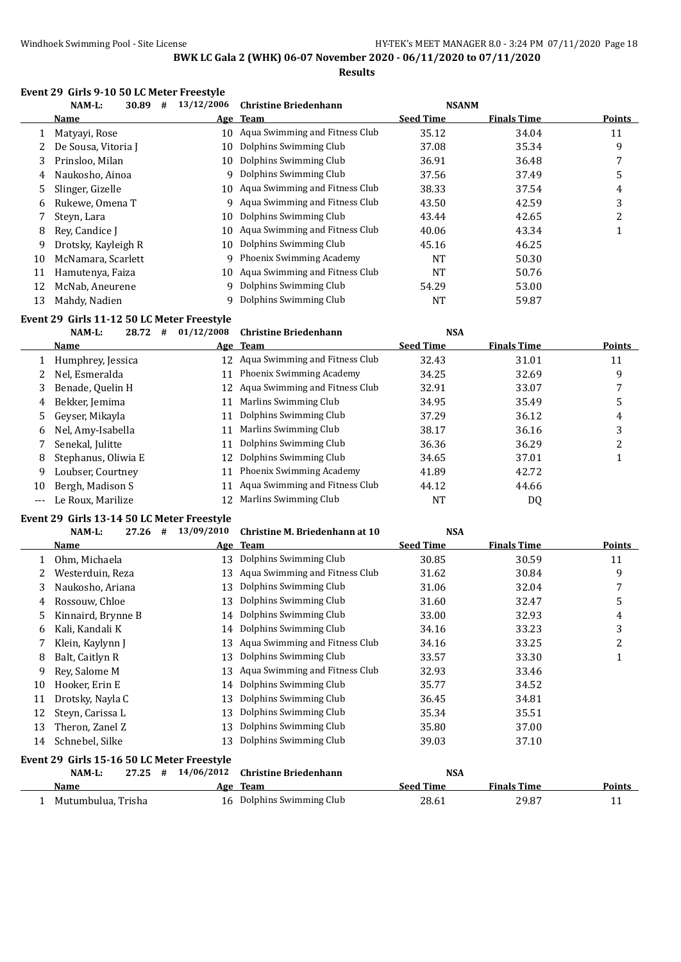**Results**

|    | 30.89<br>$NAM-L$ :<br># | 13/12/2006 | <b>Christine Briedenhann</b>      | <b>NSANM</b>     |                    |        |
|----|-------------------------|------------|-----------------------------------|------------------|--------------------|--------|
|    | Name                    |            | Age Team                          | <b>Seed Time</b> | <b>Finals Time</b> | Points |
|    | Matyayi, Rose           |            | 10 Agua Swimming and Fitness Club | 35.12            | 34.04              | 11     |
|    | De Sousa, Vitoria J     | 10         | Dolphins Swimming Club            | 37.08            | 35.34              | 9      |
| 3. | Prinsloo, Milan         | 10         | Dolphins Swimming Club            | 36.91            | 36.48              |        |
| 4  | Naukosho, Ainoa         |            | 9 Dolphins Swimming Club          | 37.56            | 37.49              | 5      |
| 5. | Slinger, Gizelle        |            | 10 Agua Swimming and Fitness Club | 38.33            | 37.54              | 4      |
| 6  | Rukewe, Omena T         |            | 9 Aqua Swimming and Fitness Club  | 43.50            | 42.59              | 3      |
|    | Steyn, Lara             | 10         | Dolphins Swimming Club            | 43.44            | 42.65              | 2      |
| 8  | Rev. Candice I          | 10         | Aqua Swimming and Fitness Club    | 40.06            | 43.34              |        |
| 9  | Drotsky, Kayleigh R     | 10         | Dolphins Swimming Club            | 45.16            | 46.25              |        |
| 10 | McNamara, Scarlett      |            | 9 Phoenix Swimming Academy        | <b>NT</b>        | 50.30              |        |
| 11 | Hamutenya, Faiza        |            | 10 Aqua Swimming and Fitness Club | <b>NT</b>        | 50.76              |        |
| 12 | McNab, Aneurene         |            | 9 Dolphins Swimming Club          | 54.29            | 53.00              |        |
| 13 | Mahdy, Nadien           | 9          | Dolphins Swimming Club            | NT               | 59.87              |        |

#### **Event 29 Girls 11-12 50 LC Meter Freestyle**

|                     | NAM-L:<br>28.72<br># | 01/12/2008 | <b>Christine Briedenhann</b>      | <b>NSA</b>       |                    |               |
|---------------------|----------------------|------------|-----------------------------------|------------------|--------------------|---------------|
|                     | <b>Name</b>          |            | Age Team                          | <b>Seed Time</b> | <b>Finals Time</b> | <b>Points</b> |
|                     | Humphrey, Jessica    |            | 12 Aqua Swimming and Fitness Club | 32.43            | 31.01              | 11            |
|                     | Nel, Esmeralda       | 11         | Phoenix Swimming Academy          | 34.25            | 32.69              | 9             |
| 3                   | Benade, Quelin H     |            | 12 Aqua Swimming and Fitness Club | 32.91            | 33.07              |               |
| 4                   | Bekker, Jemima       | 11         | Marlins Swimming Club             | 34.95            | 35.49              | 5             |
|                     | 5 Geyser, Mikayla    | 11         | Dolphins Swimming Club            | 37.29            | 36.12              | 4             |
| 6                   | Nel, Amy-Isabella    | 11         | Marlins Swimming Club             | 38.17            | 36.16              | 3             |
|                     | Senekal, Julitte     | 11         | Dolphins Swimming Club            | 36.36            | 36.29              | າ<br>∠        |
| 8                   | Stephanus, Oliwia E  | 12         | Dolphins Swimming Club            | 34.65            | 37.01              |               |
| 9                   | Loubser, Courtney    |            | <b>Phoenix Swimming Academy</b>   | 41.89            | 42.72              |               |
| 10                  | Bergh, Madison S     |            | Aqua Swimming and Fitness Club    | 44.12            | 44.66              |               |
| $\qquad \qquad - -$ | Le Roux, Marilize    |            | Marlins Swimming Club             | NT               | DQ                 |               |

### **Event 29 Girls 13-14 50 LC Meter Freestyle**

#### **NAM-L: 27.26 # 13/09/2010 Christine M. Briedenhann at 10 NSA**

|    | Name                                       |            | Age Team                       | <b>Seed Time</b> | <b>Finals Time</b> | <b>Points</b> |
|----|--------------------------------------------|------------|--------------------------------|------------------|--------------------|---------------|
|    | Ohm, Michaela                              | 13         | Dolphins Swimming Club         | 30.85            | 30.59              | 11            |
|    | Westerduin, Reza                           | 13         | Aqua Swimming and Fitness Club | 31.62            | 30.84              | 9             |
| 3  | Naukosho, Ariana                           | 13         | Dolphins Swimming Club         | 31.06            | 32.04              | 7             |
| 4  | Rossouw, Chloe                             | 13         | Dolphins Swimming Club         | 31.60            | 32.47              | 5             |
| 5  | Kinnaird, Brynne B                         | 14         | Dolphins Swimming Club         | 33.00            | 32.93              | 4             |
| 6  | Kali, Kandali K                            | 14         | Dolphins Swimming Club         | 34.16            | 33.23              | 3             |
|    | Klein, Kaylynn J                           | 13         | Aqua Swimming and Fitness Club | 34.16            | 33.25              | 2             |
| 8  | Balt, Caitlyn R                            | 13         | Dolphins Swimming Club         | 33.57            | 33.30              | 1             |
| 9  | Rey, Salome M                              | 13         | Aqua Swimming and Fitness Club | 32.93            | 33.46              |               |
| 10 | Hooker, Erin E                             | 14         | Dolphins Swimming Club         | 35.77            | 34.52              |               |
| 11 | Drotsky, Nayla C                           | 13         | Dolphins Swimming Club         | 36.45            | 34.81              |               |
| 12 | Steyn, Carissa L                           | 13         | Dolphins Swimming Club         | 35.34            | 35.51              |               |
| 13 | Theron, Zanel Z                            | 13         | Dolphins Swimming Club         | 35.80            | 37.00              |               |
| 14 | Schnebel, Silke                            | 13         | Dolphins Swimming Club         | 39.03            | 37.10              |               |
|    | Event 29 Girls 15-16 50 LC Meter Freestyle |            |                                |                  |                    |               |
|    | NAM-L:<br>27.25<br>#                       | 14/06/2012 | <b>Christine Briedenhann</b>   | <b>NSA</b>       |                    |               |
|    | <b>Name</b>                                |            | Age Team                       | <b>Seed Time</b> | <b>Finals Time</b> | Points        |
|    | Mutumbulua, Trisha                         |            | 16 Dolphins Swimming Club      | 28.61            | 29.87              | 11            |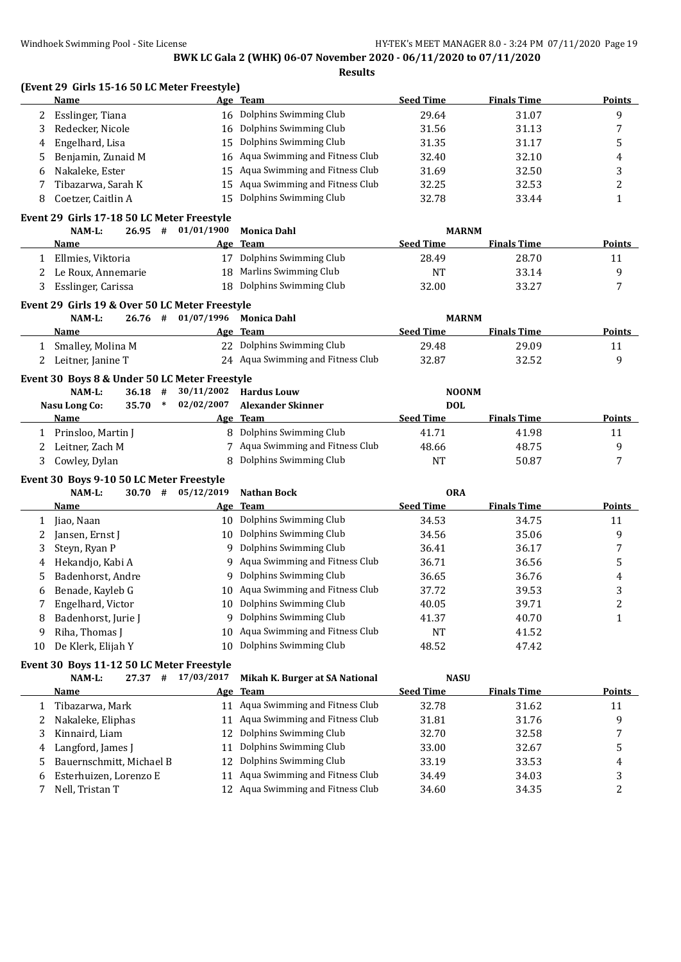**(Event 29 Girls 15-16 50 LC Meter Freestyle) Name Age Team Seed Time Finals Time Points** 2 Esslinger, Tiana 16 Dolphins Swimming Club 29.64 31.07 9 3 Redecker, Nicole 16 Dolphins Swimming Club 31.56 31.13 7 4 Engelhard, Lisa 15 Dolphins Swimming Club 31.35 31.17 5 5 Benjamin, Zunaid M 16 Aqua Swimming and Fitness Club 32.40 32.10 4 6 Nakaleke, Ester 15 Aqua Swimming and Fitness Club 31.69 32.50 3 7 Tibazarwa, Sarah K 15 Aqua Swimming and Fitness Club 32.25 32.53 32.53 32 8 Coetzer, Caitlin A 15 Dolphins Swimming Club 32.78 33.44 33.44 1 **Event 29 Girls 17-18 50 LC Meter Freestyle NAM-L: 26.95 # 01/01/1900 Monica Dahl MARNM Name Age Team Seed Time Finals Time Points** 1 Ellmies, Viktoria 17 Dolphins Swimming Club 28.49 28.70 11 2 Le Roux, Annemarie 18 Marlins Swimming Club 19 NT 33.14 9 3 Esslinger, Carissa 18 Dolphins Swimming Club 32.00 33.27 7 **Event 29 Girls 19 & Over 50 LC Meter Freestyle NAM-L: 26.76 # 01/07/1996 Monica Dahl MARNM Name Age Team Seed Time Finals Time Points** 1 Smalley, Molina M 22 Dolphins Swimming Club 29.48 29.09 11 2 Leitner, Janine T 24 Aqua Swimming and Fitness Club 32.87 32.52 9 **Event 30 Boys 8 & Under 50 LC Meter Freestyle NAM-L: 36.18 # 30/11/2002 Hardus Louw NOONM Nasu Long Co: 35.70 \* 02/02/2007 Alexander Skinner DOL Name Age Team Seed Time Finals Time Points** 1 Prinsloo, Martin J 8 Dolphins Swimming Club 41.71 41.98 11 2 Leitner, Zach M 7 Aqua Swimming and Fitness Club 48.66 48.75 48.75 9 3 Cowley, Dylan **8 Dolphins Swimming Club** 1 NT 50.87 7 **Event 30 Boys 9-10 50 LC Meter Freestyle NAM-L: 30.70 # 05/12/2019 Nathan Bock ORA Name Age Team Seed Time Finals Time Points** 1 Jiao, Naan 10 Dolphins Swimming Club 34.53 34.75 34.75 2 Jansen, Ernst J 10 Dolphins Swimming Club 34.56 35.06 9 3 Steyn, Ryan P 9 Dolphins Swimming Club 36.41 36.17 36.17 7 4 Hekandio, Kabi A 9 Aqua Swimming and Fitness Club 36.71 36.56 36.56 5 Badenhorst, Andre 9 Dolphins Swimming Club 36.65 36.76 4 6 Benade, Kayleb G 10 Aqua Swimming and Fitness Club 37.72 39.53 3 7 Engelhard, Victor 10 Dolphins Swimming Club 40.05 39.71 2 8 Badenhorst, Jurie J 9 Dolphins Swimming Club 41.37 40.70 40.70 1 9 Riha, Thomas J 10 Aqua Swimming and Fitness Club NT 41.52 10 De Klerk, Elijah Y 10 Dolphins Swimming Club 48.52 47.42 **Event 30 Boys 11-12 50 LC Meter Freestyle**<br>NAM-L: 27.37 # 17/03/2017 **NAM-L: 27.37 # 17/03/2017 Mikah K. Burger at SA National NASU Name Age Team Seed Time Finals Time Points** 1 Tibazarwa, Mark 11 Aqua Swimming and Fitness Club 32.78 31.62 11 2 Nakaleke, Eliphas 11 Aqua Swimming and Fitness Club 31.81 31.76 31.76 3 Kinnaird, Liam 12 Dolphins Swimming Club 32.70 32.58 7 4 Langford, James J 11 Dolphins Swimming Club 33.00 32.67 5 5 Bauernschmitt, Michael B 12 Dolphins Swimming Club 33.19 33.53 4 6 Esterhuizen, Lorenzo E 11 Aqua Swimming and Fitness Club 34.49 34.03 3

7 Nell, Tristan T 12 Aqua Swimming and Fitness Club 34.60 34.35 2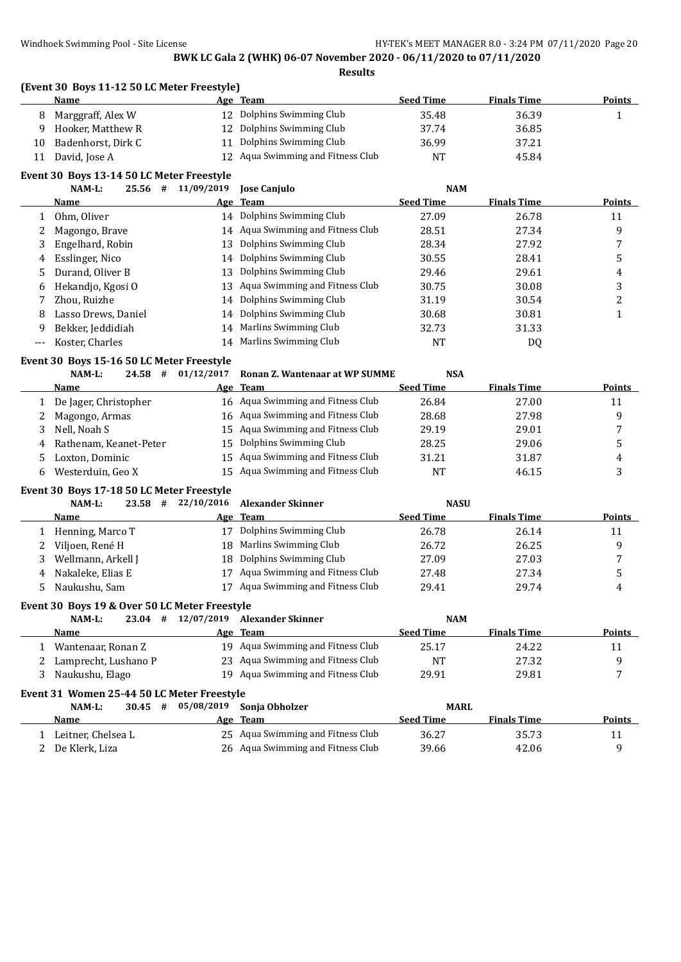## **(Event 30 Boys 11-12 50 LC Meter Freestyle)**

|    | Name               | Age Team                          | <b>Seed Time</b> | <b>Finals Time</b> | Points |
|----|--------------------|-----------------------------------|------------------|--------------------|--------|
|    | Marggraff, Alex W  | 12 Dolphins Swimming Club         | 35.48            | 36.39              |        |
|    | Hooker, Matthew R  | 12 Dolphins Swimming Club         | 37.74            | 36.85              |        |
| 10 | Badenhorst, Dirk C | Dolphins Swimming Club            | 36.99            | 37.21              |        |
|    | David, Jose A      | 12 Agua Swimming and Fitness Club | <b>NT</b>        | 45.84              |        |

# **Event 30 Boys 13-14 50 LC Meter Freestyle**<br>25 56  $\pm$  11/09/2019

|       | NAM-L:              | 25.56 | # | 11/09/2019 | <b>Iose Caniulo</b>               | <b>NAM</b>       |                    |               |
|-------|---------------------|-------|---|------------|-----------------------------------|------------------|--------------------|---------------|
|       | Name                |       |   |            | Age Team                          | <b>Seed Time</b> | <b>Finals Time</b> | <b>Points</b> |
|       | Ohm, Oliver         |       |   |            | 14 Dolphins Swimming Club         | 27.09            | 26.78              | 11            |
|       | Magongo, Brave      |       |   |            | 14 Aqua Swimming and Fitness Club | 28.51            | 27.34              | 9             |
| 3     | Engelhard, Robin    |       |   | 13         | Dolphins Swimming Club            | 28.34            | 27.92              |               |
| 4     | Esslinger, Nico     |       |   |            | 14 Dolphins Swimming Club         | 30.55            | 28.41              | 5             |
| 5.    | Durand, Oliver B    |       |   | 13         | Dolphins Swimming Club            | 29.46            | 29.61              | 4             |
| 6     | Hekandjo, Kgosi O   |       |   |            | 13 Aqua Swimming and Fitness Club | 30.75            | 30.08              | 3             |
|       | Zhou. Ruizhe        |       |   | 14         | Dolphins Swimming Club            | 31.19            | 30.54              | ำ             |
| 8     | Lasso Drews, Daniel |       |   | 14         | Dolphins Swimming Club            | 30.68            | 30.81              |               |
| 9     | Bekker, Jeddidiah   |       |   | 14         | Marlins Swimming Club             | 32.73            | 31.33              |               |
| $---$ | Koster, Charles     |       |   | 14         | Marlins Swimming Club             | NT               | DQ                 |               |

#### **Event 30 Boys 15-16 50 LC Meter Freestyle**

| NAM-L: |  | $24.58$ # $01/12/2017$ Ronan Z. Wantenaar at WP SUMME | <b>NSA</b> |
|--------|--|-------------------------------------------------------|------------|

| Name                     | Age Team                          | <b>Seed Time</b> | <b>Finals Time</b> | <b>Points</b> |
|--------------------------|-----------------------------------|------------------|--------------------|---------------|
| De Jager, Christopher    | 16 Agua Swimming and Fitness Club | 26.84            | 27.00              | 11            |
| Magongo, Armas           | 16 Aqua Swimming and Fitness Club | 28.68            | 27.98              |               |
| Nell, Noah S             | 15 Agua Swimming and Fitness Club | 29.19            | 29.01              |               |
| 4 Rathenam, Keanet-Peter | 15 Dolphins Swimming Club         | 28.25            | 29.06              |               |
| Loxton, Dominic          | 15 Agua Swimming and Fitness Club | 31.21            | 31.87              | 4             |
| Westerduin, Geo X        | 15 Agua Swimming and Fitness Club | NΤ               | 46.15              |               |

#### **Event 30 Boys 17-18 50 LC Meter Freestyle**

| NAM-L:                | 23.58 | # |    | 22/10/2016 Alexander Skinner      | <b>NASU</b>      |                    |               |
|-----------------------|-------|---|----|-----------------------------------|------------------|--------------------|---------------|
| <b>Name</b>           |       |   |    | Age Team                          | <b>Seed Time</b> | <b>Finals Time</b> | <b>Points</b> |
| 1 Henning, Marco T    |       |   | 17 | Dolphins Swimming Club            | 26.78            | 26.14              | 11            |
| 2 – Viljoen, René H   |       |   |    | 18 Marlins Swimming Club          | 26.72            | 26.25              |               |
| 3 Wellmann, Arkell J  |       |   |    | 18 Dolphins Swimming Club         | 27.09            | 27.03              |               |
| 4 – Nakaleke, Elias E |       |   |    | 17 Aqua Swimming and Fitness Club | 27.48            | 27.34              |               |
| 5 Naukushu, Sam       |       |   | 17 | Aqua Swimming and Fitness Club    | 29.41            | 29.74              | 4             |

#### **Event 30 Boys 19 & Over 50 LC Meter Freestyle**

| NAM-L:<br>23.04      | 12/07/2019<br># | Alexander Skinner                 | <b>NAM</b>       |                    |               |
|----------------------|-----------------|-----------------------------------|------------------|--------------------|---------------|
| Name                 |                 | Age Team                          | <b>Seed Time</b> | <b>Finals Time</b> | <b>Points</b> |
| Wantenaar, Ronan Z   |                 | 19 Aqua Swimming and Fitness Club | 25.17            | 24.22              | 11            |
| Lamprecht, Lushano P |                 | 23 Agua Swimming and Fitness Club | NT               | 27.32              |               |
| Naukushu, Elago      |                 | Aqua Swimming and Fitness Club    | 29.91            | 29.81              |               |

#### **Event 31 Women 25-44 50 LC Meter Freestyle**

| $NAM-L$ :          | #<br>30.45 | 05/08/2019 | Sonia Obholzer                    | <b>MARL</b>      |                    |               |
|--------------------|------------|------------|-----------------------------------|------------------|--------------------|---------------|
| Name               |            |            | Age Team                          | <b>Seed Time</b> | <b>Finals Time</b> | <b>Points</b> |
| Leitner, Chelsea L |            |            | 25 Agua Swimming and Fitness Club | 36.27            | 35.73              |               |
| De Klerk, Liza     |            |            | 26 Agua Swimming and Fitness Club | 39.66            | 42.06              |               |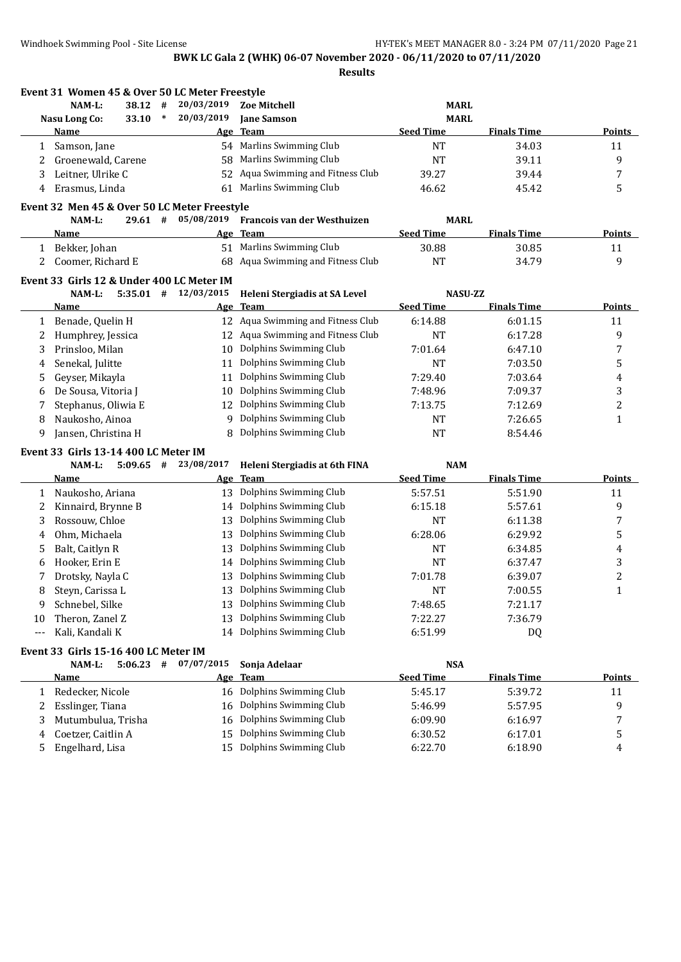**Results**

|              | Event 31 Women 45 & Over 50 LC Meter Freestyle |             |        |            |                                   |                  |                    |                |
|--------------|------------------------------------------------|-------------|--------|------------|-----------------------------------|------------------|--------------------|----------------|
|              | NAM-L:                                         | 38.12 #     |        | 20/03/2019 | <b>Zoe Mitchell</b>               | <b>MARL</b>      |                    |                |
|              | <b>Nasu Long Co:</b>                           | 33.10       | $\ast$ | 20/03/2019 | <b>Jane Samson</b>                | <b>MARL</b>      |                    |                |
|              | Name                                           |             |        |            | Age Team                          | <b>Seed Time</b> | <b>Finals Time</b> | <b>Points</b>  |
| 1            | Samson, Jane                                   |             |        |            | 54 Marlins Swimming Club          | <b>NT</b>        | 34.03              | 11             |
| 2            | Groenewald, Carene                             |             |        | 58         | Marlins Swimming Club             | <b>NT</b>        | 39.11              | 9              |
| 3            | Leitner, Ulrike C                              |             |        | 52         | Aqua Swimming and Fitness Club    | 39.27            | 39.44              | 7              |
| 4            | Erasmus, Linda                                 |             |        | 61         | Marlins Swimming Club             | 46.62            | 45.42              | 5              |
|              | Event 32 Men 45 & Over 50 LC Meter Freestyle   |             |        |            |                                   |                  |                    |                |
|              | NAM-L:                                         | $29.61$ #   |        | 05/08/2019 | Francois van der Westhuizen       | <b>MARL</b>      |                    |                |
|              | Name                                           |             |        |            | Age Team                          | <b>Seed Time</b> | <b>Finals Time</b> | <b>Points</b>  |
| $\mathbf{1}$ | Bekker, Johan                                  |             |        |            | 51 Marlins Swimming Club          | 30.88            | 30.85              | 11             |
| 2            | Coomer, Richard E                              |             |        | 68         | Aqua Swimming and Fitness Club    | <b>NT</b>        | 34.79              | 9              |
|              |                                                |             |        |            |                                   |                  |                    |                |
|              | Event 33 Girls 12 & Under 400 LC Meter IM      |             |        |            |                                   |                  |                    |                |
|              | NAM-L:                                         | $5:35.01$ # |        | 12/03/2015 | Heleni Stergiadis at SA Level     | <b>NASU-ZZ</b>   |                    |                |
|              | <u>Name</u>                                    |             |        |            | Age Team                          | <b>Seed Time</b> | <b>Finals Time</b> | <b>Points</b>  |
| 1            | Benade, Quelin H                               |             |        |            | 12 Aqua Swimming and Fitness Club | 6:14.88          | 6:01.15            | 11             |
| 2            | Humphrey, Jessica                              |             |        | 12         | Aqua Swimming and Fitness Club    | <b>NT</b>        | 6:17.28            | 9              |
| 3            | Prinsloo, Milan                                |             |        | 10         | Dolphins Swimming Club            | 7:01.64          | 6:47.10            | 7              |
| 4            | Senekal, Julitte                               |             |        | 11         | Dolphins Swimming Club            | <b>NT</b>        | 7:03.50            | 5              |
| 5            | Geyser, Mikayla                                |             |        | 11         | Dolphins Swimming Club            | 7:29.40          | 7:03.64            | 4              |
| 6            | De Sousa, Vitoria J                            |             |        | 10         | Dolphins Swimming Club            | 7:48.96          | 7:09.37            | 3              |
| 7            | Stephanus, Oliwia E                            |             |        | 12         | Dolphins Swimming Club            | 7:13.75          | 7:12.69            | $\overline{c}$ |
| 8            | Naukosho, Ainoa                                |             |        | 9          | Dolphins Swimming Club            | <b>NT</b>        | 7:26.65            | $\mathbf{1}$   |
| 9            | Jansen, Christina H                            |             |        | 8          | Dolphins Swimming Club            | <b>NT</b>        | 8:54.46            |                |
|              | Event 33 Girls 13-14 400 LC Meter IM           |             |        |            |                                   |                  |                    |                |
|              | NAM-L:                                         | $5:09.65$ # |        | 23/08/2017 | Heleni Stergiadis at 6th FINA     | <b>NAM</b>       |                    |                |
|              | <b>Name</b>                                    |             |        |            | Age Team                          | <b>Seed Time</b> | <b>Finals Time</b> | <b>Points</b>  |
| 1            | Naukosho, Ariana                               |             |        | 13         | Dolphins Swimming Club            | 5:57.51          | 5:51.90            | 11             |
| 2            | Kinnaird, Brynne B                             |             |        | 14         | Dolphins Swimming Club            | 6:15.18          | 5:57.61            | 9              |
| 3            | Rossouw, Chloe                                 |             |        | 13         | Dolphins Swimming Club            | <b>NT</b>        | 6:11.38            | 7              |
| 4            | Ohm, Michaela                                  |             |        | 13         | Dolphins Swimming Club            | 6:28.06          | 6:29.92            | 5              |
| 5            | Balt, Caitlyn R                                |             |        | 13         | Dolphins Swimming Club            | NT               | 6:34.85            | 4              |
| 6            | Hooker, Erin E                                 |             |        | 14         | Dolphins Swimming Club            | <b>NT</b>        | 6:37.47            | 3              |
| 7            | Drotsky, Nayla C                               |             |        | 13         | Dolphins Swimming Club            | 7:01.78          | 6:39.07            | $\overline{c}$ |
| 8            | Steyn, Carissa L                               |             |        |            | 13 Dolphins Swimming Club         | <b>NT</b>        | 7:00.55            | $\mathbf{1}$   |
| 9            | Schnebel, Silke                                |             |        | 13         | Dolphins Swimming Club            | 7:48.65          | 7:21.17            |                |
| 10           | Theron, Zanel Z                                |             |        | 13         | Dolphins Swimming Club            | 7:22.27          | 7:36.79            |                |
| ---          | Kali, Kandali K                                |             |        | 14         | Dolphins Swimming Club            | 6:51.99          | DQ                 |                |
|              |                                                |             |        |            |                                   |                  |                    |                |
|              | Event 33 Girls 15-16 400 LC Meter IM           |             |        |            |                                   |                  |                    |                |
|              | NAM-L:                                         | $5:06.23$ # |        | 07/07/2015 | Sonja Adelaar                     | <b>NSA</b>       |                    |                |
|              | <b>Name</b>                                    |             |        |            | Age Team                          | <b>Seed Time</b> | <b>Finals Time</b> | <b>Points</b>  |
|              | 1 Redecker, Nicole                             |             |        |            | 16 Dolphins Swimming Club         | 5:45.17          | 5:39.72            | 11             |
| 2            | Esslinger, Tiana                               |             |        | 16         | Dolphins Swimming Club            | 5:46.99          | 5:57.95            | 9              |
| 3            | Mutumbulua, Trisha                             |             |        | 16         | Dolphins Swimming Club            | 6:09.90          | 6:16.97            | 7              |
| 4            | Coetzer, Caitlin A                             |             |        | 15         | Dolphins Swimming Club            | 6:30.52          | 6:17.01            | 5              |
| 5            | Engelhard, Lisa                                |             |        | 15         | Dolphins Swimming Club            | 6:22.70          | 6:18.90            | 4              |
|              |                                                |             |        |            |                                   |                  |                    |                |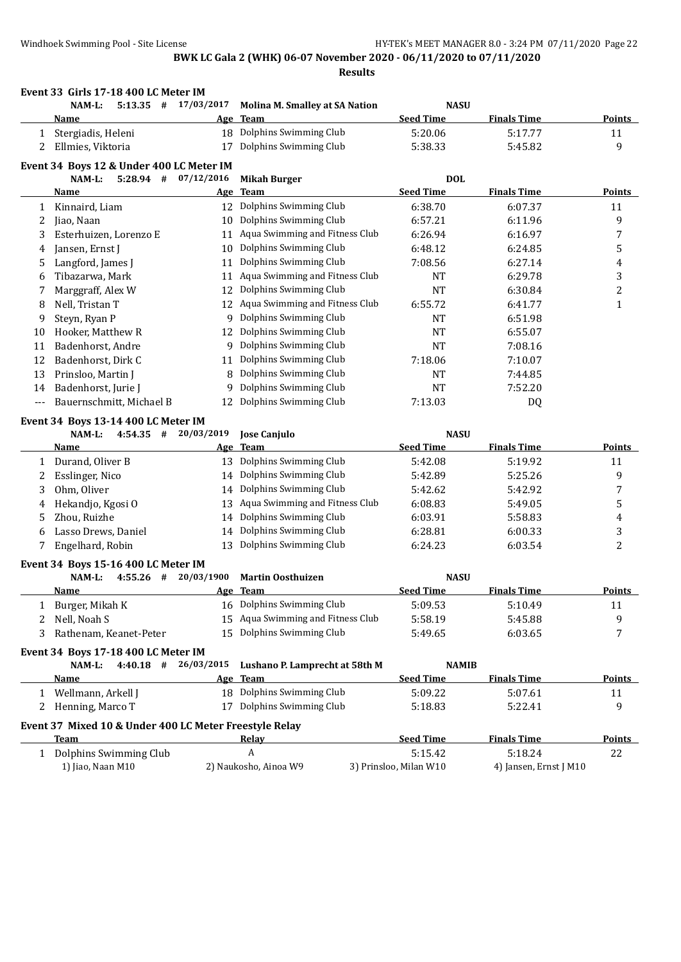**Results**

| <b>Seed Time</b><br><b>Finals Time</b><br><b>Team</b><br>Name<br><u>Age</u><br>18 Dolphins Swimming Club<br>Stergiadis, Heleni<br>5:20.06<br>5:17.77<br>1<br>Dolphins Swimming Club<br>Ellmies, Viktoria<br>2<br>17<br>5:38.33<br>5:45.82<br>Event 34 Boys 12 & Under 400 LC Meter IM<br>$5:28.94$ #<br>07/12/2016<br><b>Mikah Burger</b><br><b>DOL</b><br>NAM-L:<br><b>Seed Time</b><br><b>Finals Time</b><br>Age Team<br>Name<br>Dolphins Swimming Club<br>6:38.70<br>12<br>6:07.37<br>Kinnaird, Liam<br>1<br>Dolphins Swimming Club<br>6:57.21<br>2<br>Jiao, Naan<br>10<br>6:11.96<br>Aqua Swimming and Fitness Club<br>Esterhuizen, Lorenzo E<br>6:26.94<br>3<br>6:16.97<br>11<br>Dolphins Swimming Club<br>6:48.12<br>Jansen, Ernst J<br>10<br>6:24.85<br>4<br>Dolphins Swimming Club<br>Langford, James J<br>7:08.56<br>11<br>6:27.14<br>5<br>Aqua Swimming and Fitness Club<br>Tibazarwa, Mark<br>NT<br>6:29.78<br>11<br>6<br>Dolphins Swimming Club<br>Marggraff, Alex W<br>12<br>NT<br>6:30.84<br>7<br>12 Aqua Swimming and Fitness Club<br>Nell, Tristan T<br>6:55.72<br>6:41.77<br>8<br>Dolphins Swimming Club<br>Steyn, Ryan P<br><b>NT</b><br>6:51.98<br>9<br>9<br>12 Dolphins Swimming Club<br>Hooker, Matthew R<br>NT<br>6:55.07<br>10<br>9 Dolphins Swimming Club<br>Badenhorst, Andre<br><b>NT</b><br>7:08.16<br>11<br>Dolphins Swimming Club<br>Badenhorst, Dirk C<br>7:18.06<br>7:10.07<br>12<br>11<br>Dolphins Swimming Club<br>Prinsloo, Martin J<br><b>NT</b><br>13<br>8<br>7:44.85<br>Dolphins Swimming Club<br>Badenhorst, Jurie J<br><b>NT</b><br>7:52.20<br>9<br>14<br>Dolphins Swimming Club<br>Bauernschmitt, Michael B<br>7:13.03<br>12<br>DQ<br>---<br>Event 34 Boys 13-14 400 LC Meter IM<br>20/03/2019<br><b>Jose Canjulo</b><br><b>NASU</b><br>NAM-L:<br>$4:54.35$ #<br><b>Seed Time</b><br><b>Finals Time</b><br><b>Team</b><br>Name<br><u>Age</u><br>13 Dolphins Swimming Club<br>Durand, Oliver B<br>5:42.08<br>5:19.92<br>1<br>Dolphins Swimming Club<br>Esslinger, Nico<br>5:42.89<br>5:25.26<br>2<br>14<br>Dolphins Swimming Club<br>Ohm, Oliver<br>3<br>5:42.62<br>5:42.92<br>14<br>Aqua Swimming and Fitness Club<br>Hekandjo, Kgosi O<br>6:08.83<br>5:49.05<br>13<br>4<br>Dolphins Swimming Club<br>Zhou, Ruizhe<br>5:58.83<br>6:03.91<br>5<br>14<br>Dolphins Swimming Club<br>Lasso Drews, Daniel<br>6:00.33<br>6:28.81<br>6<br>14<br>Dolphins Swimming Club<br>Engelhard, Robin<br>6:24.23<br>6:03.54<br>7<br>13<br>Event 34 Boys 15-16 400 LC Meter IM<br>20/03/1900<br><b>Martin Oosthuizen</b><br><b>NASU</b><br>NAM-L:<br>$4:55.26$ #<br><b>Seed Time</b><br><b>Finals Time</b><br>Age Team<br><u>Name</u><br>Dolphins Swimming Club<br>5:09.53<br>Burger, Mikah K<br>5:10.49<br>16<br>Aqua Swimming and Fitness Club<br>Nell, Noah S<br>5:58.19<br>5:45.88<br>15<br>2<br>Dolphins Swimming Club<br>Rathenam, Keanet-Peter<br>15<br>5:49.65<br>3<br>6:03.65<br>Event 34 Boys 17-18 400 LC Meter IM<br>$4:40.18$ #<br>26/03/2015<br>Lushano P. Lamprecht at 58th M<br>NAM-L:<br><b>NAMIB</b><br><b>Seed Time</b><br><b>Finals Time</b><br>Age Team<br><u>Name</u><br>18 Dolphins Swimming Club<br>5:07.61<br>1 Wellmann, Arkell J<br>5:09.22<br>17 Dolphins Swimming Club<br>Henning, Marco T<br>5:22.41<br>5:18.83<br>2<br>Event 37 Mixed 10 & Under 400 LC Meter Freestyle Relay<br><b>Seed Time</b><br><b>Team</b><br><b>Finals Time</b><br><b>Relay</b><br>Dolphins Swimming Club<br>A<br>5:15.42<br>5:18.24<br>$1 \quad$ | Event 33 Girls 17-18 400 LC Meter IM<br>NAM-L:<br>$5:13.35$ # | 17/03/2017 | <b>Molina M. Smalley at SA Nation</b> | <b>NASU</b> |               |
|------------------------------------------------------------------------------------------------------------------------------------------------------------------------------------------------------------------------------------------------------------------------------------------------------------------------------------------------------------------------------------------------------------------------------------------------------------------------------------------------------------------------------------------------------------------------------------------------------------------------------------------------------------------------------------------------------------------------------------------------------------------------------------------------------------------------------------------------------------------------------------------------------------------------------------------------------------------------------------------------------------------------------------------------------------------------------------------------------------------------------------------------------------------------------------------------------------------------------------------------------------------------------------------------------------------------------------------------------------------------------------------------------------------------------------------------------------------------------------------------------------------------------------------------------------------------------------------------------------------------------------------------------------------------------------------------------------------------------------------------------------------------------------------------------------------------------------------------------------------------------------------------------------------------------------------------------------------------------------------------------------------------------------------------------------------------------------------------------------------------------------------------------------------------------------------------------------------------------------------------------------------------------------------------------------------------------------------------------------------------------------------------------------------------------------------------------------------------------------------------------------------------------------------------------------------------------------------------------------------------------------------------------------------------------------------------------------------------------------------------------------------------------------------------------------------------------------------------------------------------------------------------------------------------------------------------------------------------------------------------------------------------------------------------------------------------------------------------------------------------------------------------------------------------------------------------------------------------------------------------------------------------------------------------------------------------------------------------------------------------------------------------------------------------------------------------------------------------------|---------------------------------------------------------------|------------|---------------------------------------|-------------|---------------|
|                                                                                                                                                                                                                                                                                                                                                                                                                                                                                                                                                                                                                                                                                                                                                                                                                                                                                                                                                                                                                                                                                                                                                                                                                                                                                                                                                                                                                                                                                                                                                                                                                                                                                                                                                                                                                                                                                                                                                                                                                                                                                                                                                                                                                                                                                                                                                                                                                                                                                                                                                                                                                                                                                                                                                                                                                                                                                                                                                                                                                                                                                                                                                                                                                                                                                                                                                                                                                                                                              |                                                               |            |                                       |             | Points        |
|                                                                                                                                                                                                                                                                                                                                                                                                                                                                                                                                                                                                                                                                                                                                                                                                                                                                                                                                                                                                                                                                                                                                                                                                                                                                                                                                                                                                                                                                                                                                                                                                                                                                                                                                                                                                                                                                                                                                                                                                                                                                                                                                                                                                                                                                                                                                                                                                                                                                                                                                                                                                                                                                                                                                                                                                                                                                                                                                                                                                                                                                                                                                                                                                                                                                                                                                                                                                                                                                              |                                                               |            |                                       |             | 11            |
|                                                                                                                                                                                                                                                                                                                                                                                                                                                                                                                                                                                                                                                                                                                                                                                                                                                                                                                                                                                                                                                                                                                                                                                                                                                                                                                                                                                                                                                                                                                                                                                                                                                                                                                                                                                                                                                                                                                                                                                                                                                                                                                                                                                                                                                                                                                                                                                                                                                                                                                                                                                                                                                                                                                                                                                                                                                                                                                                                                                                                                                                                                                                                                                                                                                                                                                                                                                                                                                                              |                                                               |            |                                       |             | 9             |
|                                                                                                                                                                                                                                                                                                                                                                                                                                                                                                                                                                                                                                                                                                                                                                                                                                                                                                                                                                                                                                                                                                                                                                                                                                                                                                                                                                                                                                                                                                                                                                                                                                                                                                                                                                                                                                                                                                                                                                                                                                                                                                                                                                                                                                                                                                                                                                                                                                                                                                                                                                                                                                                                                                                                                                                                                                                                                                                                                                                                                                                                                                                                                                                                                                                                                                                                                                                                                                                                              |                                                               |            |                                       |             |               |
|                                                                                                                                                                                                                                                                                                                                                                                                                                                                                                                                                                                                                                                                                                                                                                                                                                                                                                                                                                                                                                                                                                                                                                                                                                                                                                                                                                                                                                                                                                                                                                                                                                                                                                                                                                                                                                                                                                                                                                                                                                                                                                                                                                                                                                                                                                                                                                                                                                                                                                                                                                                                                                                                                                                                                                                                                                                                                                                                                                                                                                                                                                                                                                                                                                                                                                                                                                                                                                                                              |                                                               |            |                                       |             |               |
|                                                                                                                                                                                                                                                                                                                                                                                                                                                                                                                                                                                                                                                                                                                                                                                                                                                                                                                                                                                                                                                                                                                                                                                                                                                                                                                                                                                                                                                                                                                                                                                                                                                                                                                                                                                                                                                                                                                                                                                                                                                                                                                                                                                                                                                                                                                                                                                                                                                                                                                                                                                                                                                                                                                                                                                                                                                                                                                                                                                                                                                                                                                                                                                                                                                                                                                                                                                                                                                                              |                                                               |            |                                       |             | <b>Points</b> |
|                                                                                                                                                                                                                                                                                                                                                                                                                                                                                                                                                                                                                                                                                                                                                                                                                                                                                                                                                                                                                                                                                                                                                                                                                                                                                                                                                                                                                                                                                                                                                                                                                                                                                                                                                                                                                                                                                                                                                                                                                                                                                                                                                                                                                                                                                                                                                                                                                                                                                                                                                                                                                                                                                                                                                                                                                                                                                                                                                                                                                                                                                                                                                                                                                                                                                                                                                                                                                                                                              |                                                               |            |                                       |             | 11            |
|                                                                                                                                                                                                                                                                                                                                                                                                                                                                                                                                                                                                                                                                                                                                                                                                                                                                                                                                                                                                                                                                                                                                                                                                                                                                                                                                                                                                                                                                                                                                                                                                                                                                                                                                                                                                                                                                                                                                                                                                                                                                                                                                                                                                                                                                                                                                                                                                                                                                                                                                                                                                                                                                                                                                                                                                                                                                                                                                                                                                                                                                                                                                                                                                                                                                                                                                                                                                                                                                              |                                                               |            |                                       |             | 9             |
|                                                                                                                                                                                                                                                                                                                                                                                                                                                                                                                                                                                                                                                                                                                                                                                                                                                                                                                                                                                                                                                                                                                                                                                                                                                                                                                                                                                                                                                                                                                                                                                                                                                                                                                                                                                                                                                                                                                                                                                                                                                                                                                                                                                                                                                                                                                                                                                                                                                                                                                                                                                                                                                                                                                                                                                                                                                                                                                                                                                                                                                                                                                                                                                                                                                                                                                                                                                                                                                                              |                                                               |            |                                       |             | 7             |
|                                                                                                                                                                                                                                                                                                                                                                                                                                                                                                                                                                                                                                                                                                                                                                                                                                                                                                                                                                                                                                                                                                                                                                                                                                                                                                                                                                                                                                                                                                                                                                                                                                                                                                                                                                                                                                                                                                                                                                                                                                                                                                                                                                                                                                                                                                                                                                                                                                                                                                                                                                                                                                                                                                                                                                                                                                                                                                                                                                                                                                                                                                                                                                                                                                                                                                                                                                                                                                                                              |                                                               |            |                                       |             | 5             |
|                                                                                                                                                                                                                                                                                                                                                                                                                                                                                                                                                                                                                                                                                                                                                                                                                                                                                                                                                                                                                                                                                                                                                                                                                                                                                                                                                                                                                                                                                                                                                                                                                                                                                                                                                                                                                                                                                                                                                                                                                                                                                                                                                                                                                                                                                                                                                                                                                                                                                                                                                                                                                                                                                                                                                                                                                                                                                                                                                                                                                                                                                                                                                                                                                                                                                                                                                                                                                                                                              |                                                               |            |                                       |             | 4             |
|                                                                                                                                                                                                                                                                                                                                                                                                                                                                                                                                                                                                                                                                                                                                                                                                                                                                                                                                                                                                                                                                                                                                                                                                                                                                                                                                                                                                                                                                                                                                                                                                                                                                                                                                                                                                                                                                                                                                                                                                                                                                                                                                                                                                                                                                                                                                                                                                                                                                                                                                                                                                                                                                                                                                                                                                                                                                                                                                                                                                                                                                                                                                                                                                                                                                                                                                                                                                                                                                              |                                                               |            |                                       |             | 3             |
|                                                                                                                                                                                                                                                                                                                                                                                                                                                                                                                                                                                                                                                                                                                                                                                                                                                                                                                                                                                                                                                                                                                                                                                                                                                                                                                                                                                                                                                                                                                                                                                                                                                                                                                                                                                                                                                                                                                                                                                                                                                                                                                                                                                                                                                                                                                                                                                                                                                                                                                                                                                                                                                                                                                                                                                                                                                                                                                                                                                                                                                                                                                                                                                                                                                                                                                                                                                                                                                                              |                                                               |            |                                       |             | 2             |
|                                                                                                                                                                                                                                                                                                                                                                                                                                                                                                                                                                                                                                                                                                                                                                                                                                                                                                                                                                                                                                                                                                                                                                                                                                                                                                                                                                                                                                                                                                                                                                                                                                                                                                                                                                                                                                                                                                                                                                                                                                                                                                                                                                                                                                                                                                                                                                                                                                                                                                                                                                                                                                                                                                                                                                                                                                                                                                                                                                                                                                                                                                                                                                                                                                                                                                                                                                                                                                                                              |                                                               |            |                                       |             | 1             |
|                                                                                                                                                                                                                                                                                                                                                                                                                                                                                                                                                                                                                                                                                                                                                                                                                                                                                                                                                                                                                                                                                                                                                                                                                                                                                                                                                                                                                                                                                                                                                                                                                                                                                                                                                                                                                                                                                                                                                                                                                                                                                                                                                                                                                                                                                                                                                                                                                                                                                                                                                                                                                                                                                                                                                                                                                                                                                                                                                                                                                                                                                                                                                                                                                                                                                                                                                                                                                                                                              |                                                               |            |                                       |             |               |
|                                                                                                                                                                                                                                                                                                                                                                                                                                                                                                                                                                                                                                                                                                                                                                                                                                                                                                                                                                                                                                                                                                                                                                                                                                                                                                                                                                                                                                                                                                                                                                                                                                                                                                                                                                                                                                                                                                                                                                                                                                                                                                                                                                                                                                                                                                                                                                                                                                                                                                                                                                                                                                                                                                                                                                                                                                                                                                                                                                                                                                                                                                                                                                                                                                                                                                                                                                                                                                                                              |                                                               |            |                                       |             |               |
|                                                                                                                                                                                                                                                                                                                                                                                                                                                                                                                                                                                                                                                                                                                                                                                                                                                                                                                                                                                                                                                                                                                                                                                                                                                                                                                                                                                                                                                                                                                                                                                                                                                                                                                                                                                                                                                                                                                                                                                                                                                                                                                                                                                                                                                                                                                                                                                                                                                                                                                                                                                                                                                                                                                                                                                                                                                                                                                                                                                                                                                                                                                                                                                                                                                                                                                                                                                                                                                                              |                                                               |            |                                       |             |               |
|                                                                                                                                                                                                                                                                                                                                                                                                                                                                                                                                                                                                                                                                                                                                                                                                                                                                                                                                                                                                                                                                                                                                                                                                                                                                                                                                                                                                                                                                                                                                                                                                                                                                                                                                                                                                                                                                                                                                                                                                                                                                                                                                                                                                                                                                                                                                                                                                                                                                                                                                                                                                                                                                                                                                                                                                                                                                                                                                                                                                                                                                                                                                                                                                                                                                                                                                                                                                                                                                              |                                                               |            |                                       |             |               |
|                                                                                                                                                                                                                                                                                                                                                                                                                                                                                                                                                                                                                                                                                                                                                                                                                                                                                                                                                                                                                                                                                                                                                                                                                                                                                                                                                                                                                                                                                                                                                                                                                                                                                                                                                                                                                                                                                                                                                                                                                                                                                                                                                                                                                                                                                                                                                                                                                                                                                                                                                                                                                                                                                                                                                                                                                                                                                                                                                                                                                                                                                                                                                                                                                                                                                                                                                                                                                                                                              |                                                               |            |                                       |             |               |
|                                                                                                                                                                                                                                                                                                                                                                                                                                                                                                                                                                                                                                                                                                                                                                                                                                                                                                                                                                                                                                                                                                                                                                                                                                                                                                                                                                                                                                                                                                                                                                                                                                                                                                                                                                                                                                                                                                                                                                                                                                                                                                                                                                                                                                                                                                                                                                                                                                                                                                                                                                                                                                                                                                                                                                                                                                                                                                                                                                                                                                                                                                                                                                                                                                                                                                                                                                                                                                                                              |                                                               |            |                                       |             |               |
|                                                                                                                                                                                                                                                                                                                                                                                                                                                                                                                                                                                                                                                                                                                                                                                                                                                                                                                                                                                                                                                                                                                                                                                                                                                                                                                                                                                                                                                                                                                                                                                                                                                                                                                                                                                                                                                                                                                                                                                                                                                                                                                                                                                                                                                                                                                                                                                                                                                                                                                                                                                                                                                                                                                                                                                                                                                                                                                                                                                                                                                                                                                                                                                                                                                                                                                                                                                                                                                                              |                                                               |            |                                       |             |               |
|                                                                                                                                                                                                                                                                                                                                                                                                                                                                                                                                                                                                                                                                                                                                                                                                                                                                                                                                                                                                                                                                                                                                                                                                                                                                                                                                                                                                                                                                                                                                                                                                                                                                                                                                                                                                                                                                                                                                                                                                                                                                                                                                                                                                                                                                                                                                                                                                                                                                                                                                                                                                                                                                                                                                                                                                                                                                                                                                                                                                                                                                                                                                                                                                                                                                                                                                                                                                                                                                              |                                                               |            |                                       |             |               |
|                                                                                                                                                                                                                                                                                                                                                                                                                                                                                                                                                                                                                                                                                                                                                                                                                                                                                                                                                                                                                                                                                                                                                                                                                                                                                                                                                                                                                                                                                                                                                                                                                                                                                                                                                                                                                                                                                                                                                                                                                                                                                                                                                                                                                                                                                                                                                                                                                                                                                                                                                                                                                                                                                                                                                                                                                                                                                                                                                                                                                                                                                                                                                                                                                                                                                                                                                                                                                                                                              |                                                               |            |                                       |             |               |
|                                                                                                                                                                                                                                                                                                                                                                                                                                                                                                                                                                                                                                                                                                                                                                                                                                                                                                                                                                                                                                                                                                                                                                                                                                                                                                                                                                                                                                                                                                                                                                                                                                                                                                                                                                                                                                                                                                                                                                                                                                                                                                                                                                                                                                                                                                                                                                                                                                                                                                                                                                                                                                                                                                                                                                                                                                                                                                                                                                                                                                                                                                                                                                                                                                                                                                                                                                                                                                                                              |                                                               |            |                                       |             | <b>Points</b> |
|                                                                                                                                                                                                                                                                                                                                                                                                                                                                                                                                                                                                                                                                                                                                                                                                                                                                                                                                                                                                                                                                                                                                                                                                                                                                                                                                                                                                                                                                                                                                                                                                                                                                                                                                                                                                                                                                                                                                                                                                                                                                                                                                                                                                                                                                                                                                                                                                                                                                                                                                                                                                                                                                                                                                                                                                                                                                                                                                                                                                                                                                                                                                                                                                                                                                                                                                                                                                                                                                              |                                                               |            |                                       |             | 11            |
|                                                                                                                                                                                                                                                                                                                                                                                                                                                                                                                                                                                                                                                                                                                                                                                                                                                                                                                                                                                                                                                                                                                                                                                                                                                                                                                                                                                                                                                                                                                                                                                                                                                                                                                                                                                                                                                                                                                                                                                                                                                                                                                                                                                                                                                                                                                                                                                                                                                                                                                                                                                                                                                                                                                                                                                                                                                                                                                                                                                                                                                                                                                                                                                                                                                                                                                                                                                                                                                                              |                                                               |            |                                       |             |               |
|                                                                                                                                                                                                                                                                                                                                                                                                                                                                                                                                                                                                                                                                                                                                                                                                                                                                                                                                                                                                                                                                                                                                                                                                                                                                                                                                                                                                                                                                                                                                                                                                                                                                                                                                                                                                                                                                                                                                                                                                                                                                                                                                                                                                                                                                                                                                                                                                                                                                                                                                                                                                                                                                                                                                                                                                                                                                                                                                                                                                                                                                                                                                                                                                                                                                                                                                                                                                                                                                              |                                                               |            |                                       |             | 9<br>7        |
|                                                                                                                                                                                                                                                                                                                                                                                                                                                                                                                                                                                                                                                                                                                                                                                                                                                                                                                                                                                                                                                                                                                                                                                                                                                                                                                                                                                                                                                                                                                                                                                                                                                                                                                                                                                                                                                                                                                                                                                                                                                                                                                                                                                                                                                                                                                                                                                                                                                                                                                                                                                                                                                                                                                                                                                                                                                                                                                                                                                                                                                                                                                                                                                                                                                                                                                                                                                                                                                                              |                                                               |            |                                       |             |               |
|                                                                                                                                                                                                                                                                                                                                                                                                                                                                                                                                                                                                                                                                                                                                                                                                                                                                                                                                                                                                                                                                                                                                                                                                                                                                                                                                                                                                                                                                                                                                                                                                                                                                                                                                                                                                                                                                                                                                                                                                                                                                                                                                                                                                                                                                                                                                                                                                                                                                                                                                                                                                                                                                                                                                                                                                                                                                                                                                                                                                                                                                                                                                                                                                                                                                                                                                                                                                                                                                              |                                                               |            |                                       |             | 5             |
|                                                                                                                                                                                                                                                                                                                                                                                                                                                                                                                                                                                                                                                                                                                                                                                                                                                                                                                                                                                                                                                                                                                                                                                                                                                                                                                                                                                                                                                                                                                                                                                                                                                                                                                                                                                                                                                                                                                                                                                                                                                                                                                                                                                                                                                                                                                                                                                                                                                                                                                                                                                                                                                                                                                                                                                                                                                                                                                                                                                                                                                                                                                                                                                                                                                                                                                                                                                                                                                                              |                                                               |            |                                       |             | 4             |
|                                                                                                                                                                                                                                                                                                                                                                                                                                                                                                                                                                                                                                                                                                                                                                                                                                                                                                                                                                                                                                                                                                                                                                                                                                                                                                                                                                                                                                                                                                                                                                                                                                                                                                                                                                                                                                                                                                                                                                                                                                                                                                                                                                                                                                                                                                                                                                                                                                                                                                                                                                                                                                                                                                                                                                                                                                                                                                                                                                                                                                                                                                                                                                                                                                                                                                                                                                                                                                                                              |                                                               |            |                                       |             | 3             |
|                                                                                                                                                                                                                                                                                                                                                                                                                                                                                                                                                                                                                                                                                                                                                                                                                                                                                                                                                                                                                                                                                                                                                                                                                                                                                                                                                                                                                                                                                                                                                                                                                                                                                                                                                                                                                                                                                                                                                                                                                                                                                                                                                                                                                                                                                                                                                                                                                                                                                                                                                                                                                                                                                                                                                                                                                                                                                                                                                                                                                                                                                                                                                                                                                                                                                                                                                                                                                                                                              |                                                               |            |                                       |             | 2             |
|                                                                                                                                                                                                                                                                                                                                                                                                                                                                                                                                                                                                                                                                                                                                                                                                                                                                                                                                                                                                                                                                                                                                                                                                                                                                                                                                                                                                                                                                                                                                                                                                                                                                                                                                                                                                                                                                                                                                                                                                                                                                                                                                                                                                                                                                                                                                                                                                                                                                                                                                                                                                                                                                                                                                                                                                                                                                                                                                                                                                                                                                                                                                                                                                                                                                                                                                                                                                                                                                              |                                                               |            |                                       |             |               |
|                                                                                                                                                                                                                                                                                                                                                                                                                                                                                                                                                                                                                                                                                                                                                                                                                                                                                                                                                                                                                                                                                                                                                                                                                                                                                                                                                                                                                                                                                                                                                                                                                                                                                                                                                                                                                                                                                                                                                                                                                                                                                                                                                                                                                                                                                                                                                                                                                                                                                                                                                                                                                                                                                                                                                                                                                                                                                                                                                                                                                                                                                                                                                                                                                                                                                                                                                                                                                                                                              |                                                               |            |                                       |             |               |
|                                                                                                                                                                                                                                                                                                                                                                                                                                                                                                                                                                                                                                                                                                                                                                                                                                                                                                                                                                                                                                                                                                                                                                                                                                                                                                                                                                                                                                                                                                                                                                                                                                                                                                                                                                                                                                                                                                                                                                                                                                                                                                                                                                                                                                                                                                                                                                                                                                                                                                                                                                                                                                                                                                                                                                                                                                                                                                                                                                                                                                                                                                                                                                                                                                                                                                                                                                                                                                                                              |                                                               |            |                                       |             | <b>Points</b> |
|                                                                                                                                                                                                                                                                                                                                                                                                                                                                                                                                                                                                                                                                                                                                                                                                                                                                                                                                                                                                                                                                                                                                                                                                                                                                                                                                                                                                                                                                                                                                                                                                                                                                                                                                                                                                                                                                                                                                                                                                                                                                                                                                                                                                                                                                                                                                                                                                                                                                                                                                                                                                                                                                                                                                                                                                                                                                                                                                                                                                                                                                                                                                                                                                                                                                                                                                                                                                                                                                              |                                                               |            |                                       |             | 11            |
|                                                                                                                                                                                                                                                                                                                                                                                                                                                                                                                                                                                                                                                                                                                                                                                                                                                                                                                                                                                                                                                                                                                                                                                                                                                                                                                                                                                                                                                                                                                                                                                                                                                                                                                                                                                                                                                                                                                                                                                                                                                                                                                                                                                                                                                                                                                                                                                                                                                                                                                                                                                                                                                                                                                                                                                                                                                                                                                                                                                                                                                                                                                                                                                                                                                                                                                                                                                                                                                                              |                                                               |            |                                       |             | 9             |
|                                                                                                                                                                                                                                                                                                                                                                                                                                                                                                                                                                                                                                                                                                                                                                                                                                                                                                                                                                                                                                                                                                                                                                                                                                                                                                                                                                                                                                                                                                                                                                                                                                                                                                                                                                                                                                                                                                                                                                                                                                                                                                                                                                                                                                                                                                                                                                                                                                                                                                                                                                                                                                                                                                                                                                                                                                                                                                                                                                                                                                                                                                                                                                                                                                                                                                                                                                                                                                                                              |                                                               |            |                                       |             | 7             |
|                                                                                                                                                                                                                                                                                                                                                                                                                                                                                                                                                                                                                                                                                                                                                                                                                                                                                                                                                                                                                                                                                                                                                                                                                                                                                                                                                                                                                                                                                                                                                                                                                                                                                                                                                                                                                                                                                                                                                                                                                                                                                                                                                                                                                                                                                                                                                                                                                                                                                                                                                                                                                                                                                                                                                                                                                                                                                                                                                                                                                                                                                                                                                                                                                                                                                                                                                                                                                                                                              |                                                               |            |                                       |             |               |
|                                                                                                                                                                                                                                                                                                                                                                                                                                                                                                                                                                                                                                                                                                                                                                                                                                                                                                                                                                                                                                                                                                                                                                                                                                                                                                                                                                                                                                                                                                                                                                                                                                                                                                                                                                                                                                                                                                                                                                                                                                                                                                                                                                                                                                                                                                                                                                                                                                                                                                                                                                                                                                                                                                                                                                                                                                                                                                                                                                                                                                                                                                                                                                                                                                                                                                                                                                                                                                                                              |                                                               |            |                                       |             |               |
|                                                                                                                                                                                                                                                                                                                                                                                                                                                                                                                                                                                                                                                                                                                                                                                                                                                                                                                                                                                                                                                                                                                                                                                                                                                                                                                                                                                                                                                                                                                                                                                                                                                                                                                                                                                                                                                                                                                                                                                                                                                                                                                                                                                                                                                                                                                                                                                                                                                                                                                                                                                                                                                                                                                                                                                                                                                                                                                                                                                                                                                                                                                                                                                                                                                                                                                                                                                                                                                                              |                                                               |            |                                       |             | <b>Points</b> |
|                                                                                                                                                                                                                                                                                                                                                                                                                                                                                                                                                                                                                                                                                                                                                                                                                                                                                                                                                                                                                                                                                                                                                                                                                                                                                                                                                                                                                                                                                                                                                                                                                                                                                                                                                                                                                                                                                                                                                                                                                                                                                                                                                                                                                                                                                                                                                                                                                                                                                                                                                                                                                                                                                                                                                                                                                                                                                                                                                                                                                                                                                                                                                                                                                                                                                                                                                                                                                                                                              |                                                               |            |                                       |             | 11            |
|                                                                                                                                                                                                                                                                                                                                                                                                                                                                                                                                                                                                                                                                                                                                                                                                                                                                                                                                                                                                                                                                                                                                                                                                                                                                                                                                                                                                                                                                                                                                                                                                                                                                                                                                                                                                                                                                                                                                                                                                                                                                                                                                                                                                                                                                                                                                                                                                                                                                                                                                                                                                                                                                                                                                                                                                                                                                                                                                                                                                                                                                                                                                                                                                                                                                                                                                                                                                                                                                              |                                                               |            |                                       |             | 9             |
|                                                                                                                                                                                                                                                                                                                                                                                                                                                                                                                                                                                                                                                                                                                                                                                                                                                                                                                                                                                                                                                                                                                                                                                                                                                                                                                                                                                                                                                                                                                                                                                                                                                                                                                                                                                                                                                                                                                                                                                                                                                                                                                                                                                                                                                                                                                                                                                                                                                                                                                                                                                                                                                                                                                                                                                                                                                                                                                                                                                                                                                                                                                                                                                                                                                                                                                                                                                                                                                                              |                                                               |            |                                       |             |               |
|                                                                                                                                                                                                                                                                                                                                                                                                                                                                                                                                                                                                                                                                                                                                                                                                                                                                                                                                                                                                                                                                                                                                                                                                                                                                                                                                                                                                                                                                                                                                                                                                                                                                                                                                                                                                                                                                                                                                                                                                                                                                                                                                                                                                                                                                                                                                                                                                                                                                                                                                                                                                                                                                                                                                                                                                                                                                                                                                                                                                                                                                                                                                                                                                                                                                                                                                                                                                                                                                              |                                                               |            |                                       |             | <b>Points</b> |
|                                                                                                                                                                                                                                                                                                                                                                                                                                                                                                                                                                                                                                                                                                                                                                                                                                                                                                                                                                                                                                                                                                                                                                                                                                                                                                                                                                                                                                                                                                                                                                                                                                                                                                                                                                                                                                                                                                                                                                                                                                                                                                                                                                                                                                                                                                                                                                                                                                                                                                                                                                                                                                                                                                                                                                                                                                                                                                                                                                                                                                                                                                                                                                                                                                                                                                                                                                                                                                                                              |                                                               |            |                                       |             | 22            |
| 1) Jiao, Naan M10<br>2) Naukosho, Ainoa W9<br>3) Prinsloo, Milan W10<br>4) Jansen, Ernst J M10                                                                                                                                                                                                                                                                                                                                                                                                                                                                                                                                                                                                                                                                                                                                                                                                                                                                                                                                                                                                                                                                                                                                                                                                                                                                                                                                                                                                                                                                                                                                                                                                                                                                                                                                                                                                                                                                                                                                                                                                                                                                                                                                                                                                                                                                                                                                                                                                                                                                                                                                                                                                                                                                                                                                                                                                                                                                                                                                                                                                                                                                                                                                                                                                                                                                                                                                                                               |                                                               |            |                                       |             |               |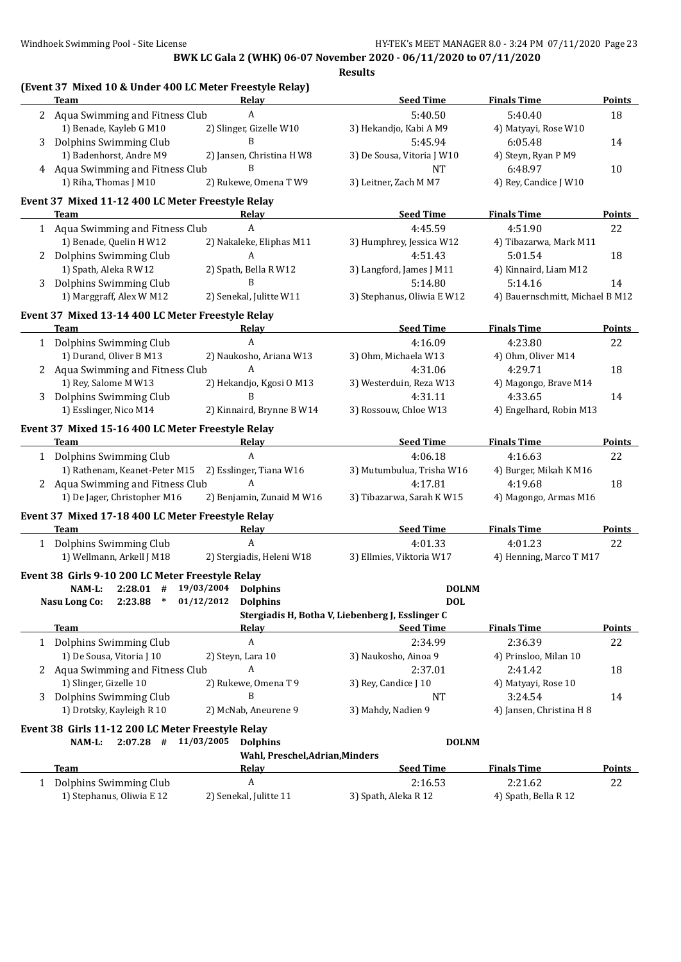|   | (Event 37 Mixed 10 & Under 400 LC Meter Freestyle Relay)<br><b>Team</b> | Relay                             | <b>Seed Time</b>                                 | <b>Finals Time</b>              | Points        |
|---|-------------------------------------------------------------------------|-----------------------------------|--------------------------------------------------|---------------------------------|---------------|
|   |                                                                         | A                                 | 5:40.50                                          | 5:40.40                         | 18            |
|   | 2 Aqua Swimming and Fitness Club<br>1) Benade, Kayleb G M10             | 2) Slinger, Gizelle W10           | 3) Hekandjo, Kabi A M9                           |                                 |               |
|   | 3 Dolphins Swimming Club                                                | B                                 | 5:45.94                                          | 4) Matyayi, Rose W10<br>6:05.48 | 14            |
|   | 1) Badenhorst, Andre M9                                                 | 2) Jansen, Christina H W8         | 3) De Sousa, Vitoria J W10                       | 4) Steyn, Ryan P M9             |               |
|   | 4 Aqua Swimming and Fitness Club                                        | B                                 | <b>NT</b>                                        | 6:48.97                         | 10            |
|   | 1) Riha, Thomas J M10                                                   | 2) Rukewe, Omena T W9             | 3) Leitner, Zach M M7                            | 4) Rey, Candice J W10           |               |
|   | Event 37 Mixed 11-12 400 LC Meter Freestyle Relay                       |                                   |                                                  |                                 |               |
|   | Team                                                                    | Relay                             | <b>Seed Time</b>                                 | <b>Finals Time</b>              | <b>Points</b> |
|   | 1 Aqua Swimming and Fitness Club                                        | A                                 | 4:45.59                                          | 4:51.90                         | 22            |
|   | 1) Benade, Quelin H W12                                                 | 2) Nakaleke, Eliphas M11          | 3) Humphrey, Jessica W12                         | 4) Tibazarwa, Mark M11          |               |
|   | 2 Dolphins Swimming Club                                                | A                                 | 4:51.43                                          | 5:01.54                         | 18            |
|   | 1) Spath, Aleka R W12                                                   | 2) Spath, Bella R W12             | 3) Langford, James J M11                         | 4) Kinnaird, Liam M12           |               |
| 3 | Dolphins Swimming Club                                                  | B                                 | 5:14.80                                          | 5:14.16                         | 14            |
|   | 1) Marggraff, Alex W M12                                                | 2) Senekal, Julitte W11           | 3) Stephanus, Oliwia E W12                       | 4) Bauernschmitt, Michael B M12 |               |
|   | Event 37 Mixed 13-14 400 LC Meter Freestyle Relay                       |                                   |                                                  |                                 |               |
|   | <b>Team</b>                                                             | Relay                             | <b>Seed Time</b>                                 | <b>Finals Time</b>              | <b>Points</b> |
|   | 1 Dolphins Swimming Club                                                | $\boldsymbol{A}$                  | 4:16.09                                          | 4:23.80                         | 22            |
|   | 1) Durand, Oliver B M13                                                 | 2) Naukosho, Ariana W13           | 3) Ohm, Michaela W13                             | 4) Ohm, Oliver M14              |               |
|   | 2 Aqua Swimming and Fitness Club                                        | A                                 | 4:31.06                                          | 4:29.71                         | 18            |
|   | 1) Rey, Salome M W13                                                    | 2) Hekandjo, Kgosi O M13          | 3) Westerduin, Reza W13                          | 4) Magongo, Brave M14           |               |
| 3 | Dolphins Swimming Club                                                  | B                                 | 4:31.11                                          | 4:33.65                         | 14            |
|   | 1) Esslinger, Nico M14                                                  | 2) Kinnaird, Brynne B W14         | 3) Rossouw, Chloe W13                            | 4) Engelhard, Robin M13         |               |
|   | Event 37 Mixed 15-16 400 LC Meter Freestyle Relay                       |                                   |                                                  |                                 |               |
|   | Team                                                                    | Relay                             | <b>Seed Time</b>                                 | <b>Finals Time</b>              | <b>Points</b> |
|   | 1 Dolphins Swimming Club                                                | A                                 | 4:06.18                                          | 4:16.63                         | 22            |
|   | 1) Rathenam, Keanet-Peter M15 2) Esslinger, Tiana W16                   |                                   | 3) Mutumbulua, Trisha W16                        | 4) Burger, Mikah K M16          |               |
|   | 2 Aqua Swimming and Fitness Club                                        | A                                 | 4:17.81                                          | 4:19.68                         | 18            |
|   | 1) De Jager, Christopher M16                                            | 2) Benjamin, Zunaid M W16         | 3) Tibazarwa, Sarah K W15                        | 4) Magongo, Armas M16           |               |
|   | Event 37 Mixed 17-18 400 LC Meter Freestyle Relay                       |                                   |                                                  |                                 |               |
|   | <b>Team</b>                                                             | Relay                             | <b>Seed Time</b>                                 | <b>Finals Time</b>              | <b>Points</b> |
|   | 1 Dolphins Swimming Club                                                | $\boldsymbol{A}$                  | 4:01.33                                          | 4:01.23                         | 22            |
|   | 1) Wellmann, Arkell J M18                                               | 2) Stergiadis, Heleni W18         | 3) Ellmies, Viktoria W17                         | 4) Henning, Marco T M17         |               |
|   | Event 38 Girls 9-10 200 LC Meter Freestyle Relay                        |                                   |                                                  |                                 |               |
|   | NAM-L: 2:28.01 # 19/03/2004 Dolphins                                    |                                   | <b>DOLNM</b>                                     |                                 |               |
|   | $2:23.88$ *<br>Nasu Long Co:                                            | 01/12/2012 Dolphins               | <b>DOL</b>                                       |                                 |               |
|   |                                                                         |                                   | Stergiadis H, Botha V, Liebenberg J, Esslinger C |                                 |               |
|   | Team                                                                    | Relav                             | <b>Seed Time</b>                                 | <b>Finals Time</b>              | <b>Points</b> |
|   | 1 Dolphins Swimming Club                                                | A                                 | 2:34.99                                          | 2:36.39                         | 22            |
|   | 1) De Sousa, Vitoria J 10                                               | 2) Steyn, Lara 10                 | 3) Naukosho, Ainoa 9                             | 4) Prinsloo, Milan 10           |               |
|   | 2 Aqua Swimming and Fitness Club                                        | A                                 | 2:37.01                                          | 2:41.42                         | 18            |
|   | 1) Slinger, Gizelle 10                                                  | 2) Rukewe, Omena T 9              | 3) Rey, Candice J 10                             | 4) Matyayi, Rose 10             |               |
| 3 | Dolphins Swimming Club                                                  | B                                 | NT                                               | 3:24.54                         | 14            |
|   | 1) Drotsky, Kayleigh R 10                                               | 2) McNab, Aneurene 9              | 3) Mahdy, Nadien 9                               | 4) Jansen, Christina H 8        |               |
|   | Event 38 Girls 11-12 200 LC Meter Freestyle Relay                       |                                   |                                                  |                                 |               |
|   | NAM-L:                                                                  | $2:07.28$ # $11/03/2005$ Dolphins | <b>DOLNM</b>                                     |                                 |               |
|   |                                                                         | Wahl, Preschel, Adrian, Minders   |                                                  |                                 |               |
|   | Team                                                                    | Relay                             | <b>Seed Time</b>                                 | <b>Finals Time</b>              | <b>Points</b> |
|   | 1 Dolphins Swimming Club                                                | $\boldsymbol{A}$                  | 2:16.53                                          | 2:21.62                         | 22            |
|   | 1) Stephanus, Oliwia E 12                                               | 2) Senekal, Julitte 11            | 3) Spath, Aleka R 12                             | 4) Spath, Bella R 12            |               |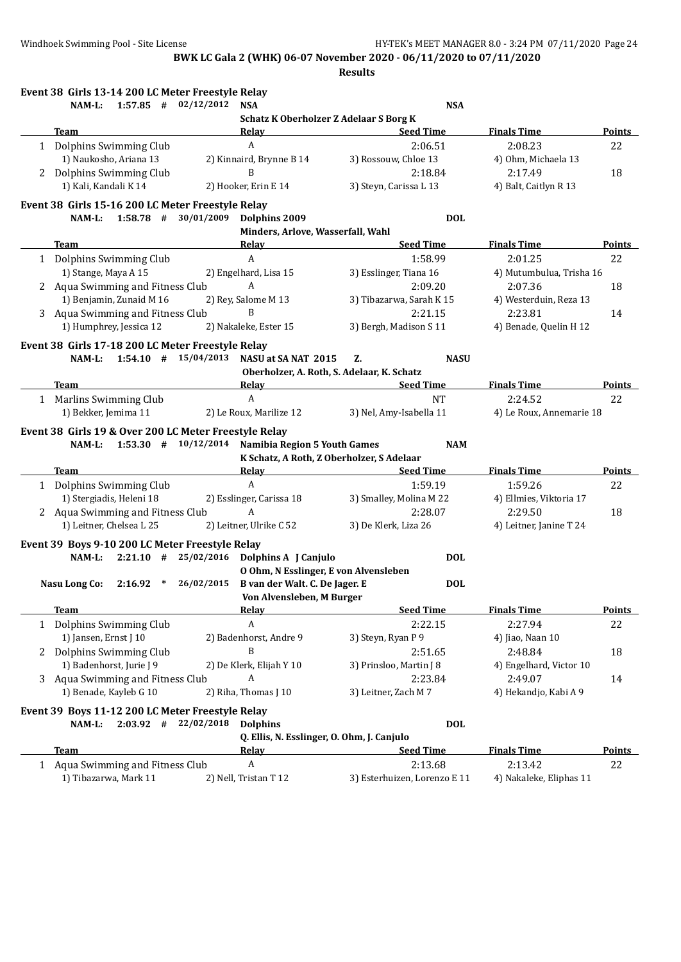**Results**

|   | Event 38 Girls 13-14 200 LC Meter Freestyle Relay                                       |                                                                                                                                                                                                                                                                             |                                                                       |                                  |               |
|---|-----------------------------------------------------------------------------------------|-----------------------------------------------------------------------------------------------------------------------------------------------------------------------------------------------------------------------------------------------------------------------------|-----------------------------------------------------------------------|----------------------------------|---------------|
|   | $1:57.85$ # $02/12/2012$<br>NAM-L:                                                      | <b>NSA</b><br>Schatz K Oberholzer Z Adelaar S Borg K                                                                                                                                                                                                                        | <b>NSA</b>                                                            |                                  |               |
|   | <b>Team</b>                                                                             | Relay                                                                                                                                                                                                                                                                       | <b>Seed Time</b><br><u> 1980 - Johann Barbara, martxa alemaniar a</u> | <b>Finals Time</b>               | <b>Points</b> |
|   | 1 Dolphins Swimming Club                                                                | A                                                                                                                                                                                                                                                                           | 2:06.51                                                               | 2:08.23                          | 22            |
|   | 1) Naukosho, Ariana 13                                                                  | 2) Kinnaird, Brynne B 14                                                                                                                                                                                                                                                    | 3) Rossouw, Chloe 13                                                  | 4) Ohm, Michaela 13              |               |
|   | 2 Dolphins Swimming Club                                                                | B                                                                                                                                                                                                                                                                           | 2:18.84                                                               | 2:17.49                          | 18            |
|   | 1) Kali, Kandali K 14                                                                   | 2) Hooker, Erin E 14                                                                                                                                                                                                                                                        | 3) Steyn, Carissa L 13                                                | 4) Balt, Caitlyn R 13            |               |
|   | Event 38 Girls 15-16 200 LC Meter Freestyle Relay<br>$1:58.78$ # $30/01/2009$<br>NAM-L: | Dolphins 2009                                                                                                                                                                                                                                                               | <b>DOL</b>                                                            |                                  |               |
|   |                                                                                         | Minders, Arlove, Wasserfall, Wahl                                                                                                                                                                                                                                           |                                                                       |                                  |               |
|   | Team                                                                                    | Relay                                                                                                                                                                                                                                                                       | <b>Seed Time</b>                                                      | <b>Finals Time</b>               | Points        |
| 1 | Dolphins Swimming Club                                                                  | A                                                                                                                                                                                                                                                                           | 1:58.99                                                               | 2:01.25                          | 22            |
|   | 1) Stange, Maya A 15                                                                    | 2) Engelhard, Lisa 15                                                                                                                                                                                                                                                       | 3) Esslinger, Tiana 16                                                | 4) Mutumbulua, Trisha 16         |               |
|   | 2 Aqua Swimming and Fitness Club                                                        | A                                                                                                                                                                                                                                                                           | 2:09.20                                                               | 2:07.36                          | 18            |
|   | 1) Benjamin, Zunaid M 16                                                                | 2) Rey, Salome M 13                                                                                                                                                                                                                                                         | 3) Tibazarwa, Sarah K 15                                              | 4) Westerduin, Reza 13           |               |
|   | 3 Aqua Swimming and Fitness Club                                                        | B                                                                                                                                                                                                                                                                           | 2:21.15                                                               | 2:23.81                          | 14            |
|   | 1) Humphrey, Jessica 12                                                                 | 2) Nakaleke, Ester 15                                                                                                                                                                                                                                                       | 3) Bergh, Madison S 11                                                | 4) Benade, Quelin H 12           |               |
|   | Event 38 Girls 17-18 200 LC Meter Freestyle Relay                                       |                                                                                                                                                                                                                                                                             |                                                                       |                                  |               |
|   | NAM-L: 1:54.10 # 15/04/2013 NASU at SA NAT 2015                                         |                                                                                                                                                                                                                                                                             | <b>NASU</b><br>Z.                                                     |                                  |               |
|   |                                                                                         | Oberholzer, A. Roth, S. Adelaar, K. Schatz                                                                                                                                                                                                                                  |                                                                       |                                  |               |
|   | Team                                                                                    | Relay Relay and the contract of the contract of the contract of the contract of the contract of the contract of the contract of the contract of the contract of the contract of the contract of the contract of the contract o                                              | <b>Seed Time</b>                                                      | <b>Finals Time</b>               | Points        |
|   | 1 Marlins Swimming Club                                                                 | $\boldsymbol{A}$                                                                                                                                                                                                                                                            | <b>NT</b>                                                             | 2:24.52                          | 22            |
|   | 1) Bekker, Jemima 11                                                                    | 2) Le Roux, Marilize 12                                                                                                                                                                                                                                                     | 3) Nel, Amy-Isabella 11                                               | 4) Le Roux, Annemarie 18         |               |
|   | NAM-L: 1:53.30 # 10/12/2014 Namibia Region 5 Youth Games<br>Team                        | K Schatz, A Roth, Z Oberholzer, S Adelaar<br>Relay Relay and the settlement of the settlement of the settlement of the settlement of the settlement of the settlement of the settlement of the settlement of the settlement of the settlement of the settlement of the sett | <b>NAM</b><br><b>Seed Time</b>                                        | <b>Finals Time</b>               | <b>Points</b> |
|   | 1 Dolphins Swimming Club                                                                | A                                                                                                                                                                                                                                                                           | 1:59.19                                                               | 1:59.26                          | 22            |
|   | 1) Stergiadis, Heleni 18                                                                | 2) Esslinger, Carissa 18                                                                                                                                                                                                                                                    | 3) Smalley, Molina M 22                                               | 4) Ellmies, Viktoria 17          |               |
|   | 2 Aqua Swimming and Fitness Club                                                        | A                                                                                                                                                                                                                                                                           | 2:28.07                                                               | 2:29.50                          | 18            |
|   | 1) Leitner, Chelsea L 25                                                                | 2) Leitner, Ulrike C 52                                                                                                                                                                                                                                                     | 3) De Klerk, Liza 26                                                  | 4) Leitner, Janine T 24          |               |
|   | Event 39 Boys 9-10 200 LC Meter Freestyle Relay                                         |                                                                                                                                                                                                                                                                             |                                                                       |                                  |               |
|   | NAM-L: 2:21.10 # 25/02/2016 Dolphins A J Canjulo                                        |                                                                                                                                                                                                                                                                             | <b>DOL</b>                                                            |                                  |               |
|   | Nasu Long Co: 2:16.92 * 26/02/2015                                                      | 0 Ohm, N Esslinger, E von Alvensleben                                                                                                                                                                                                                                       | <b>DOL</b>                                                            |                                  |               |
|   |                                                                                         | B van der Walt. C. De Jager. E<br>Von Alvensleben, M Burger                                                                                                                                                                                                                 |                                                                       |                                  |               |
|   | Team                                                                                    | <b>Relay</b>                                                                                                                                                                                                                                                                | <b>Seed Time</b>                                                      | <b>Finals Time</b>               | <b>Points</b> |
| 1 | Dolphins Swimming Club                                                                  | A                                                                                                                                                                                                                                                                           | 2:22.15                                                               | 2:27.94                          | 22            |
|   | 1) Jansen, Ernst J 10                                                                   | 2) Badenhorst, Andre 9                                                                                                                                                                                                                                                      | 3) Steyn, Ryan P 9                                                    | 4) Jiao, Naan 10                 |               |
|   |                                                                                         | B                                                                                                                                                                                                                                                                           |                                                                       |                                  |               |
|   | 2 Dolphins Swimming Club<br>1) Badenhorst, Jurie J 9                                    |                                                                                                                                                                                                                                                                             | 2:51.65<br>3) Prinsloo, Martin J 8                                    | 2:48.84                          | 18            |
|   |                                                                                         | 2) De Klerk, Elijah Y 10<br>A                                                                                                                                                                                                                                               |                                                                       | 4) Engelhard, Victor 10          |               |
| 3 | Aqua Swimming and Fitness Club<br>1) Benade, Kayleb G 10                                | 2) Riha, Thomas J 10                                                                                                                                                                                                                                                        | 2:23.84<br>3) Leitner, Zach M 7                                       | 2:49.07<br>4) Hekandjo, Kabi A 9 | 14            |
|   |                                                                                         |                                                                                                                                                                                                                                                                             |                                                                       |                                  |               |
|   | Event 39 Boys 11-12 200 LC Meter Freestyle Relay<br>$2:03.92$ # $22/02/2018$<br>NAM-L:  | <b>Dolphins</b>                                                                                                                                                                                                                                                             | <b>DOL</b>                                                            |                                  |               |
|   |                                                                                         | Q. Ellis, N. Esslinger, O. Ohm, J. Canjulo                                                                                                                                                                                                                                  |                                                                       |                                  |               |
|   | Team                                                                                    | <b>Relay</b>                                                                                                                                                                                                                                                                | <b>Seed Time</b>                                                      | <b>Finals Time</b>               | <b>Points</b> |
|   | 1 Aqua Swimming and Fitness Club                                                        | A                                                                                                                                                                                                                                                                           | 2:13.68                                                               | 2:13.42                          | 22            |
|   | 1) Tibazarwa, Mark 11                                                                   | 2) Nell, Tristan T 12                                                                                                                                                                                                                                                       | 3) Esterhuizen, Lorenzo E 11                                          | 4) Nakaleke, Eliphas 11          |               |
|   |                                                                                         |                                                                                                                                                                                                                                                                             |                                                                       |                                  |               |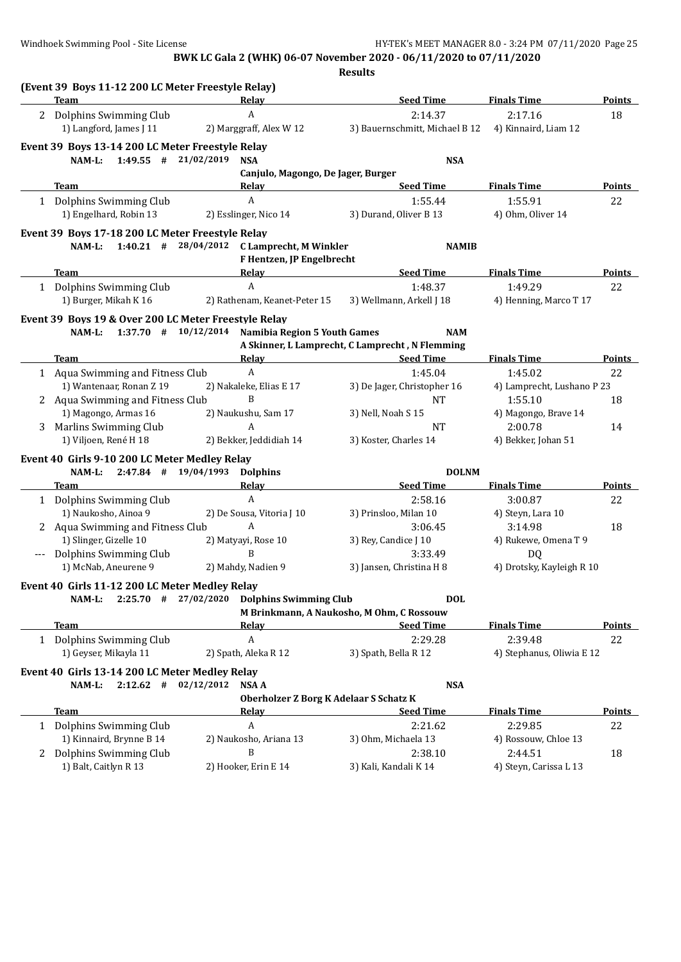|   |                                                                                        |                                                                                                                                                                                                                                | <b>Results</b>                                  |                            |               |
|---|----------------------------------------------------------------------------------------|--------------------------------------------------------------------------------------------------------------------------------------------------------------------------------------------------------------------------------|-------------------------------------------------|----------------------------|---------------|
|   | (Event 39 Boys 11-12 200 LC Meter Freestyle Relay)<br><b>Team</b>                      | Relay                                                                                                                                                                                                                          | <b>Seed Time</b>                                | <b>Finals Time</b>         | Points        |
| 2 | Dolphins Swimming Club                                                                 | A                                                                                                                                                                                                                              | 2:14.37                                         | 2:17.16                    | 18            |
|   | 1) Langford, James J 11                                                                | 2) Marggraff, Alex W 12                                                                                                                                                                                                        | 3) Bauernschmitt, Michael B 12                  | 4) Kinnaird, Liam 12       |               |
|   | Event 39 Boys 13-14 200 LC Meter Freestyle Relay                                       |                                                                                                                                                                                                                                |                                                 |                            |               |
|   | NAM-L:<br>$1:49.55$ # 21/02/2019                                                       | <b>NSA</b>                                                                                                                                                                                                                     | <b>NSA</b>                                      |                            |               |
|   |                                                                                        | Canjulo, Magongo, De Jager, Burger                                                                                                                                                                                             |                                                 |                            |               |
|   | Team                                                                                   | Relav                                                                                                                                                                                                                          | <b>Seed Time</b>                                | <b>Finals Time</b>         | <b>Points</b> |
|   | 1 Dolphins Swimming Club                                                               | $\boldsymbol{A}$                                                                                                                                                                                                               | 1:55.44                                         | 1:55.91                    | 22            |
|   | 1) Engelhard, Robin 13                                                                 | 2) Esslinger, Nico 14                                                                                                                                                                                                          | 3) Durand, Oliver B 13                          | 4) Ohm, Oliver 14          |               |
|   | Event 39 Boys 17-18 200 LC Meter Freestyle Relay<br>$1:40.21$ # $28/04/2012$<br>NAM-L: | C Lamprecht, M Winkler<br>F Hentzen, JP Engelbrecht                                                                                                                                                                            | <b>NAMIB</b>                                    |                            |               |
|   | Team                                                                                   | Relay Relay and the contract of the contract of the contract of the contract of the contract of the contract of the contract of the contract of the contract of the contract of the contract of the contract of the contract o | <b>Seed Time</b>                                | <b>Finals Time</b>         | Points        |
|   | 1 Dolphins Swimming Club                                                               | A                                                                                                                                                                                                                              | 1:48.37                                         | 1:49.29                    | 22            |
|   | 1) Burger, Mikah K 16                                                                  | 2) Rathenam, Keanet-Peter 15                                                                                                                                                                                                   | 3) Wellmann, Arkell J 18                        | 4) Henning, Marco T 17     |               |
|   | Event 39 Boys 19 & Over 200 LC Meter Freestyle Relay                                   |                                                                                                                                                                                                                                |                                                 |                            |               |
|   |                                                                                        | NAM-L: 1:37.70 # 10/12/2014 Namibia Region 5 Youth Games                                                                                                                                                                       | <b>NAM</b>                                      |                            |               |
|   |                                                                                        |                                                                                                                                                                                                                                | A Skinner, L Lamprecht, C Lamprecht, N Flemming |                            |               |
|   | <b>Team</b>                                                                            | Relay                                                                                                                                                                                                                          | <b>Seed Time</b>                                | <b>Finals Time</b>         | <b>Points</b> |
|   | 1 Aqua Swimming and Fitness Club                                                       | $\boldsymbol{A}$                                                                                                                                                                                                               | 1:45.04                                         | 1:45.02                    | 22            |
|   | 1) Wantenaar, Ronan Z 19                                                               | 2) Nakaleke, Elias E 17                                                                                                                                                                                                        | 3) De Jager, Christopher 16                     | 4) Lamprecht, Lushano P 23 |               |
|   | 2 Aqua Swimming and Fitness Club                                                       | B                                                                                                                                                                                                                              | <b>NT</b>                                       | 1:55.10                    | 18            |
|   | 1) Magongo, Armas 16                                                                   | 2) Naukushu, Sam 17                                                                                                                                                                                                            | 3) Nell, Noah S 15                              | 4) Magongo, Brave 14       |               |
|   | 3 Marlins Swimming Club                                                                | A                                                                                                                                                                                                                              | <b>NT</b>                                       | 2:00.78                    | 14            |
|   | 1) Viljoen, René H 18                                                                  | 2) Bekker, Jeddidiah 14                                                                                                                                                                                                        | 3) Koster, Charles 14                           | 4) Bekker, Johan 51        |               |
|   | Event 40 Girls 9-10 200 LC Meter Medley Relay<br>$2:47.84$ # $19/04/1993$<br>NAM-L:    | <b>Dolphins</b>                                                                                                                                                                                                                | <b>DOLNM</b>                                    |                            |               |
|   | Team                                                                                   | <b>Relay</b>                                                                                                                                                                                                                   | <b>Seed Time</b>                                | <b>Finals Time</b>         | <b>Points</b> |
|   | 1 Dolphins Swimming Club                                                               | A                                                                                                                                                                                                                              | 2:58.16                                         | 3:00.87                    | 22            |
|   | 1) Naukosho, Ainoa 9                                                                   | 2) De Sousa, Vitoria J 10                                                                                                                                                                                                      | 3) Prinsloo, Milan 10                           | 4) Steyn, Lara 10          |               |
|   | 2 Aqua Swimming and Fitness Club                                                       | A                                                                                                                                                                                                                              | 3:06.45                                         | 3:14.98                    | 18            |
|   | 1) Slinger, Gizelle 10                                                                 | 2) Matyayi, Rose 10                                                                                                                                                                                                            | 3) Rey, Candice J 10                            | 4) Rukewe, Omena T 9       |               |
|   | Dolphins Swimming Club                                                                 | B                                                                                                                                                                                                                              | 3:33.49                                         | <b>DQ</b>                  |               |
|   | 1) McNab, Aneurene 9                                                                   | 2) Mahdy, Nadien 9                                                                                                                                                                                                             | 3) Jansen, Christina H 8                        | 4) Drotsky, Kayleigh R 10  |               |
|   |                                                                                        |                                                                                                                                                                                                                                |                                                 |                            |               |
|   | Event 40 Girls 11-12 200 LC Meter Medley Relay<br>NAM-L:<br>$2:25.70$ # 27/02/2020     | <b>Dolphins Swimming Club</b>                                                                                                                                                                                                  | <b>DOL</b>                                      |                            |               |
|   |                                                                                        |                                                                                                                                                                                                                                | M Brinkmann, A Naukosho, M Ohm, C Rossouw       |                            |               |
|   | Team                                                                                   | <b>Relay</b>                                                                                                                                                                                                                   | <b>Seed Time</b>                                | <b>Finals Time</b>         | <b>Points</b> |
|   | 1 Dolphins Swimming Club                                                               | A                                                                                                                                                                                                                              | 2:29.28                                         | 2:39.48                    | 22            |
|   | 1) Geyser, Mikayla 11                                                                  | 2) Spath, Aleka R 12                                                                                                                                                                                                           | 3) Spath, Bella R 12                            | 4) Stephanus, Oliwia E 12  |               |
|   | Event 40 Girls 13-14 200 LC Meter Medley Relay                                         |                                                                                                                                                                                                                                |                                                 |                            |               |
|   | $2:12.62$ # 02/12/2012<br>NAM-L:                                                       | <b>NSA A</b>                                                                                                                                                                                                                   | <b>NSA</b>                                      |                            |               |
|   | Team                                                                                   | <b>Oberholzer Z Borg K Adelaar S Schatz K</b><br><u>Relav</u>                                                                                                                                                                  | <b>Seed Time</b>                                | <b>Finals Time</b>         | <b>Points</b> |
|   | 1 Dolphins Swimming Club                                                               | A                                                                                                                                                                                                                              | 2:21.62                                         | 2:29.85                    | 22            |
|   | 1) Kinnaird, Brynne B 14                                                               | 2) Naukosho, Ariana 13                                                                                                                                                                                                         | 3) Ohm, Michaela 13                             | 4) Rossouw, Chloe 13       |               |
|   | 2 Dolphins Swimming Club                                                               | B                                                                                                                                                                                                                              | 2:38.10                                         | 2:44.51                    | 18            |
|   | 1) Balt, Caitlyn R 13                                                                  | 2) Hooker, Erin E 14                                                                                                                                                                                                           | 3) Kali, Kandali K 14                           | 4) Steyn, Carissa L 13     |               |
|   |                                                                                        |                                                                                                                                                                                                                                |                                                 |                            |               |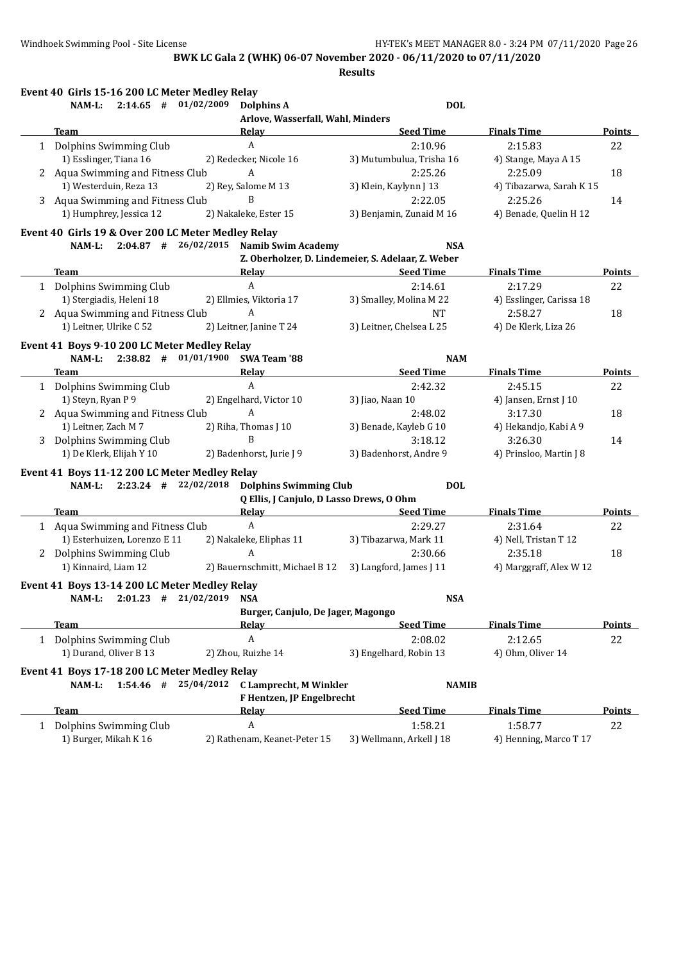**Results**

| Event 40 Girls 15-16 200 LC Meter Medley Relay                                                                                                                                                                                 |                                                                                                                                                                                                                                |                                                    |                          |               |
|--------------------------------------------------------------------------------------------------------------------------------------------------------------------------------------------------------------------------------|--------------------------------------------------------------------------------------------------------------------------------------------------------------------------------------------------------------------------------|----------------------------------------------------|--------------------------|---------------|
| $2:14.65$ # $01/02/2009$<br>NAM-L:                                                                                                                                                                                             | Dolphins A                                                                                                                                                                                                                     | <b>DOL</b>                                         |                          |               |
|                                                                                                                                                                                                                                | Arlove, Wasserfall, Wahl, Minders                                                                                                                                                                                              |                                                    |                          |               |
| <b>Team</b>                                                                                                                                                                                                                    | Relay                                                                                                                                                                                                                          | <b>Seed Time</b>                                   | <b>Finals Time</b>       | <b>Points</b> |
| 1 Dolphins Swimming Club                                                                                                                                                                                                       | $\boldsymbol{A}$                                                                                                                                                                                                               | 2:10.96                                            | 2:15.83                  | 22            |
| 1) Esslinger, Tiana 16                                                                                                                                                                                                         | 2) Redecker, Nicole 16                                                                                                                                                                                                         | 3) Mutumbulua, Trisha 16                           | 4) Stange, Maya A 15     |               |
| 2 Aqua Swimming and Fitness Club                                                                                                                                                                                               | A                                                                                                                                                                                                                              | 2:25.26                                            | 2:25.09                  | 18            |
| 1) Westerduin, Reza 13                                                                                                                                                                                                         | 2) Rey, Salome M 13                                                                                                                                                                                                            | 3) Klein, Kaylynn J 13                             | 4) Tibazarwa, Sarah K 15 |               |
| 3 Aqua Swimming and Fitness Club                                                                                                                                                                                               | B                                                                                                                                                                                                                              | 2:22.05                                            | 2:25.26                  | 14            |
| 1) Humphrey, Jessica 12                                                                                                                                                                                                        | 2) Nakaleke, Ester 15                                                                                                                                                                                                          | 3) Benjamin, Zunaid M 16                           | 4) Benade, Quelin H 12   |               |
| Event 40 Girls 19 & Over 200 LC Meter Medley Relay                                                                                                                                                                             |                                                                                                                                                                                                                                |                                                    |                          |               |
|                                                                                                                                                                                                                                | NAM-L: 2:04.87 # 26/02/2015 Namib Swim Academy                                                                                                                                                                                 | <b>NSA</b>                                         |                          |               |
|                                                                                                                                                                                                                                |                                                                                                                                                                                                                                | Z. Oberholzer, D. Lindemeier, S. Adelaar, Z. Weber |                          |               |
| <b>Team Example 2018 Contract 2018 Contract 2018</b>                                                                                                                                                                           | Relay                                                                                                                                                                                                                          | <b>Seed Time</b>                                   | <b>Finals Time</b>       | <b>Points</b> |
| 1 Dolphins Swimming Club                                                                                                                                                                                                       | $\mathbf{A}$                                                                                                                                                                                                                   | 2:14.61                                            | 2:17.29                  | 22            |
| 1) Stergiadis, Heleni 18                                                                                                                                                                                                       | 2) Ellmies, Viktoria 17                                                                                                                                                                                                        | 3) Smalley, Molina M 22                            | 4) Esslinger, Carissa 18 |               |
| 2 Aqua Swimming and Fitness Club                                                                                                                                                                                               | A                                                                                                                                                                                                                              | <b>NT</b>                                          | 2:58.27                  | 18            |
| 1) Leitner, Ulrike C 52                                                                                                                                                                                                        | 2) Leitner, Janine T 24                                                                                                                                                                                                        | 3) Leitner, Chelsea L 25                           | 4) De Klerk, Liza 26     |               |
| Event 41 Boys 9-10 200 LC Meter Medley Relay                                                                                                                                                                                   |                                                                                                                                                                                                                                |                                                    |                          |               |
| NAM-L: 2:38.82 # 01/01/1900 SWA Team '88                                                                                                                                                                                       |                                                                                                                                                                                                                                | <b>NAM</b>                                         |                          |               |
| Team and the contract of the contract of the contract of the contract of the contract of the contract of the contract of the contract of the contract of the contract of the contract of the contract of the contract of the c | Relay                                                                                                                                                                                                                          | <b>Seed Time</b>                                   | <b>Finals Time</b>       | <b>Points</b> |
| 1 Dolphins Swimming Club                                                                                                                                                                                                       | $\mathbf{A}$                                                                                                                                                                                                                   | 2:42.32                                            | 2:45.15                  | 22            |
| 1) Steyn, Ryan P 9                                                                                                                                                                                                             | 2) Engelhard, Victor 10                                                                                                                                                                                                        | 3) Jiao, Naan 10                                   | 4) Jansen, Ernst J 10    |               |
| 2 Aqua Swimming and Fitness Club                                                                                                                                                                                               | A                                                                                                                                                                                                                              | 2:48.02                                            | 3:17.30                  | 18            |
| 1) Leitner, Zach M 7                                                                                                                                                                                                           | 2) Riha, Thomas J 10                                                                                                                                                                                                           | 3) Benade, Kayleb G 10                             | 4) Hekandjo, Kabi A 9    |               |
| 3 Dolphins Swimming Club                                                                                                                                                                                                       | B                                                                                                                                                                                                                              | 3:18.12                                            | 3:26.30                  | 14            |
| 1) De Klerk, Elijah Y 10                                                                                                                                                                                                       | 2) Badenhorst, Jurie J 9                                                                                                                                                                                                       | 3) Badenhorst, Andre 9                             | 4) Prinsloo, Martin J 8  |               |
|                                                                                                                                                                                                                                |                                                                                                                                                                                                                                |                                                    |                          |               |
| Event 41 Boys 11-12 200 LC Meter Medley Relay                                                                                                                                                                                  |                                                                                                                                                                                                                                |                                                    |                          |               |
|                                                                                                                                                                                                                                | NAM-L: 2:23.24 # 22/02/2018 Dolphins Swimming Club                                                                                                                                                                             | <b>DOL</b>                                         |                          |               |
|                                                                                                                                                                                                                                | Q Ellis, J Canjulo, D Lasso Drews, O Ohm                                                                                                                                                                                       |                                                    |                          |               |
| <b>Team</b>                                                                                                                                                                                                                    | Relay Relay and the Relay and the Marian School and the Marian School and the Marian School and the Marian School and the Marian School and The Marian School and The Marian School and The Marian School and The Marian Schoo | <b>Seed Time</b>                                   | <b>Finals Time</b>       | <b>Points</b> |
| 1 Aqua Swimming and Fitness Club                                                                                                                                                                                               | $\boldsymbol{A}$                                                                                                                                                                                                               | 2:29.27                                            | 2:31.64                  | 22            |
| 1) Esterhuizen, Lorenzo E 11                                                                                                                                                                                                   | 2) Nakaleke, Eliphas 11                                                                                                                                                                                                        | 3) Tibazarwa, Mark 11                              | 4) Nell, Tristan T 12    |               |
| 2 Dolphins Swimming Club                                                                                                                                                                                                       | A                                                                                                                                                                                                                              | 2:30.66                                            | 2:35.18                  | 18            |
| 1) Kinnaird, Liam 12                                                                                                                                                                                                           | 2) Bauernschmitt, Michael B 12                                                                                                                                                                                                 | 3) Langford, James J 11                            | 4) Marggraff, Alex W 12  |               |
| Event 41 Boys 13-14 200 LC Meter Medley Relay                                                                                                                                                                                  |                                                                                                                                                                                                                                |                                                    |                          |               |
| NAM-L: 2:01.23 # 21/02/2019 NSA                                                                                                                                                                                                |                                                                                                                                                                                                                                | <b>NSA</b>                                         |                          |               |
|                                                                                                                                                                                                                                | Burger, Canjulo, De Jager, Magongo                                                                                                                                                                                             |                                                    |                          |               |
| <b>Team</b>                                                                                                                                                                                                                    | Relay                                                                                                                                                                                                                          | <b>Seed Time</b>                                   | <b>Finals Time</b>       | <b>Points</b> |
| 1 Dolphins Swimming Club                                                                                                                                                                                                       | Α                                                                                                                                                                                                                              | 2:08.02                                            | 2:12.65                  | 22            |
| 1) Durand, Oliver B 13                                                                                                                                                                                                         | 2) Zhou, Ruizhe 14                                                                                                                                                                                                             | 3) Engelhard, Robin 13                             | 4) Ohm, Oliver 14        |               |
| Event 41 Boys 17-18 200 LC Meter Medley Relay                                                                                                                                                                                  |                                                                                                                                                                                                                                |                                                    |                          |               |
| $1:54.46$ #<br>NAM-L:                                                                                                                                                                                                          | 25/04/2012<br>C Lamprecht, M Winkler                                                                                                                                                                                           | <b>NAMIB</b>                                       |                          |               |
|                                                                                                                                                                                                                                | F Hentzen, JP Engelbrecht                                                                                                                                                                                                      |                                                    |                          |               |
| Team                                                                                                                                                                                                                           | <b>Relay</b>                                                                                                                                                                                                                   | <b>Seed Time</b>                                   | <b>Finals Time</b>       | <b>Points</b> |
| 1 Dolphins Swimming Club                                                                                                                                                                                                       | A                                                                                                                                                                                                                              | 1:58.21                                            | 1:58.77                  | 22            |
| 1) Burger, Mikah K 16                                                                                                                                                                                                          | 2) Rathenam, Keanet-Peter 15                                                                                                                                                                                                   | 3) Wellmann, Arkell J 18                           | 4) Henning, Marco T 17   |               |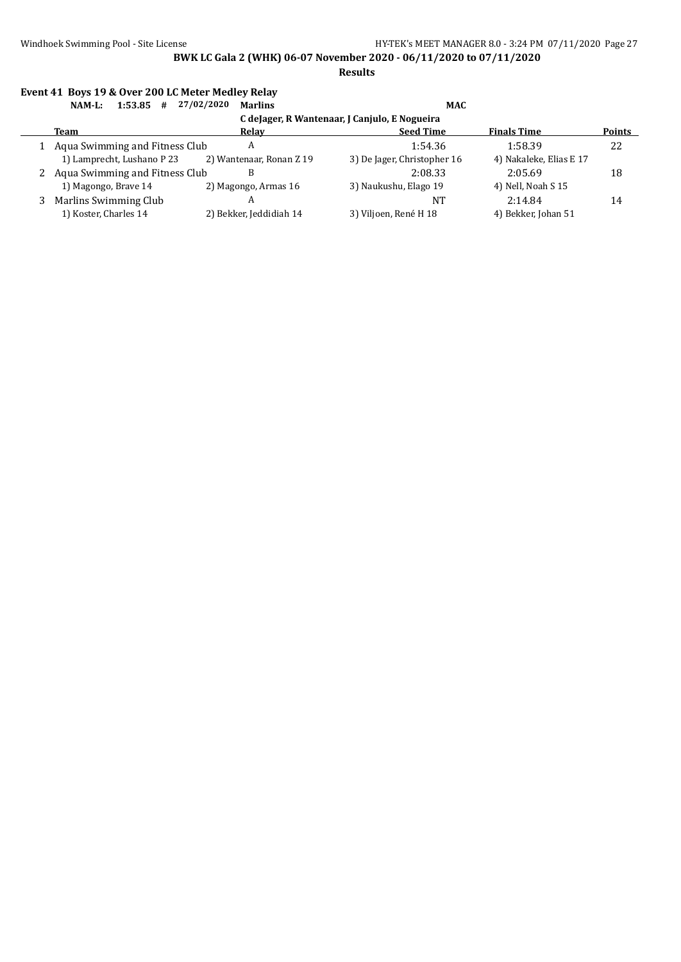**Results**

#### **Event 41 Boys 19 & Over 200 LC Meter Medley Relay**

| 1:53.85<br>NAM-L:<br>#                        | 27/02/2020<br><b>Marlins</b> | <b>MAC</b>                  |                         |               |  |  |  |  |  |  |
|-----------------------------------------------|------------------------------|-----------------------------|-------------------------|---------------|--|--|--|--|--|--|
| C deJager, R Wantenaar, J Canjulo, E Nogueira |                              |                             |                         |               |  |  |  |  |  |  |
| <b>Team</b>                                   | Relav                        | <b>Seed Time</b>            | <b>Finals Time</b>      | <b>Points</b> |  |  |  |  |  |  |
| Aqua Swimming and Fitness Club                | A                            | 1:54.36                     | 1:58.39                 | 22            |  |  |  |  |  |  |
| 1) Lamprecht, Lushano P 23                    | 2) Wantenaar, Ronan Z 19     | 3) De Jager, Christopher 16 | 4) Nakaleke, Elias E 17 |               |  |  |  |  |  |  |
| Aqua Swimming and Fitness Club                |                              | 2:08.33                     | 2:05.69                 | 18            |  |  |  |  |  |  |
| 1) Magongo, Brave 14                          | 2) Magongo, Armas 16         | 3) Naukushu, Elago 19       | 4) Nell, Noah S 15      |               |  |  |  |  |  |  |
| Marlins Swimming Club                         | A                            | NT                          | 2:14.84                 | 14            |  |  |  |  |  |  |
| 1) Koster, Charles 14                         | 2) Bekker, Jeddidiah 14      | 3) Viljoen, René H 18       | 4) Bekker, Johan 51     |               |  |  |  |  |  |  |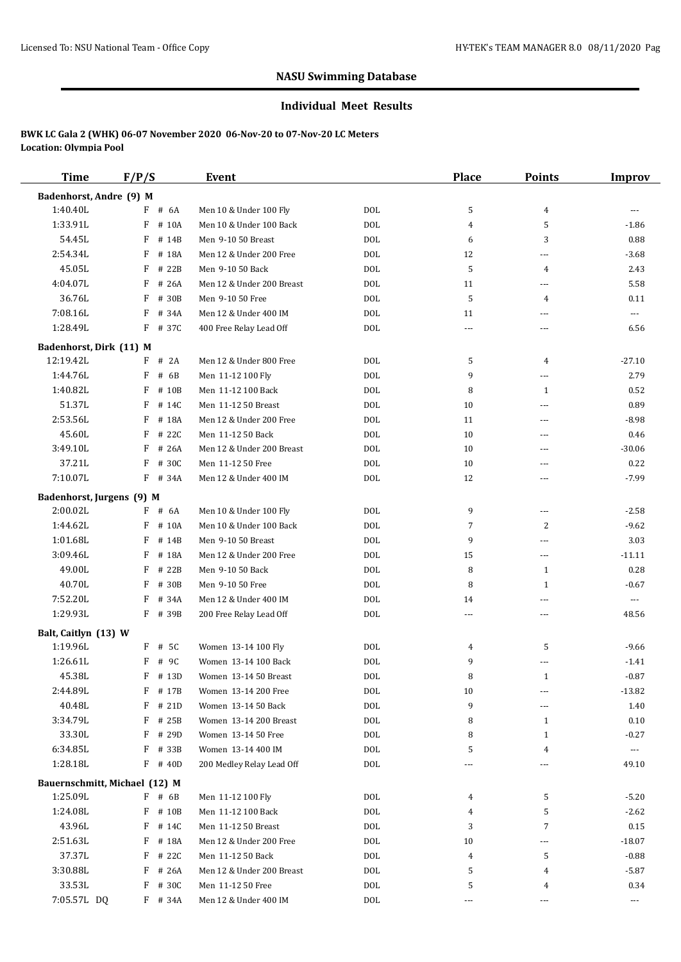#### **Individual Meet Results**

| <b>Time</b>                               | F/P/S      | <b>Event</b>              |            | <b>Place</b>   | <b>Points</b>                 | <b>Improv</b>         |
|-------------------------------------------|------------|---------------------------|------------|----------------|-------------------------------|-----------------------|
| Badenhorst, Andre (9) M                   |            |                           |            |                |                               |                       |
| 1:40.40L                                  | $F$ # 6A   | Men 10 & Under 100 Fly    | <b>DOL</b> | 5              | 4                             |                       |
| 1:33.91L                                  | F<br># 10A | Men 10 & Under 100 Back   | <b>DOL</b> | 4              | 5                             | $-1.86$               |
| 54.45L                                    | F<br># 14B | Men 9-10 50 Breast        | <b>DOL</b> | 6              | 3                             | 0.88                  |
| 2:54.34L                                  | F # 18A    | Men 12 & Under 200 Free   | <b>DOL</b> | 12             | $---$                         | $-3.68$               |
| 45.05L                                    | $F$ # 22B  | Men 9-10 50 Back          | <b>DOL</b> | 5              | $\overline{4}$                | 2.43                  |
| 4:04.07L                                  | F<br># 26A | Men 12 & Under 200 Breast | <b>DOL</b> | 11             | ---                           | 5.58                  |
| 36.76L                                    | F<br># 30B | Men 9-10 50 Free          | <b>DOL</b> | 5              | 4                             | 0.11                  |
| 7:08.16L                                  | F<br># 34A | Men 12 & Under 400 IM     | <b>DOL</b> | 11             | ---                           | ---                   |
| 1:28.49L                                  | F # 37C    | 400 Free Relay Lead Off   | <b>DOL</b> | $\cdots$       | $\cdots$                      | 6.56                  |
| Badenhorst, Dirk (11) M                   |            |                           |            |                |                               |                       |
| 12:19.42L                                 | $F$ # 2A   | Men 12 & Under 800 Free   | <b>DOL</b> | 5              | $\overline{4}$                | $-27.10$              |
| 1:44.76L                                  | F<br># 6B  | Men 11-12 100 Fly         | <b>DOL</b> | 9              | $\overline{a}$                | 2.79                  |
| 1:40.82L                                  | F<br># 10B | Men 11-12 100 Back        | <b>DOL</b> | 8              | $\mathbf{1}$                  | 0.52                  |
| 51.37L                                    | F<br># 14C | Men 11-12 50 Breast       | <b>DOL</b> | 10             | $\overline{a}$                | 0.89                  |
| 2:53.56L                                  | F<br># 18A | Men 12 & Under 200 Free   | <b>DOL</b> | 11             | ---                           | $-8.98$               |
| 45.60L                                    | F<br># 22C | Men 11-12 50 Back         | <b>DOL</b> | 10             | ---                           | 0.46                  |
| 3:49.10L                                  | F<br># 26A | Men 12 & Under 200 Breast | <b>DOL</b> | 10             | $\sim$ $\sim$                 | $-30.06$              |
| 37.21L                                    | F<br># 30C | Men 11-12 50 Free         | <b>DOL</b> | 10             | ---                           | 0.22                  |
| 7:10.07L                                  | $F$ # 34A  | Men 12 & Under 400 IM     | <b>DOL</b> | 12             | $\overline{a}$                | $-7.99$               |
| Badenhorst, Jurgens (9) M                 |            |                           |            |                |                               |                       |
| 2:00.02L                                  | F # 6A     | Men 10 & Under 100 Fly    | DOL        | 9              | $\overline{a}$                | $-2.58$               |
| 1:44.62L                                  | $F$ # 10A  | Men 10 & Under 100 Back   | <b>DOL</b> | 7              | 2                             | $-9.62$               |
| 1:01.68L                                  | F<br># 14B | Men 9-10 50 Breast        | <b>DOL</b> | 9              | $\overline{a}$                | 3.03                  |
| 3:09.46L                                  | F<br># 18A | Men 12 & Under 200 Free   | <b>DOL</b> | 15             | $\overline{a}$                | $-11.11$              |
| 49.00L                                    | F<br># 22B | Men 9-10 50 Back          | <b>DOL</b> | 8              | $\mathbf{1}$                  | 0.28                  |
| 40.70L                                    | F<br># 30B | Men 9-10 50 Free          | <b>DOL</b> | 8              | $\mathbf{1}$                  | $-0.67$               |
| 7:52.20L                                  | F<br># 34A | Men 12 & Under 400 IM     | <b>DOL</b> | 14             | ---                           | $\scriptstyle \cdots$ |
| 1:29.93L                                  | F # 39B    | 200 Free Relay Lead Off   | DOL        | $\overline{a}$ | $---$                         | 48.56                 |
| Balt, Caitlyn (13) W                      |            |                           |            |                |                               |                       |
| 1:19.96L                                  | F # 5C     | Women 13-14 100 Fly       | DOL        | 4              | 5                             | $-9.66$               |
| 1:26.61L                                  | F<br># 9C  | Women 13-14 100 Back      | <b>DOL</b> | 9              | ---                           | $-1.41$               |
| 45.38L                                    | $F$ # 13D  | Women 13-14 50 Breast     | DOL        | 8              | $\mathbf{1}$                  | $-0.87$               |
| 2:44.89L                                  | F # 17B    | Women 13-14 200 Free      | <b>DOL</b> | 10             | ---                           | $-13.82$              |
| 40.48L                                    | # 21D<br>F | Women 13-14 50 Back       | DOL        | 9              | ---                           | 1.40                  |
| 3:34.79L                                  | F # 25B    | Women 13-14 200 Breast    | <b>DOL</b> | 8              | 1                             | 0.10                  |
| 33.30L                                    | $F$ # 29D  | Women 13-14 50 Free       | <b>DOL</b> | 8              | 1                             | $-0.27$               |
| 6:34.85L                                  | $F$ # 33B  | Women 13-14 400 IM        | DOL        | 5              | 4                             | $\scriptstyle\cdots$  |
| 1:28.18L                                  | $F$ # 40D  | 200 Medley Relay Lead Off | DOL        |                | ---                           | 49.10                 |
|                                           |            |                           |            |                |                               |                       |
| Bauernschmitt, Michael (12) M<br>1:25.09L | $F$ # 6B   | Men 11-12 100 Fly         | DOL        | 4              | 5                             | $-5.20$               |
| 1:24.08L                                  | F # 10B    | Men 11-12 100 Back        | <b>DOL</b> | 4              | 5                             | $-2.62$               |
| 43.96L                                    | $F$ # 14C  | Men 11-12 50 Breast       | <b>DOL</b> | 3              | $\overline{7}$                | 0.15                  |
| 2:51.63L                                  | $F$ # 18A  | Men 12 & Under 200 Free   | <b>DOL</b> | 10             |                               | $-18.07$              |
| 37.37L                                    | F # 22C    | Men 11-12 50 Back         | <b>DOL</b> | 4              | $\overline{\phantom{a}}$<br>5 | $-0.88$               |
| 3:30.88L                                  | $F$ # 26A  | Men 12 & Under 200 Breast | <b>DOL</b> | 5              | 4                             | $-5.87$               |
| 33.53L                                    | $F$ # 30C  | Men 11-12 50 Free         | <b>DOL</b> | 5              | 4                             | 0.34                  |
| 7:05.57L DQ                               | F # 34A    | Men 12 & Under 400 IM     | DOL        | $\cdots$       | ---                           | $\scriptstyle \cdots$ |
|                                           |            |                           |            |                |                               |                       |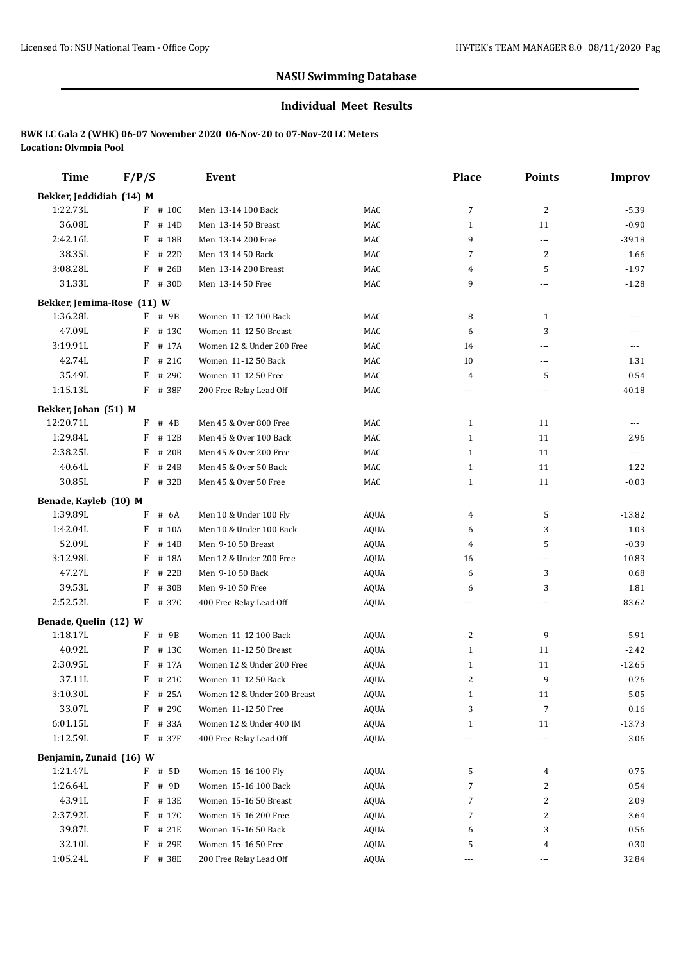#### **Individual Meet Results**

| <b>Time</b>                         | F/P/S      | Event                       |             | <b>Place</b> | <b>Points</b>        | Improv   |
|-------------------------------------|------------|-----------------------------|-------------|--------------|----------------------|----------|
| Bekker, Jeddidiah (14) M            |            |                             |             |              |                      |          |
| 1:22.73L                            | F # 10C    | Men 13-14 100 Back          | MAC         | 7            | $\overline{2}$       | $-5.39$  |
| 36.08L                              | F<br># 14D | Men 13-14 50 Breast         | MAC         | $\mathbf{1}$ | 11                   | $-0.90$  |
| 2:42.16L                            | F<br># 18B | Men 13-14 200 Free          | MAC         | 9            | ---                  | $-39.18$ |
| 38.35L                              | F<br># 22D | Men 13-14 50 Back           | MAC         | 7            | $\overline{2}$       | $-1.66$  |
| 3:08.28L                            | F<br># 26B | Men 13-14 200 Breast        | MAC         | 4            | 5                    | $-1.97$  |
| 31.33L                              | F # 30D    | Men 13-14 50 Free           | MAC         | 9            | ---                  | $-1.28$  |
| Bekker, Jemima-Rose (11) W          |            |                             |             |              |                      |          |
| 1:36.28L                            | F<br># 9B  | Women 11-12 100 Back        | MAC         | 8            | 1                    | $---$    |
| 47.09L                              | # 13C<br>F | Women 11-12 50 Breast       | MAC         | 6            | 3                    |          |
| 3:19.91L                            | F<br># 17A | Women 12 & Under 200 Free   | MAC         | 14           | ---                  | $---$    |
| 42.74L                              | F<br># 21C | Women 11-12 50 Back         | MAC         | 10           | ---                  | 1.31     |
| 35.49L                              | F<br># 29C | Women 11-12 50 Free         | MAC         | 4            | 5                    | 0.54     |
| 1:15.13L                            | $F$ # 38F  | 200 Free Relay Lead Off     | MAC         | ---          | ---                  | 40.18    |
| Bekker, Johan (51) M                |            |                             |             |              |                      |          |
| 12:20.71L                           | $F$ # 4B   | Men 45 & Over 800 Free      | MAC         | $\mathbf{1}$ | 11                   | ---      |
| 1:29.84L                            | F<br># 12B | Men 45 & Over 100 Back      | MAC         | $\mathbf{1}$ | 11                   | 2.96     |
| 2:38.25L                            | F<br># 20B | Men 45 & Over 200 Free      | MAC         | $\mathbf{1}$ | 11                   | $\cdots$ |
| 40.64L                              | F<br># 24B | Men 45 & Over 50 Back       | MAC         | $\mathbf{1}$ | 11                   | $-1.22$  |
| 30.85L                              | F # 32B    | Men 45 & Over 50 Free       | MAC         | $\mathbf{1}$ | 11                   | $-0.03$  |
| Benade, Kayleb (10) M               |            |                             |             |              |                      |          |
| 1:39.89L                            | # 6A<br>F  | Men 10 & Under 100 Fly      | AQUA        | 4            | 5                    | $-13.82$ |
| 1:42.04L                            | F<br># 10A | Men 10 & Under 100 Back     | <b>AQUA</b> | 6            | 3                    | $-1.03$  |
| 52.09L                              | F<br># 14B | Men 9-10 50 Breast          | <b>AQUA</b> | 4            | 5                    | $-0.39$  |
| 3:12.98L                            | F<br># 18A | Men 12 & Under 200 Free     | <b>AQUA</b> | 16           | ---                  | $-10.83$ |
| 47.27L                              | F<br># 22B | Men 9-10 50 Back            | <b>AQUA</b> | 6            | 3                    | 0.68     |
| 39.53L                              | F<br># 30B | Men 9-10 50 Free            | <b>AQUA</b> | 6            | 3                    | 1.81     |
| 2:52.52L                            | $F$ # 37C  | 400 Free Relay Lead Off     | <b>AQUA</b> | ---          | ---                  | 83.62    |
| Benade, Quelin (12) W               |            |                             |             |              |                      |          |
| 1:18.17L                            | F # 9B     | Women 11-12 100 Back        | <b>AQUA</b> | 2            | 9                    | $-5.91$  |
| 40.92L                              | F<br># 13C | Women 11-12 50 Breast       | <b>AQUA</b> | $\mathbf{1}$ | 11                   | $-2.42$  |
| 2:30.95L                            | F<br># 17A | Women 12 & Under 200 Free   | <b>AQUA</b> | $\mathbf{1}$ | 11                   | $-12.65$ |
| 37.11L                              | F<br># 21C | Women 11-12 50 Back         | <b>AQUA</b> | 2            | 9                    | $-0.76$  |
| 3:10.30L                            | F<br># 25A | Women 12 & Under 200 Breast | <b>AQUA</b> | $\mathbf{1}$ | 11                   | $-5.05$  |
| 33.07L                              | F # 29C    | Women 11-12 50 Free         | AQUA        | 3            | 7                    | 0.16     |
| 6:01.15L                            | F # 33A    | Women 12 & Under 400 IM     | AQUA        | $\mathbf{1}$ | 11                   | $-13.73$ |
| 1:12.59L                            | $F$ # 37F  | 400 Free Relay Lead Off     | AQUA        | ---          | $\sim$ $\sim$ $\sim$ | 3.06     |
|                                     |            |                             |             |              |                      |          |
| Benjamin, Zunaid (16) W<br>1:21.47L | F # 5D     | Women 15-16 100 Fly         | AQUA        | 5            | 4                    | $-0.75$  |
| 1:26.64L                            | F<br># 9D  | Women 15-16 100 Back        | AQUA        | 7            | 2                    | 0.54     |
| 43.91L                              | F<br># 13E | Women 15-16 50 Breast       | AQUA        | 7            | 2                    | 2.09     |
| 2:37.92L                            | F # 17C    | Women 15-16 200 Free        | AQUA        | 7            | 2                    | $-3.64$  |
| 39.87L                              | F<br># 21E | Women 15-16 50 Back         | AQUA        | 6            | 3                    | 0.56     |
| 32.10L                              | F<br># 29E | Women 15-16 50 Free         | AQUA        | 5            | 4                    | $-0.30$  |
| 1:05.24L                            | F # 38E    | 200 Free Relay Lead Off     | AQUA        | $\cdots$     | ---                  | 32.84    |
|                                     |            |                             |             |              |                      |          |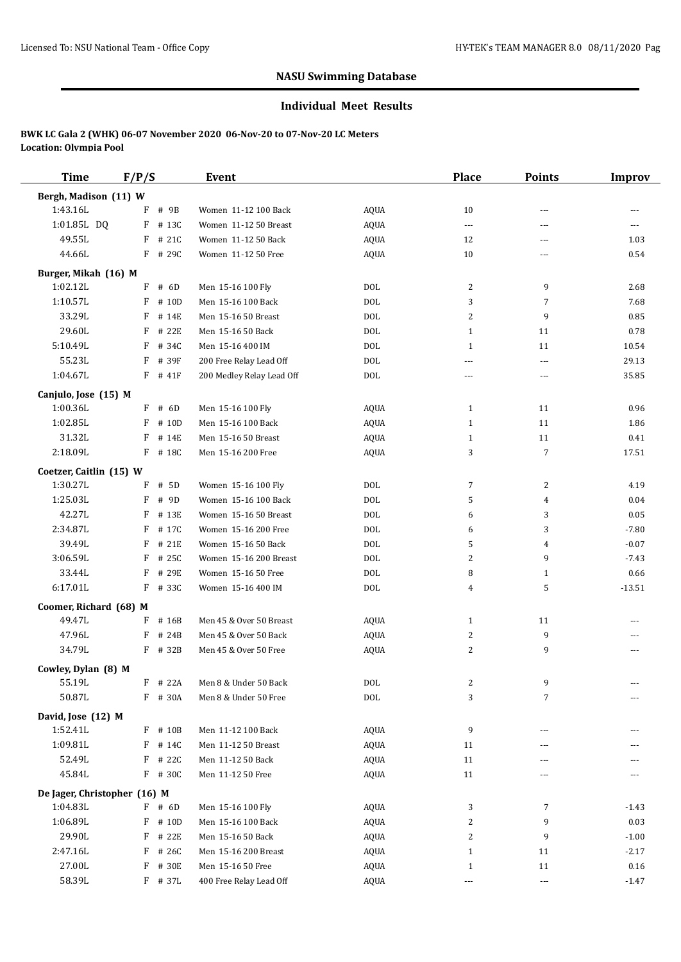#### **Individual Meet Results**

| <b>Time</b>                  | F/P/S      | <b>Event</b>              |             | Place        | <b>Points</b>  | <b>Improv</b> |
|------------------------------|------------|---------------------------|-------------|--------------|----------------|---------------|
| Bergh, Madison (11) W        |            |                           |             |              |                |               |
| 1:43.16L                     | # 9B<br>F  | Women 11-12 100 Back      | <b>AQUA</b> | 10           | ---            | ---           |
| 1:01.85L DQ                  | F<br># 13C | Women 11-12 50 Breast     | <b>AQUA</b> | $---$        | ---            | ---           |
| 49.55L                       | $F$ # 21C  | Women 11-12 50 Back       | <b>AQUA</b> | 12           | ---            | 1.03          |
| 44.66L                       | F # 29C    | Women 11-12 50 Free       | <b>AQUA</b> | 10           | ---            | 0.54          |
| Burger, Mikah (16) M         |            |                           |             |              |                |               |
| 1:02.12L                     | F<br># 6D  | Men 15-16 100 Fly         | <b>DOL</b>  | 2            | 9              | 2.68          |
| 1:10.57L                     | F<br># 10D | Men 15-16 100 Back        | <b>DOL</b>  | 3            | 7              | 7.68          |
| 33.29L                       | $F$ # 14E  | Men 15-16 50 Breast       | <b>DOL</b>  | 2            | 9              | 0.85          |
| 29.60L                       | F<br># 22E | Men 15-16 50 Back         | <b>DOL</b>  | $\mathbf{1}$ | 11             | 0.78          |
| 5:10.49L                     | F<br># 34C | Men 15-16 400 IM          | <b>DOL</b>  | $\mathbf{1}$ | 11             | 10.54         |
| 55.23L                       | F<br># 39F | 200 Free Relay Lead Off   | <b>DOL</b>  | ---          | ---            | 29.13         |
| 1:04.67L                     | $F$ # 41F  | 200 Medley Relay Lead Off | <b>DOL</b>  | ---          | ---            | 35.85         |
|                              |            |                           |             |              |                |               |
| Canjulo, Jose (15) M         |            |                           |             |              |                |               |
| 1:00.36L                     | $F$ # 6D   | Men 15-16 100 Fly         | AQUA        | $\mathbf{1}$ | 11             | 0.96          |
| 1:02.85L                     | $F$ # 10D  | Men 15-16 100 Back        | <b>AQUA</b> | $\mathbf{1}$ | 11             | 1.86          |
| 31.32L                       | F<br># 14E | Men 15-16 50 Breast       | <b>AQUA</b> | $\mathbf{1}$ | 11             | 0.41          |
| 2:18.09L                     | F # 18C    | Men 15-16 200 Free        | <b>AQUA</b> | 3            | 7              | 17.51         |
| Coetzer, Caitlin (15) W      |            |                           |             |              |                |               |
| 1:30.27L                     | F<br># 5D  | Women 15-16 100 Fly       | <b>DOL</b>  | 7            | $\overline{c}$ | 4.19          |
| 1:25.03L                     | # 9D<br>F  | Women 15-16 100 Back      | <b>DOL</b>  | 5            | 4              | 0.04          |
| 42.27L                       | F<br># 13E | Women 15-16 50 Breast     | <b>DOL</b>  | 6            | 3              | 0.05          |
| 2:34.87L                     | F<br># 17C | Women 15-16 200 Free      | <b>DOL</b>  | 6            | 3              | $-7.80$       |
| 39.49L                       | F<br># 21E | Women 15-16 50 Back       | <b>DOL</b>  | 5            | 4              | $-0.07$       |
| 3:06.59L                     | F<br># 25C | Women 15-16 200 Breast    | <b>DOL</b>  | 2            | 9              | $-7.43$       |
| 33.44L                       | F<br># 29E | Women 15-16 50 Free       | <b>DOL</b>  | 8            | $\mathbf{1}$   | 0.66          |
| 6:17.01L                     | F # 33C    | Women 15-16 400 IM        | <b>DOL</b>  | 4            | 5              | $-13.51$      |
| Coomer, Richard (68) M       |            |                           |             |              |                |               |
| 49.47L                       | $F$ # 16B  | Men 45 & Over 50 Breast   | AQUA        | $\mathbf{1}$ | 11             |               |
| 47.96L                       | F<br># 24B | Men 45 & Over 50 Back     | <b>AQUA</b> | 2            | 9              | ---           |
| 34.79L                       | $F$ # 32B  | Men 45 & Over 50 Free     | <b>AQUA</b> | 2            | 9              | ---           |
| Cowley, Dylan (8) M          |            |                           |             |              |                |               |
| 55.19L                       | $F$ # 22A  | Men 8 & Under 50 Back     | $\rm DOL$   | 2            | 9              |               |
| 50.87L                       | F # 30A    | Men 8 & Under 50 Free     | <b>DOL</b>  | 3            | 7              | ---           |
|                              |            |                           |             |              |                |               |
| David, Jose (12) M           |            |                           |             |              |                |               |
| 1:52.41L                     | F # 10B    | Men 11-12 100 Back        | AQUA        | 9            | ---            |               |
| 1:09.81L                     | F # 14C    | Men 11-12 50 Breast       | <b>AQUA</b> | 11           | ---            |               |
| 52.49L                       | F<br># 22C | Men 11-12 50 Back         | AQUA        | 11           |                |               |
| 45.84L                       | F # 30C    | Men 11-12 50 Free         | <b>AQUA</b> | 11           | ---            |               |
| De Jager, Christopher (16) M |            |                           |             |              |                |               |
| 1:04.83L                     | $F$ # 6D   | Men 15-16 100 Fly         | AQUA        | 3            | $\overline{7}$ | $-1.43$       |
| 1:06.89L                     | $F$ # 10D  | Men 15-16 100 Back        | <b>AQUA</b> | 2            | 9              | 0.03          |
| 29.90L                       | F # 22E    | Men 15-16 50 Back         | <b>AQUA</b> | 2            | 9              | $-1.00$       |
| 2:47.16L                     | F # 26C    | Men 15-16 200 Breast      | AQUA        | $\mathbf{1}$ | 11             | $-2.17$       |
| 27.00L                       | F # 30E    | Men 15-16 50 Free         | AQUA        | $\mathbf{1}$ | 11             | 0.16          |
| 58.39L                       | F # 37L    | 400 Free Relay Lead Off   | AQUA        |              | ---            | $-1.47$       |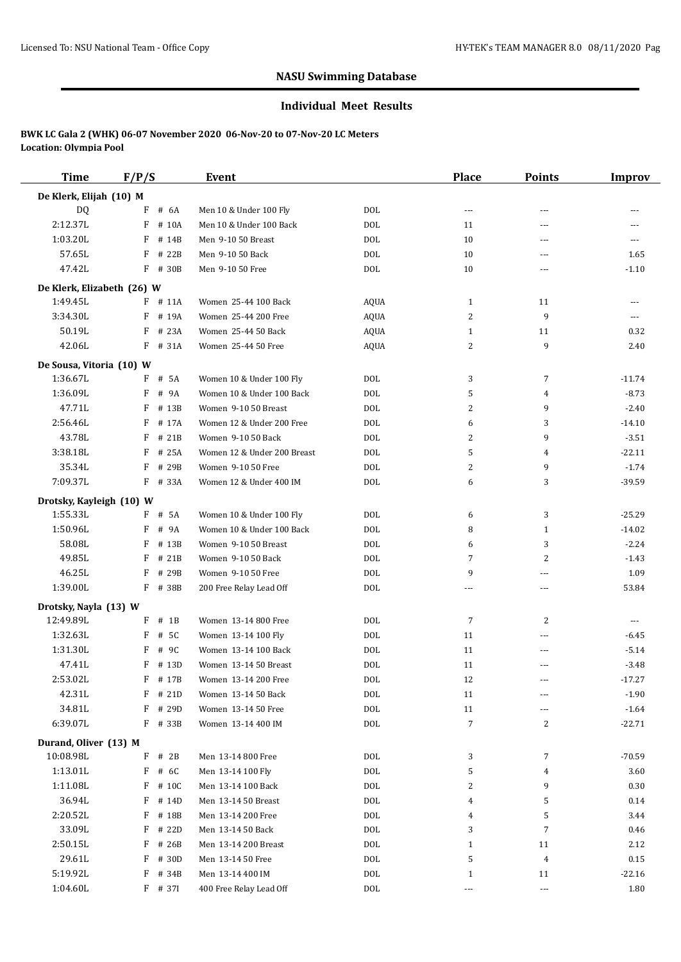#### **Individual Meet Results**

| <b>Time</b>                | F/P/S      | Event                       |             | Place                    | <b>Points</b>  | <b>Improv</b>  |
|----------------------------|------------|-----------------------------|-------------|--------------------------|----------------|----------------|
| De Klerk, Elijah (10) M    |            |                             |             |                          |                |                |
| DQ                         | # 6A<br>F  | Men 10 & Under 100 Fly      | <b>DOL</b>  | $\overline{\phantom{a}}$ | ---            |                |
| 2:12.37L                   | F<br># 10A | Men 10 & Under 100 Back     | <b>DOL</b>  | 11                       | ---            | ---            |
| 1:03.20L                   | F<br># 14B | Men 9-10 50 Breast          | <b>DOL</b>  | 10                       | ---            | $- - -$        |
| 57.65L                     | F # 22B    | Men 9-10 50 Back            | <b>DOL</b>  | 10                       | ---            | 1.65           |
| 47.42L                     | F # 30B    | Men 9-10 50 Free            | <b>DOL</b>  | 10                       | ---            | $-1.10$        |
| De Klerk, Elizabeth (26) W |            |                             |             |                          |                |                |
| 1:49.45L                   | $F$ # 11A  | Women 25-44 100 Back        | <b>AQUA</b> | $\mathbf{1}$             | 11             | ---            |
| 3:34.30L                   | F<br># 19A | Women 25-44 200 Free        | <b>AQUA</b> | 2                        | 9              | $\overline{a}$ |
| 50.19L                     | F<br># 23A | Women 25-44 50 Back         | <b>AQUA</b> | $\mathbf{1}$             | 11             | 0.32           |
| 42.06L                     | F # 31A    | Women 25-44 50 Free         | <b>AQUA</b> | 2                        | 9              | 2.40           |
|                            |            |                             |             |                          |                |                |
| De Sousa, Vitoria (10) W   |            |                             |             |                          |                |                |
| 1:36.67L                   | F # 5A     | Women 10 & Under 100 Fly    | <b>DOL</b>  | 3                        | $\overline{7}$ | $-11.74$       |
| 1:36.09L                   | F<br># 9A  | Women 10 & Under 100 Back   | <b>DOL</b>  | 5                        | 4              | $-8.73$        |
| 47.71L                     | F<br># 13B | Women 9-10 50 Breast        | <b>DOL</b>  | 2                        | 9              | $-2.40$        |
| 2:56.46L                   | F<br># 17A | Women 12 & Under 200 Free   | <b>DOL</b>  | 6                        | 3              | $-14.10$       |
| 43.78L                     | F<br># 21B | Women 9-10 50 Back          | <b>DOL</b>  | 2                        | 9              | $-3.51$        |
| 3:38.18L                   | F<br># 25A | Women 12 & Under 200 Breast | <b>DOL</b>  | 5                        | 4              | $-22.11$       |
| 35.34L                     | F<br># 29B | Women 9-10 50 Free          | <b>DOL</b>  | 2                        | 9              | $-1.74$        |
| 7:09.37L                   | F # 33A    | Women 12 & Under 400 IM     | <b>DOL</b>  | 6                        | 3              | $-39.59$       |
| Drotsky, Kayleigh (10) W   |            |                             |             |                          |                |                |
| 1:55.33L                   | F # 5A     | Women 10 & Under 100 Fly    | <b>DOL</b>  | 6                        | 3              | $-25.29$       |
| 1:50.96L                   | F<br># 9A  | Women 10 & Under 100 Back   | <b>DOL</b>  | 8                        | 1              | $-14.02$       |
| 58.08L                     | F<br># 13B | Women 9-10 50 Breast        | <b>DOL</b>  | 6                        | 3              | $-2.24$        |
| 49.85L                     | F<br># 21B | Women 9-10 50 Back          | <b>DOL</b>  | 7                        | 2              | $-1.43$        |
| 46.25L                     | F<br># 29B | Women 9-10 50 Free          | <b>DOL</b>  | 9                        | ---            | 1.09           |
| 1:39.00L                   | F # 38B    | 200 Free Relay Lead Off     | <b>DOL</b>  | ---                      | ---            | 53.84          |
| Drotsky, Nayla (13) W      |            |                             |             |                          |                |                |
| 12:49.89L                  | $F$ # 1B   | Women 13-14 800 Free        | DOL         | 7                        | 2              | $---$          |
| 1:32.63L                   | $F$ # 5C   | Women 13-14 100 Fly         | <b>DOL</b>  | 11                       | ---            | $-6.45$        |
| 1:31.30L                   | F<br># 9C  | Women 13-14 100 Back        | DOL         | 11                       | ---            | $-5.14$        |
| 47.41L                     | F<br># 13D | Women 13-14 50 Breast       | <b>DOL</b>  | 11                       | ---            | $-3.48$        |
| 2:53.02L                   | F # 17B    | Women 13-14 200 Free        | DOL         | 12                       | ---            | $-17.27$       |
| 42.31L                     | $F$ # 21D  | Women 13-14 50 Back         | $\rm DOL$   | 11                       | ---            | $-1.90$        |
| 34.81L                     | F # 29D    | Women 13-14 50 Free         | $\rm DOL$   | 11                       | ---            | $-1.64$        |
| 6:39.07L                   | $F$ # 33B  | Women 13-14 400 IM          | $\rm DOL$   | 7                        | 2              | $-22.71$       |
| Durand, Oliver (13) M      |            |                             |             |                          |                |                |
| 10:08.98L                  | F # 2B     | Men 13-14 800 Free          | <b>DOL</b>  | 3                        | $\overline{7}$ | $-70.59$       |
| 1:13.01L                   | F # 6C     | Men 13-14 100 Fly           | $\rm DOL$   | 5                        | 4              | 3.60           |
| 1:11.08L                   | F<br># 10C | Men 13-14 100 Back          | DOL         | 2                        | 9              | 0.30           |
| 36.94L                     | F<br># 14D | Men 13-14 50 Breast         | <b>DOL</b>  | 4                        | 5              | 0.14           |
| 2:20.52L                   | F<br># 18B | Men 13-14 200 Free          | $\rm DOL$   | 4                        | 5              | 3.44           |
| 33.09L                     | F<br># 22D | Men 13-14 50 Back           | DOL         | 3                        | $\overline{7}$ | 0.46           |
| 2:50.15L                   | F # 26B    | Men 13-14 200 Breast        | $\rm DOL$   | $\mathbf{1}$             | 11             | 2.12           |
| 29.61L                     | F # 30D    | Men 13-14 50 Free           | $\rm DOL$   | 5                        | 4              | 0.15           |
| 5:19.92L                   | $F$ # 34B  | Men 13-14 400 IM            | <b>DOL</b>  | $\mathbf{1}$             | 11             | $-22.16$       |
| 1:04.60L                   | $F$ # 371  | 400 Free Relay Lead Off     | <b>DOL</b>  | $\scriptstyle\cdots$     | ---            | 1.80           |
|                            |            |                             |             |                          |                |                |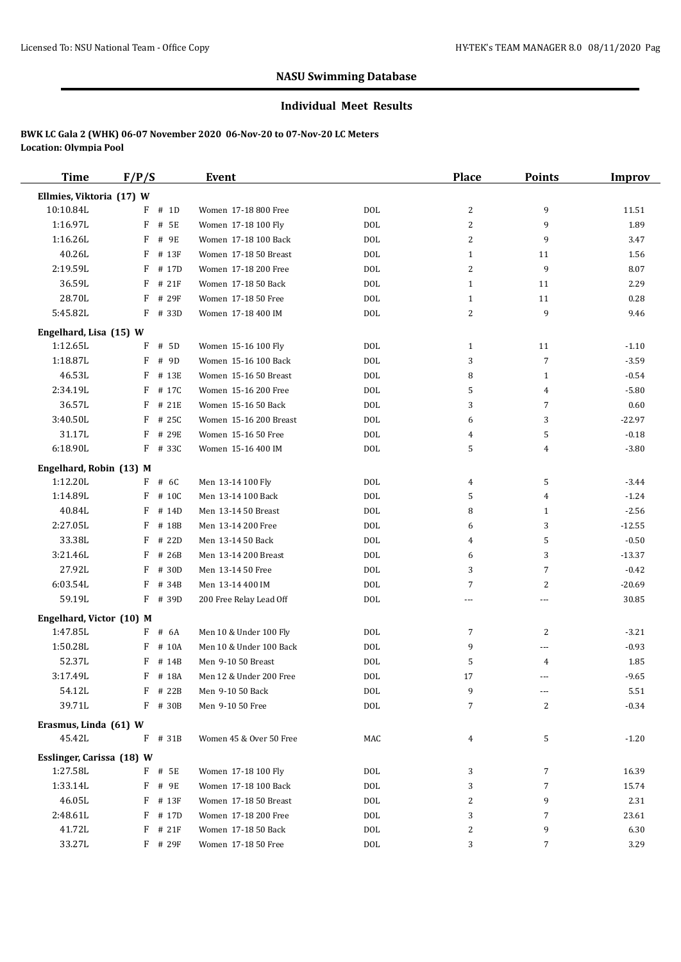#### **Individual Meet Results**

| <b>Time</b>               | F/P/S      | Event                   |            | <b>Place</b>   | <b>Points</b>  | <b>Improv</b> |
|---------------------------|------------|-------------------------|------------|----------------|----------------|---------------|
| Ellmies, Viktoria (17) W  |            |                         |            |                |                |               |
| 10:10.84L                 | # 1D<br>F  | Women 17-18 800 Free    | <b>DOL</b> | 2              | 9              | 11.51         |
| 1:16.97L                  | F<br># 5E  | Women 17-18 100 Fly     | <b>DOL</b> | 2              | 9              | 1.89          |
| 1:16.26L                  | F<br># 9E  | Women 17-18 100 Back    | <b>DOL</b> | 2              | 9              | 3.47          |
| 40.26L                    | F<br># 13F | Women 17-18 50 Breast   | <b>DOL</b> | $\mathbf{1}$   | 11             | 1.56          |
| 2:19.59L                  | F<br># 17D | Women 17-18 200 Free    | <b>DOL</b> | $\overline{2}$ | 9              | 8.07          |
| 36.59L                    | $F$ # 21F  | Women 17-18 50 Back     | <b>DOL</b> | $\mathbf{1}$   | 11             | 2.29          |
| 28.70L                    | F<br># 29F | Women 17-18 50 Free     | <b>DOL</b> | $\mathbf{1}$   | 11             | 0.28          |
| 5:45.82L                  | F<br># 33D | Women 17-18 400 IM      | <b>DOL</b> | 2              | 9              | 9.46          |
| Engelhard, Lisa (15) W    |            |                         |            |                |                |               |
| 1:12.65L                  | F<br># 5D  | Women 15-16 100 Fly     | <b>DOL</b> | $\mathbf{1}$   | 11             | $-1.10$       |
| 1:18.87L                  | F<br># 9D  | Women 15-16 100 Back    | <b>DOL</b> | 3              | $\overline{7}$ | $-3.59$       |
| 46.53L                    | F<br># 13E | Women 15-16 50 Breast   | <b>DOL</b> | 8              | 1              | $-0.54$       |
| 2:34.19L                  | F<br># 17C | Women 15-16 200 Free    | <b>DOL</b> | 5              | 4              | $-5.80$       |
| 36.57L                    | F<br># 21E | Women 15-16 50 Back     | <b>DOL</b> | 3              | $\overline{7}$ | 0.60          |
| 3:40.50L                  | F<br># 25C | Women 15-16 200 Breast  | <b>DOL</b> | 6              | 3              | $-22.97$      |
| 31.17L                    | F<br># 29E | Women 15-16 50 Free     | <b>DOL</b> | 4              | 5              | $-0.18$       |
| 6:18.90L                  | F # 33C    | Women 15-16 400 IM      | <b>DOL</b> | 5              | 4              | $-3.80$       |
| Engelhard, Robin (13) M   |            |                         |            |                |                |               |
| 1:12.20L                  | $F$ # 6C   | Men 13-14 100 Fly       | <b>DOL</b> | 4              | 5              | $-3.44$       |
| 1:14.89L                  | F<br># 10C | Men 13-14 100 Back      | <b>DOL</b> | 5              | 4              | $-1.24$       |
| 40.84L                    | F<br># 14D | Men 13-14 50 Breast     | <b>DOL</b> | 8              | 1              | $-2.56$       |
| 2:27.05L                  | F<br># 18B | Men 13-14 200 Free      | <b>DOL</b> | 6              | 3              | $-12.55$      |
| 33.38L                    | F<br># 22D | Men 13-14 50 Back       | <b>DOL</b> | 4              | 5              | $-0.50$       |
| 3:21.46L                  | F<br># 26B | Men 13-14 200 Breast    | <b>DOL</b> | 6              | 3              | $-13.37$      |
| 27.92L                    | F<br># 30D | Men 13-14 50 Free       | <b>DOL</b> | 3              | $\overline{7}$ | $-0.42$       |
| 6:03.54L                  | F<br># 34B | Men 13-14 400 IM        | <b>DOL</b> | 7              | $\overline{2}$ | $-20.69$      |
| 59.19L                    | F # 39D    | 200 Free Relay Lead Off | <b>DOL</b> | ---            | ---            | 30.85         |
| Engelhard, Victor (10) M  |            |                         |            |                |                |               |
| 1:47.85L                  | F<br># 6A  | Men 10 & Under 100 Fly  | <b>DOL</b> | 7              | $\overline{2}$ | $-3.21$       |
| 1:50.28L                  | F<br># 10A | Men 10 & Under 100 Back | <b>DOL</b> | 9              | ---            | $-0.93$       |
| 52.37L                    | F<br># 14B | Men 9-10 50 Breast      | <b>DOL</b> | 5              | 4              | 1.85          |
| 3:17.49L                  | F # 18A    | Men 12 & Under 200 Free | <b>DOL</b> | 17             | ---            | $-9.65$       |
| 54.12L                    | F # 22B    | Men 9-10 50 Back        | DOL        | 9              | ---            | 5.51          |
| 39.71L                    | $F$ # 30B  | Men 9-10 50 Free        | <b>DOL</b> | 7              | 2              | $-0.34$       |
| Erasmus, Linda (61) W     |            |                         |            |                |                |               |
| 45.42L                    | F # 31B    | Women 45 & Over 50 Free | MAC        | 4              | 5              | $-1.20$       |
| Esslinger, Carissa (18) W |            |                         |            |                |                |               |
| 1:27.58L                  | F # 5E     | Women 17-18 100 Fly     | DOL        | 3              | 7              | 16.39         |
| 1:33.14L                  | F # 9E     | Women 17-18 100 Back    | <b>DOL</b> | 3              | $\overline{7}$ | 15.74         |
| 46.05L                    | F<br># 13F | Women 17-18 50 Breast   | <b>DOL</b> | 2              | 9              | 2.31          |
| 2:48.61L                  | F<br># 17D | Women 17-18 200 Free    | DOL        | 3              | $\overline{7}$ | 23.61         |
| 41.72L                    | # 21F<br>F | Women 17-18 50 Back     | <b>DOL</b> | 2              | 9              | 6.30          |
| 33.27L                    | $F$ # 29F  | Women 17-18 50 Free     | $\rm DOL$  | 3              | 7              | 3.29          |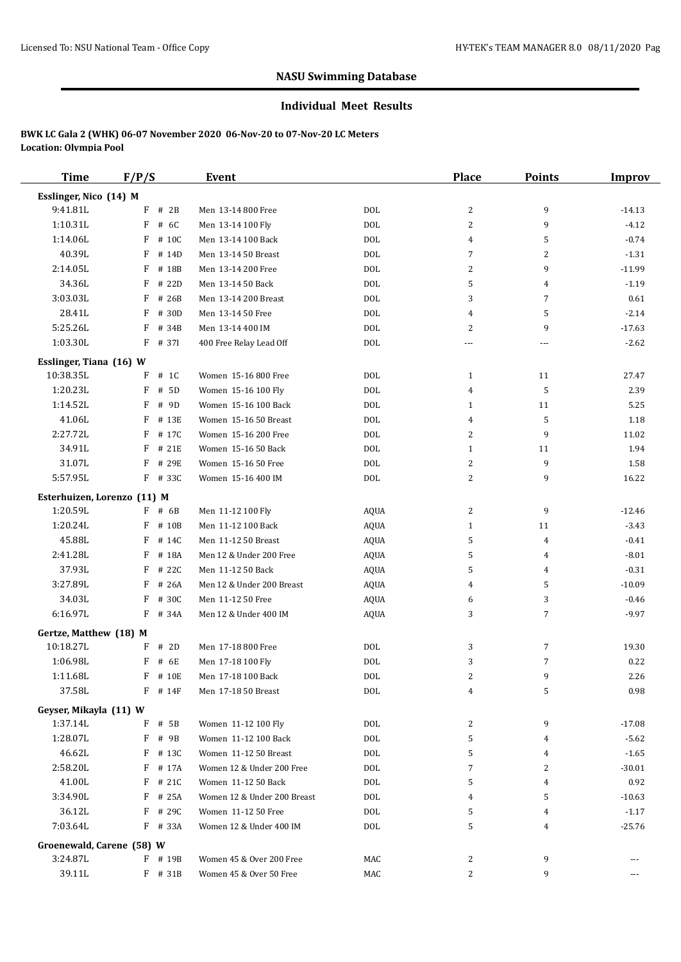#### **Individual Meet Results**

| <b>Time</b>                        | F/P/S      | Event                       |                   | <b>Place</b>   | <b>Points</b>  | <b>Improv</b>       |
|------------------------------------|------------|-----------------------------|-------------------|----------------|----------------|---------------------|
| Esslinger, Nico (14) M             |            |                             |                   |                |                |                     |
| 9:41.81L                           | $F$ # 2B   | Men 13-14 800 Free          | <b>DOL</b>        | 2              | 9              | $-14.13$            |
| 1:10.31L                           | F<br># 6C  | Men 13-14 100 Fly           | <b>DOL</b>        | 2              | 9              | $-4.12$             |
| 1:14.06L                           | F<br># 10C | Men 13-14 100 Back          | <b>DOL</b>        | $\overline{4}$ | 5              | $-0.74$             |
| 40.39L                             | F<br># 14D | Men 13-14 50 Breast         | <b>DOL</b>        | 7              | 2              | $-1.31$             |
| 2:14.05L                           | F<br># 18B | Men 13-14 200 Free          | <b>DOL</b>        | 2              | 9              | $-11.99$            |
| 34.36L                             | F<br># 22D | Men 13-14 50 Back           | <b>DOL</b>        | 5              | $\overline{4}$ | $-1.19$             |
| 3:03.03L                           | F<br># 26B | Men 13-14 200 Breast        | <b>DOL</b>        | 3              | $\overline{7}$ | 0.61                |
| 28.41L                             | # 30D<br>F | Men 13-14 50 Free           | <b>DOL</b>        | 4              | 5              | $-2.14$             |
| 5:25.26L                           | F<br># 34B | Men 13-14 400 IM            | <b>DOL</b>        | 2              | 9              | $-17.63$            |
| 1:03.30L                           | F<br># 371 | 400 Free Relay Lead Off     | <b>DOL</b>        | ---            | ---            | $-2.62$             |
| Esslinger, Tiana (16) W            |            |                             |                   |                |                |                     |
| 10:38.35L                          | # 1C<br>F  | Women 15-16 800 Free        | DOL               | $\mathbf{1}$   | 11             | 27.47               |
| 1:20.23L                           | # 5D<br>F  | Women 15-16 100 Fly         | <b>DOL</b>        | $\overline{4}$ | 5              | 2.39                |
| 1:14.52L                           | F<br># 9D  | Women 15-16 100 Back        | <b>DOL</b>        | $\mathbf{1}$   | 11             | 5.25                |
| 41.06L                             | F<br># 13E | Women 15-16 50 Breast       | <b>DOL</b>        | 4              | 5              | 1.18                |
| 2:27.72L                           | F<br># 17C | Women 15-16 200 Free        | <b>DOL</b>        | 2              | 9              | 11.02               |
| 34.91L                             | # 21E<br>F | Women 15-16 50 Back         | <b>DOL</b>        | $\mathbf{1}$   | 11             | 1.94                |
| 31.07L                             | F<br># 29E | Women 15-16 50 Free         | <b>DOL</b>        | 2              | 9              | 1.58                |
| 5:57.95L                           | F # 33C    | Women 15-16 400 IM          | <b>DOL</b>        | 2              | 9              | 16.22               |
| Esterhuizen, Lorenzo (11) M        |            |                             |                   |                |                |                     |
| 1:20.59L                           | $F$ # 6B   | Men 11-12 100 Fly           | <b>AQUA</b>       | 2              | 9              | $-12.46$            |
| 1:20.24L                           | F<br># 10B | Men 11-12 100 Back          | <b>AQUA</b>       | $\mathbf{1}$   | 11             | $-3.43$             |
| 45.88L                             | F<br># 14C | Men 11-12 50 Breast         | <b>AQUA</b>       | 5              | 4              | $-0.41$             |
| 2:41.28L                           | F<br># 18A | Men 12 & Under 200 Free     | AQUA              | 5              | 4              | $-8.01$             |
| 37.93L                             | F<br># 22C | Men 11-12 50 Back           | <b>AQUA</b>       | 5              | 4              | $-0.31$             |
| 3:27.89L                           | F<br># 26A | Men 12 & Under 200 Breast   | <b>AQUA</b>       | 4              | 5              | $-10.09$            |
| 34.03L                             | F<br># 30C | Men 11-12 50 Free           | <b>AQUA</b>       | 6              | 3              | $-0.46$             |
| 6:16.97L                           | F # 34A    | Men 12 & Under 400 IM       | <b>AQUA</b>       | 3              | 7              | $-9.97$             |
| Gertze, Matthew (18) M             |            |                             |                   |                |                |                     |
| 10:18.27L                          | # 2D<br>F  | Men 17-18 800 Free          | <b>DOL</b>        | 3              | 7              | 19.30               |
| 1:06.98L                           | F<br># 6E  | Men 17-18 100 Fly           | <b>DOL</b>        | 3              | $\overline{7}$ | 0.22                |
| 1:11.68L                           | F # 10E    | Men 17-18 100 Back          | <b>DOL</b>        | 2              | 9              | 2.26                |
| 37.58L                             | $F$ # 14F  | Men 17-18 50 Breast         | DOL               | 4              | 5              | 0.98                |
|                                    |            |                             |                   |                |                |                     |
| Geyser, Mikayla (11) W<br>1:37.14L | F # 5B     | Women 11-12 100 Fly         |                   |                | 9              |                     |
| 1:28.07L                           | F<br># 9B  | Women 11-12 100 Back        | DOL<br><b>DOL</b> | 2<br>5         |                | $-17.08$<br>$-5.62$ |
| 46.62L                             | F # 13C    | Women 11-12 50 Breast       | DOL               | 5              | 4<br>4         | $-1.65$             |
| 2:58.20L                           | $F$ # 17A  | Women 12 & Under 200 Free   | DOL               | 7              | 2              | $-30.01$            |
| 41.00L                             | F<br># 21C | Women 11-12 50 Back         | DOL               | 5              | 4              | 0.92                |
| 3:34.90L                           | F<br># 25A | Women 12 & Under 200 Breast | <b>DOL</b>        | 4              | 5              | $-10.63$            |
| 36.12L                             | F # 29C    | Women 11-12 50 Free         | DOL               | 5              | 4              | $-1.17$             |
| 7:03.64L                           | $F$ # 33A  | Women 12 & Under 400 IM     | DOL               | 5              | 4              | $-25.76$            |
|                                    |            |                             |                   |                |                |                     |
| Groenewald, Carene (58) W          |            |                             |                   |                |                |                     |
| 3:24.87L                           | $F$ # 19B  | Women 45 & Over 200 Free    | MAC               | 2              | 9              | $---$               |
| 39.11L                             | F # 31B    | Women 45 & Over 50 Free     | MAC               | 2              | 9              | ---                 |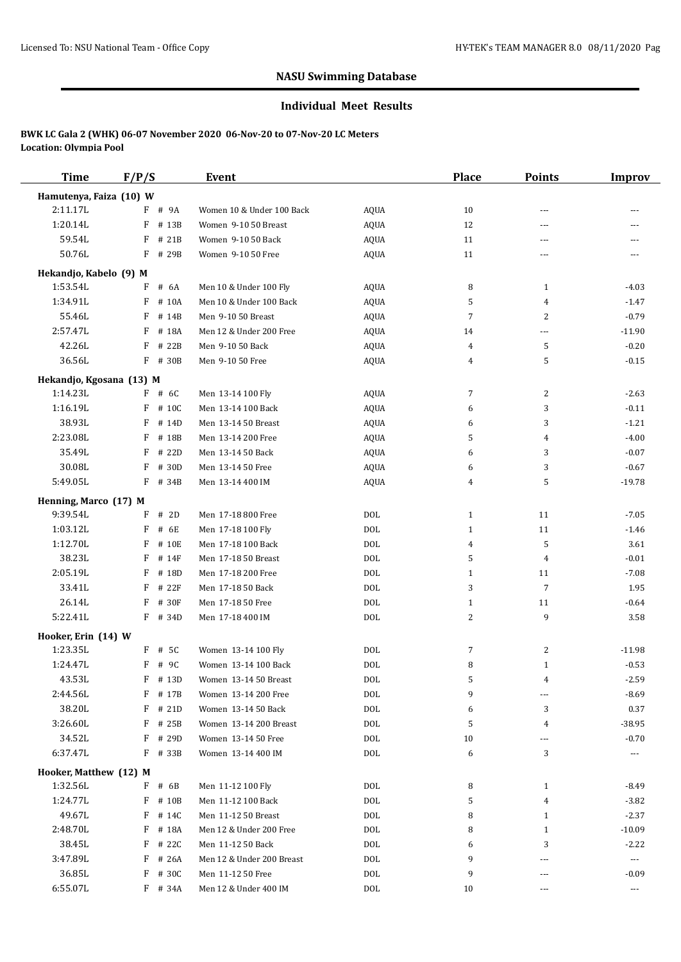### **Individual Meet Results**

| <b>Time</b>              | F/P/S      | <b>Event</b>              |             | <b>Place</b> | <b>Points</b>  | <b>Improv</b>         |
|--------------------------|------------|---------------------------|-------------|--------------|----------------|-----------------------|
| Hamutenya, Faiza (10) W  |            |                           |             |              |                |                       |
| 2:11.17L                 | F # 9A     | Women 10 & Under 100 Back | <b>AQUA</b> | 10           | ---            |                       |
| 1:20.14L                 | F<br># 13B | Women 9-10 50 Breast      | <b>AQUA</b> | 12           | $\cdots$       |                       |
| 59.54L                   | F<br># 21B | Women 9-10 50 Back        | <b>AQUA</b> | 11           | $\sim$ $\sim$  | ---                   |
| 50.76L                   | F # 29B    | Women 9-10 50 Free        | <b>AQUA</b> | 11           | ---            |                       |
| Hekandjo, Kabelo (9) M   |            |                           |             |              |                |                       |
| 1:53.54L                 | # 6A<br>F  | Men 10 & Under 100 Fly    | <b>AQUA</b> | 8            | $\mathbf{1}$   | $-4.03$               |
| 1:34.91L                 | # 10A<br>F | Men 10 & Under 100 Back   | <b>AQUA</b> | 5            | 4              | $-1.47$               |
| 55.46L                   | F<br># 14B | Men 9-10 50 Breast        | <b>AQUA</b> | 7            | 2              | $-0.79$               |
| 2:57.47L                 | F<br># 18A | Men 12 & Under 200 Free   | <b>AQUA</b> | 14           | $---$          | $-11.90$              |
| 42.26L                   | F<br># 22B | Men 9-10 50 Back          | <b>AQUA</b> | 4            | 5              | $-0.20$               |
| 36.56L                   | $F$ # 30B  | Men 9-10 50 Free          | <b>AQUA</b> | 4            | 5              | $-0.15$               |
|                          |            |                           |             |              |                |                       |
| Hekandjo, Kgosana (13) M |            |                           |             |              |                |                       |
| 1:14.23L                 | F # 6C     | Men 13-14 100 Fly         | <b>AQUA</b> | 7            | $\overline{c}$ | $-2.63$               |
| 1:16.19L                 | $F$ # 10C  | Men 13-14 100 Back        | <b>AQUA</b> | 6            | 3              | $-0.11$               |
| 38.93L                   | F<br># 14D | Men 13-14 50 Breast       | <b>AQUA</b> | 6            | 3              | $-1.21$               |
| 2:23.08L                 | F<br># 18B | Men 13-14 200 Free        | <b>AQUA</b> | 5            | 4              | $-4.00$               |
| 35.49L                   | F<br># 22D | Men 13-14 50 Back         | <b>AQUA</b> | 6            | 3              | $-0.07$               |
| 30.08L                   | $F$ # 30D  | Men 13-14 50 Free         | <b>AQUA</b> | 6            | 3              | $-0.67$               |
| 5:49.05L                 | F # 34B    | Men 13-14 400 IM          | <b>AQUA</b> | 4            | 5              | $-19.78$              |
| Henning, Marco (17) M    |            |                           |             |              |                |                       |
| 9:39.54L                 | F<br># 2D  | Men 17-18 800 Free        | <b>DOL</b>  | $\mathbf{1}$ | 11             | $-7.05$               |
| 1:03.12L                 | F<br># 6E  | Men 17-18 100 Fly         | <b>DOL</b>  | $\mathbf{1}$ | 11             | $-1.46$               |
| 1:12.70L                 | F<br># 10E | Men 17-18 100 Back        | <b>DOL</b>  | 4            | 5              | 3.61                  |
| 38.23L                   | F<br># 14F | Men 17-18 50 Breast       | <b>DOL</b>  | 5            | 4              | $-0.01$               |
| 2:05.19L                 | F<br># 18D | Men 17-18 200 Free        | <b>DOL</b>  | $\mathbf{1}$ | 11             | $-7.08$               |
| 33.41L                   | F<br># 22F | Men 17-18 50 Back         | <b>DOL</b>  | 3            | $\overline{7}$ | 1.95                  |
| 26.14L                   | F<br># 30F | Men 17-18 50 Free         | <b>DOL</b>  | $\mathbf{1}$ | 11             | $-0.64$               |
| 5:22.41L                 | $F$ # 34D  | Men 17-18 400 IM          | <b>DOL</b>  | 2            | 9              | 3.58                  |
| Hooker, Erin (14) W      |            |                           |             |              |                |                       |
| 1:23.35L                 | $F$ # 5C   | Women 13-14 100 Fly       | <b>DOL</b>  | 7            | $\overline{c}$ | $-11.98$              |
| 1:24.47L                 | F<br># 9C  | Women 13-14 100 Back      | <b>DOL</b>  | 8            | $\mathbf{1}$   | $-0.53$               |
| 43.53L                   | F # 13D    | Women 13-14 50 Breast     | DOL         | 5            | 4              | $-2.59$               |
| 2:44.56L                 | $F$ # 17B  | Women 13-14 200 Free      | <b>DOL</b>  | 9            | ---            | $-8.69$               |
| 38.20L                   | $F$ # 21D  | Women 13-14 50 Back       | <b>DOL</b>  | 6            | 3              | 0.37                  |
| 3:26.60L                 | $F$ # 25B  | Women 13-14 200 Breast    | DOL         | 5            | 4              | $-38.95$              |
| 34.52L                   | $F$ # 29D  | Women 13-14 50 Free       | <b>DOL</b>  | 10           | ---            | $-0.70$               |
| 6:37.47L                 | F # 33B    | Women 13-14 400 IM        | DOL         | 6            | 3              | ---                   |
|                          |            |                           |             |              |                |                       |
| Hooker, Matthew (12) M   |            |                           |             |              |                |                       |
| 1:32.56L                 | F # 6B     | Men 11-12 100 Fly         | DOL         | 8            | 1              | $-8.49$               |
| 1:24.77L                 | $F$ # 10B  | Men 11-12 100 Back        | <b>DOL</b>  | 5            | 4              | $-3.82$               |
| 49.67L                   | F<br># 14C | Men 11-12 50 Breast       | DOL         | 8            | $\mathbf{1}$   | $-2.37$               |
| 2:48.70L                 | F # 18A    | Men 12 & Under 200 Free   | <b>DOL</b>  | 8            | $\mathbf{1}$   | $-10.09$              |
| 38.45L                   | $F$ # 22C  | Men 11-12 50 Back         | <b>DOL</b>  | 6            | 3              | $-2.22$               |
| 3:47.89L                 | $F$ # 26A  | Men 12 & Under 200 Breast | DOL         | 9            | ---            | $\scriptstyle \cdots$ |
| 36.85L                   | $F$ # 30C  | Men 11-12 50 Free         | DOL         | 9            | ---            | $-0.09$               |
| 6:55.07L                 | F # 34A    | Men 12 & Under 400 IM     | DOL         | 10           | ---            | $\scriptstyle\cdots$  |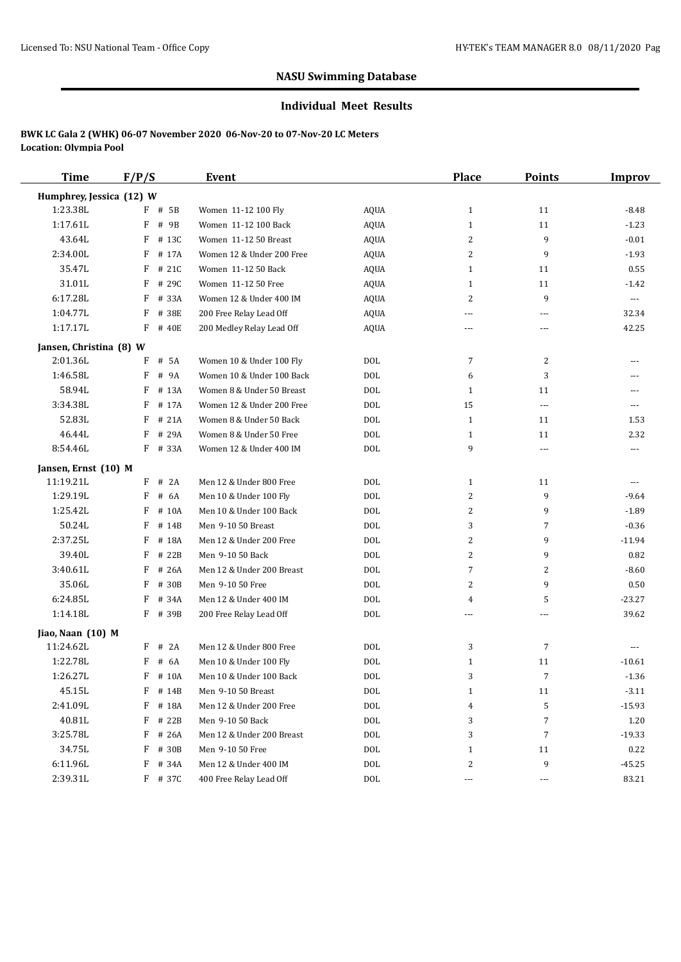#### **Individual Meet Results**

| <b>Time</b>              | F/P/S      | <b>Event</b>              |             | <b>Place</b>         | <b>Points</b>            | <b>Improv</b>        |
|--------------------------|------------|---------------------------|-------------|----------------------|--------------------------|----------------------|
| Humphrey, Jessica (12) W |            |                           |             |                      |                          |                      |
| 1:23.38L                 | F # 5B     | Women 11-12 100 Fly       | AQUA        | $\mathbf{1}$         | 11                       | $-8.48$              |
| 1:17.61L                 | F<br># 9B  | Women 11-12 100 Back      | AQUA        | $\mathbf{1}$         | 11                       | $-1.23$              |
| 43.64L                   | F<br># 13C | Women 11-12 50 Breast     | <b>AQUA</b> | 2                    | 9                        | $-0.01$              |
| 2:34.00L                 | F<br># 17A | Women 12 & Under 200 Free | AQUA        | 2                    | 9                        | $-1.93$              |
| 35.47L                   | # 21C<br>F | Women 11-12 50 Back       | <b>AQUA</b> | $\mathbf{1}$         | 11                       | 0.55                 |
| 31.01L                   | F<br># 29C | Women 11-12 50 Free       | AQUA        | $\mathbf{1}$         | 11                       | $-1.42$              |
| 6:17.28L                 | F<br># 33A | Women 12 & Under 400 IM   | AQUA        | 2                    | 9                        | $\scriptstyle\cdots$ |
| 1:04.77L                 | F<br># 38E | 200 Free Relay Lead Off   | AQUA        | ---                  | $\overline{\phantom{a}}$ | 32.34                |
| 1:17.17L                 | F<br># 40E | 200 Medley Relay Lead Off | <b>AQUA</b> | $- - -$              | $\overline{a}$           | 42.25                |
| Jansen, Christina (8) W  |            |                           |             |                      |                          |                      |
| 2:01.36L                 | F<br># 5A  | Women 10 & Under 100 Fly  | DOL         | 7                    | 2                        |                      |
| 1:46.58L                 | F<br># 9A  | Women 10 & Under 100 Back | <b>DOL</b>  | 6                    | 3                        | $- - -$              |
| 58.94L                   | F<br># 13A | Women 8 & Under 50 Breast | <b>DOL</b>  | $\mathbf{1}$         | 11                       | ---                  |
| 3:34.38L                 | F<br># 17A | Women 12 & Under 200 Free | <b>DOL</b>  | 15                   | $\ldots$ .               | $---$                |
| 52.83L                   | F<br># 21A | Women 8 & Under 50 Back   | <b>DOL</b>  | 1                    | 11                       | 1.53                 |
| 46.44L                   | # 29A<br>F | Women 8 & Under 50 Free   | <b>DOL</b>  | $\mathbf{1}$         | 11                       | 2.32                 |
| 8:54.46L                 | F # 33A    | Women 12 & Under 400 IM   | <b>DOL</b>  | 9                    | $\overline{\phantom{a}}$ |                      |
| Jansen, Ernst (10) M     |            |                           |             |                      |                          |                      |
| 11:19.21L                | F<br># 2A  | Men 12 & Under 800 Free   | <b>DOL</b>  | 1                    | 11                       | $\sim$ $\sim$ $\sim$ |
| 1:29.19L                 | F<br># 6A  | Men 10 & Under 100 Fly    | <b>DOL</b>  | 2                    | 9                        | $-9.64$              |
| 1:25.42L                 | F<br># 10A | Men 10 & Under 100 Back   | <b>DOL</b>  | 2                    | 9                        | $-1.89$              |
| 50.24L                   | F<br># 14B | Men 9-10 50 Breast        | <b>DOL</b>  | 3                    | 7                        | $-0.36$              |
| 2:37.25L                 | F<br># 18A | Men 12 & Under 200 Free   | <b>DOL</b>  | 2                    | 9                        | $-11.94$             |
| 39.40L                   | F<br># 22B | Men 9-10 50 Back          | DOL         | 2                    | 9                        | 0.82                 |
| 3:40.61L                 | F<br># 26A | Men 12 & Under 200 Breast | <b>DOL</b>  | 7                    | $\overline{c}$           | $-8.60$              |
| 35.06L                   | F<br># 30B | Men 9-10 50 Free          | <b>DOL</b>  | 2                    | 9                        | 0.50                 |
| 6:24.85L                 | F<br># 34A | Men 12 & Under 400 IM     | <b>DOL</b>  | 4                    | 5                        | $-23.27$             |
| 1:14.18L                 | F # 39B    | 200 Free Relay Lead Off   | <b>DOL</b>  | $\overline{a}$       | $\overline{a}$           | 39.62                |
| Jiao, Naan (10) M        |            |                           |             |                      |                          |                      |
| 11:24.62L                | # 2A<br>F  | Men 12 & Under 800 Free   | DOL         | 3                    | 7                        | $\sim$ $\sim$ $\sim$ |
| 1:22.78L                 | F<br># 6A  | Men 10 & Under 100 Fly    | <b>DOL</b>  | $\mathbf{1}$         | 11                       | $-10.61$             |
| 1:26.27L                 | F # 10A    | Men 10 & Under 100 Back   | <b>DOL</b>  | 3                    | $\overline{7}$           | $-1.36$              |
| 45.15L                   | $F$ # 14B  | Men 9-10 50 Breast        | DOL         | $\mathbf{1}$         | 11                       | $-3.11$              |
| 2:41.09L                 | F<br># 18A | Men 12 & Under 200 Free   | DOL         | 4                    | 5                        | $-15.93$             |
| 40.81L                   | F<br># 22B | Men 9-10 50 Back          | DOL         | 3                    | $\overline{7}$           | 1.20                 |
| 3:25.78L                 | F<br># 26A | Men 12 & Under 200 Breast | DOL         | 3                    | $\overline{7}$           | $-19.33$             |
| 34.75L                   | F<br># 30B | Men 9-10 50 Free          | DOL         | $\mathbf{1}$         | 11                       | 0.22                 |
| 6:11.96L                 | F<br># 34A | Men 12 & Under 400 IM     | DOL         | 2                    | 9                        | $-45.25$             |
| 2:39.31L                 | $F$ # 37C  | 400 Free Relay Lead Off   | DOL         | $\sim$ $\sim$ $\sim$ | $\cdots$                 | 83.21                |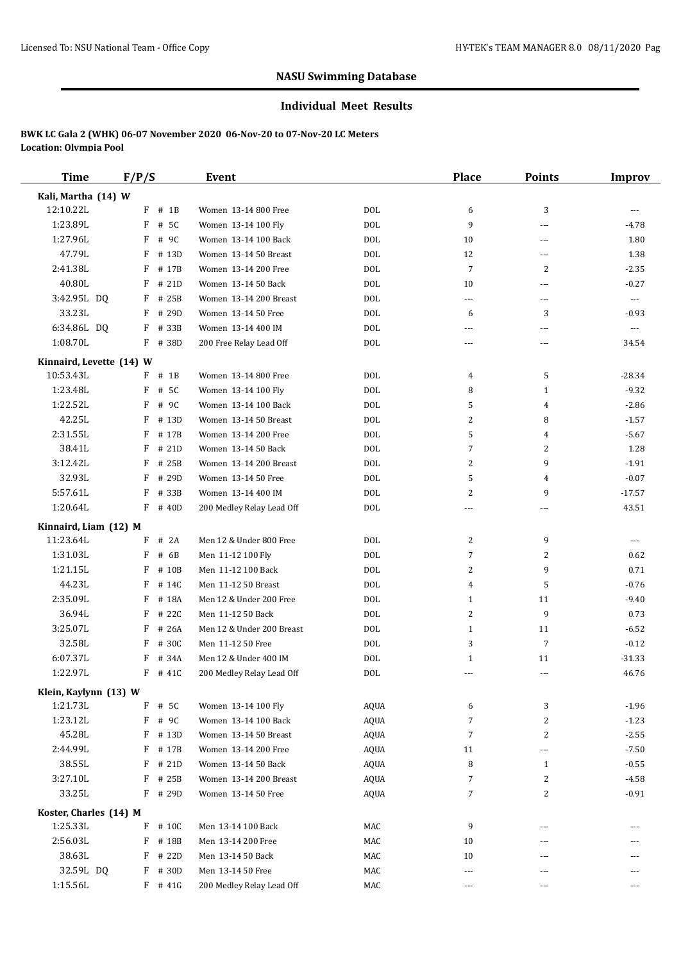#### **Individual Meet Results**

| <b>Time</b>              | F/P/S |           | Event                     |             | Place          | <b>Points</b>  | <b>Improv</b>  |
|--------------------------|-------|-----------|---------------------------|-------------|----------------|----------------|----------------|
| Kali, Martha (14) W      |       |           |                           |             |                |                |                |
| 12:10.22L                |       | $F$ # 1B  | Women 13-14 800 Free      | <b>DOL</b>  | 6              | 3              | ---            |
| 1:23.89L                 | F     | # 5C      | Women 13-14 100 Fly       | <b>DOL</b>  | 9              | ---            | $-4.78$        |
| 1:27.96L                 | F     | # 9C      | Women 13-14 100 Back      | <b>DOL</b>  | 10             | ---            | 1.80           |
| 47.79L                   | F     | # 13D     | Women 13-14 50 Breast     | <b>DOL</b>  | 12             | ---            | 1.38           |
| 2:41.38L                 | F     | # 17B     | Women 13-14 200 Free      | <b>DOL</b>  | 7              | 2              | $-2.35$        |
| 40.80L                   | F     | # 21D     | Women 13-14 50 Back       | <b>DOL</b>  | 10             | ---            | $-0.27$        |
| 3:42.95L DQ              | F     | # 25B     | Women 13-14 200 Breast    | <b>DOL</b>  | $---$          | ---            | ---            |
| 33.23L                   | F     | # 29D     | Women 13-14 50 Free       | <b>DOL</b>  | 6              | 3              | $-0.93$        |
| 6:34.86L DQ              | F     | # 33B     | Women 13-14 400 IM        | <b>DOL</b>  | ---            | ---            | $\cdots$       |
| 1:08.70L                 |       | F # 38D   | 200 Free Relay Lead Off   | <b>DOL</b>  | ---            | ---            | 34.54          |
| Kinnaird, Levette (14) W |       |           |                           |             |                |                |                |
| 10:53.43L                |       | $F$ # 1B  | Women 13-14 800 Free      | <b>DOL</b>  | 4              | 5              | $-28.34$       |
| 1:23.48L                 | F     | # 5C      | Women 13-14 100 Fly       | <b>DOL</b>  | 8              | $\mathbf{1}$   | $-9.32$        |
| 1:22.52L                 | F     | # 9C      | Women 13-14 100 Back      | <b>DOL</b>  | 5              | 4              | $-2.86$        |
| 42.25L                   | F     | # 13D     | Women 13-14 50 Breast     | <b>DOL</b>  | 2              | 8              | $-1.57$        |
| 2:31.55L                 | F     | # 17B     | Women 13-14 200 Free      | <b>DOL</b>  | 5              | 4              | $-5.67$        |
| 38.41L                   | F     | # 21D     | Women 13-14 50 Back       | <b>DOL</b>  | 7              | 2              | 1.28           |
| 3:12.42L                 | F     | # 25B     | Women 13-14 200 Breast    | <b>DOL</b>  | 2              | 9              | $-1.91$        |
| 32.93L                   | F     | # 29D     | Women 13-14 50 Free       | <b>DOL</b>  | 5              | 4              | $-0.07$        |
| 5:57.61L                 | F     | # 33B     | Women 13-14 400 IM        | <b>DOL</b>  | 2              | 9              | $-17.57$       |
| 1:20.64L                 | F     | # 40D     | 200 Medley Relay Lead Off | <b>DOL</b>  | ---            | ---            | 43.51          |
|                          |       |           |                           |             |                |                |                |
| Kinnaird, Liam (12) M    |       |           |                           |             |                |                |                |
| 11:23.64L                | F     | # 2A      | Men 12 & Under 800 Free   | <b>DOL</b>  | 2              | 9              | $\overline{a}$ |
| 1:31.03L                 | F     | # 6B      | Men 11-12 100 Fly         | <b>DOL</b>  | 7              | $\overline{2}$ | 0.62           |
| 1:21.15L                 | F     | # 10B     | Men 11-12 100 Back        | <b>DOL</b>  | 2              | 9              | 0.71           |
| 44.23L                   | F     | # 14C     | Men 11-12 50 Breast       | <b>DOL</b>  | 4              | 5              | $-0.76$        |
| 2:35.09L                 | F     | # 18A     | Men 12 & Under 200 Free   | <b>DOL</b>  | $\mathbf{1}$   | 11             | $-9.40$        |
| 36.94L                   | F     | # 22C     | Men 11-12 50 Back         | <b>DOL</b>  | $\overline{2}$ | 9              | 0.73           |
| 3:25.07L                 | F     | # 26A     | Men 12 & Under 200 Breast | <b>DOL</b>  | $\mathbf{1}$   | 11             | $-6.52$        |
| 32.58L                   | F     | # 30C     | Men 11-12 50 Free         | <b>DOL</b>  | 3              | 7              | $-0.12$        |
| 6:07.37L                 | F     | # 34A     | Men 12 & Under 400 IM     | <b>DOL</b>  | $\mathbf{1}$   | 11             | $-31.33$       |
| 1:22.97L                 | F     | # 41C     | 200 Medley Relay Lead Off | <b>DOL</b>  | ---            | ---            | 46.76          |
| Klein, Kaylynn (13) W    |       |           |                           |             |                |                |                |
| 1:21.73L                 | F     | # 5C      | Women 13-14 100 Fly       | AQUA        | 6              | 3              | $-1.96$        |
| 1:23.12L                 | F     | # 9C      | Women 13-14 100 Back      | AQUA        | 7              | 2              | $-1.23$        |
| 45.28L                   |       | $F$ # 13D | Women 13-14 50 Breast     | <b>AQUA</b> | 7              | 2              | $-2.55$        |
| 2:44.99L                 |       | F # 17B   | Women 13-14 200 Free      | AQUA        | 11             | ---            | $-7.50$        |
| 38.55L                   |       | $F$ # 21D | Women 13-14 50 Back       | AQUA        | 8              | 1              | $-0.55$        |
| 3:27.10L                 | F     | # 25B     | Women 13-14 200 Breast    | AQUA        | 7              | 2              | $-4.58$        |
| 33.25L                   |       | F # 29D   | Women 13-14 50 Free       | AQUA        | 7              | 2              | $-0.91$        |
| Koster, Charles (14) M   |       |           |                           |             |                |                |                |
| 1:25.33L                 |       | F # 10C   | Men 13-14 100 Back        | MAC         | 9              | ---            |                |
| 2:56.03L                 |       | F # 18B   | Men 13-14 200 Free        | MAC         | 10             | ---            | ---            |
| 38.63L                   | F     | # 22D     | Men 13-14 50 Back         | MAC         | 10             | ---            |                |
| 32.59L DQ                | F     | # 30D     | Men 13-14 50 Free         | MAC         | $\cdots$       | ---            |                |
| 1:15.56L                 |       | $F$ # 41G | 200 Medley Relay Lead Off | MAC         | $---$          | ---            | ---            |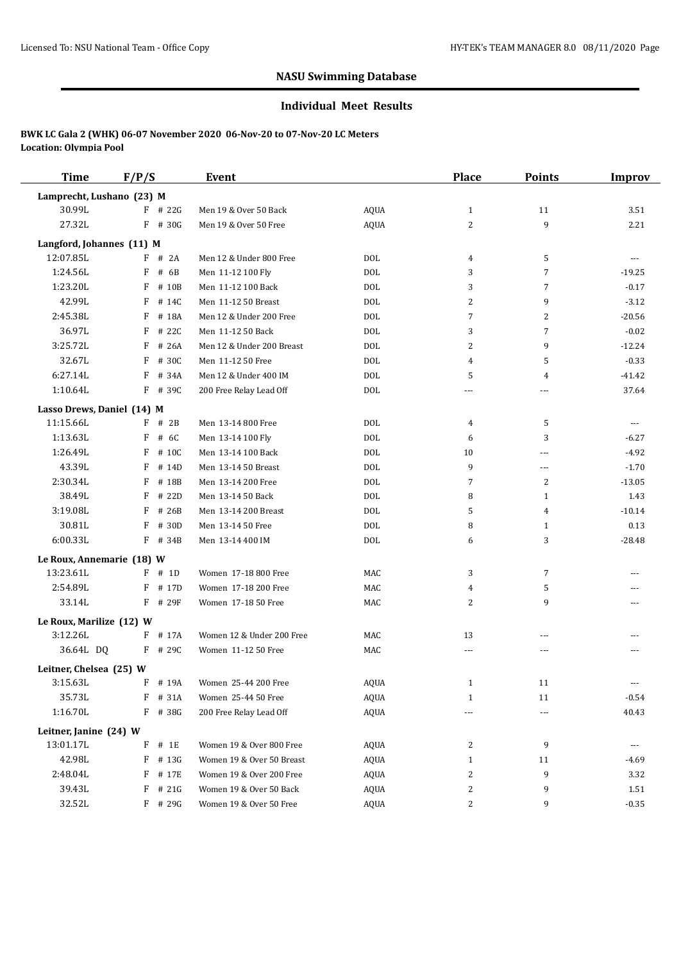#### **Individual Meet Results**

| <b>Time</b>                | F/P/S      | Event                     |             | <b>Place</b> | <b>Points</b>  | <b>Improv</b> |
|----------------------------|------------|---------------------------|-------------|--------------|----------------|---------------|
| Lamprecht, Lushano (23) M  |            |                           |             |              |                |               |
| 30.99L                     | $F$ # 22G  | Men 19 & Over 50 Back     | <b>AQUA</b> | $\mathbf{1}$ | 11             | 3.51          |
| 27.32L                     | $F$ # 30G  | Men 19 & Over 50 Free     | <b>AQUA</b> | 2            | 9              | 2.21          |
| Langford, Johannes (11) M  |            |                           |             |              |                |               |
| 12:07.85L                  | $F$ # 2A   | Men 12 & Under 800 Free   | <b>DOL</b>  | 4            | 5              | ---           |
| 1:24.56L                   | F<br># 6B  | Men 11-12 100 Fly         | <b>DOL</b>  | 3            | 7              | $-19.25$      |
| 1:23.20L                   | F<br># 10B | Men 11-12 100 Back        | <b>DOL</b>  | 3            | 7              | $-0.17$       |
| 42.99L                     | F<br># 14C | Men 11-12 50 Breast       | <b>DOL</b>  | 2            | 9              | $-3.12$       |
| 2:45.38L                   | F<br># 18A | Men 12 & Under 200 Free   | <b>DOL</b>  | 7            | 2              | $-20.56$      |
| 36.97L                     | F<br># 22C | Men 11-12 50 Back         | <b>DOL</b>  | 3            | 7              | $-0.02$       |
| 3:25.72L                   | F<br># 26A | Men 12 & Under 200 Breast | <b>DOL</b>  | 2            | 9              | $-12.24$      |
| 32.67L                     | F<br># 30C | Men 11-12 50 Free         | <b>DOL</b>  | 4            | 5              | $-0.33$       |
| 6:27.14L                   | F<br># 34A | Men 12 & Under 400 IM     | <b>DOL</b>  | 5            | 4              | $-41.42$      |
| 1:10.64L                   | $F$ # 390  | 200 Free Relay Lead Off   | <b>DOL</b>  | ---          | ---            | 37.64         |
| Lasso Drews, Daniel (14) M |            |                           |             |              |                |               |
| 11:15.66L                  | $F$ # 2B   | Men 13-14 800 Free        | <b>DOL</b>  | 4            | 5              | ---           |
| 1:13.63L                   | F<br># 6C  | Men 13-14 100 Fly         | <b>DOL</b>  | 6            | 3              | $-6.27$       |
| 1:26.49L                   | F<br># 10C | Men 13-14 100 Back        | <b>DOL</b>  | 10           | ---            | $-4.92$       |
| 43.39L                     | F<br># 14D | Men 13-14 50 Breast       | <b>DOL</b>  | 9            | ---            | $-1.70$       |
| 2:30.34L                   | F<br># 18B | Men 13-14 200 Free        | <b>DOL</b>  | 7            | $\overline{2}$ | $-13.05$      |
| 38.49L                     | F<br># 22D | Men 13-14 50 Back         | <b>DOL</b>  | 8            | 1              | 1.43          |
| 3:19.08L                   | F<br># 26B | Men 13-14 200 Breast      | <b>DOL</b>  | 5            | $\overline{4}$ | $-10.14$      |
| 30.81L                     | F<br># 30D | Men 13-14 50 Free         | <b>DOL</b>  | 8            | $\mathbf{1}$   | 0.13          |
| 6:00.33L                   | $F$ # 34B  | Men 13-14 400 IM          | <b>DOL</b>  | 6            | 3              | $-28.48$      |
| Le Roux, Annemarie (18) W  |            |                           |             |              |                |               |
| 13:23.61L                  | $F$ # 1D   | Women 17-18 800 Free      | MAC         | 3            | 7              |               |
| 2:54.89L                   | F<br># 17D | Women 17-18 200 Free      | MAC         | 4            | 5              | ---           |
| 33.14L                     | $F$ # 29F  | Women 17-18 50 Free       | MAC         | 2            | 9              |               |
| Le Roux, Marilize (12) W   |            |                           |             |              |                |               |
| 3:12.26L                   | $F$ # 17A  | Women 12 & Under 200 Free | MAC         | 13           | ---            |               |
| 36.64L DQ                  | $F$ # 290  | Women 11-12 50 Free       | MAC         | $\cdots$     | ---            | ---           |
| Leitner, Chelsea (25) W    |            |                           |             |              |                |               |
| 3:15.63L                   | $F$ # 19A  | Women 25-44 200 Free      | AQUA        | 1            | 11             |               |
| 35.73L                     | F # 31A    | Women 25-44 50 Free       | AQUA        | $\mathbf{1}$ | 11             | $-0.54$       |
| 1:16.70L                   | F # 38G    | 200 Free Relay Lead Off   | AQUA        |              | ---            | 40.43         |
| Leitner, Janine (24) W     |            |                           |             |              |                |               |
| 13:01.17L                  | $F$ # 1E   | Women 19 & Over 800 Free  | AQUA        | 2            | 9              | ---           |
| 42.98L                     | F # 13G    | Women 19 & Over 50 Breast | <b>AQUA</b> | 1            | 11             | -4.69         |
| 2:48.04L                   | $F$ # 17E  | Women 19 & Over 200 Free  | AQUA        | 2            | 9              | 3.32          |
| 39.43L                     | $F$ # 21G  | Women 19 & Over 50 Back   | AQUA        | 2            | 9              | 1.51          |
| 32.52L                     | F # 29G    | Women 19 & Over 50 Free   | <b>AQUA</b> | 2            | 9              | $-0.35$       |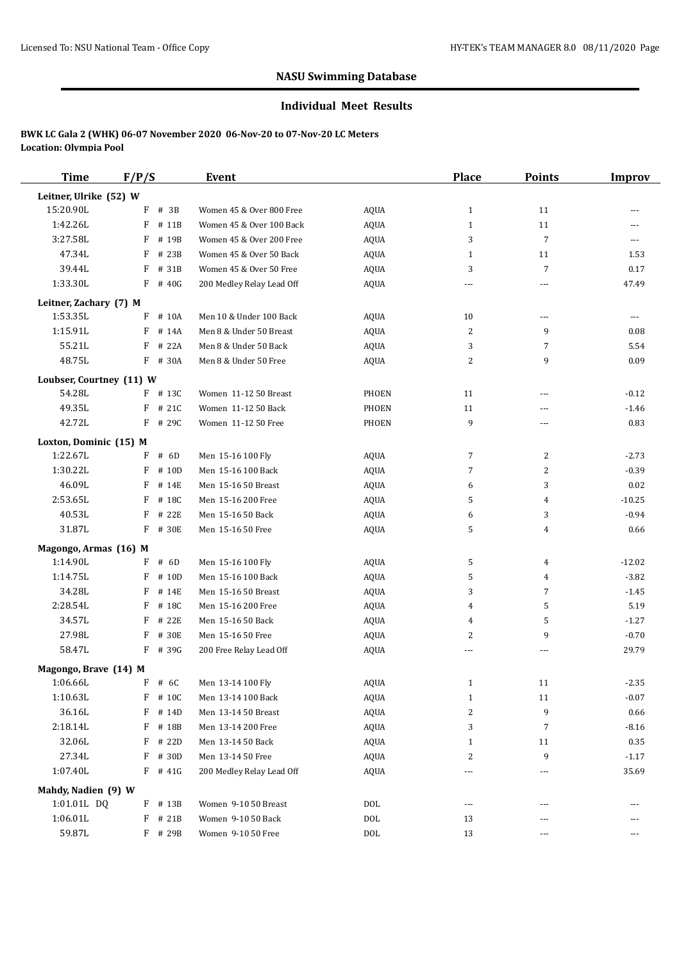#### **Individual Meet Results**

| <b>Time</b>              | F/P/S      | Event                     |              | <b>Place</b> | <b>Points</b>  | <b>Improv</b> |
|--------------------------|------------|---------------------------|--------------|--------------|----------------|---------------|
| Leitner, Ulrike (52) W   |            |                           |              |              |                |               |
| 15:20.90L                | F<br># 3B  | Women 45 & Over 800 Free  | <b>AQUA</b>  | $\mathbf{1}$ | 11             |               |
| 1:42.26L                 | F<br># 11B | Women 45 & Over 100 Back  | AQUA         | $\mathbf{1}$ | 11             | ---           |
| 3:27.58L                 | F<br># 19B | Women 45 & Over 200 Free  | <b>AQUA</b>  | 3            | $\overline{7}$ | ---           |
| 47.34L                   | F<br># 23B | Women 45 & Over 50 Back   | <b>AQUA</b>  | $\mathbf{1}$ | 11             | 1.53          |
| 39.44L                   | F<br># 31B | Women 45 & Over 50 Free   | AQUA         | 3            | 7              | 0.17          |
| 1:33.30L                 | $F$ # 40G  | 200 Medley Relay Lead Off | <b>AQUA</b>  |              | ---            | 47.49         |
| Leitner, Zachary (7) M   |            |                           |              |              |                |               |
| 1:53.35L                 | F<br># 10A | Men 10 & Under 100 Back   | AQUA         | 10           | $\overline{a}$ | ---           |
| 1:15.91L                 | F<br># 14A | Men 8 & Under 50 Breast   | <b>AQUA</b>  | 2            | 9              | 0.08          |
| 55.21L                   | F<br># 22A | Men 8 & Under 50 Back     | <b>AQUA</b>  | 3            | 7              | 5.54          |
| 48.75L                   | F # 30A    | Men 8 & Under 50 Free     | <b>AQUA</b>  | 2            | 9              | 0.09          |
| Loubser, Courtney (11) W |            |                           |              |              |                |               |
| 54.28L                   | $F$ # 13C  | Women 11-12 50 Breast     | PHOEN        | 11           | ---            | $-0.12$       |
| 49.35L                   | $F$ # 21C  | Women 11-12 50 Back       | <b>PHOEN</b> | 11           | ---            | $-1.46$       |
| 42.72L                   | F # 29C    | Women 11-12 50 Free       | <b>PHOEN</b> | 9            | ---            | 0.83          |
| Loxton, Dominic (15) M   |            |                           |              |              |                |               |
| 1:22.67L                 | $F$ # 6D   | Men 15-16 100 Fly         | <b>AQUA</b>  | 7            | $\overline{c}$ | $-2.73$       |
| 1:30.22L                 | F<br># 10D | Men 15-16 100 Back        | <b>AQUA</b>  | 7            | 2              | $-0.39$       |
| 46.09L                   | F<br># 14E | Men 15-16 50 Breast       | <b>AQUA</b>  | 6            | 3              | 0.02          |
| 2:53.65L                 | F<br># 18C | Men 15-16 200 Free        | <b>AQUA</b>  | 5            | 4              | $-10.25$      |
| 40.53L                   | F<br># 22E | Men 15-16 50 Back         | <b>AQUA</b>  | 6            | 3              | $-0.94$       |
| 31.87L                   | F<br># 30E | Men 15-16 50 Free         | <b>AQUA</b>  | 5            | 4              | 0.66          |
| Magongo, Armas (16) M    |            |                           |              |              |                |               |
| 1:14.90L                 | F<br># 6D  | Men 15-16 100 Fly         | AQUA         | 5            | 4              | $-12.02$      |
| 1:14.75L                 | F<br># 10D | Men 15-16 100 Back        | <b>AQUA</b>  | 5            | 4              | $-3.82$       |
| 34.28L                   | F<br># 14E | Men 15-16 50 Breast       | <b>AQUA</b>  | 3            | $\overline{7}$ | $-1.45$       |
| 2:28.54L                 | F<br># 18C | Men 15-16 200 Free        | <b>AQUA</b>  | 4            | 5              | 5.19          |
| 34.57L                   | F<br># 22E | Men 15-16 50 Back         | <b>AQUA</b>  | 4            | 5              | $-1.27$       |
| 27.98L                   | F<br># 30E | Men 15-16 50 Free         | <b>AQUA</b>  | 2            | 9              | $-0.70$       |
| 58.47L                   | $F$ # 39G  | 200 Free Relay Lead Off   | AQUA         | ---          | ---            | 29.79         |
| Magongo, Brave (14) M    |            |                           |              |              |                |               |
| 1:06.66L                 | $F$ # 6C   | Men 13-14 100 Fly         | AQUA         | 1            | 11             | $-2.35$       |
| 1:10.63L                 | $F$ # 10C  | Men 13-14 100 Back        | <b>AQUA</b>  | 1            | 11             | $-0.07$       |
| 36.16L                   | $F$ # 14D  | Men 13-14 50 Breast       | AQUA         | 2            | 9              | 0.66          |
| 2:18.14L                 | $F$ # 18B  | Men 13-14 200 Free        | <b>AQUA</b>  | 3            | 7              | $-8.16$       |
| 32.06L                   | F # 22D    | Men 13-14 50 Back         | <b>AQUA</b>  | 1            | 11             | 0.35          |
| 27.34L                   | F # 30D    | Men 13-14 50 Free         | <b>AQUA</b>  | 2            | 9              | $-1.17$       |
| 1:07.40L                 | $F$ # 41G  | 200 Medley Relay Lead Off | <b>AQUA</b>  |              | ---            | 35.69         |
| Mahdy, Nadien (9) W      |            |                           |              |              |                |               |
| 1:01.01L DQ              | $F$ # 13B  | Women 9-10 50 Breast      | $\rm DOL$    | $\cdots$     | ---            |               |
| 1:06.01L                 | $F$ # 21B  | Women 9-10 50 Back        | $\rm DOL$    | 13           |                |               |
| 59.87L                   | F # 29B    | Women 9-10 50 Free        | $\rm DOL$    | 13           | ---            | ---           |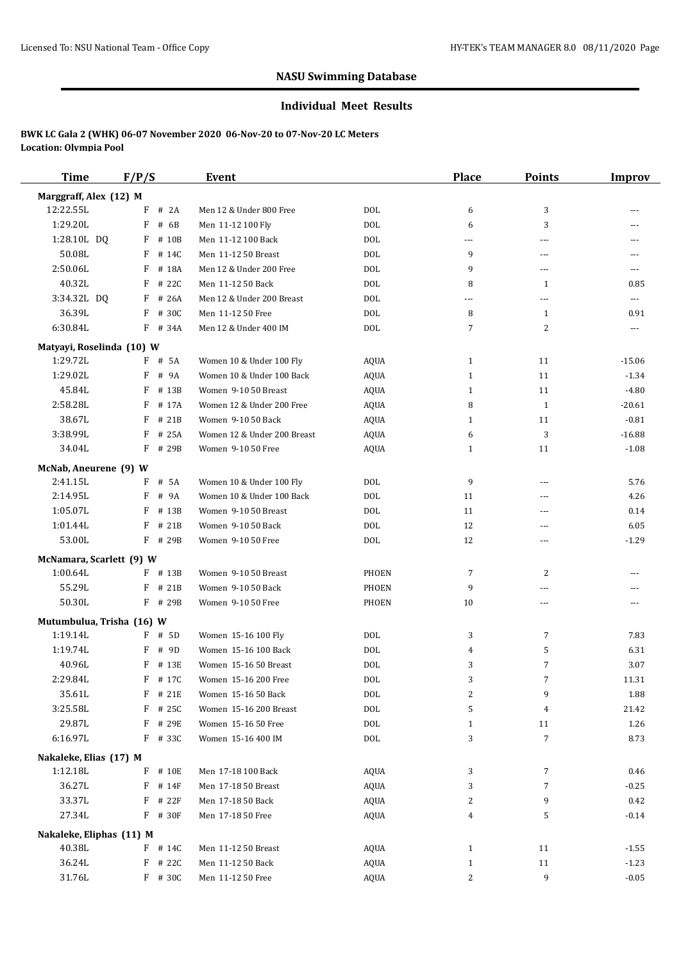#### **Individual Meet Results**

| <b>Time</b>                           | F/P/S                   | <b>Event</b>                |              | <b>Place</b> | <b>Points</b>  | <b>Improv</b>            |
|---------------------------------------|-------------------------|-----------------------------|--------------|--------------|----------------|--------------------------|
| Marggraff, Alex (12) M                |                         |                             |              |              |                |                          |
| 12:22.55L                             | $F$ # 2A                | Men 12 & Under 800 Free     | <b>DOL</b>   | 6            | 3              |                          |
| 1:29.20L                              | F<br># 6B               | Men 11-12 100 Fly           | <b>DOL</b>   | 6            | 3              | ---                      |
| 1:28.10L DQ                           | $F$ # 10B               | Men 11-12 100 Back          | <b>DOL</b>   | ---          | $\overline{a}$ | ---                      |
| 50.08L                                | $F$ # 14C               | Men 11-12 50 Breast         | <b>DOL</b>   | 9            | ---            | ---                      |
| 2:50.06L                              | F # 18A                 | Men 12 & Under 200 Free     | <b>DOL</b>   | 9            | $\overline{a}$ | $---$                    |
| 40.32L                                | $F$ # 22C               | Men 11-12 50 Back           | <b>DOL</b>   | 8            | $\mathbf{1}$   | 0.85                     |
| 3:34.32L DQ                           | $F$ # 26A               | Men 12 & Under 200 Breast   | <b>DOL</b>   | ---          | $---$          | $\overline{\phantom{a}}$ |
| 36.39L                                | F<br># 30C              | Men 11-12 50 Free           | <b>DOL</b>   | 8            | $\mathbf{1}$   | 0.91                     |
| 6:30.84L                              | F # 34A                 | Men 12 & Under 400 IM       | <b>DOL</b>   | 7            | 2              | ---                      |
| Matyayi, Roselinda (10) W             |                         |                             |              |              |                |                          |
| 1:29.72L                              | $F$ # 5A                | Women 10 & Under 100 Fly    | <b>AQUA</b>  | $\mathbf{1}$ | 11             | $-15.06$                 |
| 1:29.02L                              | F # 9A                  | Women 10 & Under 100 Back   | <b>AQUA</b>  | $\mathbf{1}$ | 11             | $-1.34$                  |
| 45.84L                                | F<br># 13B              | Women 9-10 50 Breast        | <b>AQUA</b>  | $\mathbf{1}$ | 11             | $-4.80$                  |
| 2:58.28L                              | F # 17A                 | Women 12 & Under 200 Free   | AQUA         | 8            | 1              | $-20.61$                 |
| 38.67L                                | F # 21B                 | Women 9-10 50 Back          | <b>AQUA</b>  | $\mathbf{1}$ | 11             | $-0.81$                  |
| 3:38.99L                              | F<br># 25A              | Women 12 & Under 200 Breast | <b>AQUA</b>  | 6            | 3              | $-16.88$                 |
| 34.04L                                | F # 29B                 | Women 9-10 50 Free          | <b>AQUA</b>  | 1            | 11             | $-1.08$                  |
| McNab, Aneurene (9) W                 |                         |                             |              |              |                |                          |
| 2:41.15L                              | F # 5A                  | Women 10 & Under 100 Fly    | DOL          | 9            | $\overline{a}$ | 5.76                     |
| 2:14.95L                              | F<br># 9A               | Women 10 & Under 100 Back   | <b>DOL</b>   | 11           | ---            | 4.26                     |
| 1:05.07L                              | F # 13B                 | Women 9-10 50 Breast        | <b>DOL</b>   | 11           | $\overline{a}$ | 0.14                     |
| 1:01.44L                              | $F$ # 21B               | Women 9-10 50 Back          | <b>DOL</b>   | 12           | ---            | 6.05                     |
| 53.00L                                | F # 29B                 | Women 9-10 50 Free          | DOL          | 12           | $---$          | $-1.29$                  |
| McNamara, Scarlett (9) W              |                         |                             |              |              |                |                          |
| 1:00.64L                              | $F$ # 13B               | Women 9-10 50 Breast        | PHOEN        | 7            | 2              | ---                      |
| 55.29L                                | $F$ # 21B               | Women 9-10 50 Back          | <b>PHOEN</b> | 9            | ---            |                          |
| 50.30L                                | F # 29B                 | Women 9-10 50 Free          | PHOEN        | 10           | ---            |                          |
|                                       |                         |                             |              |              |                |                          |
| Mutumbulua, Trisha (16) W<br>1:19.14L | F # 5D                  | Women 15-16 100 Fly         | <b>DOL</b>   | 3            | $\overline{7}$ | 7.83                     |
| 1:19.74L                              | F<br># 9D               | Women 15-16 100 Back        | <b>DOL</b>   | 4            | 5              | 6.31                     |
| 40.96L                                | F # 13E                 | Women 15-16 50 Breast       | <b>DOL</b>   | 3            | $\overline{7}$ | 3.07                     |
| 2:29.84L                              | F # 17C                 | Women 15-16 200 Free        | DOL          | 3            | 7              | 11.31                    |
| 35.61L                                | F # 21E                 | Women 15-16 50 Back         | $\rm DOL$    | 2            | 9              | 1.88                     |
| 3:25.58L                              | $F$ # 25C               | Women 15-16 200 Breast      | $\rm DOL$    | 5            | 4              | 21.42                    |
| 29.87L                                | F # 29E                 | Women 15-16 50 Free         | DOL          | $\mathbf{1}$ | 11             | 1.26                     |
| 6:16.97L                              | F # 33C                 | Women 15-16 400 IM          | <b>DOL</b>   | 3            | $\overline{7}$ | 8.73                     |
|                                       |                         |                             |              |              |                |                          |
| Nakaleke, Elias (17) M<br>1:12.18L    | F # 10E                 | Men 17-18 100 Back          | AQUA         |              | 7              | 0.46                     |
|                                       |                         |                             |              | 3            |                |                          |
| 36.27L<br>33.37L                      | $F$ # 14F<br>F<br># 22F | Men 17-18 50 Breast         | <b>AQUA</b>  | 3            | $\overline{7}$ | $-0.25$                  |
|                                       | F # 30F                 | Men 17-18 50 Back           | <b>AQUA</b>  | 2            | 9              | $0.42\,$                 |
| 27.34L                                |                         | Men 17-18 50 Free           | AQUA         | 4            | 5              | $-0.14$                  |
| Nakaleke, Eliphas (11) M              |                         |                             |              |              |                |                          |
| 40.38L                                | F # 14C                 | Men 11-12 50 Breast         | <b>AQUA</b>  | $\mathbf{1}$ | 11             | $-1.55$                  |
| 36.24L                                | F # 22C                 | Men 11-12 50 Back           | <b>AQUA</b>  | $\mathbf{1}$ | 11             | $-1.23$                  |
| 31.76L                                | F # 30C                 | Men 11-12 50 Free           | <b>AQUA</b>  | 2            | 9              | $-0.05$                  |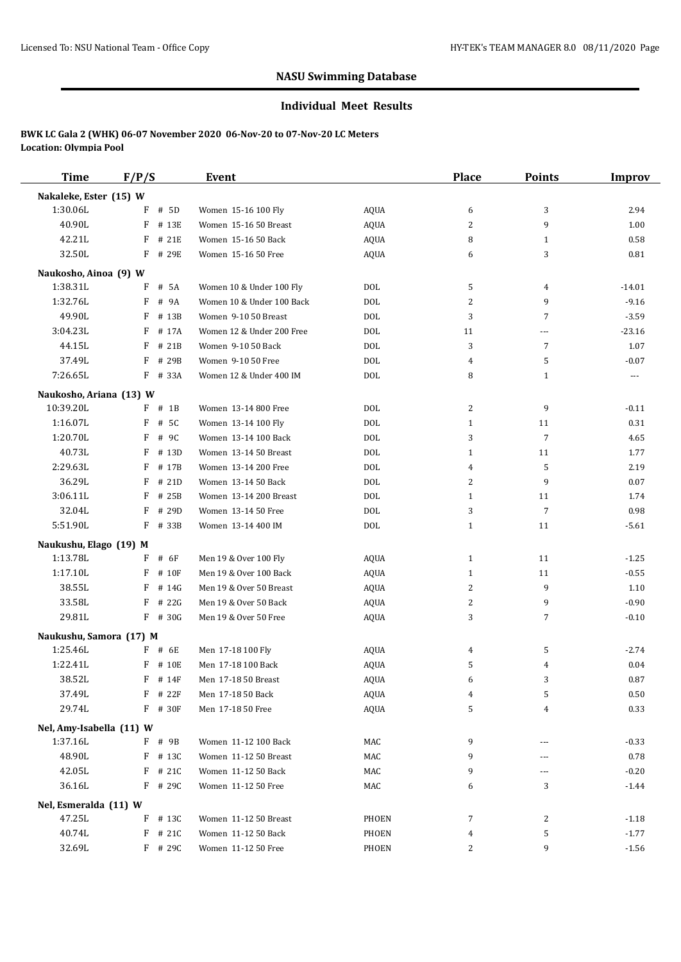#### **Individual Meet Results**

| <b>Time</b>              | F/P/S      | Event                     |             | <b>Place</b> | <b>Points</b>  | <b>Improv</b> |
|--------------------------|------------|---------------------------|-------------|--------------|----------------|---------------|
| Nakaleke, Ester (15) W   |            |                           |             |              |                |               |
| 1:30.06L                 | # 5D<br>F  | Women 15-16 100 Fly       | AQUA        | 6            | 3              | 2.94          |
| 40.90L                   | F # 13E    | Women 15-16 50 Breast     | AQUA        | 2            | 9              | 1.00          |
| 42.21L                   | F<br># 21E | Women 15-16 50 Back       | <b>AQUA</b> | 8            | 1              | 0.58          |
| 32.50L                   | F<br># 29E | Women 15-16 50 Free       | <b>AQUA</b> | 6            | 3              | 0.81          |
| Naukosho, Ainoa (9) W    |            |                           |             |              |                |               |
| 1:38.31L                 | F<br># 5A  | Women 10 & Under 100 Fly  | <b>DOL</b>  | 5            | $\overline{4}$ | $-14.01$      |
| 1:32.76L                 | F<br># 9A  | Women 10 & Under 100 Back | <b>DOL</b>  | 2            | 9              | $-9.16$       |
| 49.90L                   | F<br># 13B | Women 9-10 50 Breast      | <b>DOL</b>  | 3            | 7              | $-3.59$       |
| 3:04.23L                 | F # 17A    | Women 12 & Under 200 Free | <b>DOL</b>  | 11           | ---            | $-23.16$      |
| 44.15L                   | F<br># 21B | Women 9-10 50 Back        | <b>DOL</b>  | 3            | $\overline{7}$ | 1.07          |
| 37.49L                   | F<br># 29B | Women 9-10 50 Free        | <b>DOL</b>  | 4            | 5              | $-0.07$       |
| 7:26.65L                 | $F$ # 33A  | Women 12 & Under 400 IM   | <b>DOL</b>  | 8            | 1              | $\cdots$      |
| Naukosho, Ariana (13) W  |            |                           |             |              |                |               |
| 10:39.20L                | $F$ # 1B   | Women 13-14 800 Free      | DOL         | 2            | 9              | $-0.11$       |
| 1:16.07L                 | F<br># 5C  | Women 13-14 100 Fly       | <b>DOL</b>  | $\mathbf{1}$ | 11             | 0.31          |
| 1:20.70L                 | F<br># 9C  | Women 13-14 100 Back      | <b>DOL</b>  | 3            | 7              | 4.65          |
| 40.73L                   | F<br># 13D | Women 13-14 50 Breast     | <b>DOL</b>  | $\mathbf{1}$ | 11             | 1.77          |
| 2:29.63L                 | F<br># 17B | Women 13-14 200 Free      | <b>DOL</b>  | 4            | 5              | 2.19          |
| 36.29L                   | F<br># 21D | Women 13-14 50 Back       | <b>DOL</b>  | 2            | 9              | 0.07          |
| 3:06.11L                 | F<br># 25B | Women 13-14 200 Breast    | <b>DOL</b>  | $\mathbf{1}$ | 11             | 1.74          |
| 32.04L                   | F<br># 29D | Women 13-14 50 Free       | <b>DOL</b>  | 3            | $\overline{7}$ | 0.98          |
| 5:51.90L                 | F<br># 33B | Women 13-14 400 IM        | <b>DOL</b>  | $\mathbf{1}$ | 11             | $-5.61$       |
| Naukushu, Elago (19) M   |            |                           |             |              |                |               |
| 1:13.78L                 | $F$ # 6F   | Men 19 & Over 100 Fly     | <b>AQUA</b> | $\mathbf{1}$ | 11             | $-1.25$       |
| 1:17.10L                 | F<br># 10F | Men 19 & Over 100 Back    | <b>AQUA</b> | $\mathbf{1}$ | 11             | $-0.55$       |
| 38.55L                   | F<br># 14G | Men 19 & Over 50 Breast   | <b>AQUA</b> | 2            | 9              | 1.10          |
| 33.58L                   | F<br># 22G | Men 19 & Over 50 Back     | <b>AQUA</b> | 2            | 9              | $-0.90$       |
| 29.81L                   | $F$ # 30G  | Men 19 & Over 50 Free     | <b>AQUA</b> | 3            | $\overline{7}$ | $-0.10$       |
| Naukushu, Samora (17) M  |            |                           |             |              |                |               |
| 1:25.46L                 | F # 6E     | Men 17-18 100 Fly         | AQUA        | 4            | 5              | $-2.74$       |
| 1:22.41L                 | F<br># 10E | Men 17-18 100 Back        | <b>AQUA</b> | 5            | 4              | 0.04          |
| 38.52L                   | $F$ # 14F  | Men 17-18 50 Breast       | <b>AQUA</b> | 6            | 3              | 0.87          |
| 37.49L                   | F # 22F    | Men 17-18 50 Back         | AQUA        | 4            | 5              | 0.50          |
| 29.74L                   | F # 30F    | Men 17-18 50 Free         | <b>AQUA</b> | 5            | 4              | 0.33          |
| Nel, Amy-Isabella (11) W |            |                           |             |              |                |               |
| 1:37.16L                 | $F$ # 9B   | Women 11-12 100 Back      | MAC         | 9            | ---            | $-0.33$       |
| 48.90L                   | F # 13C    | Women 11-12 50 Breast     | MAC         | 9            | ---            | 0.78          |
| 42.05L                   | $F$ # 21C  | Women 11-12 50 Back       | MAC         | 9            | ---            | $-0.20$       |
| 36.16L                   | F # 29C    | Women 11-12 50 Free       | MAC         | 6            | 3              | $-1.44$       |
| Nel, Esmeralda (11) W    |            |                           |             |              |                |               |
| 47.25L                   | $F$ # 13C  | Women 11-12 50 Breast     | PHOEN       | 7            | 2              | $-1.18$       |
| 40.74L                   | $F$ # 21C  | Women 11-12 50 Back       | PHOEN       | 4            | 5              | $-1.77$       |
| 32.69L                   | F # 29C    | Women 11-12 50 Free       | PHOEN       | 2            | 9              | $-1.56$       |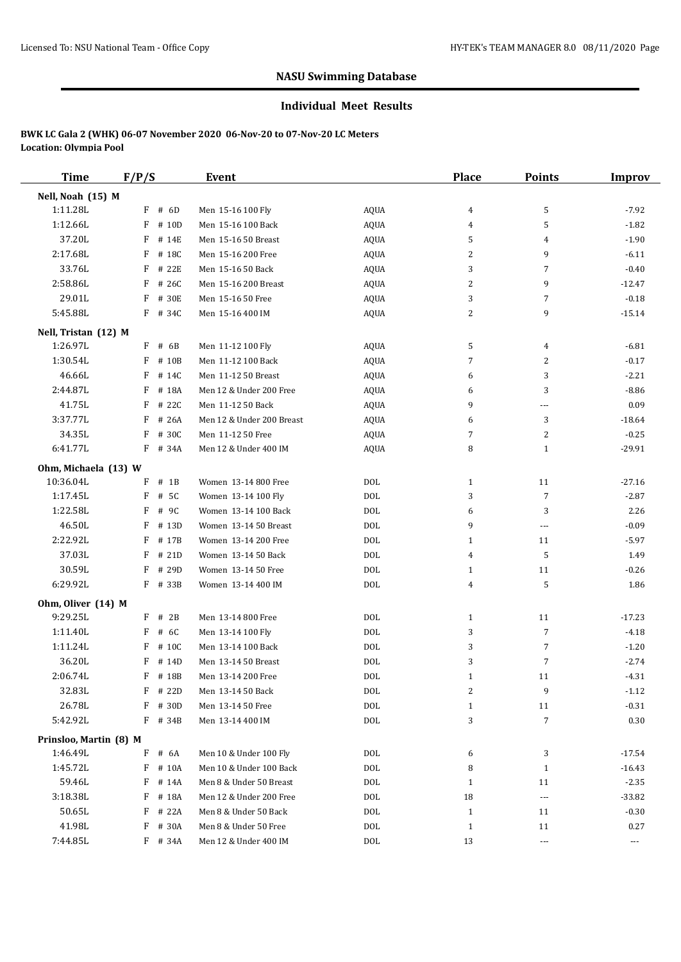#### **Individual Meet Results**

| <b>Time</b>            | F/P/S       | <b>Event</b>              |             | <b>Place</b> | <b>Points</b>        | <b>Improv</b>        |
|------------------------|-------------|---------------------------|-------------|--------------|----------------------|----------------------|
| Nell, Noah (15) M      |             |                           |             |              |                      |                      |
| 1:11.28L               | F<br># 6D   | Men 15-16 100 Fly         | AQUA        | 4            | 5                    | $-7.92$              |
| 1:12.66L               | F<br># 10D  | Men 15-16 100 Back        | AQUA        | 4            | 5                    | $-1.82$              |
| 37.20L                 | F<br># 14E  | Men 15-16 50 Breast       | <b>AQUA</b> | 5            | 4                    | $-1.90$              |
| 2:17.68L               | F<br># 18C  | Men 15-16 200 Free        | <b>AQUA</b> | 2            | 9                    | $-6.11$              |
| 33.76L                 | # 22E<br>F  | Men 15-16 50 Back         | AQUA        | 3            | $\overline{7}$       | $-0.40$              |
| 2:58.86L               | F<br># 26C  | Men 15-16 200 Breast      | AQUA        | 2            | 9                    | $-12.47$             |
| 29.01L                 | F<br># 30E  | Men 15-16 50 Free         | AQUA        | 3            | $\overline{7}$       | $-0.18$              |
| 5:45.88L               | F # 34C     | Men 15-16 400 IM          | AQUA        | 2            | 9                    | $-15.14$             |
| Nell, Tristan (12) M   |             |                           |             |              |                      |                      |
| 1:26.97L               | F<br># 6B   | Men 11-12 100 Fly         | AQUA        | 5            | 4                    | $-6.81$              |
| 1:30.54L               | F<br># 10B  | Men 11-12 100 Back        | AQUA        | 7            | 2                    | $-0.17$              |
| 46.66L                 | F<br># 14C  | Men 11-12 50 Breast       | AQUA        | 6            | 3                    | $-2.21$              |
| 2:44.87L               | F<br># 18A  | Men 12 & Under 200 Free   | <b>AQUA</b> | 6            | 3                    | $-8.86$              |
| 41.75L                 | F<br># 22C  | Men 11-12 50 Back         | <b>AQUA</b> | 9            | ---                  | 0.09                 |
| 3:37.77L               | F<br># 26A  | Men 12 & Under 200 Breast | AQUA        | 6            | 3                    | $-18.64$             |
| 34.35L                 | # 30C<br>F  | Men 11-12 50 Free         | AQUA        | 7            | $\overline{c}$       | $-0.25$              |
| 6:41.77L               | F # 34A     | Men 12 & Under 400 IM     | AQUA        | 8            | $\mathbf{1}$         | $-29.91$             |
| Ohm, Michaela (13) W   |             |                           |             |              |                      |                      |
| 10:36.04L              | $#$ 1B<br>F | Women 13-14 800 Free      | <b>DOL</b>  | $\mathbf{1}$ | 11                   | $-27.16$             |
| 1:17.45L               | F<br># 5C   | Women 13-14 100 Fly       | <b>DOL</b>  | 3            | $\overline{7}$       | $-2.87$              |
| 1:22.58L               | F<br># 9C   | Women 13-14 100 Back      | <b>DOL</b>  | 6            | 3                    | 2.26                 |
| 46.50L                 | F<br># 13D  | Women 13-14 50 Breast     | DOL         | 9            | $\cdots$             | $-0.09$              |
| 2:22.92L               | F<br># 17B  | Women 13-14 200 Free      | DOL         | $\mathbf{1}$ | 11                   | $-5.97$              |
| 37.03L                 | F<br># 21D  | Women 13-14 50 Back       | DOL         | 4            | 5                    | 1.49                 |
| 30.59L                 | F<br># 29D  | Women 13-14 50 Free       | DOL         | $\mathbf{1}$ | 11                   | $-0.26$              |
| 6:29.92L               | F # 33B     | Women 13-14 400 IM        | DOL         | 4            | 5                    | 1.86                 |
| Ohm, Oliver (14) M     |             |                           |             |              |                      |                      |
| 9:29.25L               | F<br># 2B   | Men 13-14 800 Free        | DOL         | $\mathbf{1}$ | 11                   | $-17.23$             |
| 1:11.40L               | F<br># 6C   | Men 13-14 100 Fly         | DOL         | 3            | 7                    | $-4.18$              |
| 1:11.24L               | F<br># 10C  | Men 13-14 100 Back        | <b>DOL</b>  | 3            | $\overline{7}$       | $-1.20$              |
| 36.20L                 | F<br># 14D  | Men 13-14 50 Breast       | <b>DOL</b>  | 3            | $\overline{7}$       | $-2.74$              |
| 2:06.74L               | F # 18B     | Men 13-14 200 Free        | <b>DOL</b>  | $\mathbf{1}$ | 11                   | $-4.31$              |
| 32.83L                 | # 22D<br>F  | Men 13-14 50 Back         | DOL         | 2            | 9                    | $-1.12$              |
| 26.78L                 | F<br># 30D  | Men 13-14 50 Free         | DOL         | $\mathbf{1}$ | 11                   | $-0.31$              |
| 5:42.92L               | F # 34B     | Men 13-14 400 IM          | DOL         | 3            | $\overline{7}$       | 0.30                 |
| Prinsloo, Martin (8) M |             |                           |             |              |                      |                      |
| 1:46.49L               | F<br># 6A   | Men 10 & Under 100 Fly    | DOL         | 6            | 3                    | $-17.54$             |
| 1:45.72L               | F<br># 10A  | Men 10 & Under 100 Back   | DOL         | 8            | $\mathbf{1}$         | $-16.43$             |
| 59.46L                 | F<br># 14A  | Men 8 & Under 50 Breast   | DOL         | 1            | 11                   | $-2.35$              |
| 3:18.38L               | F<br># 18A  | Men 12 & Under 200 Free   | DOL         | 18           | $\cdots$             | $-33.82$             |
| 50.65L                 | F<br># 22A  | Men 8 & Under 50 Back     | DOL         | $\mathbf{1}$ | 11                   | $-0.30$              |
| 41.98L                 | # 30A<br>F  | Men 8 & Under 50 Free     | DOL         | $\mathbf{1}$ | 11                   | 0.27                 |
| 7:44.85L               | F # 34A     | Men 12 & Under 400 IM     | DOL         | 13           | $\scriptstyle\cdots$ | $\scriptstyle\cdots$ |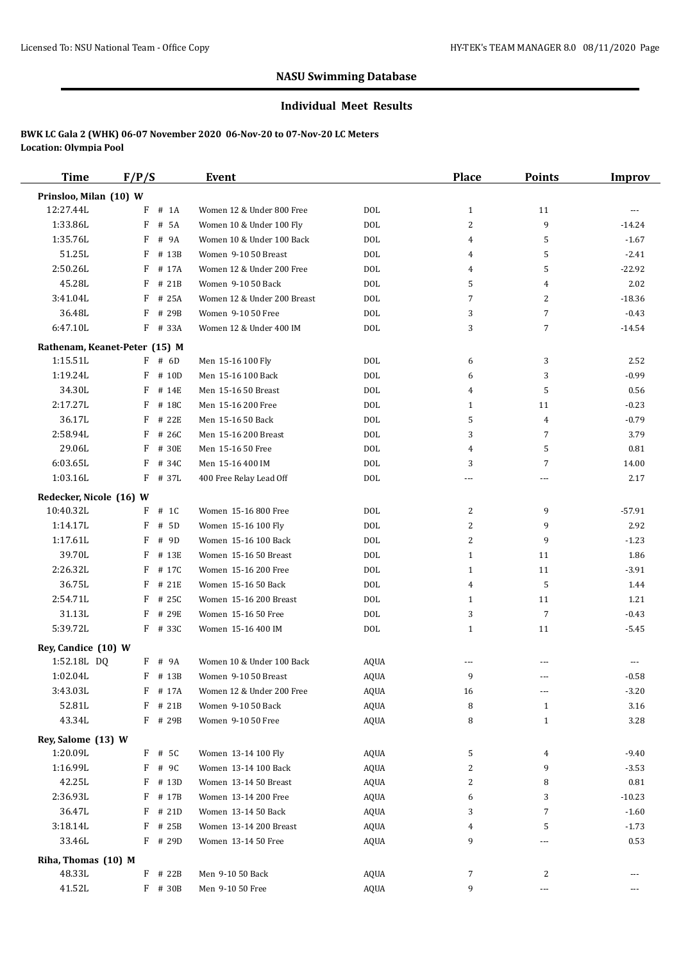#### **Individual Meet Results**

| <b>Time</b>             | F/P/S                                     | Event                       |             | Place        | <b>Points</b>  | <b>Improv</b> |
|-------------------------|-------------------------------------------|-----------------------------|-------------|--------------|----------------|---------------|
| Prinsloo, Milan (10) W  |                                           |                             |             |              |                |               |
| 12:27.44L               | # 1A<br>F                                 | Women 12 & Under 800 Free   | <b>DOL</b>  | $\mathbf{1}$ | 11             | ---           |
| 1:33.86L                | # 5A<br>F                                 | Women 10 & Under 100 Fly    | <b>DOL</b>  | 2            | 9              | $-14.24$      |
| 1:35.76L                | F<br># 9A                                 | Women 10 & Under 100 Back   | <b>DOL</b>  | 4            | 5              | $-1.67$       |
| 51.25L                  | F<br># 13B                                | Women 9-10 50 Breast        | <b>DOL</b>  | 4            | 5              | $-2.41$       |
| 2:50.26L                | F # 17A                                   | Women 12 & Under 200 Free   | <b>DOL</b>  | 4            | 5              | $-22.92$      |
| 45.28L                  | F<br># 21B                                | Women 9-10 50 Back          | <b>DOL</b>  | 5            | 4              | 2.02          |
| 3:41.04L                | F<br># 25A                                | Women 12 & Under 200 Breast | <b>DOL</b>  | 7            | 2              | $-18.36$      |
| 36.48L                  | F<br># 29B                                | Women 9-10 50 Free          | <b>DOL</b>  | 3            | 7              | $-0.43$       |
| 6:47.10L                | F<br># 33A                                | Women 12 & Under 400 IM     | <b>DOL</b>  | 3            | 7              | $-14.54$      |
|                         |                                           |                             |             |              |                |               |
|                         | Rathenam, Keanet-Peter (15) M<br>$F$ # 6D |                             |             |              |                |               |
| 1:15.51L                | $F$ # 10D                                 | Men 15-16 100 Fly           | DOL         | 6            | 3              | 2.52          |
| 1:19.24L                |                                           | Men 15-16 100 Back          | <b>DOL</b>  | 6            | 3              | $-0.99$       |
| 34.30L                  | F<br># 14E                                | Men 15-16 50 Breast         | <b>DOL</b>  | 4            | 5              | 0.56          |
| 2:17.27L                | F<br># 18C                                | Men 15-16 200 Free          | <b>DOL</b>  | $\mathbf{1}$ | 11             | $-0.23$       |
| 36.17L                  | F<br># 22E                                | Men 15-16 50 Back           | <b>DOL</b>  | 5            | $\overline{4}$ | $-0.79$       |
| 2:58.94L                | F<br># 26C                                | Men 15-16 200 Breast        | <b>DOL</b>  | 3            | $\overline{7}$ | 3.79          |
| 29.06L                  | F<br># 30E                                | Men 15-16 50 Free           | <b>DOL</b>  | 4            | 5              | 0.81          |
| 6:03.65L                | F<br># 34C                                | Men 15-16 400 IM            | <b>DOL</b>  | 3            | $\overline{7}$ | 14.00         |
| 1:03.16L                | $F$ # 37L                                 | 400 Free Relay Lead Off     | <b>DOL</b>  | ---          | ---            | 2.17          |
| Redecker, Nicole (16) W |                                           |                             |             |              |                |               |
| 10:40.32L               | $F$ # 1C                                  | Women 15-16 800 Free        | <b>DOL</b>  | 2            | 9              | $-57.91$      |
| 1:14.17L                | F<br># 5D                                 | Women 15-16 100 Fly         | <b>DOL</b>  | 2            | 9              | 2.92          |
| 1:17.61L                | F<br># 9D                                 | Women 15-16 100 Back        | <b>DOL</b>  | 2            | 9              | $-1.23$       |
| 39.70L                  | F<br># 13E                                | Women 15-16 50 Breast       | <b>DOL</b>  | $\mathbf{1}$ | 11             | 1.86          |
| 2:26.32L                | F<br># 17C                                | Women 15-16 200 Free        | <b>DOL</b>  | $\mathbf{1}$ | 11             | $-3.91$       |
| 36.75L                  | F<br># 21E                                | Women 15-16 50 Back         | <b>DOL</b>  | 4            | 5              | 1.44          |
| 2:54.71L                | F<br># 25C                                | Women 15-16 200 Breast      | <b>DOL</b>  | $\mathbf{1}$ | 11             | 1.21          |
| 31.13L                  | F<br># 29E                                | Women 15-16 50 Free         | <b>DOL</b>  | 3            | 7              | $-0.43$       |
| 5:39.72L                | F # 33C                                   | Women 15-16 400 IM          | <b>DOL</b>  | $\mathbf{1}$ | 11             | $-5.45$       |
| Rey, Candice (10) W     |                                           |                             |             |              |                |               |
| 1:52.18L DQ             | F # 9A                                    | Women 10 & Under 100 Back   | <b>AQUA</b> | ---          |                |               |
| 1:02.04L                | $F$ # 13B                                 | Women 9-10 50 Breast        | <b>AQUA</b> | 9            | ---            | $-0.58$       |
| 3:43.03L                | F # 17A                                   | Women 12 & Under 200 Free   | AQUA        | 16           | ---            | $-3.20$       |
| 52.81L                  | F<br># 21B                                | Women 9-10 50 Back          | AQUA        | 8            | $\mathbf{1}$   | 3.16          |
| 43.34L                  | F # 29B                                   | Women 9-10 50 Free          | <b>AQUA</b> | 8            | $\mathbf{1}$   | 3.28          |
|                         |                                           |                             |             |              |                |               |
| Rey, Salome (13) W      |                                           |                             |             |              |                |               |
| 1:20.09L                | F # 5C                                    | Women 13-14 100 Fly         | AQUA        | 5            | 4              | $-9.40$       |
| 1:16.99L                | F # 9C                                    | Women 13-14 100 Back        | AQUA        | 2            | 9              | $-3.53$       |
| 42.25L                  | F # 13D                                   | Women 13-14 50 Breast       | AQUA        | 2            | 8              | 0.81          |
| 2:36.93L                | F # 17B                                   | Women 13-14 200 Free        | AQUA        | 6            | 3              | $-10.23$      |
| 36.47L                  | $F$ # 21D                                 | Women 13-14 50 Back         | AQUA        | 3            | 7              | $-1.60$       |
| 3:18.14L                | F # 25B                                   | Women 13-14 200 Breast      | AQUA        | 4            | 5              | $-1.73$       |
| 33.46L                  | F # 29D                                   | Women 13-14 50 Free         | AQUA        | 9            | ---            | 0.53          |
| Riha, Thomas (10) M     |                                           |                             |             |              |                |               |
| 48.33L                  | F # 22B                                   | Men 9-10 50 Back            | AQUA        | 7            | 2              |               |
| 41.52L                  | F # 30B                                   | Men 9-10 50 Free            | AQUA        | 9            | ---            | ---           |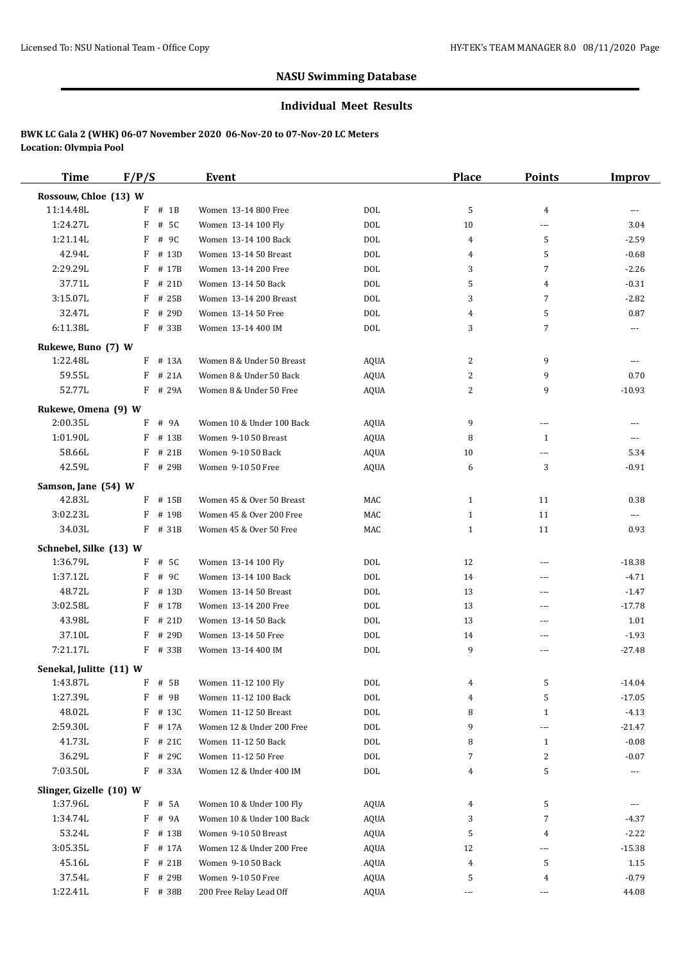#### **Individual Meet Results**

| <b>Time</b>                        | F/P/S      | Event                     |             | Place        | <b>Points</b>  | <b>Improv</b> |
|------------------------------------|------------|---------------------------|-------------|--------------|----------------|---------------|
| Rossouw, Chloe (13) W              |            |                           |             |              |                |               |
| 11:14.48L                          | $F$ # 1B   | Women 13-14 800 Free      | <b>DOL</b>  | 5            | 4              | ---           |
| 1:24.27L                           | F<br># 5C  | Women 13-14 100 Fly       | <b>DOL</b>  | 10           | ---            | 3.04          |
| 1:21.14L                           | F<br># 9C  | Women 13-14 100 Back      | <b>DOL</b>  | 4            | 5              | $-2.59$       |
| 42.94L                             | F<br># 13D | Women 13-14 50 Breast     | <b>DOL</b>  | 4            | 5              | $-0.68$       |
| 2:29.29L                           | F<br># 17B | Women 13-14 200 Free      | <b>DOL</b>  | 3            | $\overline{7}$ | $-2.26$       |
| 37.71L                             | F<br># 21D | Women 13-14 50 Back       | <b>DOL</b>  | 5            | 4              | $-0.31$       |
| 3:15.07L                           | F<br># 25B | Women 13-14 200 Breast    | <b>DOL</b>  | 3            | $\overline{7}$ | $-2.82$       |
| 32.47L                             | F<br># 29D | Women 13-14 50 Free       | <b>DOL</b>  | 4            | 5              | 0.87          |
| 6:11.38L                           | F # 33B    | Women 13-14 400 IM        | <b>DOL</b>  | 3            | $\overline{7}$ | $---$         |
|                                    |            |                           |             |              |                |               |
| Rukewe, Buno (7) W                 |            |                           |             |              |                |               |
| 1:22.48L                           | $F$ # 13A  | Women 8 & Under 50 Breast | <b>AQUA</b> | 2            | 9              | ---           |
| 59.55L                             | F<br># 21A | Women 8 & Under 50 Back   | <b>AQUA</b> | 2            | 9              | 0.70          |
| 52.77L                             | F # 29A    | Women 8 & Under 50 Free   | <b>AQUA</b> | 2            | 9              | $-10.93$      |
| Rukewe, Omena (9) W                |            |                           |             |              |                |               |
| 2:00.35L                           | F<br># 9A  | Women 10 & Under 100 Back | AQUA        | 9            | ---            | ---           |
| 1:01.90L                           | F<br># 13B | Women 9-10 50 Breast      | AQUA        | 8            | 1              | $---$         |
| 58.66L                             | F<br># 21B | Women 9-10 50 Back        | <b>AQUA</b> | 10           | ---            | 5.34          |
| 42.59L                             | F # 29B    | Women 9-10 50 Free        | <b>AQUA</b> | 6            | 3              | $-0.91$       |
| Samson, Jane (54) W                |            |                           |             |              |                |               |
| 42.83L                             | $F$ # 15B  | Women 45 & Over 50 Breast | MAC         | $\mathbf{1}$ | 11             | 0.38          |
| 3:02.23L                           | F<br># 19B | Women 45 & Over 200 Free  | MAC         | $\mathbf{1}$ | 11             | ---           |
| 34.03L                             | F # 31B    | Women 45 & Over 50 Free   | MAC         | $\mathbf{1}$ | 11             | 0.93          |
|                                    |            |                           |             |              |                |               |
| Schnebel, Silke (13) W<br>1:36.79L |            |                           |             |              |                |               |
| 1:37.12L                           | # 5C<br>F  | Women 13-14 100 Fly       | <b>DOL</b>  | 12           | $\overline{a}$ | $-18.38$      |
| 48.72L                             | # 9C<br>F  | Women 13-14 100 Back      | <b>DOL</b>  | 14           | ---            | $-4.71$       |
|                                    | F # 13D    | Women 13-14 50 Breast     | <b>DOL</b>  | 13           | ---            | $-1.47$       |
| 3:02.58L                           | F<br># 17B | Women 13-14 200 Free      | <b>DOL</b>  | 13           | ---            | $-17.78$      |
| 43.98L                             | F<br># 21D | Women 13-14 50 Back       | <b>DOL</b>  | 13           | ---            | 1.01          |
| 37.10L                             | F<br># 29D | Women 13-14 50 Free       | <b>DOL</b>  | 14           | ---            | $-1.93$       |
| 7:21.17L                           | F # 33B    | Women 13-14 400 IM        | <b>DOL</b>  | 9            | ---            | $-27.48$      |
| Senekal, Julitte (11) W            |            |                           |             |              |                |               |
| 1:43.87L                           | $F$ # 5B   | Women 11-12 100 Fly       | <b>DOL</b>  |              | 5              | -14.04        |
| 1:27.39L                           | $F$ # 9B   | Women 11-12 100 Back      | <b>DOL</b>  | 4            | 5              | $-17.05$      |
| 48.02L                             | F # 13C    | Women 11-12 50 Breast     | $\rm DOL$   | 8            | $\mathbf{1}$   | $-4.13$       |
| 2:59.30L                           | F<br># 17A | Women 12 & Under 200 Free | DOL         | 9            | ---            | $-21.47$      |
| 41.73L                             | $F$ # 21C  | Women 11-12 50 Back       | <b>DOL</b>  | 8            | $\mathbf{1}$   | $-0.08$       |
| 36.29L                             | F # 29C    | Women 11-12 50 Free       | $\rm DOL$   | 7            | 2              | $-0.07$       |
| 7:03.50L                           | F # 33A    | Women 12 & Under 400 IM   | DOL         | 4            | 5              |               |
| Slinger, Gizelle (10) W            |            |                           |             |              |                |               |
| 1:37.96L                           | F # 5A     | Women 10 & Under 100 Fly  | AQUA        | 4            | 5              |               |
| 1:34.74L                           | F # 9A     | Women 10 & Under 100 Back | AQUA        | 3            | 7              | -4.37         |
| 53.24L                             | $F$ # 13B  | Women 9-10 50 Breast      | AQUA        | 5            | 4              | $-2.22$       |
| 3:05.35L                           | F<br># 17A | Women 12 & Under 200 Free | AQUA        | 12           | ---            | $-15.38$      |
| 45.16L                             | # 21B<br>F | Women 9-10 50 Back        | AQUA        | 4            | 5              | 1.15          |
| 37.54L                             | F<br># 29B | Women 9-10 50 Free        | AQUA        | 5            | 4              | $-0.79$       |
| 1:22.41L                           | F # 38B    | 200 Free Relay Lead Off   | <b>AQUA</b> | ---          | ---            | 44.08         |
|                                    |            |                           |             |              |                |               |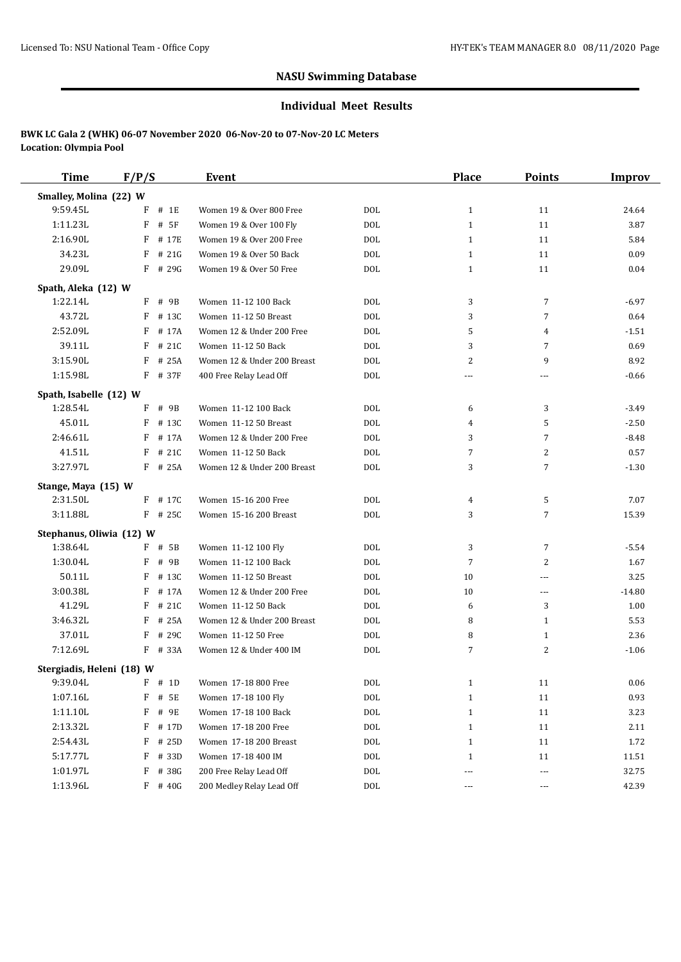#### **Individual Meet Results**

| <b>Time</b>               | F/P/S      | <b>Event</b>                |            | <b>Place</b> | <b>Points</b>  | <b>Improv</b> |
|---------------------------|------------|-----------------------------|------------|--------------|----------------|---------------|
| Smalley, Molina (22) W    |            |                             |            |              |                |               |
| 9:59.45L                  | F<br># 1E  | Women 19 & Over 800 Free    | <b>DOL</b> | $\mathbf{1}$ | 11             | 24.64         |
| 1:11.23L                  | F<br># 5F  | Women 19 & Over 100 Fly     | <b>DOL</b> | $\mathbf{1}$ | 11             | 3.87          |
| 2:16.90L                  | F<br># 17E | Women 19 & Over 200 Free    | <b>DOL</b> | $\mathbf{1}$ | 11             | 5.84          |
| 34.23L                    | F<br># 21G | Women 19 & Over 50 Back     | <b>DOL</b> | $\mathbf{1}$ | 11             | 0.09          |
| 29.09L                    | $F$ # 29G  | Women 19 & Over 50 Free     | <b>DOL</b> | $\mathbf{1}$ | 11             | 0.04          |
| Spath, Aleka (12) W       |            |                             |            |              |                |               |
| 1:22.14L                  | # 9B<br>F  | Women 11-12 100 Back        | <b>DOL</b> | 3            | 7              | $-6.97$       |
| 43.72L                    | # 13C<br>F | Women 11-12 50 Breast       | <b>DOL</b> | 3            | $\overline{7}$ | 0.64          |
| 2:52.09L                  | # 17A<br>F | Women 12 & Under 200 Free   | <b>DOL</b> | 5            | 4              | $-1.51$       |
| 39.11L                    | F<br># 21C | Women 11-12 50 Back         | <b>DOL</b> | 3            | $\overline{7}$ | 0.69          |
| 3:15.90L                  | # 25A<br>F | Women 12 & Under 200 Breast | <b>DOL</b> | 2            | 9              | 8.92          |
| 1:15.98L                  | # 37F<br>F | 400 Free Relay Lead Off     | <b>DOL</b> | ---          | $---$          | $-0.66$       |
| Spath, Isabelle (12) W    |            |                             |            |              |                |               |
| 1:28.54L                  | # 9B<br>F  | Women 11-12 100 Back        | <b>DOL</b> | 6            | 3              | $-3.49$       |
| 45.01L                    | F<br># 13C | Women 11-12 50 Breast       | <b>DOL</b> | 4            | 5              | $-2.50$       |
| 2:46.61L                  | # 17A<br>F | Women 12 & Under 200 Free   | <b>DOL</b> | 3            | $\overline{7}$ | $-8.48$       |
| 41.51L                    | F<br># 21C | Women 11-12 50 Back         | <b>DOL</b> | 7            | $\overline{c}$ | 0.57          |
| 3:27.97L                  | F<br># 25A | Women 12 & Under 200 Breast | <b>DOL</b> | 3            | 7              | $-1.30$       |
|                           |            |                             |            |              |                |               |
| Stange, Maya (15) W       |            |                             |            |              |                |               |
| 2:31.50L                  | $F$ # 17C  | Women 15-16 200 Free        | <b>DOL</b> | 4            | 5              | 7.07          |
| 3:11.88L                  | $F$ # 25C  | Women 15-16 200 Breast      | <b>DOL</b> | 3            | $\overline{7}$ | 15.39         |
| Stephanus, Oliwia (12) W  |            |                             |            |              |                |               |
| 1:38.64L                  | F # 5B     | Women 11-12 100 Fly         | <b>DOL</b> | 3            | $\overline{7}$ | $-5.54$       |
| 1:30.04L                  | # 9B<br>F  | Women 11-12 100 Back        | <b>DOL</b> | 7            | $\overline{c}$ | 1.67          |
| 50.11L                    | F<br># 13C | Women 11-12 50 Breast       | <b>DOL</b> | 10           | ---            | 3.25          |
| 3:00.38L                  | # 17A<br>F | Women 12 & Under 200 Free   | <b>DOL</b> | 10           | $\overline{a}$ | $-14.80$      |
| 41.29L                    | # 21C<br>F | Women 11-12 50 Back         | <b>DOL</b> | 6            | 3              | 1.00          |
| 3:46.32L                  | # 25A<br>F | Women 12 & Under 200 Breast | <b>DOL</b> | 8            | $\mathbf{1}$   | 5.53          |
| 37.01L                    | F<br># 29C | Women 11-12 50 Free         | <b>DOL</b> | 8            | $\mathbf{1}$   | 2.36          |
| 7:12.69L                  | $F$ # 33A  | Women 12 & Under 400 IM     | <b>DOL</b> | 7            | $\overline{c}$ | $-1.06$       |
| Stergiadis, Heleni (18) W |            |                             |            |              |                |               |
| 9:39.04L                  | $F \# 1D$  | Women 17-18 800 Free        | DOL        | 1            | 11             | 0.06          |
| 1:07.16L                  | # 5E<br>F  | Women 17-18 100 Fly         | DOL        | 1            | 11             | 0.93          |
| 1:11.10L                  | # 9E<br>F  | Women 17-18 100 Back        | <b>DOL</b> | $\mathbf{1}$ | 11             | 3.23          |
| 2:13.32L                  | F<br># 17D | Women 17-18 200 Free        | DOL        | $\mathbf{1}$ | 11             | 2.11          |
| 2:54.43L                  | # 25D<br>F | Women 17-18 200 Breast      | DOL        | 1            | 11             | 1.72          |
| 5:17.77L                  | # 33D<br>F | Women 17-18 400 IM          | DOL        | 1            | 11             | 11.51         |
| 1:01.97L                  | # 38G<br>F | 200 Free Relay Lead Off     | DOL        | ---          | ---            | 32.75         |
| 1:13.96L                  | $F$ # 40G  | 200 Medley Relay Lead Off   | <b>DOL</b> | ---          | ---            | 42.39         |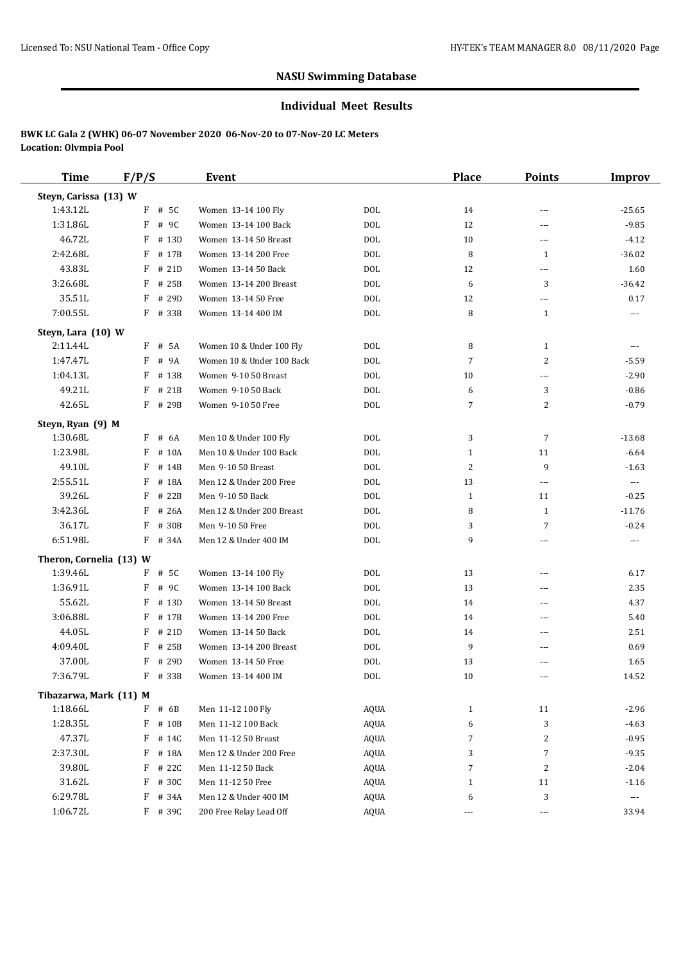#### **Individual Meet Results**

| <b>Time</b>             | F/P/S      | <b>Event</b>              |             | <b>Place</b>             | <b>Points</b>            | <b>Improv</b>        |
|-------------------------|------------|---------------------------|-------------|--------------------------|--------------------------|----------------------|
| Steyn, Carissa (13) W   |            |                           |             |                          |                          |                      |
| 1:43.12L                | $F$ # 5C   | Women 13-14 100 Fly       | DOL         | 14                       | $\overline{a}$           | $-25.65$             |
| 1:31.86L                | F<br># 9C  | Women 13-14 100 Back      | DOL         | 12                       | $\overline{a}$           | $-9.85$              |
| 46.72L                  | F<br># 13D | Women 13-14 50 Breast     | DOL         | 10                       | ---                      | $-4.12$              |
| 2:42.68L                | F<br># 17B | Women 13-14 200 Free      | DOL         | 8                        | $\mathbf{1}$             | $-36.02$             |
| 43.83L                  | F<br># 21D | Women 13-14 50 Back       | <b>DOL</b>  | 12                       | ---                      | 1.60                 |
| 3:26.68L                | F<br># 25B | Women 13-14 200 Breast    | DOL         | 6                        | 3                        | $-36.42$             |
| 35.51L                  | F<br># 29D | Women 13-14 50 Free       | DOL         | 12                       | $\cdots$                 | 0.17                 |
| 7:00.55L                | $F$ # 33B  | Women 13-14 400 IM        | DOL         | 8                        | $\mathbf{1}$             | $\cdots$             |
| Steyn, Lara (10) W      |            |                           |             |                          |                          |                      |
| 2:11.44L                | # 5A<br>F  | Women 10 & Under 100 Fly  | DOL         | 8                        | $\mathbf{1}$             | $\cdots$             |
| 1:47.47L                | F<br># 9A  | Women 10 & Under 100 Back | DOL         | 7                        | $\overline{c}$           | $-5.59$              |
| 1:04.13L                | F<br># 13B | Women 9-10 50 Breast      | DOL         | 10                       | ---                      | $-2.90$              |
| 49.21L                  | F<br># 21B | Women 9-10 50 Back        | DOL         | 6                        | 3                        | $-0.86$              |
| 42.65L                  | F<br># 29B | Women 9-10 50 Free        | DOL         | 7                        | $\overline{c}$           | $-0.79$              |
| Steyn, Ryan (9) M       |            |                           |             |                          |                          |                      |
| 1:30.68L                | F<br># 6A  | Men 10 & Under 100 Fly    | DOL         | 3                        | $\overline{7}$           | $-13.68$             |
| 1:23.98L                | F<br># 10A | Men 10 & Under 100 Back   | DOL         | $\mathbf{1}$             | 11                       | $-6.64$              |
| 49.10L                  | F<br># 14B | Men 9-10 50 Breast        | DOL         | 2                        | 9                        | $-1.63$              |
| 2:55.51L                | F<br># 18A | Men 12 & Under 200 Free   | <b>DOL</b>  | 13                       | $\cdots$                 | $\scriptstyle\cdots$ |
| 39.26L                  | F<br># 22B | Men 9-10 50 Back          | DOL         | 1                        | 11                       | $-0.25$              |
| 3:42.36L                | F<br># 26A | Men 12 & Under 200 Breast | <b>DOL</b>  | 8                        | $\mathbf{1}$             | $-11.76$             |
| 36.17L                  | F<br># 30B | Men 9-10 50 Free          | DOL         | 3                        | $\overline{7}$           | $-0.24$              |
| 6:51.98L                | F<br># 34A | Men 12 & Under 400 IM     | DOL         | 9                        | $\overline{a}$           | $\sim$ $\sim$        |
| Theron, Cornelia (13) W |            |                           |             |                          |                          |                      |
| 1:39.46L                | F<br># 5C  | Women 13-14 100 Fly       | DOL         | 13                       | $\frac{1}{2}$            | 6.17                 |
| 1:36.91L                | F<br># 9C  | Women 13-14 100 Back      | DOL         | 13                       | ---                      | 2.35                 |
| 55.62L                  | F<br># 13D | Women 13-14 50 Breast     | DOL         | 14                       | $\overline{\phantom{a}}$ | 4.37                 |
| 3:06.88L                | F<br># 17B | Women 13-14 200 Free      | DOL         | 14                       | ---                      | 5.40                 |
| 44.05L                  | F<br># 21D | Women 13-14 50 Back       | DOL         | 14                       | ---                      | 2.51                 |
| 4:09.40L                | F<br># 25B | Women 13-14 200 Breast    | DOL         | 9                        | $\overline{\phantom{a}}$ | 0.69                 |
| 37.00L                  | # 29D<br>F | Women 13-14 50 Free       | DOL         | 13                       | ---                      | 1.65                 |
| 7:36.79L                | F # 33B    | Women 13-14 400 IM        | <b>DOL</b>  | 10                       | $---$                    | 14.52                |
| Tibazarwa, Mark (11) M  |            |                           |             |                          |                          |                      |
| 1:18.66L                | F<br># 6B  | Men 11-12 100 Fly         | AQUA        | $\mathbf{1}$             | 11                       | $-2.96$              |
| 1:28.35L                | F<br># 10B | Men 11-12 100 Back        | AQUA        | 6                        | 3                        | $-4.63$              |
| 47.37L                  | F<br># 14C | Men 11-12 50 Breast       | AQUA        | 7                        | 2                        | $-0.95$              |
| 2:37.30L                | F<br># 18A | Men 12 & Under 200 Free   | AQUA        | 3                        | $\overline{7}$           | $-9.35$              |
| 39.80L                  | F<br># 22C | Men 11-12 50 Back         | AQUA        | 7                        | 2                        | $-2.04$              |
| 31.62L                  | F<br># 30C | Men 11-12 50 Free         | <b>AQUA</b> | $\mathbf{1}$             | 11                       | $-1.16$              |
| 6:29.78L                | F<br># 34A | Men 12 & Under 400 IM     | AQUA        | 6                        | 3                        | $\scriptstyle\cdots$ |
| 1:06.72L                | F # 39C    | 200 Free Relay Lead Off   | <b>AQUA</b> | $\overline{\phantom{a}}$ | $\hspace{0.05cm} \ldots$ | 33.94                |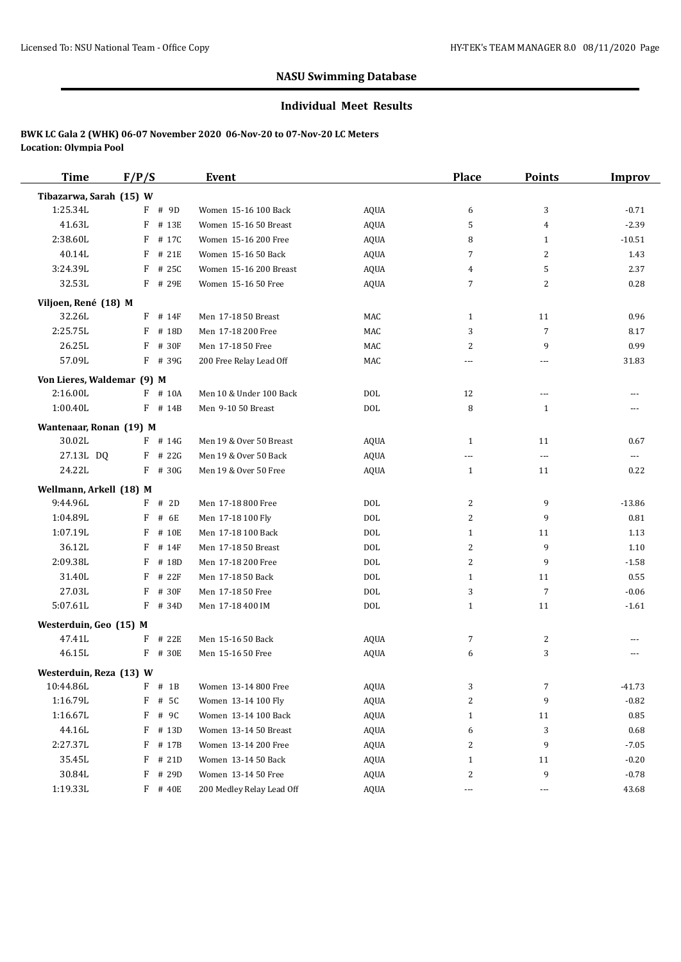#### **Individual Meet Results**

| <b>Time</b>                         | F/P/S                 | Event                                  |             | <b>Place</b> | <b>Points</b>            | <b>Improv</b> |
|-------------------------------------|-----------------------|----------------------------------------|-------------|--------------|--------------------------|---------------|
| Tibazarwa, Sarah (15) W             |                       |                                        |             |              |                          |               |
| 1:25.34L                            | F # 9D                | Women 15-16 100 Back                   | <b>AQUA</b> | 6            | 3                        | $-0.71$       |
| 41.63L                              | F # 13E               | Women 15-16 50 Breast                  | <b>AQUA</b> | 5            | 4                        | $-2.39$       |
| 2:38.60L                            | F<br># 17C            | Women 15-16 200 Free                   | <b>AQUA</b> | 8            | $\mathbf{1}$             | $-10.51$      |
| 40.14L                              | F<br># 21E            | Women 15-16 50 Back                    | <b>AQUA</b> | 7            | 2                        | 1.43          |
| 3:24.39L                            | F<br># 25C            | Women 15-16 200 Breast                 | AQUA        | 4            | 5                        | 2.37          |
| 32.53L                              | F # 29E               | Women 15-16 50 Free                    | <b>AQUA</b> | 7            | $\overline{2}$           | 0.28          |
| Viljoen, René (18) M                |                       |                                        |             |              |                          |               |
| 32.26L                              | $F$ # 14 $F$          | Men 17-18 50 Breast                    | MAC         | 1            | 11                       | 0.96          |
| 2:25.75L                            | F<br># 18D            | Men 17-18 200 Free                     | MAC         | 3            | $\overline{7}$           | 8.17          |
| 26.25L                              | # 30F<br>F            | Men 17-18 50 Free                      | MAC         | 2            | 9                        | 0.99          |
| 57.09L                              | F # 39G               | 200 Free Relay Lead Off                | MAC         | ---          | ---                      | 31.83         |
| Von Lieres, Waldemar (9) M          |                       |                                        |             |              |                          |               |
| 2:16.00L                            | $F$ # 10A             | Men 10 & Under 100 Back                | <b>DOL</b>  | 12           | ---                      |               |
| 1:00.40L                            | F # 14B               | Men 9-10 50 Breast                     | <b>DOL</b>  | 8            | 1                        | ---           |
| Wantenaar, Ronan (19) M             |                       |                                        |             |              |                          |               |
| 30.02L                              | $F$ # 14G             | Men 19 & Over 50 Breast                | AQUA        | 1            | 11                       | 0.67          |
| 27.13L DQ                           | $F$ # 22G             | Men 19 & Over 50 Back                  | AQUA        | ---          | $\overline{\phantom{a}}$ |               |
| 24.22L                              | $F$ # 30G             | Men 19 & Over 50 Free                  | <b>AQUA</b> | $\mathbf{1}$ | 11                       | 0.22          |
|                                     |                       |                                        |             |              |                          |               |
| Wellmann, Arkell (18) M<br>9:44.96L | $F$ # 2D              | Men 17-18 800 Free                     | <b>DOL</b>  | 2            | 9                        | $-13.86$      |
| 1:04.89L                            | F # 6E                | Men 17-18 100 Fly                      | <b>DOL</b>  | 2            | 9                        | 0.81          |
| 1:07.19L                            | F<br># 10E            | Men 17-18 100 Back                     | <b>DOL</b>  | $\mathbf{1}$ | 11                       | 1.13          |
| 36.12L                              | F<br># 14F            | Men 17-18 50 Breast                    | <b>DOL</b>  | 2            | 9                        | 1.10          |
| 2:09.38L                            | F<br># 18D            | Men 17-18 200 Free                     | <b>DOL</b>  | 2            | 9                        | $-1.58$       |
| 31.40L                              | F<br># 22F            | Men 17-18 50 Back                      | <b>DOL</b>  | $\mathbf{1}$ | 11                       | 0.55          |
| 27.03L                              | F<br># 30F            | Men 17-18 50 Free                      | <b>DOL</b>  | 3            | 7                        | $-0.06$       |
| 5:07.61L                            | $F$ # 34D             | Men 17-18 400 IM                       | <b>DOL</b>  | $\mathbf{1}$ | 11                       | $-1.61$       |
|                                     |                       |                                        |             |              |                          |               |
| Westerduin, Geo (15) M              |                       |                                        |             |              |                          |               |
| 47.41L<br>46.15L                    | # 22E<br>F<br>F # 30E | Men 15-16 50 Back<br>Men 15-16 50 Free | <b>AQUA</b> | 7            | $\overline{c}$<br>3      | $\sim$ $\sim$ |
|                                     |                       |                                        | <b>AQUA</b> | 6            |                          |               |
| Westerduin, Reza (13) W             |                       |                                        |             |              |                          |               |
| 10:44.86L                           | $F$ # 1B              | Women 13-14 800 Free                   | AQUA        | 3            | 7                        | $-41.73$      |
| 1:16.79L                            | F<br># 5C             | Women 13-14 100 Fly                    | AQUA        | 2            | 9                        | $-0.82$       |
| 1:16.67L                            | F<br># 9C             | Women 13-14 100 Back                   | AQUA        | $\mathbf{1}$ | 11                       | 0.85          |
| 44.16L                              | F # 13D               | Women 13-14 50 Breast                  | AQUA        | 6            | 3                        | 0.68          |
| 2:27.37L                            | F<br># 17B            | Women 13-14 200 Free                   | AQUA        | 2            | 9                        | $-7.05$       |
| 35.45L                              | F<br># 21D            | Women 13-14 50 Back                    | AQUA        | $\mathbf{1}$ | 11                       | $-0.20$       |
| 30.84L                              | F<br># 29D            | Women 13-14 50 Free                    | AQUA        | 2            | 9                        | $-0.78$       |
| 1:19.33L                            | F # 40E               | 200 Medley Relay Lead Off              | AQUA        | $\cdots$     | ---                      | 43.68         |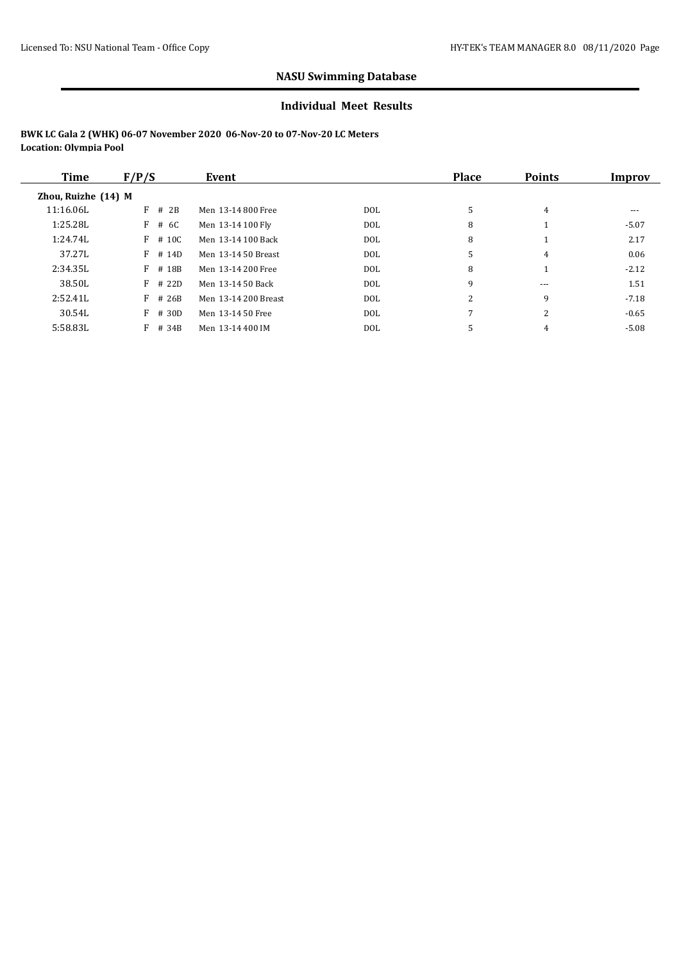#### **Individual Meet Results**

| Time                | F/P/S     | Event                |      | <b>Place</b> | <b>Points</b> | Improv  |
|---------------------|-----------|----------------------|------|--------------|---------------|---------|
| Zhou, Ruizhe (14) M |           |                      |      |              |               |         |
| 11:16.06L           | $F$ # 2B  | Men 13-14 800 Free   | DOL. | 5            | 4             | ---     |
| 1:25.28L            | F # 6C    | Men 13-14 100 Fly    | DOL. | 8            |               | $-5.07$ |
| 1:24.74L            | $F$ # 10C | Men 13-14 100 Back   | DOL. | 8            |               | 2.17    |
| 37.27L              | $F$ # 14D | Men 13-14 50 Breast  | DOL  | 5            | 4             | 0.06    |
| 2:34.35L            | $F$ # 18B | Men 13-14 200 Free   | DOL. | 8            |               | $-2.12$ |
| 38.50L              | $F$ # 22D | Men 13-14 50 Back    | DOL  | 9            | $- - -$       | 1.51    |
| 2:52.41L            | $F$ # 26B | Men 13-14 200 Breast | DOL  | 2            | 9             | $-7.18$ |
| 30.54L              | $F$ # 30D | Men 13-14 50 Free    | DOL  | 7            | 2             | $-0.65$ |
| 5:58.83L            | $F$ # 34B | Men 13-14 400 IM     | DOL  | 5            | 4             | $-5.08$ |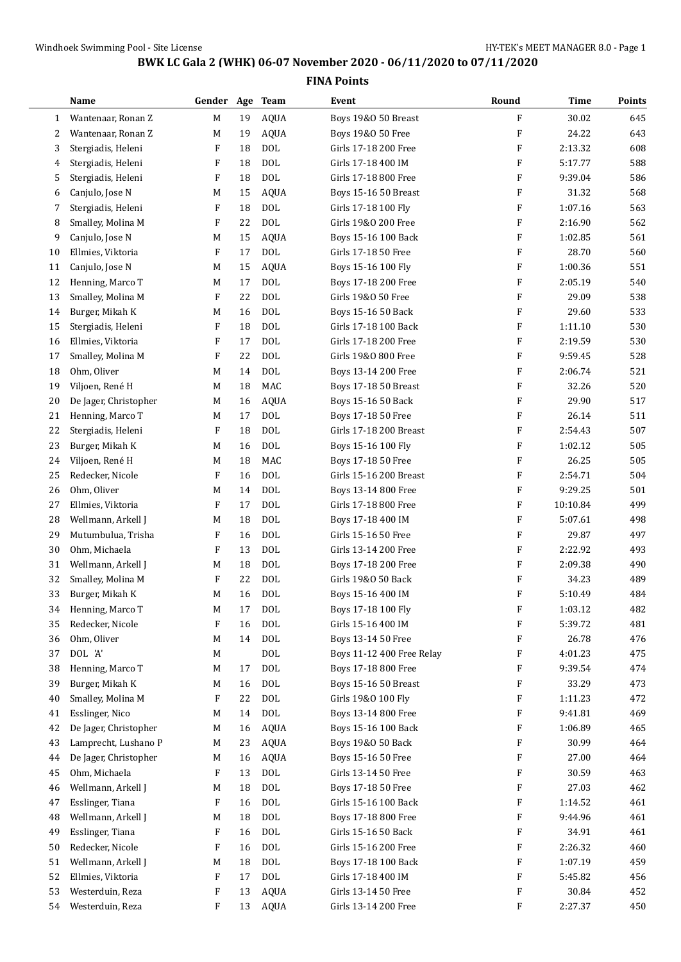$\overline{\phantom{0}}$ 

## **BWK LC Gala 2 (WHK) 06-07 November 2020 - 06/11/2020 to 07/11/2020**

|    | Name                                 | Gender                    |    | Age Team                 | Event                                   | Round     | Time               | <b>Points</b> |
|----|--------------------------------------|---------------------------|----|--------------------------|-----------------------------------------|-----------|--------------------|---------------|
| 1  | Wantenaar, Ronan Z                   | M                         | 19 | AQUA                     | Boys 19&0 50 Breast                     | F         | 30.02              | 645           |
| 2  | Wantenaar, Ronan Z                   | M                         | 19 | <b>AQUA</b>              | Boys 19&0 50 Free                       | F         | 24.22              | 643           |
| 3  | Stergiadis, Heleni                   | F                         | 18 | <b>DOL</b>               | Girls 17-18 200 Free                    | F         | 2:13.32            | 608           |
| 4  | Stergiadis, Heleni                   | F                         | 18 | <b>DOL</b>               | Girls 17-18 400 IM                      | F         | 5:17.77            | 588           |
| 5  | Stergiadis, Heleni                   | $\boldsymbol{\mathrm{F}}$ | 18 | <b>DOL</b>               | Girls 17-18 800 Free                    | F         | 9:39.04            | 586           |
| 6  | Canjulo, Jose N                      | M                         | 15 | <b>AQUA</b>              | Boys 15-16 50 Breast                    | F         | 31.32              | 568           |
| 7  | Stergiadis, Heleni                   | F                         | 18 | <b>DOL</b>               | Girls 17-18 100 Fly                     | F         | 1:07.16            | 563           |
| 8  | Smalley, Molina M                    | F                         | 22 | <b>DOL</b>               | Girls 19&0 200 Free                     | F         | 2:16.90            | 562           |
| 9  | Canjulo, Jose N                      | M                         | 15 | <b>AQUA</b>              | Boys 15-16 100 Back                     | F         | 1:02.85            | 561           |
| 10 | Ellmies, Viktoria                    | F                         | 17 | <b>DOL</b>               | Girls 17-18 50 Free                     | F         | 28.70              | 560           |
| 11 | Canjulo, Jose N                      | M                         | 15 | <b>AQUA</b>              | Boys 15-16 100 Fly                      | F         | 1:00.36            | 551           |
| 12 | Henning, Marco T                     | M                         | 17 | DOL                      | Boys 17-18 200 Free                     | F         | 2:05.19            | 540           |
| 13 | Smalley, Molina M                    | F                         | 22 | <b>DOL</b>               | Girls 19&0 50 Free                      | F         | 29.09              | 538           |
| 14 | Burger, Mikah K                      | M                         | 16 | <b>DOL</b>               | Boys 15-16 50 Back                      | F         | 29.60              | 533           |
| 15 | Stergiadis, Heleni                   | F                         | 18 | <b>DOL</b>               | Girls 17-18 100 Back                    | F         | 1:11.10            | 530           |
| 16 | Ellmies, Viktoria                    | F                         | 17 | <b>DOL</b>               | Girls 17-18 200 Free                    | F         | 2:19.59            | 530           |
| 17 | Smalley, Molina M                    | $\boldsymbol{\mathrm{F}}$ | 22 | <b>DOL</b>               | Girls 19&0 800 Free                     | F         | 9:59.45            | 528           |
| 18 | Ohm, Oliver                          | М                         | 14 | <b>DOL</b>               | Boys 13-14 200 Free                     | F         | 2:06.74            | 521           |
| 19 | Viljoen, René H                      | М                         | 18 | MAC                      | Boys 17-18 50 Breast                    | F         | 32.26              | 520           |
| 20 | De Jager, Christopher                | M                         | 16 | <b>AQUA</b>              | Boys 15-16 50 Back                      | F         | 29.90              | 517           |
| 21 | Henning, Marco T                     | M                         | 17 | <b>DOL</b>               | Boys 17-18 50 Free                      | F         | 26.14              | 511           |
| 22 | Stergiadis, Heleni                   | F                         | 18 | <b>DOL</b>               | Girls 17-18 200 Breast                  | F         | 2:54.43            | 507           |
| 23 | Burger, Mikah K                      | M                         | 16 | <b>DOL</b>               | Boys 15-16 100 Fly                      | F         | 1:02.12            | 505           |
| 24 | Viljoen, René H                      | M                         | 18 | MAC                      | Boys 17-18 50 Free                      | F         | 26.25              | 505           |
| 25 | Redecker, Nicole                     | F                         | 16 | <b>DOL</b>               | Girls 15-16 200 Breast                  | F         | 2:54.71            | 504           |
| 26 | Ohm, Oliver                          | M                         | 14 | <b>DOL</b>               | Boys 13-14 800 Free                     | F         | 9:29.25            | 501           |
| 27 | Ellmies, Viktoria                    | F                         | 17 | <b>DOL</b>               | Girls 17-18 800 Free                    | F         | 10:10.84           | 499           |
| 28 | Wellmann, Arkell J                   | M                         | 18 | <b>DOL</b>               | Boys 17-18 400 IM                       | F         | 5:07.61            | 498           |
| 29 | Mutumbulua, Trisha                   | F                         | 16 | <b>DOL</b>               | Girls 15-16 50 Free                     | F         | 29.87              | 497           |
| 30 |                                      | F                         | 13 | <b>DOL</b>               | Girls 13-14 200 Free                    | F         | 2:22.92            | 493           |
| 31 | Ohm, Michaela<br>Wellmann, Arkell J  | M                         | 18 | <b>DOL</b>               |                                         | F         | 2:09.38            | 490           |
|    |                                      | F                         | 22 | <b>DOL</b>               | Boys 17-18 200 Free                     | F         | 34.23              | 489           |
| 32 | Smalley, Molina M<br>Burger, Mikah K |                           |    |                          | Girls 19&0 50 Back                      | F         |                    | 484           |
| 33 | Henning, Marco T                     | M                         | 16 | <b>DOL</b><br><b>DOL</b> | Boys 15-16 400 IM<br>Boys 17-18 100 Fly | ${\bf F}$ | 5:10.49<br>1:03.12 | 482           |
| 34 |                                      | M                         | 17 |                          |                                         |           | 5:39.72            |               |
| 35 | Redecker, Nicole                     | F                         | 16 | <b>DOL</b>               | Girls 15-16 400 IM                      | F         |                    | 481           |
| 36 | Ohm, Oliver                          | M                         | 14 | <b>DOL</b>               | Boys 13-14 50 Free                      | F         | 26.78              | 476           |
| 37 | DOL 'A'                              | M                         |    | $\text{DOL}$             | Boys 11-12 400 Free Relay               | F         | 4:01.23            | 475           |
| 38 | Henning, Marco T                     | M                         | 17 | <b>DOL</b>               | Boys 17-18 800 Free                     | F         | 9:39.54            | 474           |
| 39 | Burger, Mikah K                      | M                         | 16 | <b>DOL</b>               | Boys 15-16 50 Breast                    | F         | 33.29              | 473           |
| 40 | Smalley, Molina M                    | F                         | 22 | DOL                      | Girls 19&0 100 Fly                      | F         | 1:11.23            | 472           |
| 41 | Esslinger, Nico                      | M                         | 14 | $\text{DOL}$             | Boys 13-14 800 Free                     | F         | 9:41.81            | 469           |
| 42 | De Jager, Christopher                | M                         | 16 | <b>AQUA</b>              | Boys 15-16 100 Back                     | F         | 1:06.89            | 465           |
| 43 | Lamprecht, Lushano P                 | M                         | 23 | AQUA                     | Boys 19&0 50 Back                       | F         | 30.99              | 464           |
| 44 | De Jager, Christopher                | M                         | 16 | AQUA                     | Boys 15-16 50 Free                      | F         | 27.00              | 464           |
| 45 | Ohm, Michaela                        | F                         | 13 | <b>DOL</b>               | Girls 13-14 50 Free                     | F         | 30.59              | 463           |
| 46 | Wellmann, Arkell J                   | M                         | 18 | DOL                      | Boys 17-18 50 Free                      | F         | 27.03              | 462           |
| 47 | Esslinger, Tiana                     | F                         | 16 | <b>DOL</b>               | Girls 15-16 100 Back                    | F         | 1:14.52            | 461           |
| 48 | Wellmann, Arkell J                   | M                         | 18 | <b>DOL</b>               | Boys 17-18 800 Free                     | F         | 9:44.96            | 461           |
| 49 | Esslinger, Tiana                     | F                         | 16 | <b>DOL</b>               | Girls 15-16 50 Back                     | F         | 34.91              | 461           |
| 50 | Redecker, Nicole                     | F                         | 16 | <b>DOL</b>               | Girls 15-16 200 Free                    | F         | 2:26.32            | 460           |
| 51 | Wellmann, Arkell J                   | M                         | 18 | $\text{DOL}$             | Boys 17-18 100 Back                     | F         | 1:07.19            | 459           |
| 52 | Ellmies, Viktoria                    | F                         | 17 | $\rm DOL$                | Girls 17-18 400 IM                      | F         | 5:45.82            | 456           |
| 53 | Westerduin, Reza                     | F                         | 13 | AQUA                     | Girls 13-14 50 Free                     | F         | 30.84              | 452           |
| 54 | Westerduin, Reza                     | F                         |    | 13 AQUA                  | Girls 13-14 200 Free                    | F         | 2:27.37            | 450           |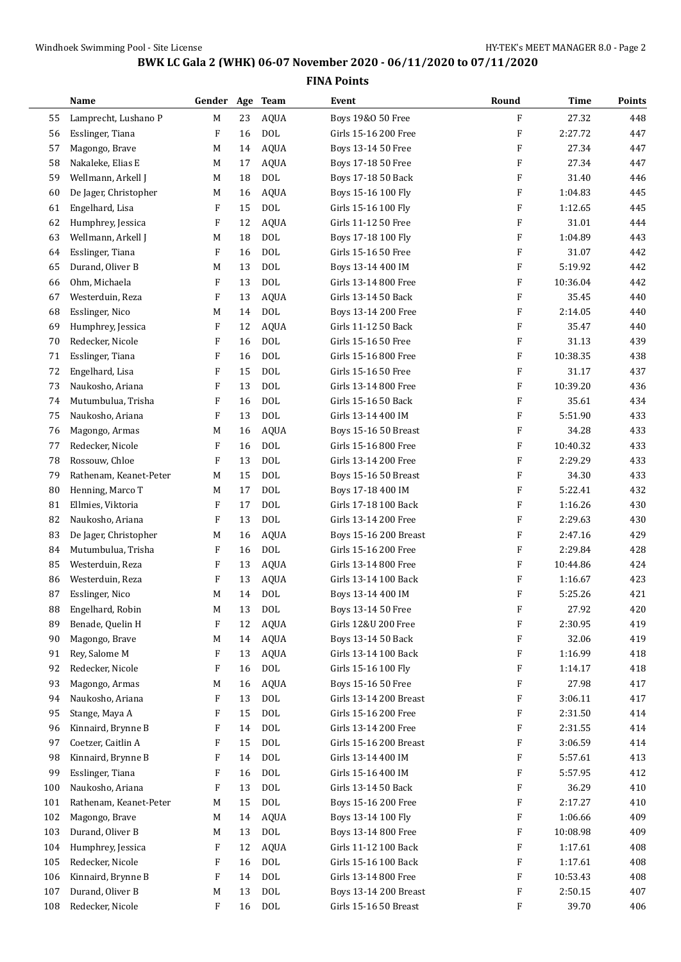$\overline{\phantom{0}}$ 

## **BWK LC Gala 2 (WHK) 06-07 November 2020 - 06/11/2020 to 07/11/2020**

|     | Name                   | Gender                    | Age | Team        | Event                  | Round     | Time     | Points |
|-----|------------------------|---------------------------|-----|-------------|------------------------|-----------|----------|--------|
| 55  | Lamprecht, Lushano P   | M                         | 23  | <b>AQUA</b> | Boys 19&0 50 Free      | F         | 27.32    | 448    |
| 56  | Esslinger, Tiana       | F                         | 16  | <b>DOL</b>  | Girls 15-16 200 Free   | F         | 2:27.72  | 447    |
| 57  | Magongo, Brave         | М                         | 14  | <b>AQUA</b> | Boys 13-14 50 Free     | F         | 27.34    | 447    |
| 58  | Nakaleke, Elias E      | M                         | 17  | <b>AQUA</b> | Boys 17-18 50 Free     | F         | 27.34    | 447    |
| 59  | Wellmann, Arkell J     | M                         | 18  | <b>DOL</b>  | Boys 17-18 50 Back     | F         | 31.40    | 446    |
| 60  | De Jager, Christopher  | М                         | 16  | <b>AQUA</b> | Boys 15-16 100 Fly     | F         | 1:04.83  | 445    |
| 61  | Engelhard, Lisa        | F                         | 15  | <b>DOL</b>  | Girls 15-16 100 Fly    | F         | 1:12.65  | 445    |
| 62  | Humphrey, Jessica      | F                         | 12  | <b>AQUA</b> | Girls 11-12 50 Free    | F         | 31.01    | 444    |
| 63  | Wellmann, Arkell J     | М                         | 18  | DOL         | Boys 17-18 100 Fly     | F         | 1:04.89  | 443    |
| 64  | Esslinger, Tiana       | F                         | 16  | <b>DOL</b>  | Girls 15-16 50 Free    | F         | 31.07    | 442    |
| 65  | Durand, Oliver B       | M                         | 13  | <b>DOL</b>  | Boys 13-14 400 IM      | F         | 5:19.92  | 442    |
| 66  | Ohm, Michaela          | $\mathbf{F}$              | 13  | <b>DOL</b>  | Girls 13-14 800 Free   | F         | 10:36.04 | 442    |
| 67  | Westerduin, Reza       | F                         | 13  | <b>AQUA</b> | Girls 13-14 50 Back    | F         | 35.45    | 440    |
| 68  | Esslinger, Nico        | М                         | 14  | <b>DOL</b>  | Boys 13-14 200 Free    | F         | 2:14.05  | 440    |
| 69  | Humphrey, Jessica      | F                         | 12  | <b>AQUA</b> | Girls 11-12 50 Back    | F         | 35.47    | 440    |
| 70  | Redecker, Nicole       | F                         | 16  | <b>DOL</b>  | Girls 15-16 50 Free    | F         | 31.13    | 439    |
| 71  | Esslinger, Tiana       | $\boldsymbol{\mathrm{F}}$ | 16  | <b>DOL</b>  | Girls 15-16 800 Free   | F         | 10:38.35 | 438    |
| 72  | Engelhard, Lisa        | F                         | 15  | <b>DOL</b>  | Girls 15-16 50 Free    | F         | 31.17    | 437    |
| 73  | Naukosho, Ariana       | F                         | 13  | <b>DOL</b>  | Girls 13-14 800 Free   | F         | 10:39.20 | 436    |
| 74  | Mutumbulua, Trisha     | F                         | 16  | <b>DOL</b>  | Girls 15-16 50 Back    | F         | 35.61    | 434    |
| 75  | Naukosho, Ariana       | F                         | 13  | <b>DOL</b>  | Girls 13-14 400 IM     | F         | 5:51.90  | 433    |
| 76  | Magongo, Armas         | М                         | 16  | <b>AQUA</b> | Boys 15-16 50 Breast   | F         | 34.28    | 433    |
| 77  | Redecker, Nicole       | F                         | 16  | <b>DOL</b>  | Girls 15-16 800 Free   | F         | 10:40.32 | 433    |
| 78  | Rossouw, Chloe         | F                         | 13  | <b>DOL</b>  | Girls 13-14 200 Free   | F         | 2:29.29  | 433    |
| 79  | Rathenam, Keanet-Peter | М                         | 15  | <b>DOL</b>  | Boys 15-16 50 Breast   | F         | 34.30    | 433    |
| 80  | Henning, Marco T       | М                         | 17  | <b>DOL</b>  | Boys 17-18 400 IM      | F         | 5:22.41  | 432    |
| 81  | Ellmies, Viktoria      | F                         | 17  | <b>DOL</b>  | Girls 17-18 100 Back   | F         | 1:16.26  | 430    |
| 82  | Naukosho, Ariana       | F                         | 13  | <b>DOL</b>  | Girls 13-14 200 Free   | F         | 2:29.63  | 430    |
| 83  | De Jager, Christopher  | М                         | 16  | <b>AQUA</b> | Boys 15-16 200 Breast  | F         | 2:47.16  | 429    |
| 84  | Mutumbulua, Trisha     | F                         | 16  | <b>DOL</b>  | Girls 15-16 200 Free   | F         | 2:29.84  | 428    |
| 85  | Westerduin, Reza       | F                         | 13  | <b>AQUA</b> | Girls 13-14 800 Free   | F         | 10:44.86 | 424    |
| 86  | Westerduin, Reza       | F                         | 13  | <b>AQUA</b> | Girls 13-14 100 Back   | F         | 1:16.67  | 423    |
| 87  | Esslinger, Nico        | M                         | 14  | <b>DOL</b>  | Boys 13-14 400 IM      | F         | 5:25.26  | 421    |
| 88  | Engelhard, Robin       | M                         | 13  | <b>DOL</b>  | Boys 13-14 50 Free     | ${\bf F}$ | 27.92    | 420    |
| 89  | Benade, Quelin H       | $\boldsymbol{\mathrm{F}}$ | 12  | <b>AQUA</b> | Girls 12&U 200 Free    | F         | 2:30.95  | 419    |
| 90  | Magongo, Brave         | M                         | 14  | AQUA        | Boys 13-14 50 Back     | F         | 32.06    | 419    |
| 91  | Rey, Salome M          | F                         | 13  | <b>AQUA</b> | Girls 13-14 100 Back   | F         | 1:16.99  | 418    |
| 92  | Redecker, Nicole       | F                         | 16  | <b>DOL</b>  | Girls 15-16 100 Fly    | F         | 1:14.17  | 418    |
| 93  | Magongo, Armas         | M                         | 16  | AQUA        | Boys 15-16 50 Free     | F         | 27.98    | 417    |
| 94  | Naukosho, Ariana       | F                         | 13  | DOL         | Girls 13-14 200 Breast | F         | 3:06.11  | 417    |
| 95  | Stange, Maya A         | F                         | 15  | <b>DOL</b>  | Girls 15-16 200 Free   | F         | 2:31.50  | 414    |
| 96  | Kinnaird, Brynne B     | F                         | 14  | <b>DOL</b>  | Girls 13-14 200 Free   | F         | 2:31.55  | 414    |
| 97  | Coetzer, Caitlin A     | F                         | 15  | DOL         | Girls 15-16 200 Breast | F         | 3:06.59  | 414    |
| 98  | Kinnaird, Brynne B     | F                         | 14  | <b>DOL</b>  | Girls 13-14 400 IM     | F         | 5:57.61  | 413    |
| 99  | Esslinger, Tiana       | F                         | 16  | DOL         | Girls 15-16 400 IM     | F         | 5:57.95  | 412    |
| 100 | Naukosho, Ariana       | F                         | 13  | DOL         | Girls 13-14 50 Back    | F         | 36.29    | 410    |
| 101 | Rathenam, Keanet-Peter | М                         | 15  | <b>DOL</b>  | Boys 15-16 200 Free    | F         | 2:17.27  | 410    |
| 102 | Magongo, Brave         | M                         | 14  | AQUA        | Boys 13-14 100 Fly     | F         | 1:06.66  | 409    |
| 103 | Durand, Oliver B       | М                         | 13  | <b>DOL</b>  | Boys 13-14 800 Free    | F         | 10:08.98 | 409    |
| 104 | Humphrey, Jessica      | F                         | 12  | AQUA        | Girls 11-12 100 Back   | F         | 1:17.61  | 408    |
| 105 | Redecker, Nicole       | F                         | 16  | <b>DOL</b>  | Girls 15-16 100 Back   | F         | 1:17.61  | 408    |
| 106 | Kinnaird, Brynne B     | F                         | 14  | <b>DOL</b>  | Girls 13-14 800 Free   | F         | 10:53.43 | 408    |
| 107 | Durand, Oliver B       | M                         | 13  | <b>DOL</b>  | Boys 13-14 200 Breast  | F         | 2:50.15  | 407    |
| 108 | Redecker, Nicole       | F                         | 16  | DOL         | Girls 15-16 50 Breast  | F         | 39.70    | 406    |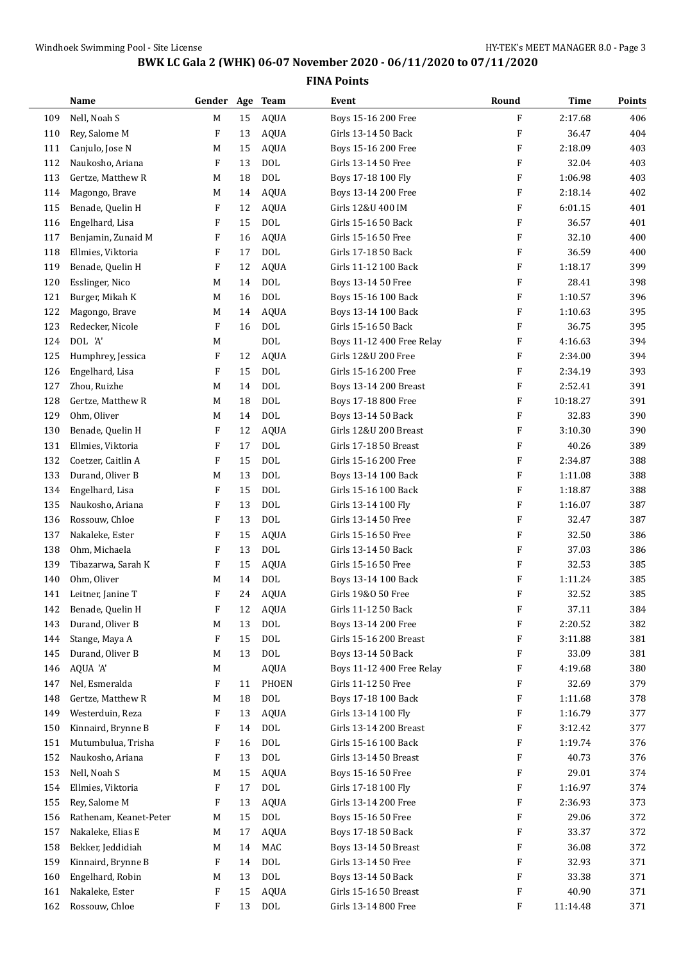|     | Name                   | Gender Age Team |    |              | Event                     | Round                     | <b>Time</b> | <b>Points</b> |
|-----|------------------------|-----------------|----|--------------|---------------------------|---------------------------|-------------|---------------|
| 109 | Nell, Noah S           | M               | 15 | <b>AQUA</b>  | Boys 15-16 200 Free       | F                         | 2:17.68     | 406           |
| 110 | Rey, Salome M          | F               | 13 | <b>AQUA</b>  | Girls 13-14 50 Back       | F                         | 36.47       | 404           |
| 111 | Canjulo, Jose N        | M               | 15 | <b>AQUA</b>  | Boys 15-16 200 Free       | F                         | 2:18.09     | 403           |
| 112 | Naukosho, Ariana       | F               | 13 | <b>DOL</b>   | Girls 13-14 50 Free       | F                         | 32.04       | 403           |
| 113 | Gertze, Matthew R      | M               | 18 | <b>DOL</b>   | Boys 17-18 100 Fly        | F                         | 1:06.98     | 403           |
| 114 | Magongo, Brave         | M               | 14 | <b>AQUA</b>  | Boys 13-14 200 Free       | F                         | 2:18.14     | 402           |
| 115 | Benade, Quelin H       | F               | 12 | <b>AQUA</b>  | Girls 12&U 400 IM         | F                         | 6:01.15     | 401           |
| 116 | Engelhard, Lisa        | F               | 15 | <b>DOL</b>   | Girls 15-16 50 Back       | F                         | 36.57       | 401           |
| 117 | Benjamin, Zunaid M     | F               | 16 | <b>AQUA</b>  | Girls 15-16 50 Free       | F                         | 32.10       | 400           |
| 118 | Ellmies, Viktoria      | F               | 17 | <b>DOL</b>   | Girls 17-18 50 Back       | F                         | 36.59       | 400           |
| 119 | Benade, Quelin H       | F               | 12 | <b>AQUA</b>  | Girls 11-12 100 Back      | F                         | 1:18.17     | 399           |
| 120 | Esslinger, Nico        | M               | 14 | <b>DOL</b>   | Boys 13-14 50 Free        | F                         | 28.41       | 398           |
| 121 | Burger, Mikah K        | M               | 16 | <b>DOL</b>   | Boys 15-16 100 Back       | F                         | 1:10.57     | 396           |
| 122 | Magongo, Brave         | M               | 14 | <b>AQUA</b>  | Boys 13-14 100 Back       | F                         | 1:10.63     | 395           |
| 123 | Redecker, Nicole       | F               | 16 | <b>DOL</b>   | Girls 15-16 50 Back       | F                         | 36.75       | 395           |
| 124 | DOL 'A'                | M               |    | <b>DOL</b>   | Boys 11-12 400 Free Relay | F                         | 4:16.63     | 394           |
| 125 | Humphrey, Jessica      | F               | 12 | <b>AQUA</b>  | Girls 12&U 200 Free       | F                         | 2:34.00     | 394           |
| 126 | Engelhard, Lisa        | F               | 15 | <b>DOL</b>   | Girls 15-16 200 Free      | F                         | 2:34.19     | 393           |
| 127 | Zhou, Ruizhe           | M               | 14 | <b>DOL</b>   | Boys 13-14 200 Breast     | F                         | 2:52.41     | 391           |
| 128 | Gertze, Matthew R      | M               | 18 | <b>DOL</b>   | Boys 17-18 800 Free       | $\boldsymbol{\mathrm{F}}$ | 10:18.27    | 391           |
| 129 | Ohm, Oliver            | M               | 14 | <b>DOL</b>   | Boys 13-14 50 Back        | F                         | 32.83       | 390           |
| 130 | Benade, Quelin H       | F               | 12 | <b>AQUA</b>  | Girls 12&U 200 Breast     | F                         | 3:10.30     | 390           |
| 131 | Ellmies, Viktoria      | F               | 17 | <b>DOL</b>   | Girls 17-18 50 Breast     | F                         | 40.26       | 389           |
| 132 | Coetzer, Caitlin A     | F               | 15 | <b>DOL</b>   | Girls 15-16 200 Free      | F                         | 2:34.87     | 388           |
| 133 | Durand, Oliver B       | M               | 13 | <b>DOL</b>   | Boys 13-14 100 Back       | F                         | 1:11.08     | 388           |
| 134 | Engelhard, Lisa        | F               | 15 | <b>DOL</b>   | Girls 15-16 100 Back      | $\boldsymbol{\mathrm{F}}$ | 1:18.87     | 388           |
| 135 | Naukosho, Ariana       | F               | 13 | <b>DOL</b>   | Girls 13-14 100 Fly       | F                         | 1:16.07     | 387           |
| 136 | Rossouw, Chloe         | F               | 13 | <b>DOL</b>   | Girls 13-14 50 Free       | F                         | 32.47       | 387           |
| 137 | Nakaleke, Ester        | F               | 15 | <b>AQUA</b>  | Girls 15-16 50 Free       | F                         | 32.50       | 386           |
| 138 | Ohm, Michaela          | F               | 13 | <b>DOL</b>   | Girls 13-14 50 Back       | F                         | 37.03       | 386           |
| 139 | Tibazarwa, Sarah K     | F               | 15 | <b>AQUA</b>  | Girls 15-16 50 Free       | F                         | 32.53       | 385           |
| 140 | Ohm, Oliver            | M               | 14 | <b>DOL</b>   | Boys 13-14 100 Back       | F                         | 1:11.24     | 385           |
| 141 | Leitner, Janine T      | F               | 24 | <b>AQUA</b>  | Girls 19&0 50 Free        | F                         | 32.52       | 385           |
| 142 | Benade, Quelin H       | F               | 12 | <b>AQUA</b>  | Girls 11-12 50 Back       | F                         | 37.11       | 384           |
| 143 | Durand, Oliver B       | M               | 13 | <b>DOL</b>   | Boys 13-14 200 Free       | F                         | 2:20.52     | 382           |
| 144 | Stange, Maya A         | F               | 15 | <b>DOL</b>   | Girls 15-16 200 Breast    | F                         | 3:11.88     | 381           |
| 145 | Durand, Oliver B       | M               | 13 | $\rm DOL$    | Boys 13-14 50 Back        | F                         | 33.09       | 381           |
| 146 | AQUA 'A'               | M               |    | AQUA         | Boys 11-12 400 Free Relay | F                         | 4:19.68     | 380           |
| 147 | Nel, Esmeralda         | F               | 11 | PHOEN        | Girls 11-12 50 Free       | F                         | 32.69       | 379           |
| 148 | Gertze, Matthew R      | M               | 18 | $\rm DOL$    | Boys 17-18 100 Back       | F                         | 1:11.68     | 378           |
| 149 | Westerduin, Reza       | F               | 13 | <b>AQUA</b>  | Girls 13-14 100 Fly       | F                         | 1:16.79     | 377           |
| 150 | Kinnaird, Brynne B     | F               | 14 | <b>DOL</b>   | Girls 13-14 200 Breast    | F                         | 3:12.42     | 377           |
| 151 | Mutumbulua, Trisha     | F               | 16 | $\rm DOL$    | Girls 15-16 100 Back      | F                         | 1:19.74     | 376           |
| 152 | Naukosho, Ariana       | F               | 13 | $\text{DOL}$ | Girls 13-14 50 Breast     | F                         | 40.73       | 376           |
| 153 | Nell, Noah S           | M               | 15 | <b>AQUA</b>  | Boys 15-16 50 Free        | F                         | 29.01       | 374           |
| 154 | Ellmies, Viktoria      | F               | 17 | $\rm DOL$    | Girls 17-18 100 Fly       | F                         | 1:16.97     | 374           |
| 155 | Rey, Salome M          | F               | 13 | <b>AQUA</b>  | Girls 13-14 200 Free      | F                         | 2:36.93     | 373           |
| 156 | Rathenam, Keanet-Peter | M               | 15 | $\text{DOL}$ | Boys 15-16 50 Free        | F                         | 29.06       | 372           |
| 157 | Nakaleke, Elias E      | M               | 17 | <b>AQUA</b>  | Boys 17-18 50 Back        | F                         | 33.37       | 372           |
| 158 | Bekker, Jeddidiah      | M               | 14 | MAC          | Boys 13-14 50 Breast      | F                         | 36.08       | 372           |
| 159 | Kinnaird, Brynne B     | F               | 14 | $\rm DOL$    | Girls 13-14 50 Free       | F                         | 32.93       | 371           |
| 160 | Engelhard, Robin       | M               | 13 | $\rm DOL$    | Boys 13-14 50 Back        | F                         | 33.38       | 371           |
| 161 | Nakaleke, Ester        | F               | 15 | <b>AQUA</b>  | Girls 15-16 50 Breast     | F                         | 40.90       | 371           |
| 162 | Rossouw, Chloe         | F               | 13 | DOL          | Girls 13-14 800 Free      | F                         | 11:14.48    | 371           |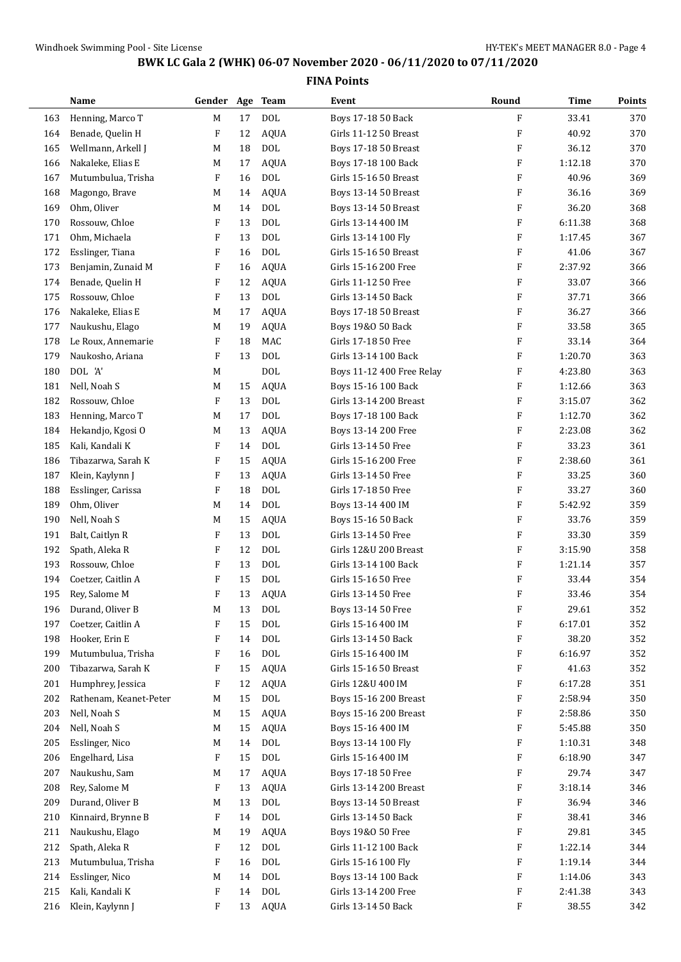|     | Name                   | Gender Age Team |        |              | Event                     | Round        | Time    | Points |
|-----|------------------------|-----------------|--------|--------------|---------------------------|--------------|---------|--------|
| 163 | Henning, Marco T       | M               | 17     | <b>DOL</b>   | Boys 17-18 50 Back        | $\mathbf{F}$ | 33.41   | 370    |
| 164 | Benade, Quelin H       | F               | 12     | <b>AQUA</b>  | Girls 11-12 50 Breast     | F            | 40.92   | 370    |
| 165 | Wellmann, Arkell J     | M               | 18     | <b>DOL</b>   | Boys 17-18 50 Breast      | F            | 36.12   | 370    |
| 166 | Nakaleke, Elias E      | M               | 17     | <b>AQUA</b>  | Boys 17-18 100 Back       | F            | 1:12.18 | 370    |
| 167 | Mutumbulua, Trisha     | F               | 16     | <b>DOL</b>   | Girls 15-16 50 Breast     | F            | 40.96   | 369    |
| 168 | Magongo, Brave         | M               | 14     | <b>AQUA</b>  | Boys 13-14 50 Breast      | F            | 36.16   | 369    |
| 169 | Ohm, Oliver            | M               | 14     | <b>DOL</b>   | Boys 13-14 50 Breast      | F            | 36.20   | 368    |
| 170 | Rossouw, Chloe         | F               | 13     | <b>DOL</b>   | Girls 13-14 400 IM        | F            | 6:11.38 | 368    |
| 171 | Ohm, Michaela          | F               | 13     | <b>DOL</b>   | Girls 13-14 100 Fly       | F            | 1:17.45 | 367    |
| 172 | Esslinger, Tiana       | F               | 16     | <b>DOL</b>   | Girls 15-16 50 Breast     | F            | 41.06   | 367    |
| 173 | Benjamin, Zunaid M     | F               | 16     | <b>AQUA</b>  | Girls 15-16 200 Free      | F            | 2:37.92 | 366    |
| 174 | Benade, Quelin H       | F               | 12     | <b>AQUA</b>  | Girls 11-12 50 Free       | F            | 33.07   | 366    |
| 175 | Rossouw, Chloe         | F               | 13     | <b>DOL</b>   | Girls 13-14 50 Back       | F            | 37.71   | 366    |
| 176 | Nakaleke, Elias E      | M               | 17     | <b>AQUA</b>  | Boys 17-18 50 Breast      | F            | 36.27   | 366    |
| 177 | Naukushu, Elago        | M               | 19     | <b>AQUA</b>  | Boys 19&0 50 Back         | F            | 33.58   | 365    |
| 178 | Le Roux, Annemarie     | F               | 18     | MAC          | Girls 17-18 50 Free       | F            | 33.14   | 364    |
| 179 | Naukosho, Ariana       | F               | 13     | <b>DOL</b>   | Girls 13-14 100 Back      | F            | 1:20.70 | 363    |
| 180 | DOL 'A'                | M               |        | <b>DOL</b>   | Boys 11-12 400 Free Relay | F            | 4:23.80 | 363    |
| 181 | Nell, Noah S           | M               | 15     | <b>AQUA</b>  | Boys 15-16 100 Back       | F            | 1:12.66 | 363    |
| 182 | Rossouw, Chloe         | F               | 13     | <b>DOL</b>   | Girls 13-14 200 Breast    | F            | 3:15.07 | 362    |
| 183 | Henning, Marco T       | M               | 17     | <b>DOL</b>   | Boys 17-18 100 Back       | F            | 1:12.70 | 362    |
| 184 | Hekandjo, Kgosi O      | M               | 13     | <b>AQUA</b>  | Boys 13-14 200 Free       | F            | 2:23.08 | 362    |
| 185 | Kali, Kandali K        | F               | 14     | <b>DOL</b>   | Girls 13-14 50 Free       | F            | 33.23   | 361    |
| 186 | Tibazarwa, Sarah K     | F               | 15     | <b>AQUA</b>  | Girls 15-16 200 Free      | F            | 2:38.60 | 361    |
| 187 | Klein, Kaylynn J       | F               | 13     | <b>AQUA</b>  | Girls 13-14 50 Free       | F            | 33.25   | 360    |
| 188 | Esslinger, Carissa     | F               | 18     | <b>DOL</b>   | Girls 17-18 50 Free       | F            | 33.27   | 360    |
| 189 | Ohm, Oliver            | M               | 14     | <b>DOL</b>   | Boys 13-14 400 IM         | F            | 5:42.92 | 359    |
| 190 | Nell, Noah S           | M               | 15     | <b>AQUA</b>  | Boys 15-16 50 Back        | F            | 33.76   | 359    |
| 191 | Balt, Caitlyn R        | F               | 13     | <b>DOL</b>   | Girls 13-14 50 Free       | F            | 33.30   | 359    |
| 192 | Spath, Aleka R         | F               | 12     | <b>DOL</b>   | Girls 12&U 200 Breast     | F            | 3:15.90 | 358    |
| 193 | Rossouw, Chloe         | F               | 13     | <b>DOL</b>   | Girls 13-14 100 Back      | F            | 1:21.14 | 357    |
| 194 | Coetzer, Caitlin A     | F               | 15     | <b>DOL</b>   | Girls 15-16 50 Free       | F            | 33.44   | 354    |
| 195 | Rey, Salome M          | F               | 13     | AQUA         | Girls 13-14 50 Free       | F            | 33.46   | 354    |
| 196 | Durand, Oliver B       | M               | 13     | DOL          | Boys 13-14 50 Free        | F            | 29.61   | 352    |
| 197 | Coetzer, Caitlin A     | F               | 15     | <b>DOL</b>   | Girls 15-16 400 IM        | F            | 6:17.01 | 352    |
| 198 | Hooker, Erin E         | F               | 14     | <b>DOL</b>   | Girls 13-14 50 Back       | F            | 38.20   | 352    |
| 199 | Mutumbulua, Trisha     | F               | 16     | <b>DOL</b>   | Girls 15-16 400 IM        | F            | 6:16.97 | 352    |
| 200 | Tibazarwa, Sarah K     | F               | 15     | <b>AQUA</b>  | Girls 15-16 50 Breast     | F            | 41.63   | 352    |
| 201 | Humphrey, Jessica      | F               | 12     | AQUA         | Girls 12&U 400 IM         | F            | 6:17.28 | 351    |
| 202 | Rathenam, Keanet-Peter | M               | $15\,$ | DOL          | Boys 15-16 200 Breast     | F            | 2:58.94 | 350    |
| 203 | Nell, Noah S           | M               | 15     | <b>AQUA</b>  | Boys 15-16 200 Breast     | F            | 2:58.86 | 350    |
| 204 | Nell, Noah S           | M               | 15     | <b>AQUA</b>  | Boys 15-16 400 IM         | F            | 5:45.88 | 350    |
| 205 | Esslinger, Nico        | M               | 14     | DOL          | Boys 13-14 100 Fly        | F            | 1:10.31 | 348    |
| 206 | Engelhard, Lisa        | F               | 15     | <b>DOL</b>   | Girls 15-16 400 IM        | F            | 6:18.90 | 347    |
| 207 | Naukushu, Sam          | M               | 17     | <b>AQUA</b>  | Boys 17-18 50 Free        | F            | 29.74   | 347    |
| 208 | Rey, Salome M          | F               | 13     | <b>AQUA</b>  | Girls 13-14 200 Breast    | F            | 3:18.14 | 346    |
| 209 | Durand, Oliver B       | M               | 13     | $\text{DOL}$ | Boys 13-14 50 Breast      | F            | 36.94   | 346    |
| 210 | Kinnaird, Brynne B     | F               | 14     | <b>DOL</b>   | Girls 13-14 50 Back       | F            | 38.41   | 346    |
| 211 | Naukushu, Elago        | M               | 19     | <b>AQUA</b>  | Boys 19&0 50 Free         | F            | 29.81   | 345    |
| 212 | Spath, Aleka R         | F               | 12     | <b>DOL</b>   | Girls 11-12 100 Back      | F            | 1:22.14 | 344    |
| 213 | Mutumbulua, Trisha     | F               | 16     | <b>DOL</b>   | Girls 15-16 100 Fly       | F            | 1:19.14 | 344    |
| 214 | Esslinger, Nico        | M               | 14     | <b>DOL</b>   | Boys 13-14 100 Back       | F            | 1:14.06 | 343    |
| 215 | Kali, Kandali K        | F               | 14     | <b>DOL</b>   | Girls 13-14 200 Free      | F            | 2:41.38 | 343    |
| 216 | Klein, Kaylynn J       | F               | 13     | AQUA         | Girls 13-14 50 Back       | F            | 38.55   | 342    |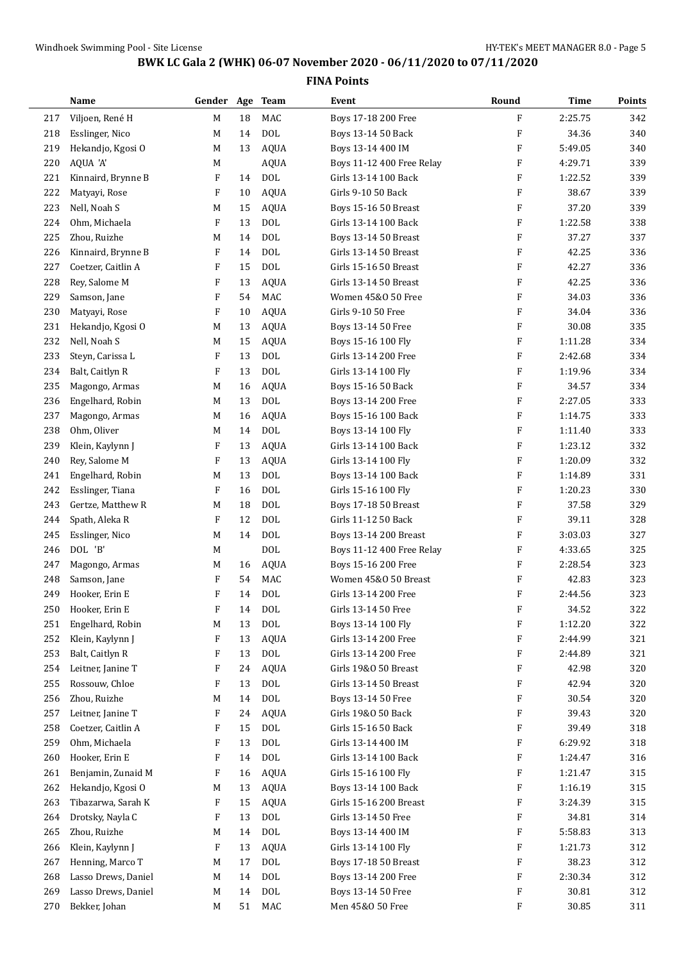|     | Name                | Gender Age Team |    |              | Event                       | Round                     | <b>Time</b> | Points |
|-----|---------------------|-----------------|----|--------------|-----------------------------|---------------------------|-------------|--------|
| 217 | Viljoen, René H     | M               | 18 | MAC          | Boys 17-18 200 Free         | $\mathbf{F}$              | 2:25.75     | 342    |
| 218 | Esslinger, Nico     | M               | 14 | <b>DOL</b>   | Boys 13-14 50 Back          | $\boldsymbol{\mathrm{F}}$ | 34.36       | 340    |
| 219 | Hekandjo, Kgosi O   | M               | 13 | <b>AQUA</b>  | Boys 13-14 400 IM           | $\boldsymbol{\mathrm{F}}$ | 5:49.05     | 340    |
| 220 | AQUA 'A'            | M               |    | <b>AQUA</b>  | Boys 11-12 400 Free Relay   | F                         | 4:29.71     | 339    |
| 221 | Kinnaird, Brynne B  | F               | 14 | <b>DOL</b>   | Girls 13-14 100 Back        | $\boldsymbol{\mathrm{F}}$ | 1:22.52     | 339    |
| 222 | Matyayi, Rose       | F               | 10 | <b>AQUA</b>  | Girls 9-10 50 Back          | F                         | 38.67       | 339    |
| 223 | Nell, Noah S        | M               | 15 | <b>AQUA</b>  | Boys 15-16 50 Breast        | $\boldsymbol{\mathrm{F}}$ | 37.20       | 339    |
| 224 | Ohm, Michaela       | F               | 13 | <b>DOL</b>   | Girls 13-14 100 Back        | $\boldsymbol{\mathrm{F}}$ | 1:22.58     | 338    |
| 225 | Zhou, Ruizhe        | M               | 14 | <b>DOL</b>   | Boys 13-14 50 Breast        | $\boldsymbol{\mathrm{F}}$ | 37.27       | 337    |
| 226 | Kinnaird, Brynne B  | F               | 14 | <b>DOL</b>   | Girls 13-14 50 Breast       | $\boldsymbol{\mathrm{F}}$ | 42.25       | 336    |
| 227 | Coetzer, Caitlin A  | F               | 15 | <b>DOL</b>   | Girls 15-16 50 Breast       | $\boldsymbol{\mathrm{F}}$ | 42.27       | 336    |
| 228 | Rey, Salome M       | F               | 13 | <b>AQUA</b>  | Girls 13-14 50 Breast       | $\boldsymbol{\mathrm{F}}$ | 42.25       | 336    |
| 229 | Samson, Jane        | F               | 54 | MAC          | Women 45&0 50 Free          | $\boldsymbol{\mathrm{F}}$ | 34.03       | 336    |
| 230 | Matyayi, Rose       | F               | 10 | <b>AQUA</b>  | Girls 9-10 50 Free          | $\boldsymbol{\mathrm{F}}$ | 34.04       | 336    |
| 231 | Hekandjo, Kgosi O   | M               | 13 | <b>AQUA</b>  | Boys 13-14 50 Free          | $\boldsymbol{\mathrm{F}}$ | 30.08       | 335    |
| 232 | Nell, Noah S        | M               | 15 | <b>AQUA</b>  | Boys 15-16 100 Fly          | $\boldsymbol{\mathrm{F}}$ | 1:11.28     | 334    |
| 233 | Steyn, Carissa L    | F               | 13 | <b>DOL</b>   | Girls 13-14 200 Free        | $\boldsymbol{\mathrm{F}}$ | 2:42.68     | 334    |
| 234 | Balt, Caitlyn R     | F               | 13 | <b>DOL</b>   | Girls 13-14 100 Fly         | $\boldsymbol{\mathrm{F}}$ | 1:19.96     | 334    |
| 235 | Magongo, Armas      | M               | 16 | <b>AQUA</b>  | Boys 15-16 50 Back          | $\boldsymbol{\mathrm{F}}$ | 34.57       | 334    |
| 236 | Engelhard, Robin    | M               | 13 | <b>DOL</b>   | Boys 13-14 200 Free         | $\boldsymbol{\mathrm{F}}$ | 2:27.05     | 333    |
| 237 | Magongo, Armas      | M               | 16 | <b>AQUA</b>  | Boys 15-16 100 Back         | $\boldsymbol{\mathrm{F}}$ | 1:14.75     | 333    |
| 238 | Ohm, Oliver         | M               | 14 | <b>DOL</b>   | Boys 13-14 100 Fly          | F                         | 1:11.40     | 333    |
| 239 | Klein, Kaylynn J    | F               | 13 | <b>AQUA</b>  | Girls 13-14 100 Back        | $\boldsymbol{\mathrm{F}}$ | 1:23.12     | 332    |
| 240 | Rey, Salome M       | F               | 13 | <b>AQUA</b>  | Girls 13-14 100 Fly         | $\boldsymbol{\mathrm{F}}$ | 1:20.09     | 332    |
| 241 | Engelhard, Robin    | M               | 13 | <b>DOL</b>   | Boys 13-14 100 Back         | $\boldsymbol{\mathrm{F}}$ | 1:14.89     | 331    |
| 242 | Esslinger, Tiana    | F               | 16 | <b>DOL</b>   | Girls 15-16 100 Fly         | $\boldsymbol{\mathrm{F}}$ | 1:20.23     | 330    |
| 243 | Gertze, Matthew R   | M               | 18 | <b>DOL</b>   | Boys 17-18 50 Breast        | $\boldsymbol{\mathrm{F}}$ | 37.58       | 329    |
| 244 | Spath, Aleka R      | F               | 12 | <b>DOL</b>   | Girls 11-12 50 Back         | $\boldsymbol{\mathrm{F}}$ | 39.11       | 328    |
| 245 | Esslinger, Nico     | M               | 14 | <b>DOL</b>   | Boys 13-14 200 Breast       | $\boldsymbol{\mathrm{F}}$ | 3:03.03     | 327    |
| 246 | DOL 'B'             | M               |    | <b>DOL</b>   | Boys 11-12 400 Free Relay   | F                         | 4:33.65     | 325    |
| 247 | Magongo, Armas      | M               | 16 | <b>AQUA</b>  | Boys 15-16 200 Free         | $\boldsymbol{\mathrm{F}}$ | 2:28.54     | 323    |
| 248 | Samson, Jane        | F               | 54 | MAC          | Women 45&0 50 Breast        | $\boldsymbol{\mathrm{F}}$ | 42.83       | 323    |
| 249 | Hooker, Erin E      | F               | 14 | <b>DOL</b>   | Girls 13-14 200 Free        | $\boldsymbol{\mathrm{F}}$ | 2:44.56     | 323    |
| 250 | Hooker, Erin E      | F               | 14 | DOL          | Girls 13-14 50 Free         | F                         | 34.52       | 322    |
| 251 | Engelhard, Robin    | M               | 13 | $\text{DOL}$ | Boys 13-14 100 Fly          | F                         | 1:12.20     | 322    |
| 252 | Klein, Kaylynn J    | F               | 13 | <b>AQUA</b>  | Girls 13-14 200 Free        | F                         | 2:44.99     | 321    |
| 253 | Balt, Caitlyn R     | F               | 13 | <b>DOL</b>   | Girls 13-14 200 Free        | F                         | 2:44.89     | 321    |
| 254 | Leitner, Janine T   | F               | 24 | <b>AQUA</b>  | Girls 19&0 50 Breast        | F                         | 42.98       | 320    |
| 255 | Rossouw, Chloe      | F               | 13 | <b>DOL</b>   | Girls 13-14 50 Breast       | F                         | 42.94       | 320    |
| 256 | Zhou, Ruizhe        | M               | 14 | $\rm DOL$    | Boys 13-14 50 Free          | F                         | 30.54       | 320    |
| 257 | Leitner, Janine T   | F               | 24 | <b>AQUA</b>  | Girls 19&0 50 Back          | F                         | 39.43       | 320    |
| 258 | Coetzer, Caitlin A  | F               | 15 | <b>DOL</b>   | Girls 15-16 50 Back         | F                         | 39.49       | 318    |
| 259 | Ohm, Michaela       | F               | 13 | <b>DOL</b>   | Girls 13-14 400 IM          | F                         | 6:29.92     | 318    |
| 260 | Hooker, Erin E      | F               | 14 | <b>DOL</b>   | Girls 13-14 100 Back        | $\boldsymbol{\mathrm{F}}$ | 1:24.47     | 316    |
| 261 | Benjamin, Zunaid M  | F               | 16 | <b>AQUA</b>  | Girls 15-16 100 Fly         | F                         | 1:21.47     | 315    |
| 262 | Hekandjo, Kgosi O   | M               | 13 | <b>AQUA</b>  | Boys 13-14 100 Back         | F                         | 1:16.19     | 315    |
| 263 | Tibazarwa, Sarah K  | F               | 15 | <b>AQUA</b>  | Girls 15-16 200 Breast      | F                         | 3:24.39     | 315    |
| 264 | Drotsky, Nayla C    | F               | 13 | <b>DOL</b>   | Girls 13-14 50 Free         | F                         | 34.81       | 314    |
| 265 | Zhou, Ruizhe        | M               | 14 | $\rm DOL$    | Boys 13-14 400 IM           | F                         | 5:58.83     | 313    |
| 266 | Klein, Kaylynn J    | F               | 13 | <b>AQUA</b>  | Girls 13-14 100 Fly         | F                         | 1:21.73     | 312    |
| 267 | Henning, Marco T    | M               | 17 | <b>DOL</b>   | <b>Boys 17-18 50 Breast</b> | F                         | 38.23       | 312    |
| 268 | Lasso Drews, Daniel | M               | 14 | <b>DOL</b>   | Boys 13-14 200 Free         | F                         | 2:30.34     | 312    |
| 269 | Lasso Drews, Daniel | M               | 14 | $\rm DOL$    | Boys 13-14 50 Free          | F                         | 30.81       | 312    |
| 270 | Bekker, Johan       | M               | 51 | MAC          | Men 45&0 50 Free            | $\boldsymbol{\mathrm{F}}$ | 30.85       | 311    |
|     |                     |                 |    |              |                             |                           |             |        |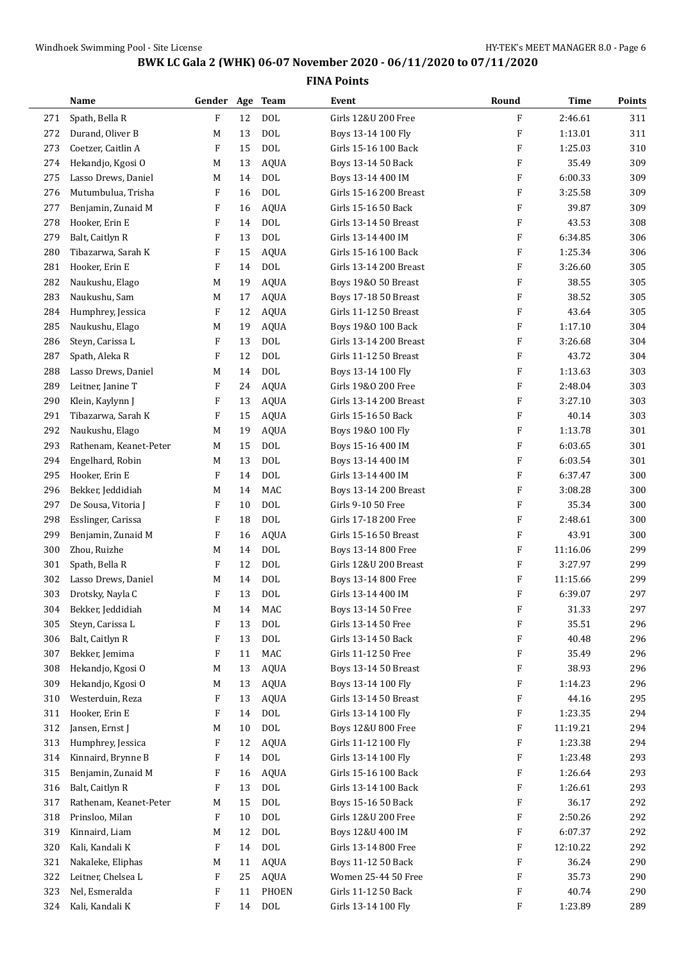|     | Name                   | Gender Age Team |    |              | Event                  | Round                     | Time     | Points |
|-----|------------------------|-----------------|----|--------------|------------------------|---------------------------|----------|--------|
| 271 | Spath, Bella R         | $\mathbf{F}$    | 12 | <b>DOL</b>   | Girls 12&U 200 Free    | F                         | 2:46.61  | 311    |
| 272 | Durand, Oliver B       | M               | 13 | <b>DOL</b>   | Boys 13-14 100 Fly     | F                         | 1:13.01  | 311    |
| 273 | Coetzer, Caitlin A     | F               | 15 | <b>DOL</b>   | Girls 15-16 100 Back   | F                         | 1:25.03  | 310    |
| 274 | Hekandjo, Kgosi O      | M               | 13 | <b>AQUA</b>  | Boys 13-14 50 Back     | F                         | 35.49    | 309    |
| 275 | Lasso Drews, Daniel    | M               | 14 | <b>DOL</b>   | Boys 13-14 400 IM      | F                         | 6:00.33  | 309    |
| 276 | Mutumbulua, Trisha     | F               | 16 | <b>DOL</b>   | Girls 15-16 200 Breast | F                         | 3:25.58  | 309    |
| 277 | Benjamin, Zunaid M     | F               | 16 | <b>AQUA</b>  | Girls 15-16 50 Back    | F                         | 39.87    | 309    |
| 278 | Hooker, Erin E         | F               | 14 | <b>DOL</b>   | Girls 13-14 50 Breast  | F                         | 43.53    | 308    |
| 279 | Balt, Caitlyn R        | F               | 13 | <b>DOL</b>   | Girls 13-14 400 IM     | F                         | 6:34.85  | 306    |
| 280 | Tibazarwa, Sarah K     | F               | 15 | <b>AQUA</b>  | Girls 15-16 100 Back   | F                         | 1:25.34  | 306    |
| 281 | Hooker, Erin E         | F               | 14 | <b>DOL</b>   | Girls 13-14 200 Breast | F                         | 3:26.60  | 305    |
| 282 | Naukushu, Elago        | M               | 19 | <b>AQUA</b>  | Boys 19&0 50 Breast    | F                         | 38.55    | 305    |
| 283 | Naukushu, Sam          | M               | 17 | <b>AQUA</b>  | Boys 17-18 50 Breast   | F                         | 38.52    | 305    |
| 284 | Humphrey, Jessica      | F               | 12 | <b>AQUA</b>  | Girls 11-12 50 Breast  | F                         | 43.64    | 305    |
| 285 | Naukushu, Elago        | M               | 19 | <b>AQUA</b>  | Boys 19&0 100 Back     | F                         | 1:17.10  | 304    |
| 286 | Steyn, Carissa L       | F               | 13 | <b>DOL</b>   | Girls 13-14 200 Breast | F                         | 3:26.68  | 304    |
| 287 | Spath, Aleka R         | F               | 12 | <b>DOL</b>   | Girls 11-12 50 Breast  | F                         | 43.72    | 304    |
| 288 | Lasso Drews, Daniel    | M               | 14 | <b>DOL</b>   | Boys 13-14 100 Fly     | F                         | 1:13.63  | 303    |
| 289 | Leitner, Janine T      | F               | 24 | <b>AQUA</b>  | Girls 19&0 200 Free    | F                         | 2:48.04  | 303    |
| 290 | Klein, Kaylynn J       | F               | 13 | <b>AQUA</b>  | Girls 13-14 200 Breast | F                         | 3:27.10  | 303    |
| 291 | Tibazarwa, Sarah K     | F               | 15 | <b>AQUA</b>  | Girls 15-16 50 Back    | F                         | 40.14    | 303    |
| 292 | Naukushu, Elago        | M               | 19 | <b>AQUA</b>  | Boys 19&0 100 Fly      | F                         | 1:13.78  | 301    |
| 293 | Rathenam, Keanet-Peter | M               | 15 | <b>DOL</b>   | Boys 15-16 400 IM      | F                         | 6:03.65  | 301    |
| 294 | Engelhard, Robin       | M               | 13 | <b>DOL</b>   | Boys 13-14 400 IM      | F                         | 6:03.54  | 301    |
| 295 | Hooker, Erin E         | F               | 14 | <b>DOL</b>   | Girls 13-14 400 IM     | F                         | 6:37.47  | 300    |
| 296 | Bekker, Jeddidiah      | M               | 14 | <b>MAC</b>   | Boys 13-14 200 Breast  | F                         | 3:08.28  | 300    |
| 297 | De Sousa, Vitoria J    | F               | 10 | <b>DOL</b>   | Girls 9-10 50 Free     | $\boldsymbol{\mathrm{F}}$ | 35.34    | 300    |
| 298 | Esslinger, Carissa     | F               | 18 | <b>DOL</b>   | Girls 17-18 200 Free   | F                         | 2:48.61  | 300    |
| 299 | Benjamin, Zunaid M     | F               | 16 | <b>AQUA</b>  | Girls 15-16 50 Breast  | F                         | 43.91    | 300    |
| 300 | Zhou, Ruizhe           | M               | 14 | <b>DOL</b>   | Boys 13-14 800 Free    | F                         | 11:16.06 | 299    |
| 301 | Spath, Bella R         | F               | 12 | <b>DOL</b>   | Girls 12&U 200 Breast  | F                         | 3:27.97  | 299    |
| 302 | Lasso Drews, Daniel    | M               | 14 | <b>DOL</b>   | Boys 13-14 800 Free    | F                         | 11:15.66 | 299    |
| 303 | Drotsky, Nayla C       | F               | 13 | <b>DOL</b>   | Girls 13-14 400 IM     | F                         | 6:39.07  | 297    |
| 304 | Bekker, Jeddidiah      | $\mathbf M$     | 14 | MAC          | Boys 13-14 50 Free     | F                         | 31.33    | 297    |
| 305 | Steyn, Carissa L       | F               | 13 | DOL          | Girls 13-14 50 Free    | F                         | 35.51    | 296    |
| 306 | Balt, Caitlyn R        | F               | 13 | $\text{DOL}$ | Girls 13-14 50 Back    | F                         | 40.48    | 296    |
| 307 | Bekker, Jemima         | F               | 11 | MAC          | Girls 11-12 50 Free    | F                         | 35.49    | 296    |
| 308 | Hekandjo, Kgosi O      | M               | 13 | <b>AQUA</b>  | Boys 13-14 50 Breast   | F                         | 38.93    | 296    |
| 309 | Hekandjo, Kgosi O      | M               | 13 | <b>AQUA</b>  | Boys 13-14 100 Fly     | F                         | 1:14.23  | 296    |
| 310 | Westerduin, Reza       | F               | 13 | <b>AQUA</b>  | Girls 13-14 50 Breast  | F                         | 44.16    | 295    |
| 311 | Hooker, Erin E         | F               | 14 | $\rm DOL$    | Girls 13-14 100 Fly    | F                         | 1:23.35  | 294    |
| 312 | Jansen, Ernst J        | M               | 10 | $\text{DOL}$ | Boys 12&U 800 Free     | F                         | 11:19.21 | 294    |
| 313 | Humphrey, Jessica      | F               | 12 | <b>AQUA</b>  | Girls 11-12 100 Fly    | F                         | 1:23.38  | 294    |
| 314 | Kinnaird, Brynne B     | F               | 14 | $\rm DOL$    | Girls 13-14 100 Fly    | F                         | 1:23.48  | 293    |
| 315 | Benjamin, Zunaid M     | F               | 16 | <b>AQUA</b>  | Girls 15-16 100 Back   | F                         | 1:26.64  | 293    |
| 316 | Balt, Caitlyn R        | F               | 13 | $\rm DOL$    | Girls 13-14 100 Back   | F                         | 1:26.61  | 293    |
| 317 | Rathenam, Keanet-Peter | М               | 15 | $\rm DOL$    | Boys 15-16 50 Back     | F                         | 36.17    | 292    |
| 318 | Prinsloo, Milan        | F               | 10 | <b>DOL</b>   | Girls 12&U 200 Free    | F                         | 2:50.26  | 292    |
| 319 | Kinnaird, Liam         | M               | 12 | <b>DOL</b>   | Boys 12&U 400 IM       | F                         | 6:07.37  | 292    |
| 320 | Kali, Kandali K        | F               | 14 | $\text{DOL}$ | Girls 13-14 800 Free   | F                         | 12:10.22 | 292    |
| 321 | Nakaleke, Eliphas      | M               | 11 | <b>AQUA</b>  | Boys 11-12 50 Back     | F                         | 36.24    | 290    |
| 322 | Leitner, Chelsea L     | F               | 25 | AQUA         | Women 25-44 50 Free    | F                         | 35.73    | 290    |
| 323 | Nel, Esmeralda         | F               | 11 | PHOEN        | Girls 11-12 50 Back    | F                         | 40.74    | 290    |
| 324 | Kali, Kandali K        | F               | 14 | <b>DOL</b>   | Girls 13-14 100 Fly    | F                         | 1:23.89  | 289    |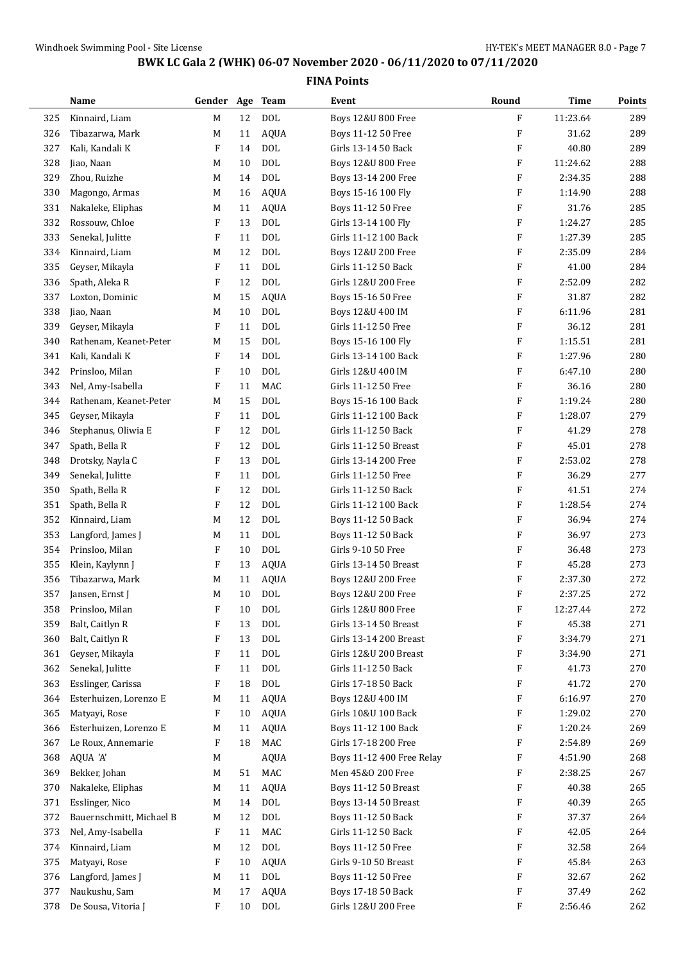|     | Name                     | Gender Age                |        | <b>Team</b>  | Event                         | Round                     | Time     | Points |
|-----|--------------------------|---------------------------|--------|--------------|-------------------------------|---------------------------|----------|--------|
| 325 | Kinnaird, Liam           | M                         | 12     | <b>DOL</b>   | Boys 12&U 800 Free            | F                         | 11:23.64 | 289    |
| 326 | Tibazarwa, Mark          | M                         | 11     | <b>AQUA</b>  | Boys 11-12 50 Free            | F                         | 31.62    | 289    |
| 327 | Kali, Kandali K          | F                         | 14     | <b>DOL</b>   | Girls 13-14 50 Back           | F                         | 40.80    | 289    |
| 328 | Jiao, Naan               | M                         | 10     | <b>DOL</b>   | <b>Boys 12&amp;U 800 Free</b> | F                         | 11:24.62 | 288    |
| 329 | Zhou, Ruizhe             | M                         | 14     | <b>DOL</b>   | Boys 13-14 200 Free           | F                         | 2:34.35  | 288    |
| 330 | Magongo, Armas           | M                         | 16     | <b>AQUA</b>  | Boys 15-16 100 Fly            | F                         | 1:14.90  | 288    |
| 331 | Nakaleke, Eliphas        | M                         | 11     | <b>AQUA</b>  | Boys 11-12 50 Free            | F                         | 31.76    | 285    |
| 332 | Rossouw, Chloe           | F                         | 13     | <b>DOL</b>   | Girls 13-14 100 Fly           | F                         | 1:24.27  | 285    |
| 333 | Senekal, Julitte         | F                         | 11     | <b>DOL</b>   | Girls 11-12 100 Back          | F                         | 1:27.39  | 285    |
| 334 | Kinnaird, Liam           | M                         | 12     | <b>DOL</b>   | Boys 12&U 200 Free            | F                         | 2:35.09  | 284    |
| 335 | Geyser, Mikayla          | F                         | 11     | <b>DOL</b>   | Girls 11-12 50 Back           | F                         | 41.00    | 284    |
| 336 | Spath, Aleka R           | $\boldsymbol{\mathrm{F}}$ | 12     | <b>DOL</b>   | Girls 12&U 200 Free           | F                         | 2:52.09  | 282    |
| 337 | Loxton, Dominic          | M                         | 15     | <b>AQUA</b>  | Boys 15-16 50 Free            | F                         | 31.87    | 282    |
| 338 | Jiao, Naan               | M                         | 10     | <b>DOL</b>   | Boys 12&U 400 IM              | F                         | 6:11.96  | 281    |
| 339 | Geyser, Mikayla          | F                         | 11     | <b>DOL</b>   | Girls 11-12 50 Free           | F                         | 36.12    | 281    |
| 340 | Rathenam, Keanet-Peter   | M                         | 15     | <b>DOL</b>   | Boys 15-16 100 Fly            | F                         | 1:15.51  | 281    |
| 341 | Kali, Kandali K          | F                         | 14     | <b>DOL</b>   | Girls 13-14 100 Back          | F                         | 1:27.96  | 280    |
| 342 | Prinsloo, Milan          | F                         | 10     | <b>DOL</b>   | Girls 12&U 400 IM             | F                         | 6:47.10  | 280    |
| 343 | Nel, Amy-Isabella        | F                         | 11     | MAC          | Girls 11-12 50 Free           | F                         | 36.16    | 280    |
| 344 | Rathenam, Keanet-Peter   | M                         | 15     | <b>DOL</b>   | Boys 15-16 100 Back           | F                         | 1:19.24  | 280    |
| 345 | Geyser, Mikayla          | F                         | 11     | <b>DOL</b>   | Girls 11-12 100 Back          | F                         | 1:28.07  | 279    |
| 346 | Stephanus, Oliwia E      | F                         | 12     | <b>DOL</b>   | Girls 11-12 50 Back           | F                         | 41.29    | 278    |
| 347 | Spath, Bella R           | F                         | 12     | <b>DOL</b>   | Girls 11-12 50 Breast         | F                         | 45.01    | 278    |
| 348 | Drotsky, Nayla C         | $\boldsymbol{\mathrm{F}}$ | 13     | <b>DOL</b>   | Girls 13-14 200 Free          | F                         | 2:53.02  | 278    |
| 349 | Senekal, Julitte         | F                         | 11     | <b>DOL</b>   | Girls 11-12 50 Free           | F                         | 36.29    | 277    |
| 350 | Spath, Bella R           | F                         | 12     | <b>DOL</b>   | Girls 11-12 50 Back           | F                         | 41.51    | 274    |
| 351 | Spath, Bella R           | F                         | 12     | <b>DOL</b>   | Girls 11-12 100 Back          | F                         | 1:28.54  | 274    |
| 352 | Kinnaird, Liam           | M                         | 12     | <b>DOL</b>   | Boys 11-12 50 Back            | F                         | 36.94    | 274    |
| 353 | Langford, James J        | M                         | 11     | <b>DOL</b>   | Boys 11-12 50 Back            | F                         | 36.97    | 273    |
| 354 | Prinsloo, Milan          | F                         | 10     | <b>DOL</b>   | Girls 9-10 50 Free            | F                         | 36.48    | 273    |
| 355 | Klein, Kaylynn J         | F                         | 13     | <b>AQUA</b>  | Girls 13-14 50 Breast         | F                         | 45.28    | 273    |
| 356 | Tibazarwa, Mark          | M                         | 11     | <b>AQUA</b>  | Boys 12&U 200 Free            | F                         | 2:37.30  | 272    |
| 357 | Jansen, Ernst J          | M                         | 10     | <b>DOL</b>   | Boys 12&U 200 Free            | $\boldsymbol{\mathrm{F}}$ | 2:37.25  | 272    |
| 358 | Prinsloo, Milan          | F                         | $10\,$ | <b>DOL</b>   | Girls 12&U 800 Free           | F                         | 12:27.44 | 272    |
| 359 | Balt, Caitlyn R          | F                         | 13     | <b>DOL</b>   | Girls 13-14 50 Breast         | F                         | 45.38    | 271    |
| 360 | Balt, Caitlyn R          | F                         | 13     | <b>DOL</b>   | Girls 13-14 200 Breast        | F                         | 3:34.79  | 271    |
| 361 | Geyser, Mikayla          | F                         | 11     | <b>DOL</b>   | Girls 12&U 200 Breast         | F                         | 3:34.90  | 271    |
| 362 | Senekal, Julitte         | F                         | 11     | <b>DOL</b>   | Girls 11-12 50 Back           | F                         | 41.73    | 270    |
| 363 | Esslinger, Carissa       | F                         | 18     | $\text{DOL}$ | Girls 17-18 50 Back           | F                         | 41.72    | 270    |
| 364 | Esterhuizen, Lorenzo E   | M                         | 11     | <b>AQUA</b>  | Boys 12&U 400 IM              | F                         | 6:16.97  | 270    |
| 365 | Matyayi, Rose            | F                         | 10     | <b>AQUA</b>  | Girls 10&U 100 Back           | F                         | 1:29.02  | 270    |
| 366 | Esterhuizen, Lorenzo E   | М                         | 11     | <b>AQUA</b>  | Boys 11-12 100 Back           | F                         | 1:20.24  | 269    |
| 367 | Le Roux, Annemarie       | F                         | 18     | MAC          | Girls 17-18 200 Free          | F                         | 2:54.89  | 269    |
| 368 | AQUA 'A'                 | M                         |        | <b>AQUA</b>  | Boys 11-12 400 Free Relay     | F                         | 4:51.90  | 268    |
| 369 | Bekker, Johan            | М                         | 51     | MAC          | Men 45&0 200 Free             | F                         | 2:38.25  | 267    |
| 370 | Nakaleke, Eliphas        | M                         | 11     | <b>AQUA</b>  | Boys 11-12 50 Breast          | F                         | 40.38    | 265    |
| 371 | Esslinger, Nico          | М                         | 14     | <b>DOL</b>   | Boys 13-14 50 Breast          | F                         | 40.39    | 265    |
| 372 | Bauernschmitt, Michael B | М                         | 12     | <b>DOL</b>   | Boys 11-12 50 Back            | F                         | 37.37    | 264    |
| 373 | Nel, Amy-Isabella        | F                         | 11     | MAC          | Girls 11-12 50 Back           | F                         | 42.05    | 264    |
| 374 | Kinnaird, Liam           | M                         | 12     | $\text{DOL}$ | Boys 11-12 50 Free            | F                         | 32.58    | 264    |
| 375 | Matyayi, Rose            | F                         | 10     | <b>AQUA</b>  | Girls 9-10 50 Breast          | F                         | 45.84    | 263    |
| 376 | Langford, James J        | M                         | 11     | $\rm DOL$    | Boys 11-12 50 Free            | F                         | 32.67    | 262    |
| 377 | Naukushu, Sam            | M                         | 17     | <b>AQUA</b>  | Boys 17-18 50 Back            | F                         | 37.49    | 262    |
| 378 | De Sousa, Vitoria J      | $\mathbf{F}$              | 10     | <b>DOL</b>   | Girls 12&U 200 Free           | F                         | 2:56.46  | 262    |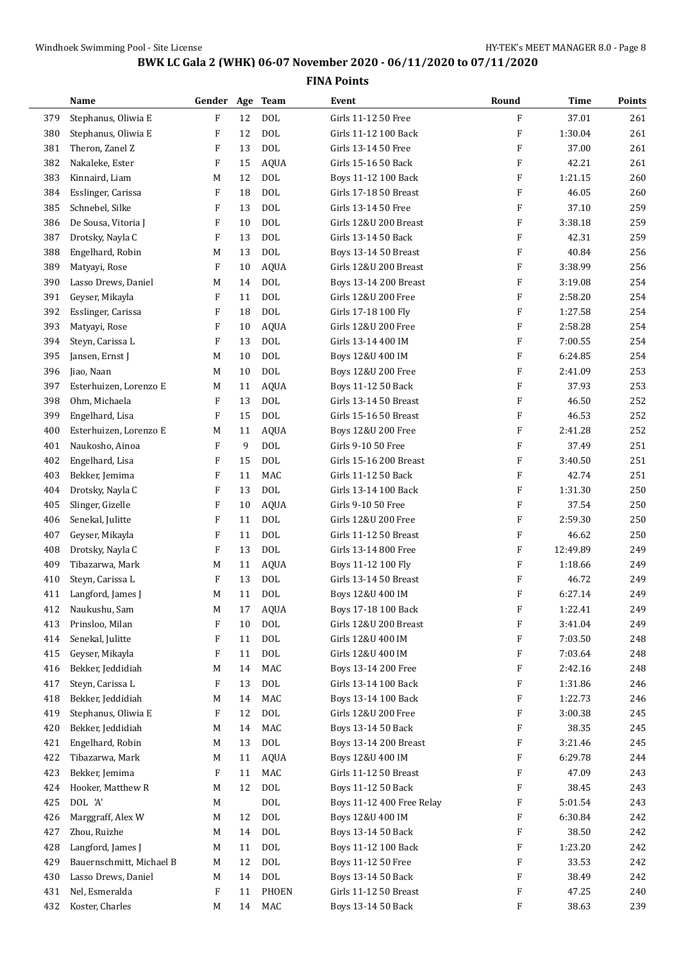|     | Name                     | Gender Age Team |    |             | Event                     | Round                     | <b>Time</b> | Points |
|-----|--------------------------|-----------------|----|-------------|---------------------------|---------------------------|-------------|--------|
| 379 | Stephanus, Oliwia E      | ${\rm F}$       | 12 | <b>DOL</b>  | Girls 11-12 50 Free       | F                         | 37.01       | 261    |
| 380 | Stephanus, Oliwia E      | F               | 12 | <b>DOL</b>  | Girls 11-12 100 Back      | $\boldsymbol{\mathrm{F}}$ | 1:30.04     | 261    |
| 381 | Theron, Zanel Z          | F               | 13 | <b>DOL</b>  | Girls 13-14 50 Free       | $\boldsymbol{\mathrm{F}}$ | 37.00       | 261    |
| 382 | Nakaleke, Ester          | F               | 15 | <b>AQUA</b> | Girls 15-16 50 Back       | F                         | 42.21       | 261    |
| 383 | Kinnaird, Liam           | M               | 12 | <b>DOL</b>  | Boys 11-12 100 Back       | F                         | 1:21.15     | 260    |
| 384 | Esslinger, Carissa       | F               | 18 | <b>DOL</b>  | Girls 17-18 50 Breast     | F                         | 46.05       | 260    |
| 385 | Schnebel, Silke          | F               | 13 | <b>DOL</b>  | Girls 13-14 50 Free       | $\boldsymbol{\mathrm{F}}$ | 37.10       | 259    |
| 386 | De Sousa, Vitoria J      | F               | 10 | <b>DOL</b>  | Girls 12&U 200 Breast     | $\boldsymbol{\mathrm{F}}$ | 3:38.18     | 259    |
| 387 | Drotsky, Nayla C         | F               | 13 | <b>DOL</b>  | Girls 13-14 50 Back       | F                         | 42.31       | 259    |
| 388 | Engelhard, Robin         | M               | 13 | <b>DOL</b>  | Boys 13-14 50 Breast      | $\boldsymbol{\mathrm{F}}$ | 40.84       | 256    |
| 389 | Matyayi, Rose            | F               | 10 | <b>AQUA</b> | Girls 12&U 200 Breast     | F                         | 3:38.99     | 256    |
| 390 | Lasso Drews, Daniel      | M               | 14 | <b>DOL</b>  | Boys 13-14 200 Breast     | F                         | 3:19.08     | 254    |
| 391 | Geyser, Mikayla          | F               | 11 | <b>DOL</b>  | Girls 12&U 200 Free       | $\boldsymbol{\mathrm{F}}$ | 2:58.20     | 254    |
| 392 | Esslinger, Carissa       | F               | 18 | <b>DOL</b>  | Girls 17-18 100 Fly       | $\boldsymbol{\mathrm{F}}$ | 1:27.58     | 254    |
| 393 | Matyayi, Rose            | F               | 10 | <b>AQUA</b> | Girls 12&U 200 Free       | $\boldsymbol{\mathrm{F}}$ | 2:58.28     | 254    |
| 394 | Steyn, Carissa L         | F               | 13 | <b>DOL</b>  | Girls 13-14 400 IM        | $\boldsymbol{\mathrm{F}}$ | 7:00.55     | 254    |
| 395 | Jansen, Ernst J          | M               | 10 | <b>DOL</b>  | Boys 12&U 400 IM          | F                         | 6:24.85     | 254    |
| 396 | Jiao, Naan               | M               | 10 | <b>DOL</b>  | Boys 12&U 200 Free        | $\boldsymbol{\mathrm{F}}$ | 2:41.09     | 253    |
| 397 | Esterhuizen, Lorenzo E   | M               | 11 | <b>AQUA</b> | Boys 11-12 50 Back        | $\boldsymbol{\mathrm{F}}$ | 37.93       | 253    |
| 398 | Ohm, Michaela            | F               | 13 | <b>DOL</b>  | Girls 13-14 50 Breast     | $\boldsymbol{\mathrm{F}}$ | 46.50       | 252    |
| 399 | Engelhard, Lisa          | F               | 15 | <b>DOL</b>  | Girls 15-16 50 Breast     | F                         | 46.53       | 252    |
| 400 | Esterhuizen, Lorenzo E   | M               | 11 | <b>AQUA</b> | Boys 12&U 200 Free        | $\boldsymbol{\mathrm{F}}$ | 2:41.28     | 252    |
| 401 | Naukosho, Ainoa          | F               | 9  | <b>DOL</b>  | Girls 9-10 50 Free        | F                         | 37.49       | 251    |
| 402 | Engelhard, Lisa          | F               | 15 | <b>DOL</b>  | Girls 15-16 200 Breast    | F                         | 3:40.50     | 251    |
| 403 | Bekker, Jemima           | F               | 11 | MAC         | Girls 11-12 50 Back       | $\boldsymbol{\mathrm{F}}$ | 42.74       | 251    |
| 404 | Drotsky, Nayla C         | F               | 13 | <b>DOL</b>  | Girls 13-14 100 Back      | $\boldsymbol{\mathrm{F}}$ | 1:31.30     | 250    |
| 405 | Slinger, Gizelle         | F               | 10 | <b>AQUA</b> | Girls 9-10 50 Free        | F                         | 37.54       | 250    |
| 406 | Senekal, Julitte         | F               | 11 | <b>DOL</b>  | Girls 12&U 200 Free       | F                         | 2:59.30     | 250    |
| 407 | Geyser, Mikayla          | F               | 11 | <b>DOL</b>  | Girls 11-12 50 Breast     | F                         | 46.62       | 250    |
| 408 | Drotsky, Nayla C         | F               | 13 | <b>DOL</b>  | Girls 13-14 800 Free      | F                         | 12:49.89    | 249    |
| 409 | Tibazarwa, Mark          | M               | 11 | <b>AQUA</b> | Boys 11-12 100 Fly        | $\boldsymbol{\mathrm{F}}$ | 1:18.66     | 249    |
| 410 | Steyn, Carissa L         | F               | 13 | <b>DOL</b>  | Girls 13-14 50 Breast     | F                         | 46.72       | 249    |
| 411 | Langford, James J        | M               | 11 | <b>DOL</b>  | Boys 12&U 400 IM          | $\boldsymbol{\mathrm{F}}$ | 6:27.14     | 249    |
| 412 | Naukushu, Sam            | M               | 17 | AQUA        | Boys 17-18 100 Back       | F                         | 1:22.41     | 249    |
| 413 | Prinsloo, Milan          | F               | 10 | $\rm DOL$   | Girls 12&U 200 Breast     | F                         | 3:41.04     | 249    |
| 414 | Senekal, Julitte         | F               | 11 | <b>DOL</b>  | Girls 12&U 400 IM         | F                         | 7:03.50     | 248    |
| 415 | Geyser, Mikayla          | F               | 11 | <b>DOL</b>  | Girls 12&U 400 IM         | F                         | 7:03.64     | 248    |
| 416 | Bekker, Jeddidiah        | M               | 14 | MAC         | Boys 13-14 200 Free       | F                         | 2:42.16     | 248    |
| 417 | Steyn, Carissa L         | F               | 13 | <b>DOL</b>  | Girls 13-14 100 Back      | F                         | 1:31.86     | 246    |
| 418 | Bekker, Jeddidiah        | M               | 14 | MAC         | Boys 13-14 100 Back       | F                         | 1:22.73     | 246    |
| 419 | Stephanus, Oliwia E      | F               | 12 | <b>DOL</b>  | Girls 12&U 200 Free       | F                         | 3:00.38     | 245    |
| 420 | Bekker, Jeddidiah        | M               | 14 | MAC         | Boys 13-14 50 Back        | F                         | 38.35       | 245    |
| 421 | Engelhard, Robin         | M               | 13 | <b>DOL</b>  | Boys 13-14 200 Breast     | F                         | 3:21.46     | 245    |
| 422 | Tibazarwa, Mark          | M               | 11 | <b>AQUA</b> | Boys 12&U 400 IM          | F                         | 6:29.78     | 244    |
| 423 | Bekker, Jemima           | F               | 11 | MAC         | Girls 11-12 50 Breast     | F                         | 47.09       | 243    |
| 424 | Hooker, Matthew R        | M               | 12 | <b>DOL</b>  | Boys 11-12 50 Back        | F                         | 38.45       | 243    |
| 425 | DOL 'A'                  | M               |    | DOL         | Boys 11-12 400 Free Relay | F                         | 5:01.54     | 243    |
| 426 | Marggraff, Alex W        | M               | 12 | <b>DOL</b>  | Boys 12&U 400 IM          | F                         | 6:30.84     | 242    |
| 427 | Zhou, Ruizhe             | M               | 14 | <b>DOL</b>  | Boys 13-14 50 Back        | F                         | 38.50       | 242    |
| 428 | Langford, James J        | M               | 11 | <b>DOL</b>  | Boys 11-12 100 Back       | F                         | 1:23.20     | 242    |
| 429 | Bauernschmitt, Michael B | M               | 12 | <b>DOL</b>  | Boys 11-12 50 Free        | F                         | 33.53       | 242    |
| 430 | Lasso Drews, Daniel      | M               | 14 | <b>DOL</b>  | Boys 13-14 50 Back        | F                         | 38.49       | 242    |
| 431 | Nel, Esmeralda           | F               | 11 | PHOEN       | Girls 11-12 50 Breast     | F                         | 47.25       | 240    |
| 432 | Koster, Charles          | M               | 14 | MAC         | Boys 13-14 50 Back        | F                         | 38.63       | 239    |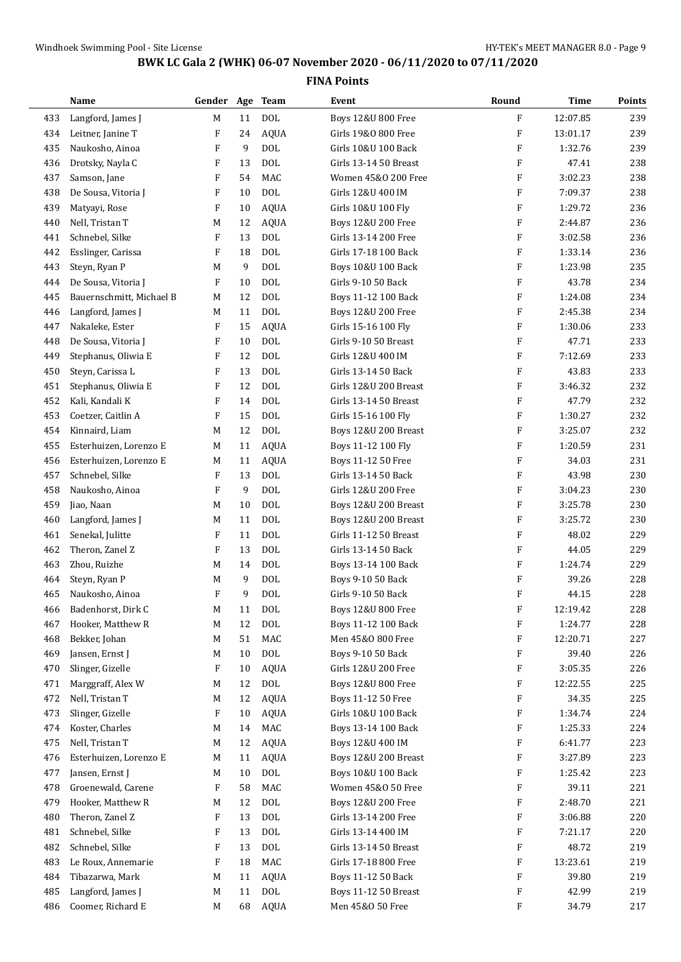|     | Name                     | Gender Age                |        | <b>Team</b>  | Event                 | Round                     | Time     | Points |
|-----|--------------------------|---------------------------|--------|--------------|-----------------------|---------------------------|----------|--------|
| 433 | Langford, James J        | М                         | 11     | <b>DOL</b>   | Boys 12&U 800 Free    | F                         | 12:07.85 | 239    |
| 434 | Leitner, Janine T        | F                         | 24     | <b>AQUA</b>  | Girls 19&0 800 Free   | F                         | 13:01.17 | 239    |
| 435 | Naukosho, Ainoa          | F                         | 9      | <b>DOL</b>   | Girls 10&U 100 Back   | F                         | 1:32.76  | 239    |
| 436 | Drotsky, Nayla C         | F                         | 13     | <b>DOL</b>   | Girls 13-14 50 Breast | F                         | 47.41    | 238    |
| 437 | Samson, Jane             | F                         | 54     | MAC          | Women 45&0 200 Free   | F                         | 3:02.23  | 238    |
| 438 | De Sousa, Vitoria J      | F                         | 10     | <b>DOL</b>   | Girls 12&U 400 IM     | F                         | 7:09.37  | 238    |
| 439 | Matyayi, Rose            | F                         | 10     | <b>AQUA</b>  | Girls 10&U 100 Fly    | F                         | 1:29.72  | 236    |
| 440 | Nell, Tristan T          | M                         | 12     | <b>AQUA</b>  | Boys 12&U 200 Free    | F                         | 2:44.87  | 236    |
| 441 | Schnebel, Silke          | F                         | 13     | <b>DOL</b>   | Girls 13-14 200 Free  | F                         | 3:02.58  | 236    |
| 442 | Esslinger, Carissa       | F                         | 18     | <b>DOL</b>   | Girls 17-18 100 Back  | F                         | 1:33.14  | 236    |
| 443 | Steyn, Ryan P            | M                         | 9      | <b>DOL</b>   | Boys 10&U 100 Back    | F                         | 1:23.98  | 235    |
| 444 | De Sousa, Vitoria J      | F                         | 10     | <b>DOL</b>   | Girls 9-10 50 Back    | F                         | 43.78    | 234    |
| 445 | Bauernschmitt, Michael B | M                         | 12     | <b>DOL</b>   | Boys 11-12 100 Back   | F                         | 1:24.08  | 234    |
| 446 | Langford, James J        | M                         | 11     | <b>DOL</b>   | Boys 12&U 200 Free    | F                         | 2:45.38  | 234    |
| 447 | Nakaleke, Ester          | F                         | 15     | <b>AQUA</b>  | Girls 15-16 100 Fly   | F                         | 1:30.06  | 233    |
| 448 | De Sousa, Vitoria J      | F                         | 10     | <b>DOL</b>   | Girls 9-10 50 Breast  | F                         | 47.71    | 233    |
| 449 | Stephanus, Oliwia E      | F                         | 12     | <b>DOL</b>   | Girls 12&U 400 IM     | F                         | 7:12.69  | 233    |
| 450 | Steyn, Carissa L         | $\boldsymbol{\mathrm{F}}$ | 13     | <b>DOL</b>   | Girls 13-14 50 Back   | F                         | 43.83    | 233    |
| 451 | Stephanus, Oliwia E      | F                         | 12     | <b>DOL</b>   | Girls 12&U 200 Breast | F                         | 3:46.32  | 232    |
| 452 | Kali, Kandali K          | F                         | 14     | <b>DOL</b>   | Girls 13-14 50 Breast | F                         | 47.79    | 232    |
| 453 | Coetzer, Caitlin A       | F                         | 15     | <b>DOL</b>   | Girls 15-16 100 Fly   | F                         | 1:30.27  | 232    |
| 454 | Kinnaird, Liam           | M                         | 12     | <b>DOL</b>   | Boys 12&U 200 Breast  | F                         | 3:25.07  | 232    |
| 455 | Esterhuizen, Lorenzo E   | M                         | 11     | <b>AQUA</b>  | Boys 11-12 100 Fly    | F                         | 1:20.59  | 231    |
| 456 | Esterhuizen, Lorenzo E   | M                         | 11     | <b>AQUA</b>  | Boys 11-12 50 Free    | F                         | 34.03    | 231    |
| 457 | Schnebel, Silke          | F                         | 13     | <b>DOL</b>   | Girls 13-14 50 Back   | F                         | 43.98    | 230    |
| 458 | Naukosho, Ainoa          | F                         | 9      | <b>DOL</b>   | Girls 12&U 200 Free   | F                         | 3:04.23  | 230    |
| 459 | Jiao, Naan               | М                         | 10     | <b>DOL</b>   | Boys 12&U 200 Breast  | $\boldsymbol{\mathrm{F}}$ | 3:25.78  | 230    |
| 460 | Langford, James J        | М                         | 11     | <b>DOL</b>   | Boys 12&U 200 Breast  | F                         | 3:25.72  | 230    |
| 461 | Senekal, Julitte         | F                         | 11     | <b>DOL</b>   | Girls 11-12 50 Breast | F                         | 48.02    | 229    |
| 462 | Theron, Zanel Z          | F                         | 13     | <b>DOL</b>   | Girls 13-14 50 Back   | F                         | 44.05    | 229    |
| 463 | Zhou, Ruizhe             | M                         | 14     | <b>DOL</b>   | Boys 13-14 100 Back   | $\boldsymbol{\mathrm{F}}$ | 1:24.74  | 229    |
| 464 | Steyn, Ryan P            | M                         | 9      | <b>DOL</b>   | Boys 9-10 50 Back     | F                         | 39.26    | 228    |
| 465 | Naukosho, Ainoa          | F                         | 9      | <b>DOL</b>   | Girls 9-10 50 Back    | F                         | 44.15    | 228    |
| 466 | Badenhorst, Dirk C       | $\mathbf M$               | $11\,$ | <b>DOL</b>   | Boys 12&U 800 Free    | F                         | 12:19.42 | 228    |
| 467 | Hooker, Matthew R        | M                         | 12     | $\text{DOL}$ | Boys 11-12 100 Back   | F                         | 1:24.77  | 228    |
| 468 | Bekker, Johan            | М                         | 51     | MAC          | Men 45&0 800 Free     | F                         | 12:20.71 | 227    |
| 469 | Jansen, Ernst J          | M                         | 10     | <b>DOL</b>   | Boys 9-10 50 Back     | F                         | 39.40    | 226    |
| 470 | Slinger, Gizelle         | F                         | 10     | <b>AQUA</b>  | Girls 12&U 200 Free   | F                         | 3:05.35  | 226    |
| 471 | Marggraff, Alex W        | M                         | 12     | $\rm DOL$    | Boys 12&U 800 Free    | F                         | 12:22.55 | 225    |
| 472 | Nell, Tristan T          | M                         | 12     | <b>AQUA</b>  | Boys 11-12 50 Free    | F                         | 34.35    | 225    |
| 473 | Slinger, Gizelle         | F                         | 10     | <b>AQUA</b>  | Girls 10&U 100 Back   | F                         | 1:34.74  | 224    |
| 474 | Koster, Charles          | М                         | 14     | MAC          | Boys 13-14 100 Back   | F                         | 1:25.33  | 224    |
| 475 | Nell, Tristan T          | M                         | 12     | <b>AQUA</b>  | Boys 12&U 400 IM      | F                         | 6:41.77  | 223    |
| 476 | Esterhuizen, Lorenzo E   | M                         | 11     | <b>AQUA</b>  | Boys 12&U 200 Breast  | F                         | 3:27.89  | 223    |
| 477 | Jansen, Ernst J          | M                         | 10     | $\rm DOL$    | Boys 10&U 100 Back    | F                         | 1:25.42  | 223    |
| 478 | Groenewald, Carene       | F                         | 58     | MAC          | Women 45&0 50 Free    | F                         | 39.11    | 221    |
| 479 | Hooker, Matthew R        | M                         | 12     | $\rm DOL$    | Boys 12&U 200 Free    | F                         | 2:48.70  | 221    |
| 480 | Theron, Zanel Z          | F                         | 13     | <b>DOL</b>   | Girls 13-14 200 Free  | F                         | 3:06.88  | 220    |
| 481 | Schnebel, Silke          | F                         | 13     | <b>DOL</b>   | Girls 13-14 400 IM    | F                         | 7:21.17  | 220    |
| 482 | Schnebel, Silke          | F                         | 13     | $\text{DOL}$ | Girls 13-14 50 Breast | F                         | 48.72    | 219    |
| 483 | Le Roux, Annemarie       | F                         | 18     | MAC          | Girls 17-18 800 Free  | F                         | 13:23.61 | 219    |
| 484 | Tibazarwa, Mark          | M                         | 11     | <b>AQUA</b>  | Boys 11-12 50 Back    | F                         | 39.80    | 219    |
| 485 | Langford, James J        | M                         | 11     | $\rm DOL$    | Boys 11-12 50 Breast  | F                         | 42.99    | 219    |
| 486 | Coomer, Richard E        | M                         | 68     | AQUA         | Men 45&0 50 Free      | F                         | 34.79    | 217    |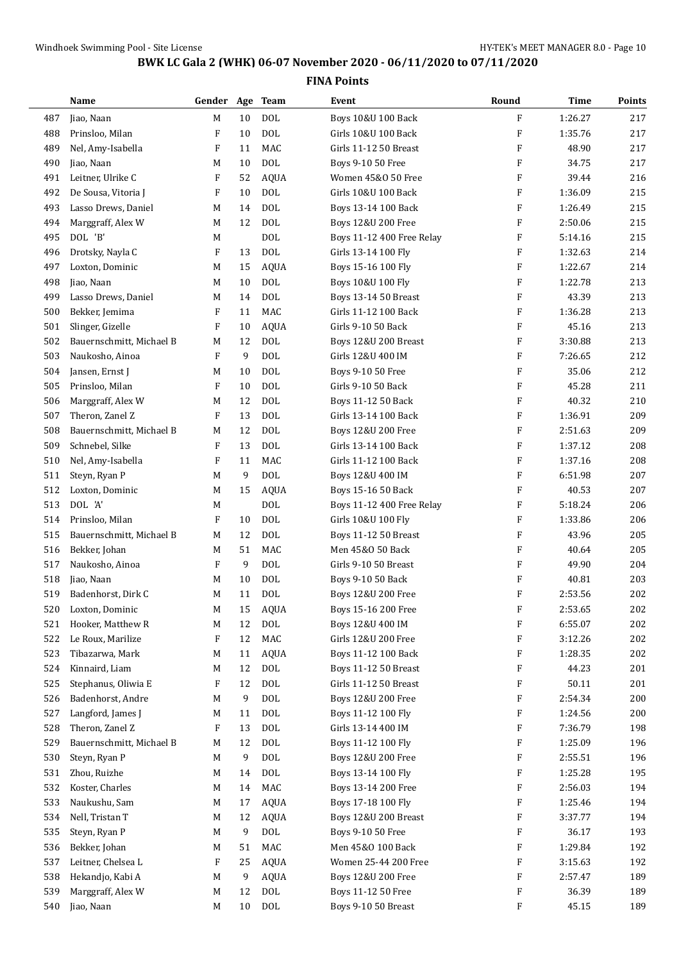|     | Name                     | Gender Age Team |    |              | Event                       | Round                     | <b>Time</b> | <b>Points</b> |
|-----|--------------------------|-----------------|----|--------------|-----------------------------|---------------------------|-------------|---------------|
| 487 | Jiao, Naan               | M               | 10 | <b>DOL</b>   | Boys 10&U 100 Back          | $\mathbf{F}$              | 1:26.27     | 217           |
| 488 | Prinsloo, Milan          | F               | 10 | <b>DOL</b>   | Girls 10&U 100 Back         | F                         | 1:35.76     | 217           |
| 489 | Nel, Amy-Isabella        | F               | 11 | MAC          | Girls 11-12 50 Breast       | $\boldsymbol{\mathrm{F}}$ | 48.90       | 217           |
| 490 | Jiao, Naan               | M               | 10 | <b>DOL</b>   | Boys 9-10 50 Free           | $\boldsymbol{\mathrm{F}}$ | 34.75       | 217           |
| 491 | Leitner, Ulrike C        | F               | 52 | <b>AQUA</b>  | Women 45&0 50 Free          | F                         | 39.44       | 216           |
| 492 | De Sousa, Vitoria J      | F               | 10 | <b>DOL</b>   | Girls 10&U 100 Back         | $\boldsymbol{\mathrm{F}}$ | 1:36.09     | 215           |
| 493 | Lasso Drews, Daniel      | M               | 14 | <b>DOL</b>   | Boys 13-14 100 Back         | $\boldsymbol{\mathrm{F}}$ | 1:26.49     | 215           |
| 494 | Marggraff, Alex W        | M               | 12 | <b>DOL</b>   | Boys 12&U 200 Free          | F                         | 2:50.06     | 215           |
| 495 | DOL 'B'                  | M               |    | <b>DOL</b>   | Boys 11-12 400 Free Relay   | F                         | 5:14.16     | 215           |
| 496 | Drotsky, Nayla C         | F               | 13 | <b>DOL</b>   | Girls 13-14 100 Fly         | $\boldsymbol{\mathrm{F}}$ | 1:32.63     | 214           |
| 497 | Loxton, Dominic          | M               | 15 | <b>AQUA</b>  | Boys 15-16 100 Fly          | F                         | 1:22.67     | 214           |
| 498 | Jiao, Naan               | M               | 10 | <b>DOL</b>   | Boys 10&U 100 Fly           | $\boldsymbol{\mathrm{F}}$ | 1:22.78     | 213           |
| 499 | Lasso Drews, Daniel      | M               | 14 | <b>DOL</b>   | Boys 13-14 50 Breast        | $\boldsymbol{\mathrm{F}}$ | 43.39       | 213           |
| 500 | Bekker, Jemima           | F               | 11 | MAC          | Girls 11-12 100 Back        | F                         | 1:36.28     | 213           |
| 501 | Slinger, Gizelle         | F               | 10 | <b>AQUA</b>  | Girls 9-10 50 Back          | $\boldsymbol{\mathrm{F}}$ | 45.16       | 213           |
| 502 | Bauernschmitt, Michael B | M               | 12 | <b>DOL</b>   | Boys 12&U 200 Breast        | $\boldsymbol{\mathrm{F}}$ | 3:30.88     | 213           |
| 503 | Naukosho, Ainoa          | F               | 9  | <b>DOL</b>   | Girls 12&U 400 IM           | $\boldsymbol{\mathrm{F}}$ | 7:26.65     | 212           |
| 504 | Jansen, Ernst J          | M               | 10 | <b>DOL</b>   | Boys 9-10 50 Free           | $\boldsymbol{\mathrm{F}}$ | 35.06       | 212           |
| 505 | Prinsloo, Milan          | F               | 10 | <b>DOL</b>   | Girls 9-10 50 Back          | $\boldsymbol{\mathrm{F}}$ | 45.28       | 211           |
| 506 | Marggraff, Alex W        | M               | 12 | <b>DOL</b>   | Boys 11-12 50 Back          | $\boldsymbol{\mathrm{F}}$ | 40.32       | 210           |
| 507 | Theron, Zanel Z          | F               | 13 | <b>DOL</b>   | Girls 13-14 100 Back        | F                         | 1:36.91     | 209           |
| 508 | Bauernschmitt, Michael B | M               | 12 | <b>DOL</b>   | Boys 12&U 200 Free          | $\boldsymbol{\mathrm{F}}$ | 2:51.63     | 209           |
| 509 | Schnebel, Silke          | F               | 13 | <b>DOL</b>   | Girls 13-14 100 Back        | F                         | 1:37.12     | 208           |
| 510 | Nel, Amy-Isabella        | F               | 11 | MAC          | Girls 11-12 100 Back        | $\boldsymbol{\mathrm{F}}$ | 1:37.16     | 208           |
| 511 | Steyn, Ryan P            | M               | 9  | <b>DOL</b>   | Boys 12&U 400 IM            | $\boldsymbol{\mathrm{F}}$ | 6:51.98     | 207           |
| 512 | Loxton, Dominic          | M               | 15 | <b>AQUA</b>  | Boys 15-16 50 Back          | $\boldsymbol{\mathrm{F}}$ | 40.53       | 207           |
| 513 | DOL 'A'                  | M               |    | <b>DOL</b>   | Boys 11-12 400 Free Relay   | F                         | 5:18.24     | 206           |
| 514 | Prinsloo, Milan          | F               | 10 | <b>DOL</b>   | Girls 10&U 100 Fly          | $\boldsymbol{\mathrm{F}}$ | 1:33.86     | 206           |
| 515 | Bauernschmitt, Michael B | M               | 12 | <b>DOL</b>   | Boys 11-12 50 Breast        | F                         | 43.96       | 205           |
| 516 | Bekker, Johan            | M               | 51 | MAC          | Men 45&0 50 Back            | F                         | 40.64       | 205           |
| 517 | Naukosho, Ainoa          | F               | 9  | <b>DOL</b>   | Girls 9-10 50 Breast        | $\boldsymbol{\mathrm{F}}$ | 49.90       | 204           |
| 518 | Jiao, Naan               | M               | 10 | <b>DOL</b>   | Boys 9-10 50 Back           | F                         | 40.81       | 203           |
| 519 | Badenhorst, Dirk C       | M               | 11 | <b>DOL</b>   | Boys 12&U 200 Free          | F                         | 2:53.56     | 202           |
| 520 | Loxton, Dominic          | M               | 15 | AQUA         | Boys 15-16 200 Free         | $\boldsymbol{\mathrm{F}}$ | 2:53.65     | 202           |
| 521 | Hooker, Matthew R        | M               | 12 | $\rm DOL$    | Boys 12&U 400 IM            | F                         | 6:55.07     | 202           |
| 522 | Le Roux, Marilize        | F               | 12 | MAC          | Girls 12&U 200 Free         | F                         | 3:12.26     | 202           |
| 523 | Tibazarwa, Mark          | M               | 11 | <b>AQUA</b>  | Boys 11-12 100 Back         | F                         | 1:28.35     | 202           |
| 524 | Kinnaird, Liam           | M               | 12 | $\text{DOL}$ | <b>Boys 11-12 50 Breast</b> | F                         | 44.23       | 201           |
| 525 | Stephanus, Oliwia E      | F               | 12 | $\rm DOL$    | Girls 11-12 50 Breast       | F                         | 50.11       | 201           |
| 526 | Badenhorst, Andre        | M               | 9  | $\rm DOL$    | Boys 12&U 200 Free          | F                         | 2:54.34     | 200           |
| 527 | Langford, James J        | M               | 11 | DOL          | Boys 11-12 100 Fly          | F                         | 1:24.56     | 200           |
| 528 | Theron, Zanel Z          | F               | 13 | <b>DOL</b>   | Girls 13-14 400 IM          | F                         | 7:36.79     | 198           |
| 529 | Bauernschmitt, Michael B | M               | 12 | <b>DOL</b>   | Boys 11-12 100 Fly          | $\boldsymbol{\mathrm{F}}$ | 1:25.09     | 196           |
| 530 | Steyn, Ryan P            | M               | 9  | <b>DOL</b>   | Boys 12&U 200 Free          | F                         | 2:55.51     | 196           |
| 531 | Zhou, Ruizhe             | M               | 14 | DOL          | Boys 13-14 100 Fly          | F                         | 1:25.28     | 195           |
| 532 | Koster, Charles          | M               | 14 | MAC          | Boys 13-14 200 Free         | F                         | 2:56.03     | 194           |
| 533 | Naukushu, Sam            | M               | 17 | <b>AQUA</b>  | Boys 17-18 100 Fly          | F                         | 1:25.46     | 194           |
| 534 | Nell, Tristan T          | M               | 12 | <b>AQUA</b>  | Boys 12&U 200 Breast        | F                         | 3:37.77     | 194           |
| 535 | Steyn, Ryan P            | M               | 9  | $\rm DOL$    | Boys 9-10 50 Free           | F                         | 36.17       | 193           |
| 536 | Bekker, Johan            | M               | 51 | MAC          | Men 45&0 100 Back           | F                         | 1:29.84     | 192           |
| 537 | Leitner, Chelsea L       | F               | 25 | <b>AQUA</b>  | Women 25-44 200 Free        | F                         | 3:15.63     | 192           |
| 538 | Hekandjo, Kabi A         | M               | 9  | <b>AQUA</b>  | Boys 12&U 200 Free          | F                         | 2:57.47     | 189           |
| 539 | Marggraff, Alex W        | M               | 12 | DOL          | Boys 11-12 50 Free          | F                         | 36.39       | 189           |
| 540 | Jiao, Naan               | M               | 10 | $\rm DOL$    | Boys 9-10 50 Breast         | $\boldsymbol{\mathrm{F}}$ | 45.15       | 189           |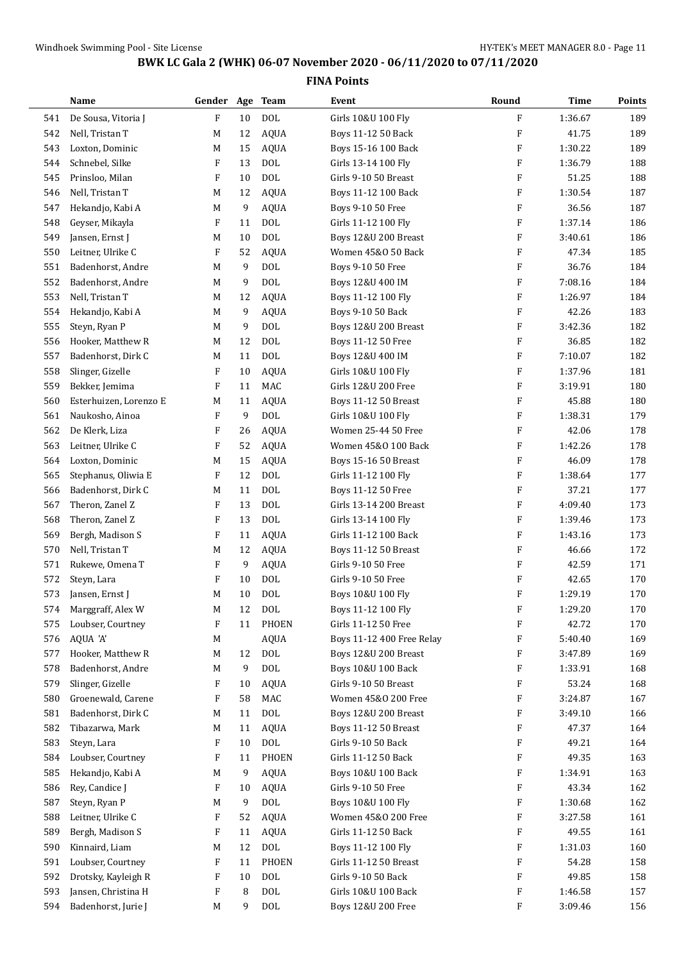|     | Name                   | Gender Age Team |    |             | Event                         | Round                     | Time    | Points |
|-----|------------------------|-----------------|----|-------------|-------------------------------|---------------------------|---------|--------|
| 541 | De Sousa, Vitoria J    | F               | 10 | <b>DOL</b>  | Girls 10&U 100 Fly            | F                         | 1:36.67 | 189    |
| 542 | Nell, Tristan T        | M               | 12 | <b>AQUA</b> | Boys 11-12 50 Back            | $\boldsymbol{\mathrm{F}}$ | 41.75   | 189    |
| 543 | Loxton, Dominic        | M               | 15 | <b>AQUA</b> | Boys 15-16 100 Back           | $\boldsymbol{\mathrm{F}}$ | 1:30.22 | 189    |
| 544 | Schnebel, Silke        | F               | 13 | <b>DOL</b>  | Girls 13-14 100 Fly           | F                         | 1:36.79 | 188    |
| 545 | Prinsloo, Milan        | F               | 10 | <b>DOL</b>  | Girls 9-10 50 Breast          | $\boldsymbol{\mathrm{F}}$ | 51.25   | 188    |
| 546 | Nell, Tristan T        | M               | 12 | <b>AQUA</b> | Boys 11-12 100 Back           | $\boldsymbol{\mathrm{F}}$ | 1:30.54 | 187    |
| 547 | Hekandjo, Kabi A       | M               | 9  | <b>AQUA</b> | Boys 9-10 50 Free             | F                         | 36.56   | 187    |
| 548 | Geyser, Mikayla        | F               | 11 | <b>DOL</b>  | Girls 11-12 100 Fly           | $\boldsymbol{\mathrm{F}}$ | 1:37.14 | 186    |
| 549 | Jansen, Ernst J        | M               | 10 | <b>DOL</b>  | Boys 12&U 200 Breast          | $\boldsymbol{\mathrm{F}}$ | 3:40.61 | 186    |
| 550 | Leitner, Ulrike C      | F               | 52 | <b>AQUA</b> | Women 45&0 50 Back            | F                         | 47.34   | 185    |
| 551 | Badenhorst, Andre      | M               | 9  | <b>DOL</b>  | Boys 9-10 50 Free             | $\boldsymbol{\mathrm{F}}$ | 36.76   | 184    |
| 552 | Badenhorst, Andre      | M               | 9  | <b>DOL</b>  | Boys 12&U 400 IM              | F                         | 7:08.16 | 184    |
| 553 | Nell, Tristan T        | M               | 12 | <b>AQUA</b> | Boys 11-12 100 Fly            | F                         | 1:26.97 | 184    |
| 554 | Hekandjo, Kabi A       | M               | 9  | <b>AQUA</b> | Boys 9-10 50 Back             | $\boldsymbol{\mathrm{F}}$ | 42.26   | 183    |
| 555 | Steyn, Ryan P          | M               | 9  | <b>DOL</b>  | Boys 12&U 200 Breast          | $\boldsymbol{\mathrm{F}}$ | 3:42.36 | 182    |
| 556 | Hooker, Matthew R      | M               | 12 | <b>DOL</b>  | Boys 11-12 50 Free            | F                         | 36.85   | 182    |
| 557 | Badenhorst, Dirk C     | M               | 11 | <b>DOL</b>  | Boys 12&U 400 IM              | $\boldsymbol{\mathrm{F}}$ | 7:10.07 | 182    |
| 558 | Slinger, Gizelle       | F               | 10 | <b>AQUA</b> | Girls 10&U 100 Fly            | F                         | 1:37.96 | 181    |
| 559 | Bekker, Jemima         | F               | 11 | MAC         | Girls 12&U 200 Free           | F                         | 3:19.91 | 180    |
| 560 | Esterhuizen, Lorenzo E | M               | 11 | <b>AQUA</b> | Boys 11-12 50 Breast          | $\boldsymbol{\mathrm{F}}$ | 45.88   | 180    |
| 561 | Naukosho, Ainoa        | F               | 9  | <b>DOL</b>  | Girls 10&U 100 Fly            | F                         | 1:38.31 | 179    |
| 562 | De Klerk, Liza         | F               | 26 | <b>AQUA</b> | Women 25-44 50 Free           | F                         | 42.06   | 178    |
| 563 | Leitner, Ulrike C      | F               | 52 | <b>AQUA</b> | Women 45&0 100 Back           | $\boldsymbol{\mathrm{F}}$ | 1:42.26 | 178    |
| 564 | Loxton, Dominic        | M               | 15 | <b>AQUA</b> | Boys 15-16 50 Breast          | F                         | 46.09   | 178    |
| 565 | Stephanus, Oliwia E    | F               | 12 | <b>DOL</b>  | Girls 11-12 100 Fly           | F                         | 1:38.64 | 177    |
| 566 | Badenhorst, Dirk C     | M               | 11 | <b>DOL</b>  | Boys 11-12 50 Free            | $\boldsymbol{\mathrm{F}}$ | 37.21   | 177    |
| 567 | Theron, Zanel Z        | F               | 13 | <b>DOL</b>  | Girls 13-14 200 Breast        | $\boldsymbol{\mathrm{F}}$ | 4:09.40 | 173    |
| 568 | Theron, Zanel Z        | F               | 13 | <b>DOL</b>  | Girls 13-14 100 Fly           | F                         | 1:39.46 | 173    |
| 569 | Bergh, Madison S       | F               | 11 | <b>AQUA</b> | Girls 11-12 100 Back          | F                         | 1:43.16 | 173    |
| 570 | Nell, Tristan T        | M               | 12 | <b>AQUA</b> | Boys 11-12 50 Breast          | F                         | 46.66   | 172    |
| 571 | Rukewe, Omena T        | F               | 9  | <b>AQUA</b> | Girls 9-10 50 Free            | F                         | 42.59   | 171    |
| 572 | Steyn, Lara            | F               | 10 | <b>DOL</b>  | Girls 9-10 50 Free            | $\boldsymbol{\mathrm{F}}$ | 42.65   | 170    |
| 573 | Jansen, Ernst J        | M               | 10 | <b>DOL</b>  | Boys 10&U 100 Fly             | F                         | 1:29.19 | 170    |
| 574 | Marggraff, Alex W      | M               | 12 | DOL         | Boys 11-12 100 Fly            | F                         | 1:29.20 | 170    |
| 575 | Loubser, Courtney      | F               | 11 | PHOEN       | Girls 11-12 50 Free           | F                         | 42.72   | 170    |
| 576 | AQUA 'A'               | M               |    | <b>AQUA</b> | Boys 11-12 400 Free Relay     | F                         | 5:40.40 | 169    |
| 577 | Hooker, Matthew R      | M               | 12 | <b>DOL</b>  | Boys 12&U 200 Breast          | F                         | 3:47.89 | 169    |
| 578 | Badenhorst, Andre      | M               | 9  | <b>DOL</b>  | <b>Boys 10&amp;U 100 Back</b> | F                         | 1:33.91 | 168    |
| 579 | Slinger, Gizelle       | F               | 10 | <b>AQUA</b> | Girls 9-10 50 Breast          | F                         | 53.24   | 168    |
| 580 | Groenewald, Carene     | F               | 58 | MAC         | Women 45&0 200 Free           | F                         | 3:24.87 | 167    |
| 581 | Badenhorst, Dirk C     | M               | 11 | <b>DOL</b>  | Boys 12&U 200 Breast          | F                         | 3:49.10 | 166    |
| 582 | Tibazarwa, Mark        | M               | 11 | <b>AQUA</b> | Boys 11-12 50 Breast          | F                         | 47.37   | 164    |
| 583 | Steyn, Lara            | F               | 10 | <b>DOL</b>  | Girls 9-10 50 Back            | F                         | 49.21   | 164    |
| 584 | Loubser, Courtney      | F               | 11 | PHOEN       | Girls 11-12 50 Back           | $\boldsymbol{\mathrm{F}}$ | 49.35   | 163    |
| 585 | Hekandjo, Kabi A       | M               | 9  | <b>AQUA</b> | Boys 10&U 100 Back            | F                         | 1:34.91 | 163    |
| 586 | Rey, Candice J         | F               | 10 | <b>AQUA</b> | Girls 9-10 50 Free            | F                         | 43.34   | 162    |
| 587 | Steyn, Ryan P          | M               | 9  | <b>DOL</b>  | Boys 10&U 100 Fly             | F                         | 1:30.68 | 162    |
| 588 | Leitner, Ulrike C      | F               | 52 | <b>AQUA</b> | Women 45&0 200 Free           | F                         | 3:27.58 | 161    |
| 589 | Bergh, Madison S       | F               | 11 | <b>AQUA</b> | Girls 11-12 50 Back           | F                         | 49.55   | 161    |
| 590 | Kinnaird, Liam         | M               | 12 | <b>DOL</b>  | Boys 11-12 100 Fly            | F                         | 1:31.03 | 160    |
| 591 | Loubser, Courtney      | F               | 11 | PHOEN       | Girls 11-12 50 Breast         | F                         | 54.28   | 158    |
| 592 | Drotsky, Kayleigh R    | F               | 10 | <b>DOL</b>  | Girls 9-10 50 Back            | F                         | 49.85   | 158    |
| 593 | Jansen, Christina H    | F               | 8  | <b>DOL</b>  | Girls 10&U 100 Back           | F                         | 1:46.58 | 157    |
| 594 | Badenhorst, Jurie J    | M               | 9  | $\rm DOL$   | Boys 12&U 200 Free            | F                         | 3:09.46 | 156    |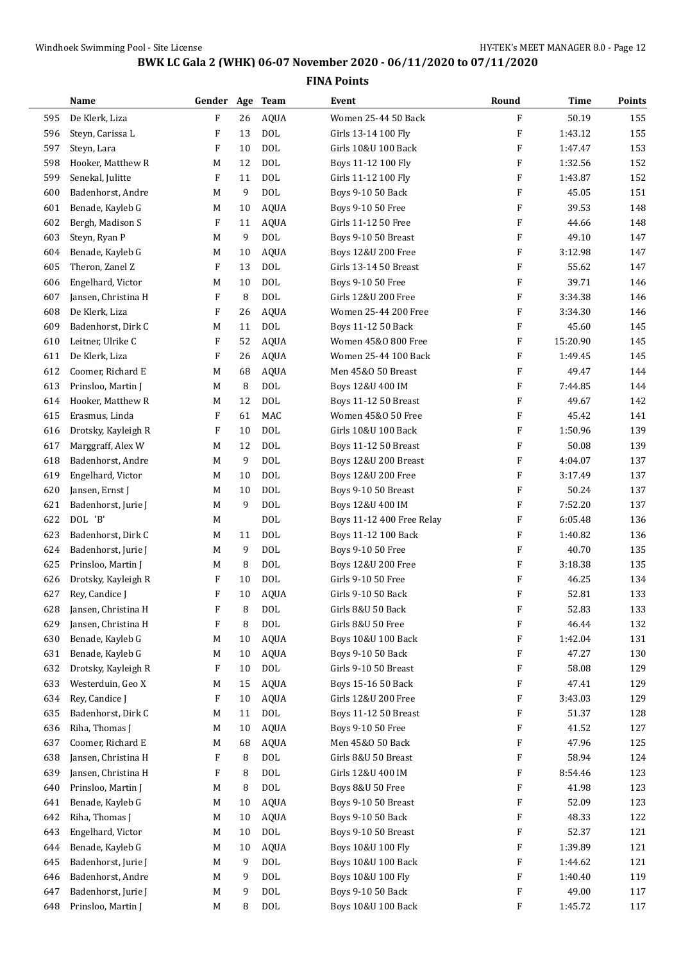|     | Name                | Gender Age Team |    |             | Event                       | Round                     | Time     | Points |
|-----|---------------------|-----------------|----|-------------|-----------------------------|---------------------------|----------|--------|
| 595 | De Klerk, Liza      | F               | 26 | <b>AQUA</b> | Women 25-44 50 Back         | F                         | 50.19    | 155    |
| 596 | Steyn, Carissa L    | F               | 13 | <b>DOL</b>  | Girls 13-14 100 Fly         | F                         | 1:43.12  | 155    |
| 597 | Steyn, Lara         | F               | 10 | <b>DOL</b>  | Girls 10&U 100 Back         | F                         | 1:47.47  | 153    |
| 598 | Hooker, Matthew R   | M               | 12 | <b>DOL</b>  | Boys 11-12 100 Fly          | F                         | 1:32.56  | 152    |
| 599 | Senekal, Julitte    | F               | 11 | <b>DOL</b>  | Girls 11-12 100 Fly         | F                         | 1:43.87  | 152    |
| 600 | Badenhorst, Andre   | M               | 9  | <b>DOL</b>  | Boys 9-10 50 Back           | F                         | 45.05    | 151    |
| 601 | Benade, Kayleb G    | M               | 10 | <b>AQUA</b> | Boys 9-10 50 Free           | F                         | 39.53    | 148    |
| 602 | Bergh, Madison S    | F               | 11 | <b>AQUA</b> | Girls 11-12 50 Free         | F                         | 44.66    | 148    |
| 603 | Steyn, Ryan P       | M               | 9  | <b>DOL</b>  | Boys 9-10 50 Breast         | F                         | 49.10    | 147    |
| 604 | Benade, Kayleb G    | M               | 10 | <b>AQUA</b> | Boys 12&U 200 Free          | F                         | 3:12.98  | 147    |
| 605 | Theron, Zanel Z     | F               | 13 | <b>DOL</b>  | Girls 13-14 50 Breast       | F                         | 55.62    | 147    |
| 606 | Engelhard, Victor   | M               | 10 | <b>DOL</b>  | Boys 9-10 50 Free           | F                         | 39.71    | 146    |
| 607 | Jansen, Christina H | F               | 8  | <b>DOL</b>  | Girls 12&U 200 Free         | F                         | 3:34.38  | 146    |
| 608 | De Klerk, Liza      | F               | 26 | <b>AQUA</b> | Women 25-44 200 Free        | F                         | 3:34.30  | 146    |
| 609 | Badenhorst, Dirk C  | M               | 11 | <b>DOL</b>  | Boys 11-12 50 Back          | F                         | 45.60    | 145    |
| 610 | Leitner, Ulrike C   | F               | 52 | <b>AQUA</b> | Women 45&0 800 Free         | F                         | 15:20.90 | 145    |
| 611 | De Klerk, Liza      | F               | 26 | <b>AQUA</b> | Women 25-44 100 Back        | F                         | 1:49.45  | 145    |
| 612 | Coomer, Richard E   | M               | 68 | AQUA        | Men 45&0 50 Breast          | F                         | 49.47    | 144    |
| 613 | Prinsloo, Martin J  | М               | 8  | <b>DOL</b>  | Boys 12&U 400 IM            | F                         | 7:44.85  | 144    |
| 614 | Hooker, Matthew R   | M               | 12 | <b>DOL</b>  | <b>Boys 11-12 50 Breast</b> | F                         | 49.67    | 142    |
| 615 | Erasmus, Linda      | F               | 61 | MAC         | Women 45&0 50 Free          | F                         | 45.42    | 141    |
| 616 | Drotsky, Kayleigh R | F               | 10 | <b>DOL</b>  | Girls 10&U 100 Back         | F                         | 1:50.96  | 139    |
| 617 | Marggraff, Alex W   | M               | 12 | <b>DOL</b>  | Boys 11-12 50 Breast        | F                         | 50.08    | 139    |
| 618 | Badenhorst, Andre   | M               | 9  | <b>DOL</b>  | Boys 12&U 200 Breast        | F                         | 4:04.07  | 137    |
| 619 | Engelhard, Victor   | M               | 10 | <b>DOL</b>  | Boys 12&U 200 Free          | F                         | 3:17.49  | 137    |
| 620 | Jansen, Ernst J     | M               | 10 | <b>DOL</b>  | Boys 9-10 50 Breast         | F                         | 50.24    | 137    |
| 621 | Badenhorst, Jurie J | М               | 9  | <b>DOL</b>  | Boys 12&U 400 IM            | $\boldsymbol{\mathrm{F}}$ | 7:52.20  | 137    |
| 622 | DOL 'B'             | М               |    | <b>DOL</b>  | Boys 11-12 400 Free Relay   | F                         | 6:05.48  | 136    |
| 623 | Badenhorst, Dirk C  | M               | 11 | <b>DOL</b>  | Boys 11-12 100 Back         | F                         | 1:40.82  | 136    |
| 624 | Badenhorst, Jurie J | M               | 9  | <b>DOL</b>  | Boys 9-10 50 Free           | F                         | 40.70    | 135    |
| 625 | Prinsloo, Martin J  | M               | 8  | <b>DOL</b>  | Boys 12&U 200 Free          | F                         | 3:18.38  | 135    |
| 626 | Drotsky, Kayleigh R | F               | 10 | <b>DOL</b>  | Girls 9-10 50 Free          | F                         | 46.25    | 134    |
| 627 | Rey, Candice J      | F               | 10 | <b>AQUA</b> | Girls 9-10 50 Back          | $\boldsymbol{\mathrm{F}}$ | 52.81    | 133    |
| 628 | Jansen, Christina H | F               | 8  | $\rm DOL$   | Girls 8&U 50 Back           | F                         | 52.83    | 133    |
| 629 | Jansen, Christina H | F               | 8  | $\rm DOL$   | Girls 8&U 50 Free           | F                         | 46.44    | 132    |
| 630 | Benade, Kayleb G    | M               | 10 | <b>AQUA</b> | Boys 10&U 100 Back          | F                         | 1:42.04  | 131    |
| 631 | Benade, Kayleb G    | M               | 10 | <b>AQUA</b> | Boys 9-10 50 Back           | F                         | 47.27    | 130    |
| 632 | Drotsky, Kayleigh R | F               | 10 | $\rm DOL$   | Girls 9-10 50 Breast        | F                         | 58.08    | 129    |
| 633 | Westerduin, Geo X   | M               | 15 | <b>AQUA</b> | Boys 15-16 50 Back          | F                         | 47.41    | 129    |
| 634 | Rey, Candice J      | F               | 10 | <b>AQUA</b> | Girls 12&U 200 Free         | F                         | 3:43.03  | 129    |
| 635 | Badenhorst, Dirk C  | M               | 11 | $\rm DOL$   | Boys 11-12 50 Breast        | F                         | 51.37    | 128    |
| 636 | Riha, Thomas J      | М               | 10 | AQUA        | Boys 9-10 50 Free           | F                         | 41.52    | 127    |
| 637 | Coomer, Richard E   | M               | 68 | <b>AQUA</b> | Men 45&0 50 Back            | F                         | 47.96    | 125    |
| 638 | Jansen, Christina H | F               | 8  | $\rm DOL$   | Girls 8&U 50 Breast         | F                         | 58.94    | 124    |
| 639 | Jansen, Christina H | F               | 8  | $\rm DOL$   | Girls 12&U 400 IM           | F                         | 8:54.46  | 123    |
| 640 | Prinsloo, Martin J  | M               | 8  | DOL         | Boys 8&U 50 Free            | F                         | 41.98    | 123    |
| 641 | Benade, Kayleb G    | M               | 10 | <b>AQUA</b> | Boys 9-10 50 Breast         | F                         | 52.09    | 123    |
| 642 | Riha, Thomas J      | М               | 10 | <b>AQUA</b> | Boys 9-10 50 Back           | F                         | 48.33    | 122    |
| 643 | Engelhard, Victor   | M               | 10 | $\rm DOL$   | Boys 9-10 50 Breast         | F                         | 52.37    | 121    |
| 644 | Benade, Kayleb G    | M               | 10 | <b>AQUA</b> | Boys 10&U 100 Fly           | F                         | 1:39.89  | 121    |
| 645 | Badenhorst, Jurie J | M               | 9  | $\rm DOL$   | Boys 10&U 100 Back          | F                         | 1:44.62  | 121    |
| 646 | Badenhorst, Andre   | M               | 9  | $\rm DOL$   | Boys 10&U 100 Fly           | F                         | 1:40.40  | 119    |
| 647 | Badenhorst, Jurie J | M               | 9  | DOL         | Boys 9-10 50 Back           | F                         | 49.00    | 117    |
| 648 | Prinsloo, Martin J  | M               | 8  | $\rm DOL$   | Boys 10&U 100 Back          | F                         | 1:45.72  | 117    |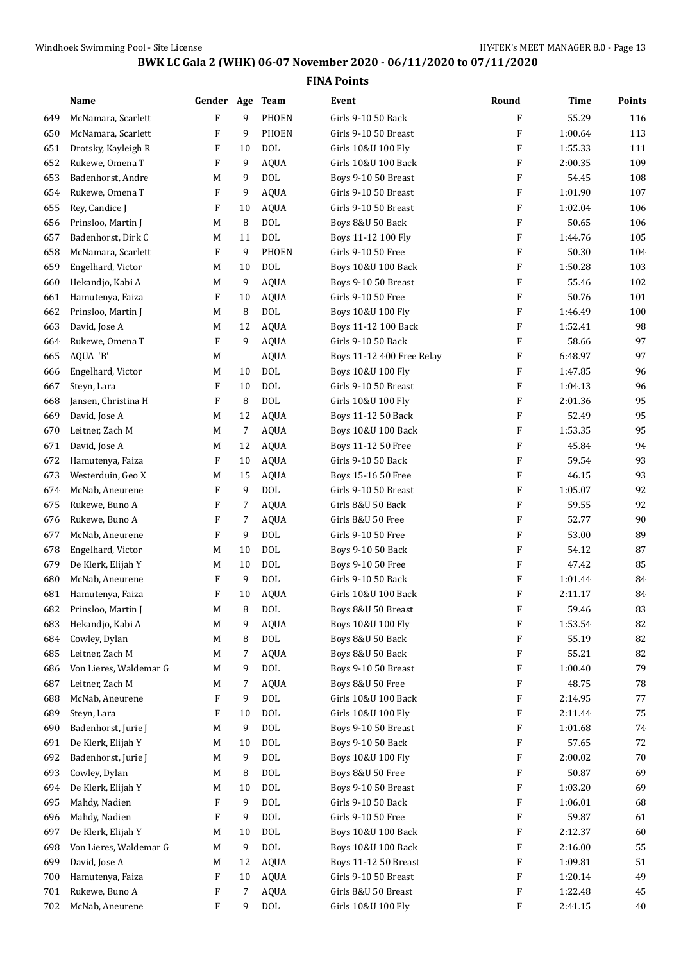|     | Name                   | Gender Age |    | <b>Team</b>  | Event                     | Round                     | <b>Time</b> | Points |
|-----|------------------------|------------|----|--------------|---------------------------|---------------------------|-------------|--------|
| 649 | McNamara, Scarlett     | ${\bf F}$  | 9  | <b>PHOEN</b> | Girls 9-10 50 Back        | F                         | 55.29       | 116    |
| 650 | McNamara, Scarlett     | F          | 9  | <b>PHOEN</b> | Girls 9-10 50 Breast      | F                         | 1:00.64     | 113    |
| 651 | Drotsky, Kayleigh R    | F          | 10 | <b>DOL</b>   | Girls 10&U 100 Fly        | F                         | 1:55.33     | 111    |
| 652 | Rukewe, Omena T        | F          | 9  | <b>AQUA</b>  | Girls 10&U 100 Back       | F                         | 2:00.35     | 109    |
| 653 | Badenhorst, Andre      | M          | 9  | DOL          | Boys 9-10 50 Breast       | F                         | 54.45       | 108    |
| 654 | Rukewe, Omena T        | F          | 9  | <b>AQUA</b>  | Girls 9-10 50 Breast      | F                         | 1:01.90     | 107    |
| 655 | Rey, Candice J         | F          | 10 | <b>AQUA</b>  | Girls 9-10 50 Breast      | F                         | 1:02.04     | 106    |
| 656 | Prinsloo, Martin J     | M          | 8  | <b>DOL</b>   | Boys 8&U 50 Back          | F                         | 50.65       | 106    |
| 657 | Badenhorst, Dirk C     | M          | 11 | <b>DOL</b>   | Boys 11-12 100 Fly        | F                         | 1:44.76     | 105    |
| 658 | McNamara, Scarlett     | F          | 9  | <b>PHOEN</b> | Girls 9-10 50 Free        | F                         | 50.30       | 104    |
| 659 | Engelhard, Victor      | M          | 10 | DOL          | Boys 10&U 100 Back        | F                         | 1:50.28     | 103    |
| 660 | Hekandjo, Kabi A       | М          | 9  | <b>AQUA</b>  | Boys 9-10 50 Breast       | F                         | 55.46       | 102    |
| 661 | Hamutenya, Faiza       | F          | 10 | <b>AQUA</b>  | Girls 9-10 50 Free        | F                         | 50.76       | 101    |
| 662 | Prinsloo, Martin J     | M          | 8  | <b>DOL</b>   | Boys 10&U 100 Fly         | F                         | 1:46.49     | 100    |
| 663 | David, Jose A          | М          | 12 | <b>AQUA</b>  | Boys 11-12 100 Back       | F                         | 1:52.41     | 98     |
| 664 | Rukewe, Omena T        | F          | 9  | <b>AQUA</b>  | Girls 9-10 50 Back        | F                         | 58.66       | 97     |
| 665 | AQUA 'B'               | M          |    | <b>AQUA</b>  | Boys 11-12 400 Free Relay | F                         | 6:48.97     | 97     |
| 666 | Engelhard, Victor      | M          | 10 | <b>DOL</b>   | Boys 10&U 100 Fly         | F                         | 1:47.85     | 96     |
| 667 | Steyn, Lara            | F          | 10 | <b>DOL</b>   | Girls 9-10 50 Breast      | F                         | 1:04.13     | 96     |
| 668 | Jansen, Christina H    | F          | 8  | <b>DOL</b>   | Girls 10&U 100 Fly        | F                         | 2:01.36     | 95     |
| 669 | David, Jose A          | М          | 12 | <b>AQUA</b>  | Boys 11-12 50 Back        | F                         | 52.49       | 95     |
| 670 | Leitner, Zach M        | M          | 7  | <b>AQUA</b>  | Boys 10&U 100 Back        | F                         | 1:53.35     | 95     |
| 671 | David, Jose A          | M          | 12 | <b>AQUA</b>  | Boys 11-12 50 Free        | F                         | 45.84       | 94     |
| 672 | Hamutenya, Faiza       | F          | 10 | <b>AQUA</b>  | Girls 9-10 50 Back        | F                         | 59.54       | 93     |
| 673 | Westerduin, Geo X      | M          | 15 | <b>AQUA</b>  | Boys 15-16 50 Free        | F                         | 46.15       | 93     |
| 674 | McNab, Aneurene        | F          | 9  | <b>DOL</b>   | Girls 9-10 50 Breast      | F                         | 1:05.07     | 92     |
| 675 | Rukewe, Buno A         | F          | 7  | <b>AQUA</b>  | Girls 8&U 50 Back         | F                         | 59.55       | 92     |
| 676 | Rukewe, Buno A         | F          | 7  | <b>AQUA</b>  | Girls 8&U 50 Free         | F                         | 52.77       | 90     |
| 677 | McNab, Aneurene        | F          | 9  | <b>DOL</b>   | Girls 9-10 50 Free        | F                         | 53.00       | 89     |
| 678 | Engelhard, Victor      | M          | 10 | <b>DOL</b>   | Boys 9-10 50 Back         | F                         | 54.12       | 87     |
| 679 | De Klerk, Elijah Y     | M          | 10 | <b>DOL</b>   | Boys 9-10 50 Free         | F                         | 47.42       | 85     |
| 680 | McNab, Aneurene        | F          | 9  | <b>DOL</b>   | Girls 9-10 50 Back        | $\boldsymbol{\mathrm{F}}$ | 1:01.44     | 84     |
| 681 | Hamutenya, Faiza       | F          | 10 | <b>AQUA</b>  | Girls 10&U 100 Back       | F                         | 2:11.17     | 84     |
| 682 | Prinsloo, Martin J     | M          | 8  | $\text{DOL}$ | Boys 8&U 50 Breast        | F                         | 59.46       | 83     |
| 683 | Hekandjo, Kabi A       | M          | 9  | <b>AQUA</b>  | Boys 10&U 100 Fly         | F                         | 1:53.54     | 82     |
| 684 | Cowley, Dylan          | M          | 8  | <b>DOL</b>   | Boys 8&U 50 Back          | F                         | 55.19       | 82     |
| 685 | Leitner, Zach M        | M          | 7  | <b>AQUA</b>  | Boys 8&U 50 Back          | F                         | 55.21       | 82     |
| 686 | Von Lieres, Waldemar G | M          | 9  | <b>DOL</b>   | Boys 9-10 50 Breast       | F                         | 1:00.40     | 79     |
| 687 | Leitner, Zach M        | M          | 7  | <b>AQUA</b>  | Boys 8&U 50 Free          | F                         | 48.75       | 78     |
| 688 | McNab, Aneurene        | F          | 9  | <b>DOL</b>   | Girls 10&U 100 Back       | F                         | 2:14.95     | 77     |
| 689 | Steyn, Lara            | F          | 10 | $\rm DOL$    | Girls 10&U 100 Fly        | F                         | 2:11.44     | 75     |
| 690 | Badenhorst, Jurie J    | M          | 9  | <b>DOL</b>   | Boys 9-10 50 Breast       | F                         | 1:01.68     | 74     |
| 691 | De Klerk, Elijah Y     | M          | 10 | DOL          | Boys 9-10 50 Back         | F                         | 57.65       | 72     |
| 692 | Badenhorst, Jurie J    | M          | 9  | <b>DOL</b>   | Boys 10&U 100 Fly         | F                         | 2:00.02     | 70     |
| 693 | Cowley, Dylan          | M          | 8  | DOL          | Boys 8&U 50 Free          | F                         | 50.87       | 69     |
| 694 | De Klerk, Elijah Y     | M          | 10 | <b>DOL</b>   | Boys 9-10 50 Breast       | F                         | 1:03.20     | 69     |
| 695 | Mahdy, Nadien          | F          | 9  | <b>DOL</b>   | Girls 9-10 50 Back        | F                         | 1:06.01     | 68     |
| 696 | Mahdy, Nadien          | F          | 9  | <b>DOL</b>   | Girls 9-10 50 Free        | F                         | 59.87       | 61     |
| 697 | De Klerk, Elijah Y     | M          | 10 | <b>DOL</b>   | Boys 10&U 100 Back        | F                         | 2:12.37     | 60     |
| 698 | Von Lieres, Waldemar G | М          | 9  | $\rm DOL$    | Boys 10&U 100 Back        | F                         | 2:16.00     | 55     |
| 699 | David, Jose A          | M          | 12 | <b>AQUA</b>  | Boys 11-12 50 Breast      | F                         | 1:09.81     | 51     |
| 700 | Hamutenya, Faiza       | F          | 10 | <b>AQUA</b>  | Girls 9-10 50 Breast      | F                         | 1:20.14     | 49     |
| 701 | Rukewe, Buno A         | F          | 7  | <b>AQUA</b>  | Girls 8&U 50 Breast       | F                         | 1:22.48     | 45     |
| 702 | McNab, Aneurene        | F          | 9  | $\rm DOL$    | Girls 10&U 100 Fly        | F                         | 2:41.15     | 40     |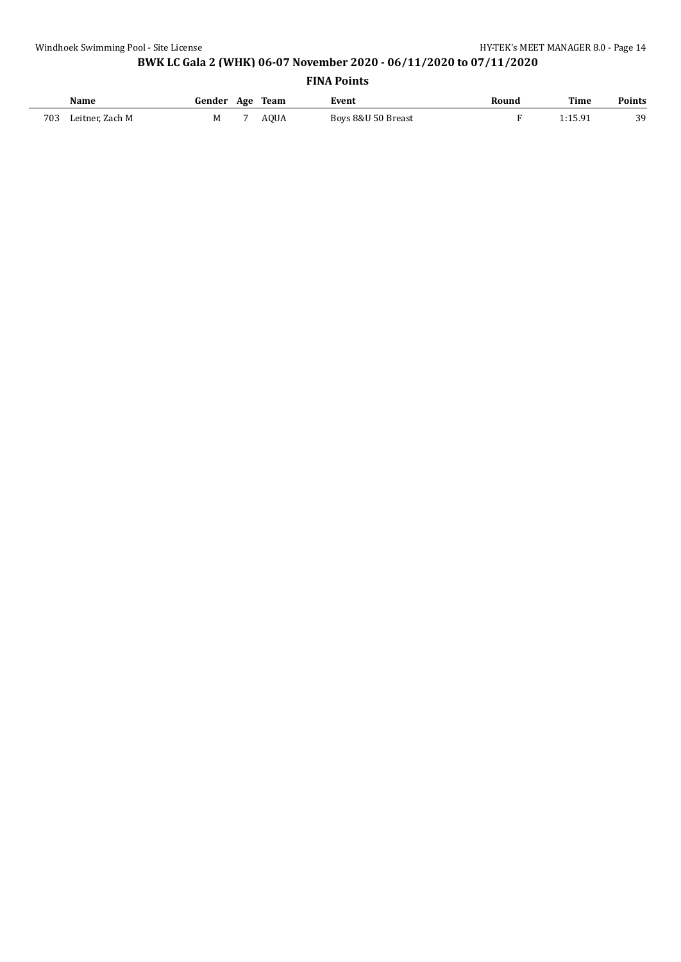| Name                   | Gender Age Team |             | Event              | Round | Time      | <b>Points</b> |
|------------------------|-----------------|-------------|--------------------|-------|-----------|---------------|
| 703<br>Leitner, Zach M | M               | <b>AOUA</b> | Boys 8&U 50 Breast |       | । -1 ८ Q1 | 39            |